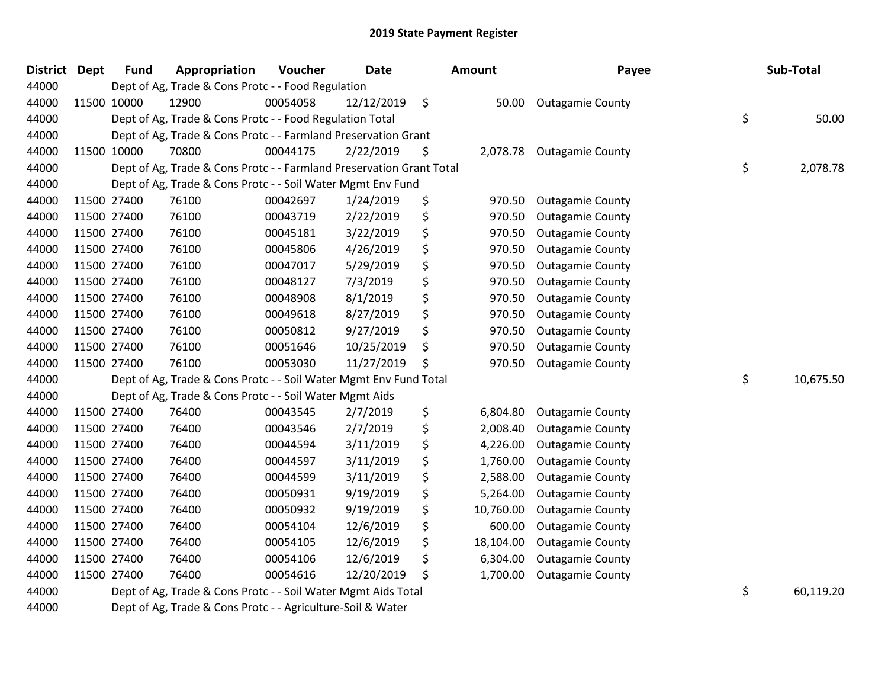| District Dept | <b>Fund</b> | Appropriation                                                        | Voucher  | <b>Date</b> |               | Amount    | Payee                   | Sub-Total       |
|---------------|-------------|----------------------------------------------------------------------|----------|-------------|---------------|-----------|-------------------------|-----------------|
| 44000         |             | Dept of Ag, Trade & Cons Protc - - Food Regulation                   |          |             |               |           |                         |                 |
| 44000         | 11500 10000 | 12900                                                                | 00054058 | 12/12/2019  | $\ddot{\phi}$ |           | 50.00 Outagamie County  |                 |
| 44000         |             | Dept of Ag, Trade & Cons Protc - - Food Regulation Total             |          |             |               |           |                         | \$<br>50.00     |
| 44000         |             | Dept of Ag, Trade & Cons Protc - - Farmland Preservation Grant       |          |             |               |           |                         |                 |
| 44000         | 11500 10000 | 70800                                                                | 00044175 | 2/22/2019   | \$            | 2,078.78  | <b>Outagamie County</b> |                 |
| 44000         |             | Dept of Ag, Trade & Cons Protc - - Farmland Preservation Grant Total |          |             |               |           |                         | \$<br>2,078.78  |
| 44000         |             | Dept of Ag, Trade & Cons Protc - - Soil Water Mgmt Env Fund          |          |             |               |           |                         |                 |
| 44000         | 11500 27400 | 76100                                                                | 00042697 | 1/24/2019   | \$            | 970.50    | <b>Outagamie County</b> |                 |
| 44000         | 11500 27400 | 76100                                                                | 00043719 | 2/22/2019   | \$            | 970.50    | <b>Outagamie County</b> |                 |
| 44000         | 11500 27400 | 76100                                                                | 00045181 | 3/22/2019   | \$            | 970.50    | <b>Outagamie County</b> |                 |
| 44000         | 11500 27400 | 76100                                                                | 00045806 | 4/26/2019   | \$            | 970.50    | <b>Outagamie County</b> |                 |
| 44000         | 11500 27400 | 76100                                                                | 00047017 | 5/29/2019   | \$            | 970.50    | <b>Outagamie County</b> |                 |
| 44000         | 11500 27400 | 76100                                                                | 00048127 | 7/3/2019    | \$            | 970.50    | <b>Outagamie County</b> |                 |
| 44000         | 11500 27400 | 76100                                                                | 00048908 | 8/1/2019    | \$            | 970.50    | <b>Outagamie County</b> |                 |
| 44000         | 11500 27400 | 76100                                                                | 00049618 | 8/27/2019   | \$            | 970.50    | <b>Outagamie County</b> |                 |
| 44000         | 11500 27400 | 76100                                                                | 00050812 | 9/27/2019   | \$            | 970.50    | <b>Outagamie County</b> |                 |
| 44000         | 11500 27400 | 76100                                                                | 00051646 | 10/25/2019  | \$            | 970.50    | <b>Outagamie County</b> |                 |
| 44000         | 11500 27400 | 76100                                                                | 00053030 | 11/27/2019  | \$            | 970.50    | <b>Outagamie County</b> |                 |
| 44000         |             | Dept of Ag, Trade & Cons Protc - - Soil Water Mgmt Env Fund Total    |          |             |               |           |                         | \$<br>10,675.50 |
| 44000         |             | Dept of Ag, Trade & Cons Protc - - Soil Water Mgmt Aids              |          |             |               |           |                         |                 |
| 44000         | 11500 27400 | 76400                                                                | 00043545 | 2/7/2019    | \$            | 6,804.80  | <b>Outagamie County</b> |                 |
| 44000         | 11500 27400 | 76400                                                                | 00043546 | 2/7/2019    | \$            | 2,008.40  | <b>Outagamie County</b> |                 |
| 44000         | 11500 27400 | 76400                                                                | 00044594 | 3/11/2019   | \$            | 4,226.00  | <b>Outagamie County</b> |                 |
| 44000         | 11500 27400 | 76400                                                                | 00044597 | 3/11/2019   | \$            | 1,760.00  | <b>Outagamie County</b> |                 |
| 44000         | 11500 27400 | 76400                                                                | 00044599 | 3/11/2019   | \$            | 2,588.00  | <b>Outagamie County</b> |                 |
| 44000         | 11500 27400 | 76400                                                                | 00050931 | 9/19/2019   | \$            | 5,264.00  | <b>Outagamie County</b> |                 |
| 44000         | 11500 27400 | 76400                                                                | 00050932 | 9/19/2019   | \$            | 10,760.00 | <b>Outagamie County</b> |                 |
| 44000         | 11500 27400 | 76400                                                                | 00054104 | 12/6/2019   | \$            | 600.00    | <b>Outagamie County</b> |                 |
| 44000         | 11500 27400 | 76400                                                                | 00054105 | 12/6/2019   | \$            | 18,104.00 | <b>Outagamie County</b> |                 |
| 44000         | 11500 27400 | 76400                                                                | 00054106 | 12/6/2019   | \$            | 6,304.00  | <b>Outagamie County</b> |                 |
| 44000         | 11500 27400 | 76400                                                                | 00054616 | 12/20/2019  | \$            | 1,700.00  | <b>Outagamie County</b> |                 |
| 44000         |             | Dept of Ag, Trade & Cons Protc - - Soil Water Mgmt Aids Total        |          |             |               |           |                         | \$<br>60,119.20 |
| 44000         |             | Dept of Ag, Trade & Cons Protc - - Agriculture-Soil & Water          |          |             |               |           |                         |                 |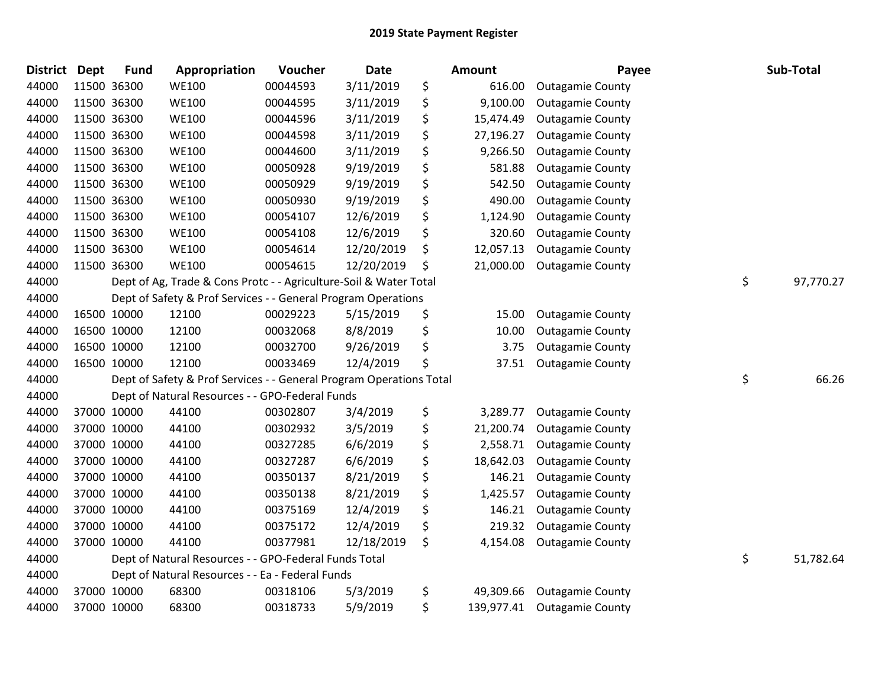| <b>District</b> | <b>Dept</b> | <b>Fund</b> | Appropriation                                                       | Voucher  | <b>Date</b> | Amount           | Payee                   | Sub-Total       |
|-----------------|-------------|-------------|---------------------------------------------------------------------|----------|-------------|------------------|-------------------------|-----------------|
| 44000           |             | 11500 36300 | <b>WE100</b>                                                        | 00044593 | 3/11/2019   | \$<br>616.00     | <b>Outagamie County</b> |                 |
| 44000           |             | 11500 36300 | <b>WE100</b>                                                        | 00044595 | 3/11/2019   | \$<br>9,100.00   | <b>Outagamie County</b> |                 |
| 44000           |             | 11500 36300 | <b>WE100</b>                                                        | 00044596 | 3/11/2019   | \$<br>15,474.49  | <b>Outagamie County</b> |                 |
| 44000           |             | 11500 36300 | <b>WE100</b>                                                        | 00044598 | 3/11/2019   | \$<br>27,196.27  | <b>Outagamie County</b> |                 |
| 44000           |             | 11500 36300 | <b>WE100</b>                                                        | 00044600 | 3/11/2019   | \$<br>9,266.50   | <b>Outagamie County</b> |                 |
| 44000           |             | 11500 36300 | <b>WE100</b>                                                        | 00050928 | 9/19/2019   | \$<br>581.88     | <b>Outagamie County</b> |                 |
| 44000           |             | 11500 36300 | <b>WE100</b>                                                        | 00050929 | 9/19/2019   | \$<br>542.50     | <b>Outagamie County</b> |                 |
| 44000           |             | 11500 36300 | <b>WE100</b>                                                        | 00050930 | 9/19/2019   | \$<br>490.00     | <b>Outagamie County</b> |                 |
| 44000           |             | 11500 36300 | <b>WE100</b>                                                        | 00054107 | 12/6/2019   | \$<br>1,124.90   | <b>Outagamie County</b> |                 |
| 44000           |             | 11500 36300 | <b>WE100</b>                                                        | 00054108 | 12/6/2019   | \$<br>320.60     | <b>Outagamie County</b> |                 |
| 44000           |             | 11500 36300 | <b>WE100</b>                                                        | 00054614 | 12/20/2019  | \$<br>12,057.13  | <b>Outagamie County</b> |                 |
| 44000           |             | 11500 36300 | <b>WE100</b>                                                        | 00054615 | 12/20/2019  | \$<br>21,000.00  | <b>Outagamie County</b> |                 |
| 44000           |             |             | Dept of Ag, Trade & Cons Protc - - Agriculture-Soil & Water Total   |          |             |                  |                         | \$<br>97,770.27 |
| 44000           |             |             | Dept of Safety & Prof Services - - General Program Operations       |          |             |                  |                         |                 |
| 44000           |             | 16500 10000 | 12100                                                               | 00029223 | 5/15/2019   | \$<br>15.00      | <b>Outagamie County</b> |                 |
| 44000           |             | 16500 10000 | 12100                                                               | 00032068 | 8/8/2019    | \$<br>10.00      | <b>Outagamie County</b> |                 |
| 44000           |             | 16500 10000 | 12100                                                               | 00032700 | 9/26/2019   | \$<br>3.75       | <b>Outagamie County</b> |                 |
| 44000           |             | 16500 10000 | 12100                                                               | 00033469 | 12/4/2019   | \$<br>37.51      | <b>Outagamie County</b> |                 |
| 44000           |             |             | Dept of Safety & Prof Services - - General Program Operations Total |          |             |                  |                         | \$<br>66.26     |
| 44000           |             |             | Dept of Natural Resources - - GPO-Federal Funds                     |          |             |                  |                         |                 |
| 44000           |             | 37000 10000 | 44100                                                               | 00302807 | 3/4/2019    | \$<br>3,289.77   | <b>Outagamie County</b> |                 |
| 44000           |             | 37000 10000 | 44100                                                               | 00302932 | 3/5/2019    | \$<br>21,200.74  | <b>Outagamie County</b> |                 |
| 44000           |             | 37000 10000 | 44100                                                               | 00327285 | 6/6/2019    | \$<br>2,558.71   | <b>Outagamie County</b> |                 |
| 44000           |             | 37000 10000 | 44100                                                               | 00327287 | 6/6/2019    | \$<br>18,642.03  | <b>Outagamie County</b> |                 |
| 44000           |             | 37000 10000 | 44100                                                               | 00350137 | 8/21/2019   | \$<br>146.21     | <b>Outagamie County</b> |                 |
| 44000           |             | 37000 10000 | 44100                                                               | 00350138 | 8/21/2019   | \$<br>1,425.57   | <b>Outagamie County</b> |                 |
| 44000           |             | 37000 10000 | 44100                                                               | 00375169 | 12/4/2019   | \$<br>146.21     | <b>Outagamie County</b> |                 |
| 44000           |             | 37000 10000 | 44100                                                               | 00375172 | 12/4/2019   | \$<br>219.32     | <b>Outagamie County</b> |                 |
| 44000           |             | 37000 10000 | 44100                                                               | 00377981 | 12/18/2019  | \$<br>4,154.08   | <b>Outagamie County</b> |                 |
| 44000           |             |             | Dept of Natural Resources - - GPO-Federal Funds Total               |          |             |                  |                         | \$<br>51,782.64 |
| 44000           |             |             | Dept of Natural Resources - - Ea - Federal Funds                    |          |             |                  |                         |                 |
| 44000           |             | 37000 10000 | 68300                                                               | 00318106 | 5/3/2019    | \$<br>49,309.66  | <b>Outagamie County</b> |                 |
| 44000           |             | 37000 10000 | 68300                                                               | 00318733 | 5/9/2019    | \$<br>139,977.41 | <b>Outagamie County</b> |                 |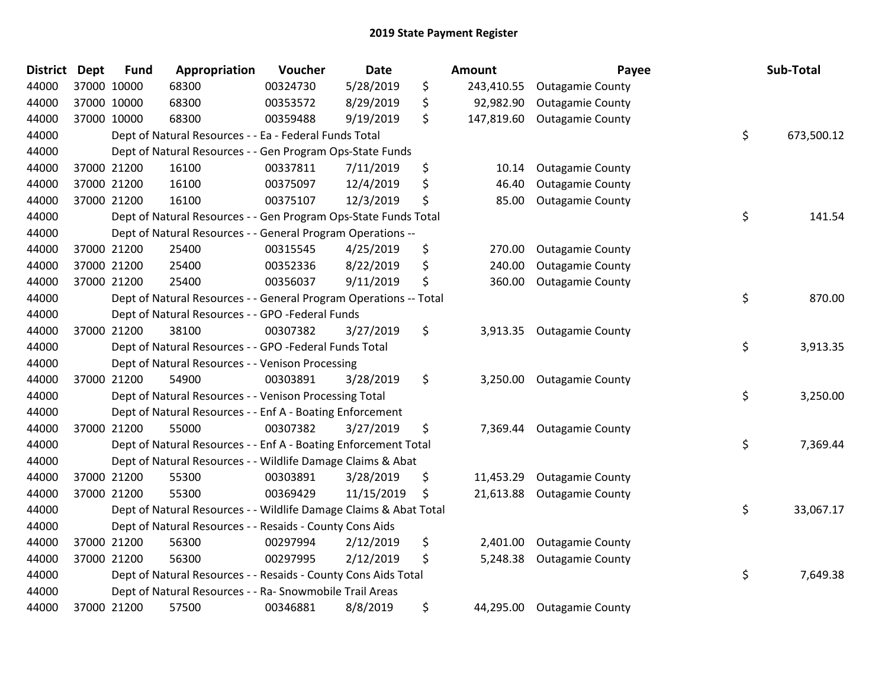| District | <b>Dept</b> | <b>Fund</b> | Appropriation                                                     | Voucher  | <b>Date</b> | Amount           | Payee                      | Sub-Total        |
|----------|-------------|-------------|-------------------------------------------------------------------|----------|-------------|------------------|----------------------------|------------------|
| 44000    | 37000 10000 |             | 68300                                                             | 00324730 | 5/28/2019   | \$<br>243,410.55 | <b>Outagamie County</b>    |                  |
| 44000    | 37000 10000 |             | 68300                                                             | 00353572 | 8/29/2019   | \$<br>92,982.90  | <b>Outagamie County</b>    |                  |
| 44000    | 37000 10000 |             | 68300                                                             | 00359488 | 9/19/2019   | \$<br>147,819.60 | <b>Outagamie County</b>    |                  |
| 44000    |             |             | Dept of Natural Resources - - Ea - Federal Funds Total            |          |             |                  |                            | \$<br>673,500.12 |
| 44000    |             |             | Dept of Natural Resources - - Gen Program Ops-State Funds         |          |             |                  |                            |                  |
| 44000    | 37000 21200 |             | 16100                                                             | 00337811 | 7/11/2019   | \$<br>10.14      | <b>Outagamie County</b>    |                  |
| 44000    | 37000 21200 |             | 16100                                                             | 00375097 | 12/4/2019   | \$<br>46.40      | <b>Outagamie County</b>    |                  |
| 44000    | 37000 21200 |             | 16100                                                             | 00375107 | 12/3/2019   | \$<br>85.00      | <b>Outagamie County</b>    |                  |
| 44000    |             |             | Dept of Natural Resources - - Gen Program Ops-State Funds Total   |          |             |                  |                            | \$<br>141.54     |
| 44000    |             |             | Dept of Natural Resources - - General Program Operations --       |          |             |                  |                            |                  |
| 44000    | 37000 21200 |             | 25400                                                             | 00315545 | 4/25/2019   | \$<br>270.00     | <b>Outagamie County</b>    |                  |
| 44000    | 37000 21200 |             | 25400                                                             | 00352336 | 8/22/2019   | \$<br>240.00     | <b>Outagamie County</b>    |                  |
| 44000    | 37000 21200 |             | 25400                                                             | 00356037 | 9/11/2019   | \$<br>360.00     | <b>Outagamie County</b>    |                  |
| 44000    |             |             | Dept of Natural Resources - - General Program Operations -- Total |          |             |                  |                            | \$<br>870.00     |
| 44000    |             |             | Dept of Natural Resources - - GPO -Federal Funds                  |          |             |                  |                            |                  |
| 44000    | 37000 21200 |             | 38100                                                             | 00307382 | 3/27/2019   | \$<br>3,913.35   | <b>Outagamie County</b>    |                  |
| 44000    |             |             | Dept of Natural Resources - - GPO -Federal Funds Total            |          |             |                  |                            | \$<br>3,913.35   |
| 44000    |             |             | Dept of Natural Resources - - Venison Processing                  |          |             |                  |                            |                  |
| 44000    | 37000 21200 |             | 54900                                                             | 00303891 | 3/28/2019   | \$               | 3,250.00 Outagamie County  |                  |
| 44000    |             |             | Dept of Natural Resources - - Venison Processing Total            |          |             |                  |                            | \$<br>3,250.00   |
| 44000    |             |             | Dept of Natural Resources - - Enf A - Boating Enforcement         |          |             |                  |                            |                  |
| 44000    | 37000 21200 |             | 55000                                                             | 00307382 | 3/27/2019   | \$<br>7,369.44   | <b>Outagamie County</b>    |                  |
| 44000    |             |             | Dept of Natural Resources - - Enf A - Boating Enforcement Total   |          |             |                  |                            | \$<br>7,369.44   |
| 44000    |             |             | Dept of Natural Resources - - Wildlife Damage Claims & Abat       |          |             |                  |                            |                  |
| 44000    | 37000 21200 |             | 55300                                                             | 00303891 | 3/28/2019   | \$<br>11,453.29  | <b>Outagamie County</b>    |                  |
| 44000    | 37000 21200 |             | 55300                                                             | 00369429 | 11/15/2019  | \$<br>21,613.88  | <b>Outagamie County</b>    |                  |
| 44000    |             |             | Dept of Natural Resources - - Wildlife Damage Claims & Abat Total |          |             |                  |                            | \$<br>33,067.17  |
| 44000    |             |             | Dept of Natural Resources - - Resaids - County Cons Aids          |          |             |                  |                            |                  |
| 44000    | 37000 21200 |             | 56300                                                             | 00297994 | 2/12/2019   | \$<br>2,401.00   | <b>Outagamie County</b>    |                  |
| 44000    | 37000 21200 |             | 56300                                                             | 00297995 | 2/12/2019   | \$<br>5,248.38   | <b>Outagamie County</b>    |                  |
| 44000    |             |             | Dept of Natural Resources - - Resaids - County Cons Aids Total    |          |             |                  |                            | \$<br>7,649.38   |
| 44000    |             |             | Dept of Natural Resources - - Ra- Snowmobile Trail Areas          |          |             |                  |                            |                  |
| 44000    | 37000 21200 |             | 57500                                                             | 00346881 | 8/8/2019    | \$               | 44,295.00 Outagamie County |                  |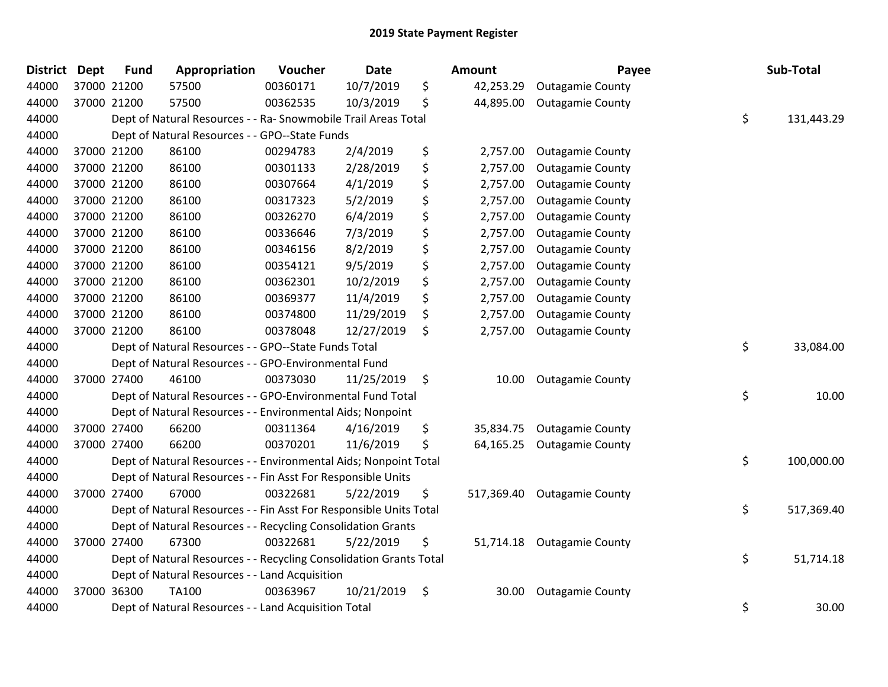| <b>District</b> | <b>Dept</b> | <b>Fund</b> | Appropriation                                                      | Voucher  | <b>Date</b> | <b>Amount</b>    | Payee                   | Sub-Total        |
|-----------------|-------------|-------------|--------------------------------------------------------------------|----------|-------------|------------------|-------------------------|------------------|
| 44000           |             | 37000 21200 | 57500                                                              | 00360171 | 10/7/2019   | \$<br>42,253.29  | <b>Outagamie County</b> |                  |
| 44000           |             | 37000 21200 | 57500                                                              | 00362535 | 10/3/2019   | \$<br>44,895.00  | <b>Outagamie County</b> |                  |
| 44000           |             |             | Dept of Natural Resources - - Ra- Snowmobile Trail Areas Total     |          |             |                  |                         | \$<br>131,443.29 |
| 44000           |             |             | Dept of Natural Resources - - GPO--State Funds                     |          |             |                  |                         |                  |
| 44000           |             | 37000 21200 | 86100                                                              | 00294783 | 2/4/2019    | \$<br>2,757.00   | <b>Outagamie County</b> |                  |
| 44000           |             | 37000 21200 | 86100                                                              | 00301133 | 2/28/2019   | \$<br>2,757.00   | <b>Outagamie County</b> |                  |
| 44000           |             | 37000 21200 | 86100                                                              | 00307664 | 4/1/2019    | \$<br>2,757.00   | <b>Outagamie County</b> |                  |
| 44000           |             | 37000 21200 | 86100                                                              | 00317323 | 5/2/2019    | \$<br>2,757.00   | <b>Outagamie County</b> |                  |
| 44000           |             | 37000 21200 | 86100                                                              | 00326270 | 6/4/2019    | \$<br>2,757.00   | <b>Outagamie County</b> |                  |
| 44000           |             | 37000 21200 | 86100                                                              | 00336646 | 7/3/2019    | \$<br>2,757.00   | <b>Outagamie County</b> |                  |
| 44000           |             | 37000 21200 | 86100                                                              | 00346156 | 8/2/2019    | \$<br>2,757.00   | <b>Outagamie County</b> |                  |
| 44000           |             | 37000 21200 | 86100                                                              | 00354121 | 9/5/2019    | \$<br>2,757.00   | <b>Outagamie County</b> |                  |
| 44000           |             | 37000 21200 | 86100                                                              | 00362301 | 10/2/2019   | \$<br>2,757.00   | <b>Outagamie County</b> |                  |
| 44000           |             | 37000 21200 | 86100                                                              | 00369377 | 11/4/2019   | \$<br>2,757.00   | <b>Outagamie County</b> |                  |
| 44000           |             | 37000 21200 | 86100                                                              | 00374800 | 11/29/2019  | \$<br>2,757.00   | <b>Outagamie County</b> |                  |
| 44000           |             | 37000 21200 | 86100                                                              | 00378048 | 12/27/2019  | \$<br>2,757.00   | <b>Outagamie County</b> |                  |
| 44000           |             |             | Dept of Natural Resources - - GPO--State Funds Total               |          |             |                  |                         | \$<br>33,084.00  |
| 44000           |             |             | Dept of Natural Resources - - GPO-Environmental Fund               |          |             |                  |                         |                  |
| 44000           |             | 37000 27400 | 46100                                                              | 00373030 | 11/25/2019  | \$<br>10.00      | <b>Outagamie County</b> |                  |
| 44000           |             |             | Dept of Natural Resources - - GPO-Environmental Fund Total         |          |             |                  |                         | \$<br>10.00      |
| 44000           |             |             | Dept of Natural Resources - - Environmental Aids; Nonpoint         |          |             |                  |                         |                  |
| 44000           |             | 37000 27400 | 66200                                                              | 00311364 | 4/16/2019   | \$<br>35,834.75  | <b>Outagamie County</b> |                  |
| 44000           |             | 37000 27400 | 66200                                                              | 00370201 | 11/6/2019   | \$<br>64,165.25  | <b>Outagamie County</b> |                  |
| 44000           |             |             | Dept of Natural Resources - - Environmental Aids; Nonpoint Total   |          |             |                  |                         | \$<br>100,000.00 |
| 44000           |             |             | Dept of Natural Resources - - Fin Asst For Responsible Units       |          |             |                  |                         |                  |
| 44000           |             | 37000 27400 | 67000                                                              | 00322681 | 5/22/2019   | \$<br>517,369.40 | <b>Outagamie County</b> |                  |
| 44000           |             |             | Dept of Natural Resources - - Fin Asst For Responsible Units Total |          |             |                  |                         | \$<br>517,369.40 |
| 44000           |             |             | Dept of Natural Resources - - Recycling Consolidation Grants       |          |             |                  |                         |                  |
| 44000           |             | 37000 27400 | 67300                                                              | 00322681 | 5/22/2019   | \$<br>51,714.18  | <b>Outagamie County</b> |                  |
| 44000           |             |             | Dept of Natural Resources - - Recycling Consolidation Grants Total |          |             |                  |                         | \$<br>51,714.18  |
| 44000           |             |             | Dept of Natural Resources - - Land Acquisition                     |          |             |                  |                         |                  |
| 44000           |             | 37000 36300 | <b>TA100</b>                                                       | 00363967 | 10/21/2019  | \$<br>30.00      | <b>Outagamie County</b> |                  |
| 44000           |             |             | Dept of Natural Resources - - Land Acquisition Total               |          |             |                  |                         | \$<br>30.00      |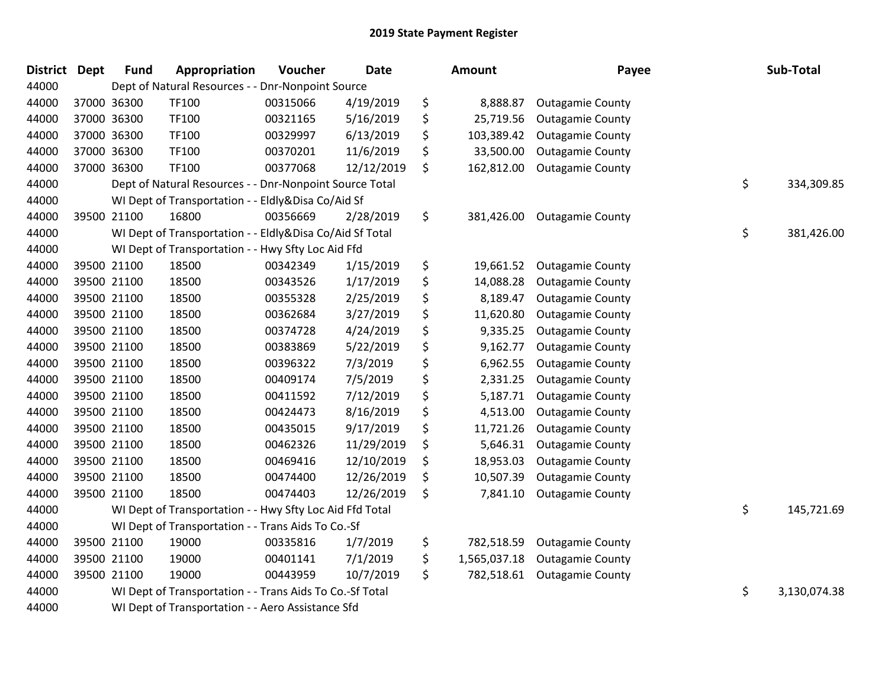| <b>District</b> | <b>Dept</b> | <b>Fund</b> | Appropriation                                            | Voucher  | <b>Date</b> | Amount             | Payee                   | Sub-Total          |
|-----------------|-------------|-------------|----------------------------------------------------------|----------|-------------|--------------------|-------------------------|--------------------|
| 44000           |             |             | Dept of Natural Resources - - Dnr-Nonpoint Source        |          |             |                    |                         |                    |
| 44000           |             | 37000 36300 | TF100                                                    | 00315066 | 4/19/2019   | \$<br>8,888.87     | <b>Outagamie County</b> |                    |
| 44000           |             | 37000 36300 | TF100                                                    | 00321165 | 5/16/2019   | \$<br>25,719.56    | <b>Outagamie County</b> |                    |
| 44000           |             | 37000 36300 | TF100                                                    | 00329997 | 6/13/2019   | \$<br>103,389.42   | <b>Outagamie County</b> |                    |
| 44000           |             | 37000 36300 | TF100                                                    | 00370201 | 11/6/2019   | \$<br>33,500.00    | <b>Outagamie County</b> |                    |
| 44000           |             | 37000 36300 | <b>TF100</b>                                             | 00377068 | 12/12/2019  | \$<br>162,812.00   | <b>Outagamie County</b> |                    |
| 44000           |             |             | Dept of Natural Resources - - Dnr-Nonpoint Source Total  |          |             |                    |                         | \$<br>334,309.85   |
| 44000           |             |             | WI Dept of Transportation - - Eldly&Disa Co/Aid Sf       |          |             |                    |                         |                    |
| 44000           |             | 39500 21100 | 16800                                                    | 00356669 | 2/28/2019   | \$<br>381,426.00   | <b>Outagamie County</b> |                    |
| 44000           |             |             | WI Dept of Transportation - - Eldly&Disa Co/Aid Sf Total |          |             |                    |                         | \$<br>381,426.00   |
| 44000           |             |             | WI Dept of Transportation - - Hwy Sfty Loc Aid Ffd       |          |             |                    |                         |                    |
| 44000           |             | 39500 21100 | 18500                                                    | 00342349 | 1/15/2019   | \$<br>19,661.52    | <b>Outagamie County</b> |                    |
| 44000           |             | 39500 21100 | 18500                                                    | 00343526 | 1/17/2019   | \$<br>14,088.28    | <b>Outagamie County</b> |                    |
| 44000           |             | 39500 21100 | 18500                                                    | 00355328 | 2/25/2019   | \$<br>8,189.47     | <b>Outagamie County</b> |                    |
| 44000           |             | 39500 21100 | 18500                                                    | 00362684 | 3/27/2019   | \$<br>11,620.80    | <b>Outagamie County</b> |                    |
| 44000           |             | 39500 21100 | 18500                                                    | 00374728 | 4/24/2019   | \$<br>9,335.25     | <b>Outagamie County</b> |                    |
| 44000           |             | 39500 21100 | 18500                                                    | 00383869 | 5/22/2019   | \$<br>9,162.77     | <b>Outagamie County</b> |                    |
| 44000           |             | 39500 21100 | 18500                                                    | 00396322 | 7/3/2019    | \$<br>6,962.55     | <b>Outagamie County</b> |                    |
| 44000           |             | 39500 21100 | 18500                                                    | 00409174 | 7/5/2019    | \$<br>2,331.25     | <b>Outagamie County</b> |                    |
| 44000           |             | 39500 21100 | 18500                                                    | 00411592 | 7/12/2019   | \$<br>5,187.71     | <b>Outagamie County</b> |                    |
| 44000           |             | 39500 21100 | 18500                                                    | 00424473 | 8/16/2019   | \$<br>4,513.00     | <b>Outagamie County</b> |                    |
| 44000           |             | 39500 21100 | 18500                                                    | 00435015 | 9/17/2019   | \$<br>11,721.26    | <b>Outagamie County</b> |                    |
| 44000           |             | 39500 21100 | 18500                                                    | 00462326 | 11/29/2019  | \$<br>5,646.31     | <b>Outagamie County</b> |                    |
| 44000           |             | 39500 21100 | 18500                                                    | 00469416 | 12/10/2019  | \$<br>18,953.03    | <b>Outagamie County</b> |                    |
| 44000           |             | 39500 21100 | 18500                                                    | 00474400 | 12/26/2019  | \$<br>10,507.39    | <b>Outagamie County</b> |                    |
| 44000           |             | 39500 21100 | 18500                                                    | 00474403 | 12/26/2019  | \$<br>7,841.10     | <b>Outagamie County</b> |                    |
| 44000           |             |             | WI Dept of Transportation - - Hwy Sfty Loc Aid Ffd Total |          |             |                    |                         | \$<br>145,721.69   |
| 44000           |             |             | WI Dept of Transportation - - Trans Aids To Co.-Sf       |          |             |                    |                         |                    |
| 44000           |             | 39500 21100 | 19000                                                    | 00335816 | 1/7/2019    | \$<br>782,518.59   | <b>Outagamie County</b> |                    |
| 44000           |             | 39500 21100 | 19000                                                    | 00401141 | 7/1/2019    | \$<br>1,565,037.18 | <b>Outagamie County</b> |                    |
| 44000           |             | 39500 21100 | 19000                                                    | 00443959 | 10/7/2019   | \$<br>782,518.61   | <b>Outagamie County</b> |                    |
| 44000           |             |             | WI Dept of Transportation - - Trans Aids To Co.-Sf Total |          |             |                    |                         | \$<br>3,130,074.38 |
| 44000           |             |             | WI Dept of Transportation - - Aero Assistance Sfd        |          |             |                    |                         |                    |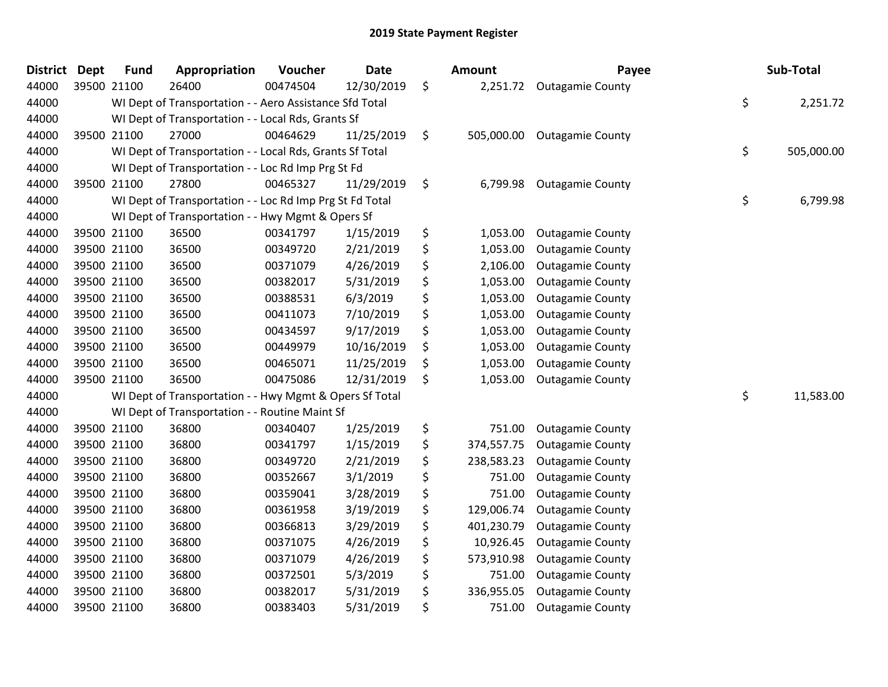| <b>District</b> | <b>Dept</b> | <b>Fund</b> | Appropriation                                            | Voucher  | <b>Date</b> | Amount           | Payee                   | Sub-Total        |
|-----------------|-------------|-------------|----------------------------------------------------------|----------|-------------|------------------|-------------------------|------------------|
| 44000           |             | 39500 21100 | 26400                                                    | 00474504 | 12/30/2019  | \$<br>2,251.72   | <b>Outagamie County</b> |                  |
| 44000           |             |             | WI Dept of Transportation - - Aero Assistance Sfd Total  |          |             |                  |                         | \$<br>2,251.72   |
| 44000           |             |             | WI Dept of Transportation - - Local Rds, Grants Sf       |          |             |                  |                         |                  |
| 44000           |             | 39500 21100 | 27000                                                    | 00464629 | 11/25/2019  | \$<br>505,000.00 | <b>Outagamie County</b> |                  |
| 44000           |             |             | WI Dept of Transportation - - Local Rds, Grants Sf Total |          |             |                  |                         | \$<br>505,000.00 |
| 44000           |             |             | WI Dept of Transportation - - Loc Rd Imp Prg St Fd       |          |             |                  |                         |                  |
| 44000           |             | 39500 21100 | 27800                                                    | 00465327 | 11/29/2019  | \$<br>6,799.98   | <b>Outagamie County</b> |                  |
| 44000           |             |             | WI Dept of Transportation - - Loc Rd Imp Prg St Fd Total |          |             |                  |                         | \$<br>6,799.98   |
| 44000           |             |             | WI Dept of Transportation - - Hwy Mgmt & Opers Sf        |          |             |                  |                         |                  |
| 44000           |             | 39500 21100 | 36500                                                    | 00341797 | 1/15/2019   | \$<br>1,053.00   | <b>Outagamie County</b> |                  |
| 44000           |             | 39500 21100 | 36500                                                    | 00349720 | 2/21/2019   | \$<br>1,053.00   | <b>Outagamie County</b> |                  |
| 44000           |             | 39500 21100 | 36500                                                    | 00371079 | 4/26/2019   | \$<br>2,106.00   | <b>Outagamie County</b> |                  |
| 44000           |             | 39500 21100 | 36500                                                    | 00382017 | 5/31/2019   | \$<br>1,053.00   | <b>Outagamie County</b> |                  |
| 44000           |             | 39500 21100 | 36500                                                    | 00388531 | 6/3/2019    | \$<br>1,053.00   | <b>Outagamie County</b> |                  |
| 44000           |             | 39500 21100 | 36500                                                    | 00411073 | 7/10/2019   | \$<br>1,053.00   | <b>Outagamie County</b> |                  |
| 44000           |             | 39500 21100 | 36500                                                    | 00434597 | 9/17/2019   | \$<br>1,053.00   | <b>Outagamie County</b> |                  |
| 44000           |             | 39500 21100 | 36500                                                    | 00449979 | 10/16/2019  | \$<br>1,053.00   | <b>Outagamie County</b> |                  |
| 44000           |             | 39500 21100 | 36500                                                    | 00465071 | 11/25/2019  | \$<br>1,053.00   | <b>Outagamie County</b> |                  |
| 44000           |             | 39500 21100 | 36500                                                    | 00475086 | 12/31/2019  | \$<br>1,053.00   | <b>Outagamie County</b> |                  |
| 44000           |             |             | WI Dept of Transportation - - Hwy Mgmt & Opers Sf Total  |          |             |                  |                         | \$<br>11,583.00  |
| 44000           |             |             | WI Dept of Transportation - - Routine Maint Sf           |          |             |                  |                         |                  |
| 44000           |             | 39500 21100 | 36800                                                    | 00340407 | 1/25/2019   | \$<br>751.00     | <b>Outagamie County</b> |                  |
| 44000           |             | 39500 21100 | 36800                                                    | 00341797 | 1/15/2019   | \$<br>374,557.75 | <b>Outagamie County</b> |                  |
| 44000           |             | 39500 21100 | 36800                                                    | 00349720 | 2/21/2019   | \$<br>238,583.23 | <b>Outagamie County</b> |                  |
| 44000           |             | 39500 21100 | 36800                                                    | 00352667 | 3/1/2019    | \$<br>751.00     | <b>Outagamie County</b> |                  |
| 44000           |             | 39500 21100 | 36800                                                    | 00359041 | 3/28/2019   | \$<br>751.00     | <b>Outagamie County</b> |                  |
| 44000           |             | 39500 21100 | 36800                                                    | 00361958 | 3/19/2019   | \$<br>129,006.74 | <b>Outagamie County</b> |                  |
| 44000           |             | 39500 21100 | 36800                                                    | 00366813 | 3/29/2019   | \$<br>401,230.79 | <b>Outagamie County</b> |                  |
| 44000           |             | 39500 21100 | 36800                                                    | 00371075 | 4/26/2019   | \$<br>10,926.45  | <b>Outagamie County</b> |                  |
| 44000           |             | 39500 21100 | 36800                                                    | 00371079 | 4/26/2019   | \$<br>573,910.98 | <b>Outagamie County</b> |                  |
| 44000           |             | 39500 21100 | 36800                                                    | 00372501 | 5/3/2019    | \$<br>751.00     | <b>Outagamie County</b> |                  |
| 44000           |             | 39500 21100 | 36800                                                    | 00382017 | 5/31/2019   | \$<br>336,955.05 | <b>Outagamie County</b> |                  |
| 44000           |             | 39500 21100 | 36800                                                    | 00383403 | 5/31/2019   | \$<br>751.00     | <b>Outagamie County</b> |                  |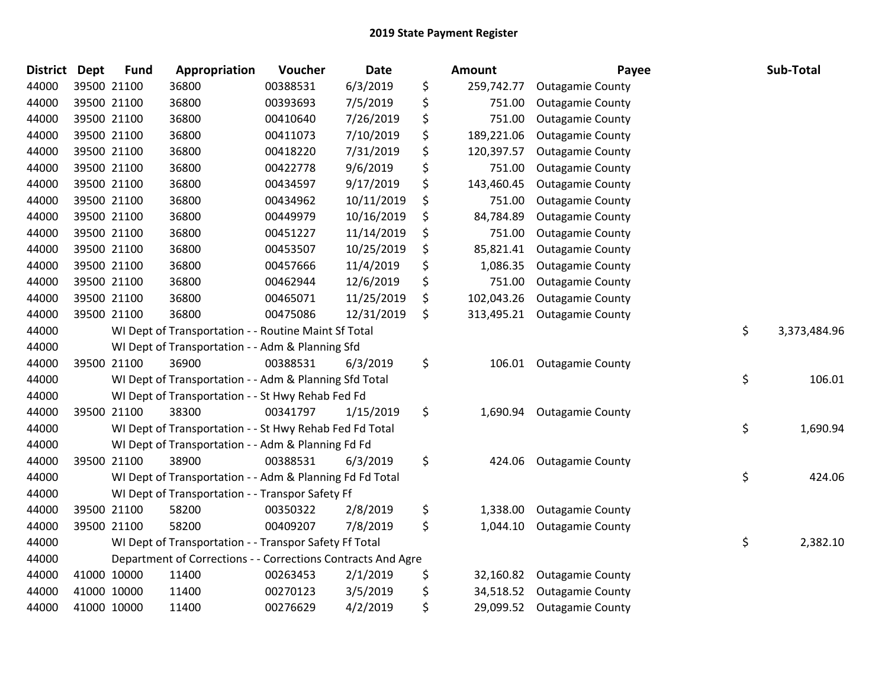| <b>District</b> | <b>Dept</b> | <b>Fund</b> | Appropriation                                                | Voucher  | <b>Date</b> | Amount           | Payee                   | Sub-Total          |
|-----------------|-------------|-------------|--------------------------------------------------------------|----------|-------------|------------------|-------------------------|--------------------|
| 44000           |             | 39500 21100 | 36800                                                        | 00388531 | 6/3/2019    | \$<br>259,742.77 | <b>Outagamie County</b> |                    |
| 44000           |             | 39500 21100 | 36800                                                        | 00393693 | 7/5/2019    | \$<br>751.00     | <b>Outagamie County</b> |                    |
| 44000           |             | 39500 21100 | 36800                                                        | 00410640 | 7/26/2019   | \$<br>751.00     | <b>Outagamie County</b> |                    |
| 44000           |             | 39500 21100 | 36800                                                        | 00411073 | 7/10/2019   | \$<br>189,221.06 | <b>Outagamie County</b> |                    |
| 44000           |             | 39500 21100 | 36800                                                        | 00418220 | 7/31/2019   | \$<br>120,397.57 | <b>Outagamie County</b> |                    |
| 44000           |             | 39500 21100 | 36800                                                        | 00422778 | 9/6/2019    | \$<br>751.00     | <b>Outagamie County</b> |                    |
| 44000           |             | 39500 21100 | 36800                                                        | 00434597 | 9/17/2019   | \$<br>143,460.45 | <b>Outagamie County</b> |                    |
| 44000           |             | 39500 21100 | 36800                                                        | 00434962 | 10/11/2019  | \$<br>751.00     | <b>Outagamie County</b> |                    |
| 44000           |             | 39500 21100 | 36800                                                        | 00449979 | 10/16/2019  | \$<br>84,784.89  | <b>Outagamie County</b> |                    |
| 44000           |             | 39500 21100 | 36800                                                        | 00451227 | 11/14/2019  | \$<br>751.00     | <b>Outagamie County</b> |                    |
| 44000           |             | 39500 21100 | 36800                                                        | 00453507 | 10/25/2019  | \$<br>85,821.41  | <b>Outagamie County</b> |                    |
| 44000           |             | 39500 21100 | 36800                                                        | 00457666 | 11/4/2019   | \$<br>1,086.35   | <b>Outagamie County</b> |                    |
| 44000           |             | 39500 21100 | 36800                                                        | 00462944 | 12/6/2019   | \$<br>751.00     | <b>Outagamie County</b> |                    |
| 44000           |             | 39500 21100 | 36800                                                        | 00465071 | 11/25/2019  | \$<br>102,043.26 | <b>Outagamie County</b> |                    |
| 44000           |             | 39500 21100 | 36800                                                        | 00475086 | 12/31/2019  | \$<br>313,495.21 | <b>Outagamie County</b> |                    |
| 44000           |             |             | WI Dept of Transportation - - Routine Maint Sf Total         |          |             |                  |                         | \$<br>3,373,484.96 |
| 44000           |             |             | WI Dept of Transportation - - Adm & Planning Sfd             |          |             |                  |                         |                    |
| 44000           |             | 39500 21100 | 36900                                                        | 00388531 | 6/3/2019    | \$<br>106.01     | <b>Outagamie County</b> |                    |
| 44000           |             |             | WI Dept of Transportation - - Adm & Planning Sfd Total       |          |             |                  |                         | \$<br>106.01       |
| 44000           |             |             | WI Dept of Transportation - - St Hwy Rehab Fed Fd            |          |             |                  |                         |                    |
| 44000           |             | 39500 21100 | 38300                                                        | 00341797 | 1/15/2019   | \$<br>1,690.94   | <b>Outagamie County</b> |                    |
| 44000           |             |             | WI Dept of Transportation - - St Hwy Rehab Fed Fd Total      |          |             |                  |                         | \$<br>1,690.94     |
| 44000           |             |             | WI Dept of Transportation - - Adm & Planning Fd Fd           |          |             |                  |                         |                    |
| 44000           |             | 39500 21100 | 38900                                                        | 00388531 | 6/3/2019    | \$<br>424.06     | <b>Outagamie County</b> |                    |
| 44000           |             |             | WI Dept of Transportation - - Adm & Planning Fd Fd Total     |          |             |                  |                         | \$<br>424.06       |
| 44000           |             |             | WI Dept of Transportation - - Transpor Safety Ff             |          |             |                  |                         |                    |
| 44000           |             | 39500 21100 | 58200                                                        | 00350322 | 2/8/2019    | \$<br>1,338.00   | <b>Outagamie County</b> |                    |
| 44000           |             | 39500 21100 | 58200                                                        | 00409207 | 7/8/2019    | \$<br>1,044.10   | <b>Outagamie County</b> |                    |
| 44000           |             |             | WI Dept of Transportation - - Transpor Safety Ff Total       |          |             |                  |                         | \$<br>2,382.10     |
| 44000           |             |             | Department of Corrections - - Corrections Contracts And Agre |          |             |                  |                         |                    |
| 44000           |             | 41000 10000 | 11400                                                        | 00263453 | 2/1/2019    | \$<br>32,160.82  | <b>Outagamie County</b> |                    |
| 44000           |             | 41000 10000 | 11400                                                        | 00270123 | 3/5/2019    | \$<br>34,518.52  | <b>Outagamie County</b> |                    |
| 44000           |             | 41000 10000 | 11400                                                        | 00276629 | 4/2/2019    | \$<br>29,099.52  | <b>Outagamie County</b> |                    |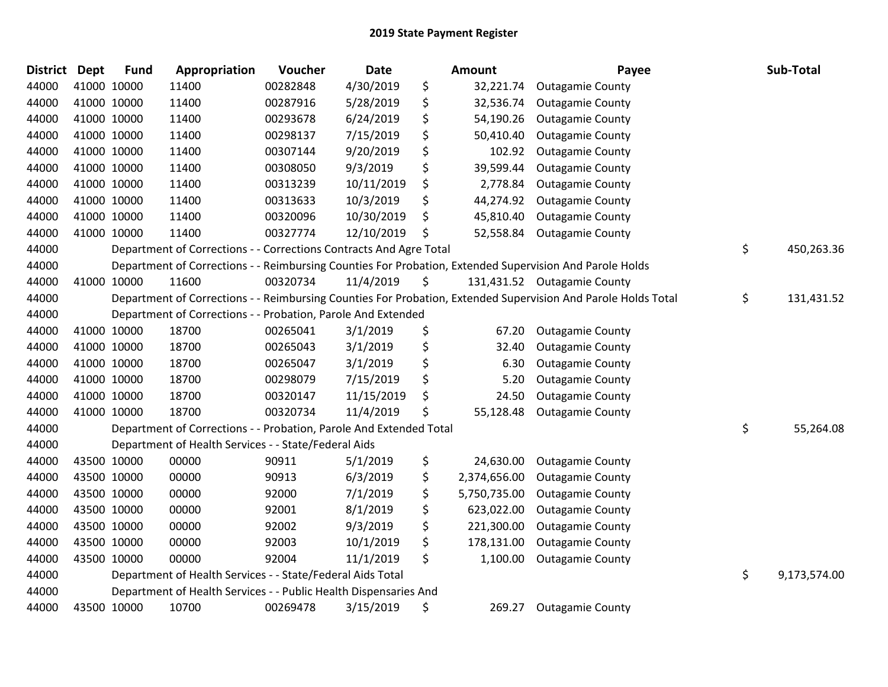| 4/30/2019<br>\$<br>44000<br>41000 10000<br>11400<br>00282848<br>32,221.74<br><b>Outagamie County</b><br>44000<br>41000 10000<br>11400<br>00287916<br>5/28/2019<br>\$<br>32,536.74<br><b>Outagamie County</b><br>\$<br>41000 10000<br>6/24/2019<br>54,190.26<br>44000<br>11400<br>00293678<br><b>Outagamie County</b><br>\$<br>41000 10000<br>44000<br>11400<br>00298137<br>7/15/2019<br>50,410.40<br><b>Outagamie County</b><br>\$<br>44000<br>41000 10000<br>11400<br>00307144<br>9/20/2019<br>102.92<br><b>Outagamie County</b><br>\$<br>44000<br>41000 10000<br>11400<br>00308050<br>9/3/2019<br>39,599.44<br><b>Outagamie County</b><br>10/11/2019<br>44000<br>41000 10000<br>11400<br>00313239<br>\$<br>2,778.84<br><b>Outagamie County</b><br>44000<br>10/3/2019<br>\$<br>41000 10000<br>11400<br>00313633<br>44,274.92<br><b>Outagamie County</b><br>10/30/2019<br>44000<br>41000 10000<br>11400<br>00320096<br>\$<br>45,810.40<br><b>Outagamie County</b><br>12/10/2019<br>44000<br>41000 10000<br>11400<br>00327774<br>\$<br>52,558.84<br><b>Outagamie County</b><br>\$<br>44000<br>Department of Corrections - - Corrections Contracts And Agre Total<br>44000<br>Department of Corrections - - Reimbursing Counties For Probation, Extended Supervision And Parole Holds<br>44000<br>41000 10000<br>11600<br>00320734<br>11/4/2019<br>\$<br>131,431.52 Outagamie County<br>\$<br>44000<br>Department of Corrections - - Reimbursing Counties For Probation, Extended Supervision And Parole Holds Total<br>Department of Corrections - - Probation, Parole And Extended<br>44000<br>44000<br>41000 10000<br>18700<br>00265041<br>3/1/2019<br>\$<br>67.20<br><b>Outagamie County</b><br>\$<br>44000<br>41000 10000<br>18700<br>00265043<br>3/1/2019<br>32.40<br><b>Outagamie County</b><br>\$<br>44000<br>18700<br>3/1/2019<br>41000 10000<br>00265047<br>6.30<br><b>Outagamie County</b><br>\$<br>44000<br>41000 10000<br>18700<br>00298079<br>7/15/2019<br>5.20<br><b>Outagamie County</b><br>\$<br>44000<br>41000 10000<br>18700<br>11/15/2019<br>24.50<br>00320147<br><b>Outagamie County</b><br>\$<br>44000<br>41000 10000<br>18700<br>00320734<br>11/4/2019<br>55,128.48<br><b>Outagamie County</b><br>\$<br>44000<br>Department of Corrections - - Probation, Parole And Extended Total<br>Department of Health Services - - State/Federal Aids<br>44000<br>\$<br>44000<br>43500 10000<br>00000<br>90911<br>5/1/2019<br>24,630.00<br><b>Outagamie County</b><br>\$<br>44000<br>43500 10000<br>00000<br>90913<br>2,374,656.00<br>6/3/2019<br><b>Outagamie County</b><br>\$<br>44000<br>43500 10000<br>00000<br>92000<br>7/1/2019<br>5,750,735.00<br><b>Outagamie County</b><br>\$<br>8/1/2019<br>44000<br>43500 10000<br>00000<br>92001<br>623,022.00<br><b>Outagamie County</b><br>\$<br>00000<br>92002<br>9/3/2019<br>44000<br>43500 10000<br>221,300.00<br><b>Outagamie County</b><br>00000<br>\$<br>44000<br>43500 10000<br>92003<br>10/1/2019<br>178,131.00<br><b>Outagamie County</b> | <b>District</b> | Dept | <b>Fund</b> | Appropriation | Voucher | Date | Amount | Payee | Sub-Total    |
|-------------------------------------------------------------------------------------------------------------------------------------------------------------------------------------------------------------------------------------------------------------------------------------------------------------------------------------------------------------------------------------------------------------------------------------------------------------------------------------------------------------------------------------------------------------------------------------------------------------------------------------------------------------------------------------------------------------------------------------------------------------------------------------------------------------------------------------------------------------------------------------------------------------------------------------------------------------------------------------------------------------------------------------------------------------------------------------------------------------------------------------------------------------------------------------------------------------------------------------------------------------------------------------------------------------------------------------------------------------------------------------------------------------------------------------------------------------------------------------------------------------------------------------------------------------------------------------------------------------------------------------------------------------------------------------------------------------------------------------------------------------------------------------------------------------------------------------------------------------------------------------------------------------------------------------------------------------------------------------------------------------------------------------------------------------------------------------------------------------------------------------------------------------------------------------------------------------------------------------------------------------------------------------------------------------------------------------------------------------------------------------------------------------------------------------------------------------------------------------------------------------------------------------------------------------------------------------------------------------------------------------------------------------------------------------------------------------------------------------------------------------------------------------------------------------------------------------------------------------------------------------------------------------------------------------------------------------------------------------------------------------|-----------------|------|-------------|---------------|---------|------|--------|-------|--------------|
|                                                                                                                                                                                                                                                                                                                                                                                                                                                                                                                                                                                                                                                                                                                                                                                                                                                                                                                                                                                                                                                                                                                                                                                                                                                                                                                                                                                                                                                                                                                                                                                                                                                                                                                                                                                                                                                                                                                                                                                                                                                                                                                                                                                                                                                                                                                                                                                                                                                                                                                                                                                                                                                                                                                                                                                                                                                                                                                                                                                                             |                 |      |             |               |         |      |        |       |              |
|                                                                                                                                                                                                                                                                                                                                                                                                                                                                                                                                                                                                                                                                                                                                                                                                                                                                                                                                                                                                                                                                                                                                                                                                                                                                                                                                                                                                                                                                                                                                                                                                                                                                                                                                                                                                                                                                                                                                                                                                                                                                                                                                                                                                                                                                                                                                                                                                                                                                                                                                                                                                                                                                                                                                                                                                                                                                                                                                                                                                             |                 |      |             |               |         |      |        |       |              |
|                                                                                                                                                                                                                                                                                                                                                                                                                                                                                                                                                                                                                                                                                                                                                                                                                                                                                                                                                                                                                                                                                                                                                                                                                                                                                                                                                                                                                                                                                                                                                                                                                                                                                                                                                                                                                                                                                                                                                                                                                                                                                                                                                                                                                                                                                                                                                                                                                                                                                                                                                                                                                                                                                                                                                                                                                                                                                                                                                                                                             |                 |      |             |               |         |      |        |       |              |
|                                                                                                                                                                                                                                                                                                                                                                                                                                                                                                                                                                                                                                                                                                                                                                                                                                                                                                                                                                                                                                                                                                                                                                                                                                                                                                                                                                                                                                                                                                                                                                                                                                                                                                                                                                                                                                                                                                                                                                                                                                                                                                                                                                                                                                                                                                                                                                                                                                                                                                                                                                                                                                                                                                                                                                                                                                                                                                                                                                                                             |                 |      |             |               |         |      |        |       |              |
|                                                                                                                                                                                                                                                                                                                                                                                                                                                                                                                                                                                                                                                                                                                                                                                                                                                                                                                                                                                                                                                                                                                                                                                                                                                                                                                                                                                                                                                                                                                                                                                                                                                                                                                                                                                                                                                                                                                                                                                                                                                                                                                                                                                                                                                                                                                                                                                                                                                                                                                                                                                                                                                                                                                                                                                                                                                                                                                                                                                                             |                 |      |             |               |         |      |        |       |              |
|                                                                                                                                                                                                                                                                                                                                                                                                                                                                                                                                                                                                                                                                                                                                                                                                                                                                                                                                                                                                                                                                                                                                                                                                                                                                                                                                                                                                                                                                                                                                                                                                                                                                                                                                                                                                                                                                                                                                                                                                                                                                                                                                                                                                                                                                                                                                                                                                                                                                                                                                                                                                                                                                                                                                                                                                                                                                                                                                                                                                             |                 |      |             |               |         |      |        |       |              |
|                                                                                                                                                                                                                                                                                                                                                                                                                                                                                                                                                                                                                                                                                                                                                                                                                                                                                                                                                                                                                                                                                                                                                                                                                                                                                                                                                                                                                                                                                                                                                                                                                                                                                                                                                                                                                                                                                                                                                                                                                                                                                                                                                                                                                                                                                                                                                                                                                                                                                                                                                                                                                                                                                                                                                                                                                                                                                                                                                                                                             |                 |      |             |               |         |      |        |       |              |
|                                                                                                                                                                                                                                                                                                                                                                                                                                                                                                                                                                                                                                                                                                                                                                                                                                                                                                                                                                                                                                                                                                                                                                                                                                                                                                                                                                                                                                                                                                                                                                                                                                                                                                                                                                                                                                                                                                                                                                                                                                                                                                                                                                                                                                                                                                                                                                                                                                                                                                                                                                                                                                                                                                                                                                                                                                                                                                                                                                                                             |                 |      |             |               |         |      |        |       |              |
|                                                                                                                                                                                                                                                                                                                                                                                                                                                                                                                                                                                                                                                                                                                                                                                                                                                                                                                                                                                                                                                                                                                                                                                                                                                                                                                                                                                                                                                                                                                                                                                                                                                                                                                                                                                                                                                                                                                                                                                                                                                                                                                                                                                                                                                                                                                                                                                                                                                                                                                                                                                                                                                                                                                                                                                                                                                                                                                                                                                                             |                 |      |             |               |         |      |        |       |              |
|                                                                                                                                                                                                                                                                                                                                                                                                                                                                                                                                                                                                                                                                                                                                                                                                                                                                                                                                                                                                                                                                                                                                                                                                                                                                                                                                                                                                                                                                                                                                                                                                                                                                                                                                                                                                                                                                                                                                                                                                                                                                                                                                                                                                                                                                                                                                                                                                                                                                                                                                                                                                                                                                                                                                                                                                                                                                                                                                                                                                             |                 |      |             |               |         |      |        |       |              |
|                                                                                                                                                                                                                                                                                                                                                                                                                                                                                                                                                                                                                                                                                                                                                                                                                                                                                                                                                                                                                                                                                                                                                                                                                                                                                                                                                                                                                                                                                                                                                                                                                                                                                                                                                                                                                                                                                                                                                                                                                                                                                                                                                                                                                                                                                                                                                                                                                                                                                                                                                                                                                                                                                                                                                                                                                                                                                                                                                                                                             |                 |      |             |               |         |      |        |       | 450,263.36   |
|                                                                                                                                                                                                                                                                                                                                                                                                                                                                                                                                                                                                                                                                                                                                                                                                                                                                                                                                                                                                                                                                                                                                                                                                                                                                                                                                                                                                                                                                                                                                                                                                                                                                                                                                                                                                                                                                                                                                                                                                                                                                                                                                                                                                                                                                                                                                                                                                                                                                                                                                                                                                                                                                                                                                                                                                                                                                                                                                                                                                             |                 |      |             |               |         |      |        |       |              |
|                                                                                                                                                                                                                                                                                                                                                                                                                                                                                                                                                                                                                                                                                                                                                                                                                                                                                                                                                                                                                                                                                                                                                                                                                                                                                                                                                                                                                                                                                                                                                                                                                                                                                                                                                                                                                                                                                                                                                                                                                                                                                                                                                                                                                                                                                                                                                                                                                                                                                                                                                                                                                                                                                                                                                                                                                                                                                                                                                                                                             |                 |      |             |               |         |      |        |       |              |
|                                                                                                                                                                                                                                                                                                                                                                                                                                                                                                                                                                                                                                                                                                                                                                                                                                                                                                                                                                                                                                                                                                                                                                                                                                                                                                                                                                                                                                                                                                                                                                                                                                                                                                                                                                                                                                                                                                                                                                                                                                                                                                                                                                                                                                                                                                                                                                                                                                                                                                                                                                                                                                                                                                                                                                                                                                                                                                                                                                                                             |                 |      |             |               |         |      |        |       | 131,431.52   |
|                                                                                                                                                                                                                                                                                                                                                                                                                                                                                                                                                                                                                                                                                                                                                                                                                                                                                                                                                                                                                                                                                                                                                                                                                                                                                                                                                                                                                                                                                                                                                                                                                                                                                                                                                                                                                                                                                                                                                                                                                                                                                                                                                                                                                                                                                                                                                                                                                                                                                                                                                                                                                                                                                                                                                                                                                                                                                                                                                                                                             |                 |      |             |               |         |      |        |       |              |
|                                                                                                                                                                                                                                                                                                                                                                                                                                                                                                                                                                                                                                                                                                                                                                                                                                                                                                                                                                                                                                                                                                                                                                                                                                                                                                                                                                                                                                                                                                                                                                                                                                                                                                                                                                                                                                                                                                                                                                                                                                                                                                                                                                                                                                                                                                                                                                                                                                                                                                                                                                                                                                                                                                                                                                                                                                                                                                                                                                                                             |                 |      |             |               |         |      |        |       |              |
|                                                                                                                                                                                                                                                                                                                                                                                                                                                                                                                                                                                                                                                                                                                                                                                                                                                                                                                                                                                                                                                                                                                                                                                                                                                                                                                                                                                                                                                                                                                                                                                                                                                                                                                                                                                                                                                                                                                                                                                                                                                                                                                                                                                                                                                                                                                                                                                                                                                                                                                                                                                                                                                                                                                                                                                                                                                                                                                                                                                                             |                 |      |             |               |         |      |        |       |              |
|                                                                                                                                                                                                                                                                                                                                                                                                                                                                                                                                                                                                                                                                                                                                                                                                                                                                                                                                                                                                                                                                                                                                                                                                                                                                                                                                                                                                                                                                                                                                                                                                                                                                                                                                                                                                                                                                                                                                                                                                                                                                                                                                                                                                                                                                                                                                                                                                                                                                                                                                                                                                                                                                                                                                                                                                                                                                                                                                                                                                             |                 |      |             |               |         |      |        |       |              |
|                                                                                                                                                                                                                                                                                                                                                                                                                                                                                                                                                                                                                                                                                                                                                                                                                                                                                                                                                                                                                                                                                                                                                                                                                                                                                                                                                                                                                                                                                                                                                                                                                                                                                                                                                                                                                                                                                                                                                                                                                                                                                                                                                                                                                                                                                                                                                                                                                                                                                                                                                                                                                                                                                                                                                                                                                                                                                                                                                                                                             |                 |      |             |               |         |      |        |       |              |
|                                                                                                                                                                                                                                                                                                                                                                                                                                                                                                                                                                                                                                                                                                                                                                                                                                                                                                                                                                                                                                                                                                                                                                                                                                                                                                                                                                                                                                                                                                                                                                                                                                                                                                                                                                                                                                                                                                                                                                                                                                                                                                                                                                                                                                                                                                                                                                                                                                                                                                                                                                                                                                                                                                                                                                                                                                                                                                                                                                                                             |                 |      |             |               |         |      |        |       |              |
|                                                                                                                                                                                                                                                                                                                                                                                                                                                                                                                                                                                                                                                                                                                                                                                                                                                                                                                                                                                                                                                                                                                                                                                                                                                                                                                                                                                                                                                                                                                                                                                                                                                                                                                                                                                                                                                                                                                                                                                                                                                                                                                                                                                                                                                                                                                                                                                                                                                                                                                                                                                                                                                                                                                                                                                                                                                                                                                                                                                                             |                 |      |             |               |         |      |        |       |              |
|                                                                                                                                                                                                                                                                                                                                                                                                                                                                                                                                                                                                                                                                                                                                                                                                                                                                                                                                                                                                                                                                                                                                                                                                                                                                                                                                                                                                                                                                                                                                                                                                                                                                                                                                                                                                                                                                                                                                                                                                                                                                                                                                                                                                                                                                                                                                                                                                                                                                                                                                                                                                                                                                                                                                                                                                                                                                                                                                                                                                             |                 |      |             |               |         |      |        |       | 55,264.08    |
|                                                                                                                                                                                                                                                                                                                                                                                                                                                                                                                                                                                                                                                                                                                                                                                                                                                                                                                                                                                                                                                                                                                                                                                                                                                                                                                                                                                                                                                                                                                                                                                                                                                                                                                                                                                                                                                                                                                                                                                                                                                                                                                                                                                                                                                                                                                                                                                                                                                                                                                                                                                                                                                                                                                                                                                                                                                                                                                                                                                                             |                 |      |             |               |         |      |        |       |              |
|                                                                                                                                                                                                                                                                                                                                                                                                                                                                                                                                                                                                                                                                                                                                                                                                                                                                                                                                                                                                                                                                                                                                                                                                                                                                                                                                                                                                                                                                                                                                                                                                                                                                                                                                                                                                                                                                                                                                                                                                                                                                                                                                                                                                                                                                                                                                                                                                                                                                                                                                                                                                                                                                                                                                                                                                                                                                                                                                                                                                             |                 |      |             |               |         |      |        |       |              |
|                                                                                                                                                                                                                                                                                                                                                                                                                                                                                                                                                                                                                                                                                                                                                                                                                                                                                                                                                                                                                                                                                                                                                                                                                                                                                                                                                                                                                                                                                                                                                                                                                                                                                                                                                                                                                                                                                                                                                                                                                                                                                                                                                                                                                                                                                                                                                                                                                                                                                                                                                                                                                                                                                                                                                                                                                                                                                                                                                                                                             |                 |      |             |               |         |      |        |       |              |
|                                                                                                                                                                                                                                                                                                                                                                                                                                                                                                                                                                                                                                                                                                                                                                                                                                                                                                                                                                                                                                                                                                                                                                                                                                                                                                                                                                                                                                                                                                                                                                                                                                                                                                                                                                                                                                                                                                                                                                                                                                                                                                                                                                                                                                                                                                                                                                                                                                                                                                                                                                                                                                                                                                                                                                                                                                                                                                                                                                                                             |                 |      |             |               |         |      |        |       |              |
|                                                                                                                                                                                                                                                                                                                                                                                                                                                                                                                                                                                                                                                                                                                                                                                                                                                                                                                                                                                                                                                                                                                                                                                                                                                                                                                                                                                                                                                                                                                                                                                                                                                                                                                                                                                                                                                                                                                                                                                                                                                                                                                                                                                                                                                                                                                                                                                                                                                                                                                                                                                                                                                                                                                                                                                                                                                                                                                                                                                                             |                 |      |             |               |         |      |        |       |              |
|                                                                                                                                                                                                                                                                                                                                                                                                                                                                                                                                                                                                                                                                                                                                                                                                                                                                                                                                                                                                                                                                                                                                                                                                                                                                                                                                                                                                                                                                                                                                                                                                                                                                                                                                                                                                                                                                                                                                                                                                                                                                                                                                                                                                                                                                                                                                                                                                                                                                                                                                                                                                                                                                                                                                                                                                                                                                                                                                                                                                             |                 |      |             |               |         |      |        |       |              |
|                                                                                                                                                                                                                                                                                                                                                                                                                                                                                                                                                                                                                                                                                                                                                                                                                                                                                                                                                                                                                                                                                                                                                                                                                                                                                                                                                                                                                                                                                                                                                                                                                                                                                                                                                                                                                                                                                                                                                                                                                                                                                                                                                                                                                                                                                                                                                                                                                                                                                                                                                                                                                                                                                                                                                                                                                                                                                                                                                                                                             |                 |      |             |               |         |      |        |       |              |
| \$<br>44000<br>00000<br>92004<br>11/1/2019<br>1,100.00<br>43500 10000<br><b>Outagamie County</b>                                                                                                                                                                                                                                                                                                                                                                                                                                                                                                                                                                                                                                                                                                                                                                                                                                                                                                                                                                                                                                                                                                                                                                                                                                                                                                                                                                                                                                                                                                                                                                                                                                                                                                                                                                                                                                                                                                                                                                                                                                                                                                                                                                                                                                                                                                                                                                                                                                                                                                                                                                                                                                                                                                                                                                                                                                                                                                            |                 |      |             |               |         |      |        |       |              |
| \$<br>44000<br>Department of Health Services - - State/Federal Aids Total                                                                                                                                                                                                                                                                                                                                                                                                                                                                                                                                                                                                                                                                                                                                                                                                                                                                                                                                                                                                                                                                                                                                                                                                                                                                                                                                                                                                                                                                                                                                                                                                                                                                                                                                                                                                                                                                                                                                                                                                                                                                                                                                                                                                                                                                                                                                                                                                                                                                                                                                                                                                                                                                                                                                                                                                                                                                                                                                   |                 |      |             |               |         |      |        |       | 9,173,574.00 |
| Department of Health Services - - Public Health Dispensaries And<br>44000                                                                                                                                                                                                                                                                                                                                                                                                                                                                                                                                                                                                                                                                                                                                                                                                                                                                                                                                                                                                                                                                                                                                                                                                                                                                                                                                                                                                                                                                                                                                                                                                                                                                                                                                                                                                                                                                                                                                                                                                                                                                                                                                                                                                                                                                                                                                                                                                                                                                                                                                                                                                                                                                                                                                                                                                                                                                                                                                   |                 |      |             |               |         |      |        |       |              |
| \$<br>44000<br>43500 10000<br>10700<br>00269478<br>3/15/2019<br>269.27<br><b>Outagamie County</b>                                                                                                                                                                                                                                                                                                                                                                                                                                                                                                                                                                                                                                                                                                                                                                                                                                                                                                                                                                                                                                                                                                                                                                                                                                                                                                                                                                                                                                                                                                                                                                                                                                                                                                                                                                                                                                                                                                                                                                                                                                                                                                                                                                                                                                                                                                                                                                                                                                                                                                                                                                                                                                                                                                                                                                                                                                                                                                           |                 |      |             |               |         |      |        |       |              |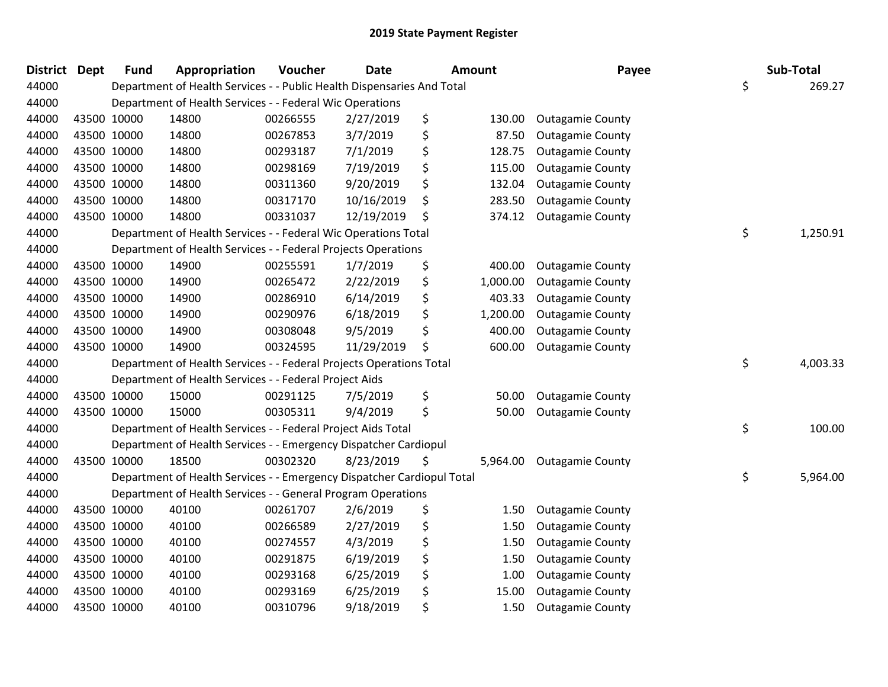| <b>District</b> | <b>Dept</b> | <b>Fund</b> | Appropriation                                                          | Voucher  | <b>Date</b> | Amount |          | Payee                   | Sub-Total      |
|-----------------|-------------|-------------|------------------------------------------------------------------------|----------|-------------|--------|----------|-------------------------|----------------|
| 44000           |             |             | Department of Health Services - - Public Health Dispensaries And Total |          |             |        |          |                         | \$<br>269.27   |
| 44000           |             |             | Department of Health Services - - Federal Wic Operations               |          |             |        |          |                         |                |
| 44000           | 43500 10000 |             | 14800                                                                  | 00266555 | 2/27/2019   | \$     | 130.00   | <b>Outagamie County</b> |                |
| 44000           | 43500 10000 |             | 14800                                                                  | 00267853 | 3/7/2019    | \$     | 87.50    | <b>Outagamie County</b> |                |
| 44000           | 43500 10000 |             | 14800                                                                  | 00293187 | 7/1/2019    | \$     | 128.75   | <b>Outagamie County</b> |                |
| 44000           | 43500 10000 |             | 14800                                                                  | 00298169 | 7/19/2019   | \$     | 115.00   | <b>Outagamie County</b> |                |
| 44000           | 43500 10000 |             | 14800                                                                  | 00311360 | 9/20/2019   | \$     | 132.04   | <b>Outagamie County</b> |                |
| 44000           | 43500 10000 |             | 14800                                                                  | 00317170 | 10/16/2019  | \$     | 283.50   | <b>Outagamie County</b> |                |
| 44000           | 43500 10000 |             | 14800                                                                  | 00331037 | 12/19/2019  | \$     | 374.12   | <b>Outagamie County</b> |                |
| 44000           |             |             | Department of Health Services - - Federal Wic Operations Total         |          |             |        |          |                         | \$<br>1,250.91 |
| 44000           |             |             | Department of Health Services - - Federal Projects Operations          |          |             |        |          |                         |                |
| 44000           | 43500 10000 |             | 14900                                                                  | 00255591 | 1/7/2019    | \$     | 400.00   | <b>Outagamie County</b> |                |
| 44000           | 43500 10000 |             | 14900                                                                  | 00265472 | 2/22/2019   | \$     | 1,000.00 | <b>Outagamie County</b> |                |
| 44000           | 43500 10000 |             | 14900                                                                  | 00286910 | 6/14/2019   | \$     | 403.33   | <b>Outagamie County</b> |                |
| 44000           | 43500 10000 |             | 14900                                                                  | 00290976 | 6/18/2019   | \$     | 1,200.00 | <b>Outagamie County</b> |                |
| 44000           | 43500 10000 |             | 14900                                                                  | 00308048 | 9/5/2019    | \$     | 400.00   | <b>Outagamie County</b> |                |
| 44000           |             | 43500 10000 | 14900                                                                  | 00324595 | 11/29/2019  | \$     | 600.00   | <b>Outagamie County</b> |                |
| 44000           |             |             | Department of Health Services - - Federal Projects Operations Total    |          |             |        |          |                         | \$<br>4,003.33 |
| 44000           |             |             | Department of Health Services - - Federal Project Aids                 |          |             |        |          |                         |                |
| 44000           | 43500 10000 |             | 15000                                                                  | 00291125 | 7/5/2019    | \$     | 50.00    | <b>Outagamie County</b> |                |
| 44000           | 43500 10000 |             | 15000                                                                  | 00305311 | 9/4/2019    | \$     | 50.00    | <b>Outagamie County</b> |                |
| 44000           |             |             | Department of Health Services - - Federal Project Aids Total           |          |             |        |          |                         | \$<br>100.00   |
| 44000           |             |             | Department of Health Services - - Emergency Dispatcher Cardiopul       |          |             |        |          |                         |                |
| 44000           | 43500 10000 |             | 18500                                                                  | 00302320 | 8/23/2019   | \$     | 5,964.00 | <b>Outagamie County</b> |                |
| 44000           |             |             | Department of Health Services - - Emergency Dispatcher Cardiopul Total |          |             |        |          |                         | \$<br>5,964.00 |
| 44000           |             |             | Department of Health Services - - General Program Operations           |          |             |        |          |                         |                |
| 44000           | 43500 10000 |             | 40100                                                                  | 00261707 | 2/6/2019    | \$     | 1.50     | <b>Outagamie County</b> |                |
| 44000           | 43500 10000 |             | 40100                                                                  | 00266589 | 2/27/2019   | \$     | 1.50     | <b>Outagamie County</b> |                |
| 44000           | 43500 10000 |             | 40100                                                                  | 00274557 | 4/3/2019    | \$     | 1.50     | <b>Outagamie County</b> |                |
| 44000           | 43500 10000 |             | 40100                                                                  | 00291875 | 6/19/2019   | \$     | 1.50     | <b>Outagamie County</b> |                |
| 44000           | 43500 10000 |             | 40100                                                                  | 00293168 | 6/25/2019   | \$     | 1.00     | <b>Outagamie County</b> |                |
| 44000           |             | 43500 10000 | 40100                                                                  | 00293169 | 6/25/2019   | \$     | 15.00    | <b>Outagamie County</b> |                |
| 44000           | 43500 10000 |             | 40100                                                                  | 00310796 | 9/18/2019   | \$     | 1.50     | <b>Outagamie County</b> |                |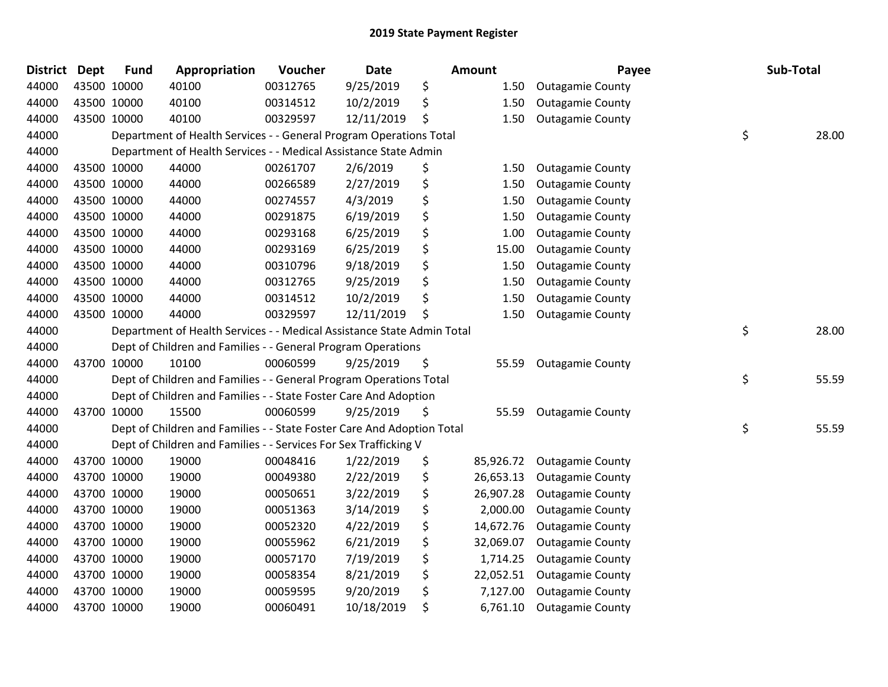| <b>District</b> | <b>Dept</b> | <b>Fund</b> | Appropriation                                                          | Voucher  | <b>Date</b> | <b>Amount</b>   | Payee                   | Sub-Total   |
|-----------------|-------------|-------------|------------------------------------------------------------------------|----------|-------------|-----------------|-------------------------|-------------|
| 44000           |             | 43500 10000 | 40100                                                                  | 00312765 | 9/25/2019   | \$<br>1.50      | <b>Outagamie County</b> |             |
| 44000           |             | 43500 10000 | 40100                                                                  | 00314512 | 10/2/2019   | \$<br>1.50      | <b>Outagamie County</b> |             |
| 44000           |             | 43500 10000 | 40100                                                                  | 00329597 | 12/11/2019  | \$<br>1.50      | <b>Outagamie County</b> |             |
| 44000           |             |             | Department of Health Services - - General Program Operations Total     |          |             |                 |                         | \$<br>28.00 |
| 44000           |             |             | Department of Health Services - - Medical Assistance State Admin       |          |             |                 |                         |             |
| 44000           |             | 43500 10000 | 44000                                                                  | 00261707 | 2/6/2019    | \$<br>1.50      | <b>Outagamie County</b> |             |
| 44000           |             | 43500 10000 | 44000                                                                  | 00266589 | 2/27/2019   | \$<br>1.50      | <b>Outagamie County</b> |             |
| 44000           |             | 43500 10000 | 44000                                                                  | 00274557 | 4/3/2019    | \$<br>1.50      | <b>Outagamie County</b> |             |
| 44000           |             | 43500 10000 | 44000                                                                  | 00291875 | 6/19/2019   | \$<br>1.50      | <b>Outagamie County</b> |             |
| 44000           |             | 43500 10000 | 44000                                                                  | 00293168 | 6/25/2019   | \$<br>1.00      | <b>Outagamie County</b> |             |
| 44000           |             | 43500 10000 | 44000                                                                  | 00293169 | 6/25/2019   | \$<br>15.00     | <b>Outagamie County</b> |             |
| 44000           |             | 43500 10000 | 44000                                                                  | 00310796 | 9/18/2019   | \$<br>1.50      | <b>Outagamie County</b> |             |
| 44000           |             | 43500 10000 | 44000                                                                  | 00312765 | 9/25/2019   | \$<br>1.50      | <b>Outagamie County</b> |             |
| 44000           |             | 43500 10000 | 44000                                                                  | 00314512 | 10/2/2019   | \$<br>1.50      | <b>Outagamie County</b> |             |
| 44000           |             | 43500 10000 | 44000                                                                  | 00329597 | 12/11/2019  | \$<br>1.50      | <b>Outagamie County</b> |             |
| 44000           |             |             | Department of Health Services - - Medical Assistance State Admin Total |          |             |                 |                         | \$<br>28.00 |
| 44000           |             |             | Dept of Children and Families - - General Program Operations           |          |             |                 |                         |             |
| 44000           |             | 43700 10000 | 10100                                                                  | 00060599 | 9/25/2019   | \$<br>55.59     | <b>Outagamie County</b> |             |
| 44000           |             |             | Dept of Children and Families - - General Program Operations Total     |          |             |                 |                         | \$<br>55.59 |
| 44000           |             |             | Dept of Children and Families - - State Foster Care And Adoption       |          |             |                 |                         |             |
| 44000           |             | 43700 10000 | 15500                                                                  | 00060599 | 9/25/2019   | \$<br>55.59     | <b>Outagamie County</b> |             |
| 44000           |             |             | Dept of Children and Families - - State Foster Care And Adoption Total |          |             |                 |                         | \$<br>55.59 |
| 44000           |             |             | Dept of Children and Families - - Services For Sex Trafficking V       |          |             |                 |                         |             |
| 44000           |             | 43700 10000 | 19000                                                                  | 00048416 | 1/22/2019   | \$<br>85,926.72 | <b>Outagamie County</b> |             |
| 44000           |             | 43700 10000 | 19000                                                                  | 00049380 | 2/22/2019   | \$<br>26,653.13 | <b>Outagamie County</b> |             |
| 44000           |             | 43700 10000 | 19000                                                                  | 00050651 | 3/22/2019   | \$<br>26,907.28 | <b>Outagamie County</b> |             |
| 44000           |             | 43700 10000 | 19000                                                                  | 00051363 | 3/14/2019   | \$<br>2,000.00  | <b>Outagamie County</b> |             |
| 44000           |             | 43700 10000 | 19000                                                                  | 00052320 | 4/22/2019   | \$<br>14,672.76 | <b>Outagamie County</b> |             |
| 44000           |             | 43700 10000 | 19000                                                                  | 00055962 | 6/21/2019   | \$<br>32,069.07 | <b>Outagamie County</b> |             |
| 44000           |             | 43700 10000 | 19000                                                                  | 00057170 | 7/19/2019   | \$<br>1,714.25  | <b>Outagamie County</b> |             |
| 44000           |             | 43700 10000 | 19000                                                                  | 00058354 | 8/21/2019   | \$<br>22,052.51 | <b>Outagamie County</b> |             |
| 44000           |             | 43700 10000 | 19000                                                                  | 00059595 | 9/20/2019   | \$<br>7,127.00  | <b>Outagamie County</b> |             |
| 44000           |             | 43700 10000 | 19000                                                                  | 00060491 | 10/18/2019  | \$<br>6,761.10  | <b>Outagamie County</b> |             |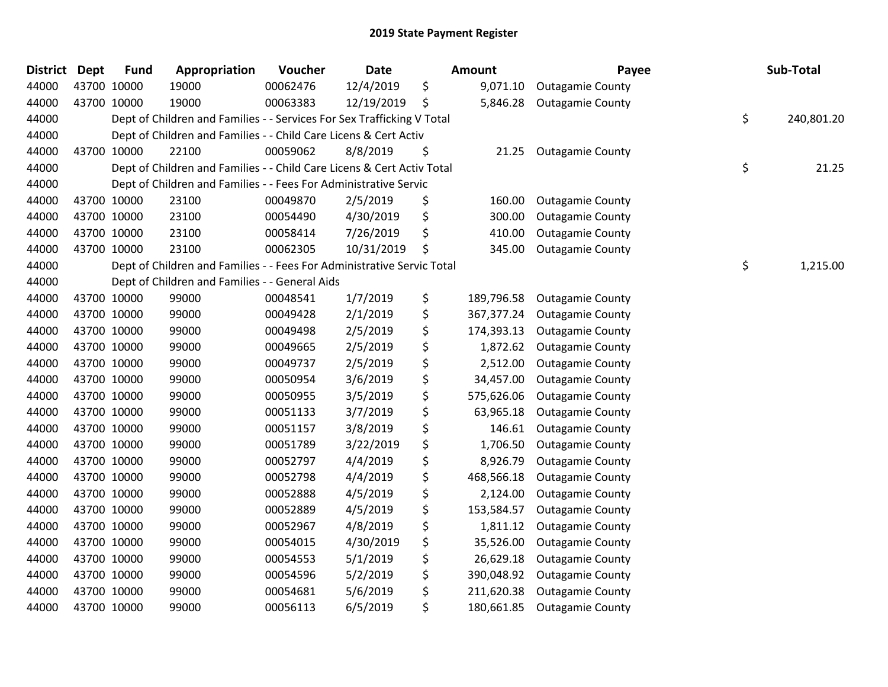| <b>District</b> | <b>Dept</b> | <b>Fund</b> | Appropriation                                                          | Voucher  | <b>Date</b> | Amount           | Payee                   | Sub-Total        |
|-----------------|-------------|-------------|------------------------------------------------------------------------|----------|-------------|------------------|-------------------------|------------------|
| 44000           |             | 43700 10000 | 19000                                                                  | 00062476 | 12/4/2019   | \$<br>9,071.10   | <b>Outagamie County</b> |                  |
| 44000           |             | 43700 10000 | 19000                                                                  | 00063383 | 12/19/2019  | \$<br>5,846.28   | <b>Outagamie County</b> |                  |
| 44000           |             |             | Dept of Children and Families - - Services For Sex Trafficking V Total |          |             |                  |                         | \$<br>240,801.20 |
| 44000           |             |             | Dept of Children and Families - - Child Care Licens & Cert Activ       |          |             |                  |                         |                  |
| 44000           |             | 43700 10000 | 22100                                                                  | 00059062 | 8/8/2019    | \$<br>21.25      | <b>Outagamie County</b> |                  |
| 44000           |             |             | Dept of Children and Families - - Child Care Licens & Cert Activ Total |          |             |                  |                         | \$<br>21.25      |
| 44000           |             |             | Dept of Children and Families - - Fees For Administrative Servic       |          |             |                  |                         |                  |
| 44000           |             | 43700 10000 | 23100                                                                  | 00049870 | 2/5/2019    | \$<br>160.00     | <b>Outagamie County</b> |                  |
| 44000           |             | 43700 10000 | 23100                                                                  | 00054490 | 4/30/2019   | \$<br>300.00     | <b>Outagamie County</b> |                  |
| 44000           |             | 43700 10000 | 23100                                                                  | 00058414 | 7/26/2019   | \$<br>410.00     | <b>Outagamie County</b> |                  |
| 44000           |             | 43700 10000 | 23100                                                                  | 00062305 | 10/31/2019  | \$<br>345.00     | <b>Outagamie County</b> |                  |
| 44000           |             |             | Dept of Children and Families - - Fees For Administrative Servic Total |          |             |                  |                         | \$<br>1,215.00   |
| 44000           |             |             | Dept of Children and Families - - General Aids                         |          |             |                  |                         |                  |
| 44000           |             | 43700 10000 | 99000                                                                  | 00048541 | 1/7/2019    | \$<br>189,796.58 | <b>Outagamie County</b> |                  |
| 44000           |             | 43700 10000 | 99000                                                                  | 00049428 | 2/1/2019    | \$<br>367,377.24 | <b>Outagamie County</b> |                  |
| 44000           |             | 43700 10000 | 99000                                                                  | 00049498 | 2/5/2019    | \$<br>174,393.13 | <b>Outagamie County</b> |                  |
| 44000           |             | 43700 10000 | 99000                                                                  | 00049665 | 2/5/2019    | \$<br>1,872.62   | <b>Outagamie County</b> |                  |
| 44000           |             | 43700 10000 | 99000                                                                  | 00049737 | 2/5/2019    | \$<br>2,512.00   | <b>Outagamie County</b> |                  |
| 44000           |             | 43700 10000 | 99000                                                                  | 00050954 | 3/6/2019    | \$<br>34,457.00  | <b>Outagamie County</b> |                  |
| 44000           |             | 43700 10000 | 99000                                                                  | 00050955 | 3/5/2019    | \$<br>575,626.06 | <b>Outagamie County</b> |                  |
| 44000           |             | 43700 10000 | 99000                                                                  | 00051133 | 3/7/2019    | \$<br>63,965.18  | <b>Outagamie County</b> |                  |
| 44000           |             | 43700 10000 | 99000                                                                  | 00051157 | 3/8/2019    | \$<br>146.61     | <b>Outagamie County</b> |                  |
| 44000           |             | 43700 10000 | 99000                                                                  | 00051789 | 3/22/2019   | \$<br>1,706.50   | <b>Outagamie County</b> |                  |
| 44000           |             | 43700 10000 | 99000                                                                  | 00052797 | 4/4/2019    | \$<br>8,926.79   | <b>Outagamie County</b> |                  |
| 44000           |             | 43700 10000 | 99000                                                                  | 00052798 | 4/4/2019    | \$<br>468,566.18 | <b>Outagamie County</b> |                  |
| 44000           |             | 43700 10000 | 99000                                                                  | 00052888 | 4/5/2019    | \$<br>2,124.00   | <b>Outagamie County</b> |                  |
| 44000           |             | 43700 10000 | 99000                                                                  | 00052889 | 4/5/2019    | \$<br>153,584.57 | <b>Outagamie County</b> |                  |
| 44000           |             | 43700 10000 | 99000                                                                  | 00052967 | 4/8/2019    | \$<br>1,811.12   | <b>Outagamie County</b> |                  |
| 44000           |             | 43700 10000 | 99000                                                                  | 00054015 | 4/30/2019   | \$<br>35,526.00  | <b>Outagamie County</b> |                  |
| 44000           |             | 43700 10000 | 99000                                                                  | 00054553 | 5/1/2019    | \$<br>26,629.18  | <b>Outagamie County</b> |                  |
| 44000           |             | 43700 10000 | 99000                                                                  | 00054596 | 5/2/2019    | \$<br>390,048.92 | <b>Outagamie County</b> |                  |
| 44000           |             | 43700 10000 | 99000                                                                  | 00054681 | 5/6/2019    | \$<br>211,620.38 | <b>Outagamie County</b> |                  |
| 44000           |             | 43700 10000 | 99000                                                                  | 00056113 | 6/5/2019    | \$<br>180,661.85 | <b>Outagamie County</b> |                  |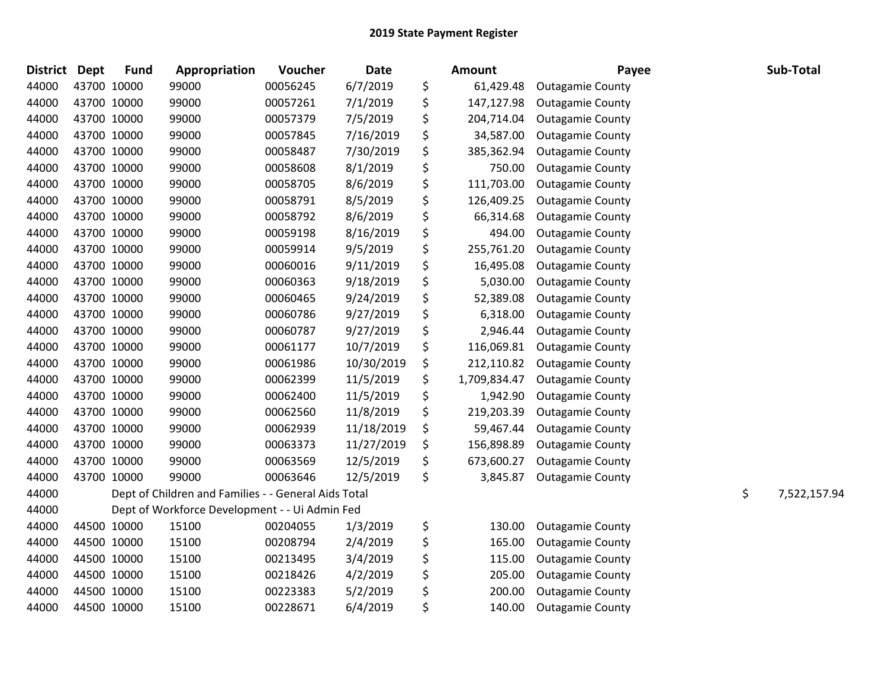| <b>District</b> | <b>Dept</b> | <b>Fund</b> | Appropriation                                        | Voucher  | <b>Date</b> | <b>Amount</b>      | Payee                   | Sub-Total          |
|-----------------|-------------|-------------|------------------------------------------------------|----------|-------------|--------------------|-------------------------|--------------------|
| 44000           |             | 43700 10000 | 99000                                                | 00056245 | 6/7/2019    | \$<br>61,429.48    | <b>Outagamie County</b> |                    |
| 44000           |             | 43700 10000 | 99000                                                | 00057261 | 7/1/2019    | \$<br>147,127.98   | <b>Outagamie County</b> |                    |
| 44000           |             | 43700 10000 | 99000                                                | 00057379 | 7/5/2019    | \$<br>204,714.04   | <b>Outagamie County</b> |                    |
| 44000           |             | 43700 10000 | 99000                                                | 00057845 | 7/16/2019   | \$<br>34,587.00    | <b>Outagamie County</b> |                    |
| 44000           |             | 43700 10000 | 99000                                                | 00058487 | 7/30/2019   | \$<br>385,362.94   | <b>Outagamie County</b> |                    |
| 44000           |             | 43700 10000 | 99000                                                | 00058608 | 8/1/2019    | \$<br>750.00       | <b>Outagamie County</b> |                    |
| 44000           |             | 43700 10000 | 99000                                                | 00058705 | 8/6/2019    | \$<br>111,703.00   | <b>Outagamie County</b> |                    |
| 44000           |             | 43700 10000 | 99000                                                | 00058791 | 8/5/2019    | \$<br>126,409.25   | <b>Outagamie County</b> |                    |
| 44000           |             | 43700 10000 | 99000                                                | 00058792 | 8/6/2019    | \$<br>66,314.68    | <b>Outagamie County</b> |                    |
| 44000           |             | 43700 10000 | 99000                                                | 00059198 | 8/16/2019   | \$<br>494.00       | <b>Outagamie County</b> |                    |
| 44000           |             | 43700 10000 | 99000                                                | 00059914 | 9/5/2019    | \$<br>255,761.20   | <b>Outagamie County</b> |                    |
| 44000           |             | 43700 10000 | 99000                                                | 00060016 | 9/11/2019   | \$<br>16,495.08    | <b>Outagamie County</b> |                    |
| 44000           |             | 43700 10000 | 99000                                                | 00060363 | 9/18/2019   | \$<br>5,030.00     | <b>Outagamie County</b> |                    |
| 44000           |             | 43700 10000 | 99000                                                | 00060465 | 9/24/2019   | \$<br>52,389.08    | <b>Outagamie County</b> |                    |
| 44000           |             | 43700 10000 | 99000                                                | 00060786 | 9/27/2019   | \$<br>6,318.00     | <b>Outagamie County</b> |                    |
| 44000           |             | 43700 10000 | 99000                                                | 00060787 | 9/27/2019   | \$<br>2,946.44     | <b>Outagamie County</b> |                    |
| 44000           |             | 43700 10000 | 99000                                                | 00061177 | 10/7/2019   | \$<br>116,069.81   | <b>Outagamie County</b> |                    |
| 44000           |             | 43700 10000 | 99000                                                | 00061986 | 10/30/2019  | \$<br>212,110.82   | <b>Outagamie County</b> |                    |
| 44000           |             | 43700 10000 | 99000                                                | 00062399 | 11/5/2019   | \$<br>1,709,834.47 | <b>Outagamie County</b> |                    |
| 44000           |             | 43700 10000 | 99000                                                | 00062400 | 11/5/2019   | \$<br>1,942.90     | <b>Outagamie County</b> |                    |
| 44000           |             | 43700 10000 | 99000                                                | 00062560 | 11/8/2019   | \$<br>219,203.39   | <b>Outagamie County</b> |                    |
| 44000           |             | 43700 10000 | 99000                                                | 00062939 | 11/18/2019  | \$<br>59,467.44    | <b>Outagamie County</b> |                    |
| 44000           |             | 43700 10000 | 99000                                                | 00063373 | 11/27/2019  | \$<br>156,898.89   | <b>Outagamie County</b> |                    |
| 44000           |             | 43700 10000 | 99000                                                | 00063569 | 12/5/2019   | \$<br>673,600.27   | <b>Outagamie County</b> |                    |
| 44000           |             | 43700 10000 | 99000                                                | 00063646 | 12/5/2019   | \$<br>3,845.87     | <b>Outagamie County</b> |                    |
| 44000           |             |             | Dept of Children and Families - - General Aids Total |          |             |                    |                         | \$<br>7,522,157.94 |
| 44000           |             |             | Dept of Workforce Development - - Ui Admin Fed       |          |             |                    |                         |                    |
| 44000           |             | 44500 10000 | 15100                                                | 00204055 | 1/3/2019    | \$<br>130.00       | <b>Outagamie County</b> |                    |
| 44000           |             | 44500 10000 | 15100                                                | 00208794 | 2/4/2019    | \$<br>165.00       | <b>Outagamie County</b> |                    |
| 44000           |             | 44500 10000 | 15100                                                | 00213495 | 3/4/2019    | \$<br>115.00       | <b>Outagamie County</b> |                    |
| 44000           |             | 44500 10000 | 15100                                                | 00218426 | 4/2/2019    | \$<br>205.00       | <b>Outagamie County</b> |                    |
| 44000           |             | 44500 10000 | 15100                                                | 00223383 | 5/2/2019    | \$<br>200.00       | <b>Outagamie County</b> |                    |
| 44000           |             | 44500 10000 | 15100                                                | 00228671 | 6/4/2019    | \$<br>140.00       | <b>Outagamie County</b> |                    |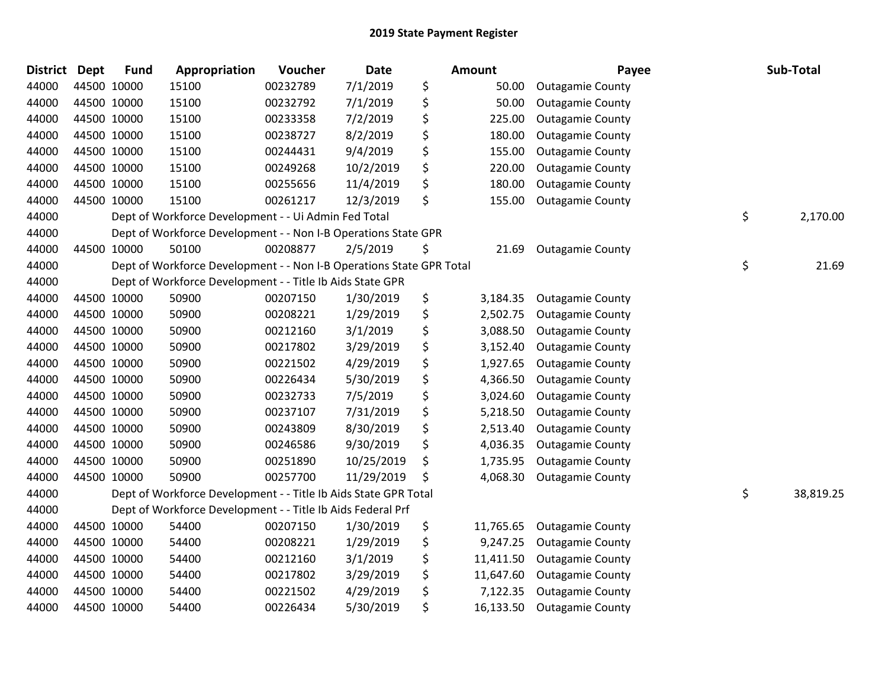| <b>District</b> | <b>Dept</b> | <b>Fund</b> | Appropriation                                                        | Voucher  | <b>Date</b> | <b>Amount</b>   | Payee                   | Sub-Total       |
|-----------------|-------------|-------------|----------------------------------------------------------------------|----------|-------------|-----------------|-------------------------|-----------------|
| 44000           |             | 44500 10000 | 15100                                                                | 00232789 | 7/1/2019    | \$<br>50.00     | <b>Outagamie County</b> |                 |
| 44000           |             | 44500 10000 | 15100                                                                | 00232792 | 7/1/2019    | \$<br>50.00     | <b>Outagamie County</b> |                 |
| 44000           |             | 44500 10000 | 15100                                                                | 00233358 | 7/2/2019    | \$<br>225.00    | <b>Outagamie County</b> |                 |
| 44000           |             | 44500 10000 | 15100                                                                | 00238727 | 8/2/2019    | \$<br>180.00    | <b>Outagamie County</b> |                 |
| 44000           |             | 44500 10000 | 15100                                                                | 00244431 | 9/4/2019    | \$<br>155.00    | <b>Outagamie County</b> |                 |
| 44000           |             | 44500 10000 | 15100                                                                | 00249268 | 10/2/2019   | \$<br>220.00    | <b>Outagamie County</b> |                 |
| 44000           |             | 44500 10000 | 15100                                                                | 00255656 | 11/4/2019   | \$<br>180.00    | <b>Outagamie County</b> |                 |
| 44000           |             | 44500 10000 | 15100                                                                | 00261217 | 12/3/2019   | \$<br>155.00    | <b>Outagamie County</b> |                 |
| 44000           |             |             | Dept of Workforce Development - - Ui Admin Fed Total                 |          |             |                 |                         | \$<br>2,170.00  |
| 44000           |             |             | Dept of Workforce Development - - Non I-B Operations State GPR       |          |             |                 |                         |                 |
| 44000           |             | 44500 10000 | 50100                                                                | 00208877 | 2/5/2019    | \$<br>21.69     | <b>Outagamie County</b> |                 |
| 44000           |             |             | Dept of Workforce Development - - Non I-B Operations State GPR Total |          |             |                 |                         | \$<br>21.69     |
| 44000           |             |             | Dept of Workforce Development - - Title Ib Aids State GPR            |          |             |                 |                         |                 |
| 44000           |             | 44500 10000 | 50900                                                                | 00207150 | 1/30/2019   | \$<br>3,184.35  | <b>Outagamie County</b> |                 |
| 44000           |             | 44500 10000 | 50900                                                                | 00208221 | 1/29/2019   | \$<br>2,502.75  | <b>Outagamie County</b> |                 |
| 44000           |             | 44500 10000 | 50900                                                                | 00212160 | 3/1/2019    | \$<br>3,088.50  | <b>Outagamie County</b> |                 |
| 44000           |             | 44500 10000 | 50900                                                                | 00217802 | 3/29/2019   | \$<br>3,152.40  | <b>Outagamie County</b> |                 |
| 44000           |             | 44500 10000 | 50900                                                                | 00221502 | 4/29/2019   | \$<br>1,927.65  | <b>Outagamie County</b> |                 |
| 44000           |             | 44500 10000 | 50900                                                                | 00226434 | 5/30/2019   | \$<br>4,366.50  | <b>Outagamie County</b> |                 |
| 44000           |             | 44500 10000 | 50900                                                                | 00232733 | 7/5/2019    | \$<br>3,024.60  | <b>Outagamie County</b> |                 |
| 44000           |             | 44500 10000 | 50900                                                                | 00237107 | 7/31/2019   | \$<br>5,218.50  | <b>Outagamie County</b> |                 |
| 44000           |             | 44500 10000 | 50900                                                                | 00243809 | 8/30/2019   | \$<br>2,513.40  | <b>Outagamie County</b> |                 |
| 44000           |             | 44500 10000 | 50900                                                                | 00246586 | 9/30/2019   | \$<br>4,036.35  | <b>Outagamie County</b> |                 |
| 44000           |             | 44500 10000 | 50900                                                                | 00251890 | 10/25/2019  | \$<br>1,735.95  | <b>Outagamie County</b> |                 |
| 44000           |             | 44500 10000 | 50900                                                                | 00257700 | 11/29/2019  | \$<br>4,068.30  | <b>Outagamie County</b> |                 |
| 44000           |             |             | Dept of Workforce Development - - Title Ib Aids State GPR Total      |          |             |                 |                         | \$<br>38,819.25 |
| 44000           |             |             | Dept of Workforce Development - - Title Ib Aids Federal Prf          |          |             |                 |                         |                 |
| 44000           |             | 44500 10000 | 54400                                                                | 00207150 | 1/30/2019   | \$<br>11,765.65 | <b>Outagamie County</b> |                 |
| 44000           |             | 44500 10000 | 54400                                                                | 00208221 | 1/29/2019   | \$<br>9,247.25  | <b>Outagamie County</b> |                 |
| 44000           |             | 44500 10000 | 54400                                                                | 00212160 | 3/1/2019    | \$<br>11,411.50 | <b>Outagamie County</b> |                 |
| 44000           |             | 44500 10000 | 54400                                                                | 00217802 | 3/29/2019   | \$<br>11,647.60 | <b>Outagamie County</b> |                 |
| 44000           |             | 44500 10000 | 54400                                                                | 00221502 | 4/29/2019   | \$<br>7,122.35  | <b>Outagamie County</b> |                 |
| 44000           |             | 44500 10000 | 54400                                                                | 00226434 | 5/30/2019   | \$<br>16,133.50 | <b>Outagamie County</b> |                 |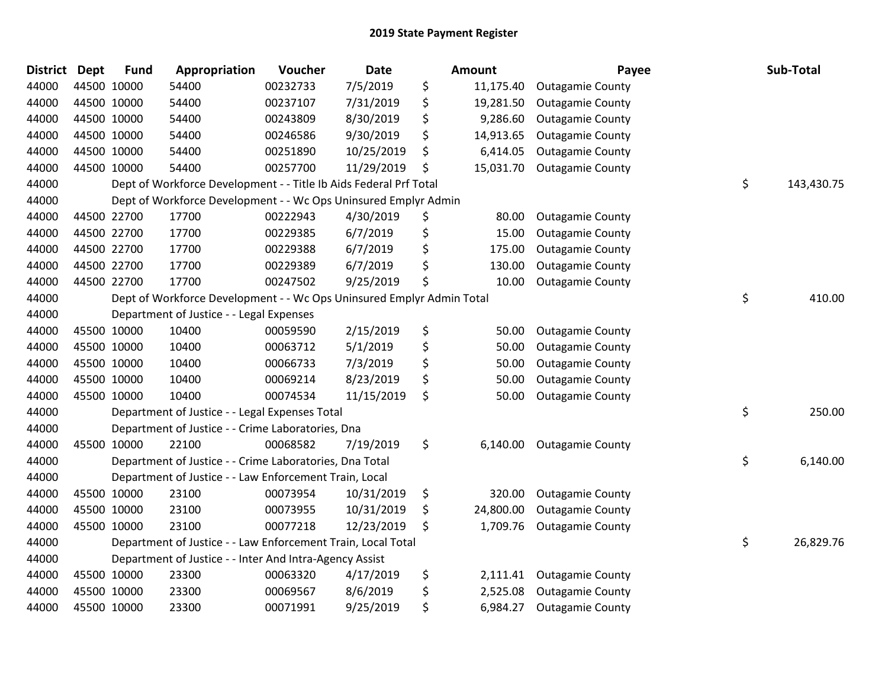| <b>District</b> | <b>Dept</b> | <b>Fund</b> | Appropriation                                                         | Voucher  | <b>Date</b> | Amount          | Payee                   | Sub-Total        |
|-----------------|-------------|-------------|-----------------------------------------------------------------------|----------|-------------|-----------------|-------------------------|------------------|
| 44000           |             | 44500 10000 | 54400                                                                 | 00232733 | 7/5/2019    | \$<br>11,175.40 | <b>Outagamie County</b> |                  |
| 44000           |             | 44500 10000 | 54400                                                                 | 00237107 | 7/31/2019   | \$<br>19,281.50 | <b>Outagamie County</b> |                  |
| 44000           |             | 44500 10000 | 54400                                                                 | 00243809 | 8/30/2019   | \$<br>9,286.60  | <b>Outagamie County</b> |                  |
| 44000           |             | 44500 10000 | 54400                                                                 | 00246586 | 9/30/2019   | \$<br>14,913.65 | <b>Outagamie County</b> |                  |
| 44000           |             | 44500 10000 | 54400                                                                 | 00251890 | 10/25/2019  | \$<br>6,414.05  | <b>Outagamie County</b> |                  |
| 44000           |             | 44500 10000 | 54400                                                                 | 00257700 | 11/29/2019  | \$<br>15,031.70 | <b>Outagamie County</b> |                  |
| 44000           |             |             | Dept of Workforce Development - - Title Ib Aids Federal Prf Total     |          |             |                 |                         | \$<br>143,430.75 |
| 44000           |             |             | Dept of Workforce Development - - Wc Ops Uninsured Emplyr Admin       |          |             |                 |                         |                  |
| 44000           |             | 44500 22700 | 17700                                                                 | 00222943 | 4/30/2019   | \$<br>80.00     | <b>Outagamie County</b> |                  |
| 44000           |             | 44500 22700 | 17700                                                                 | 00229385 | 6/7/2019    | \$<br>15.00     | <b>Outagamie County</b> |                  |
| 44000           |             | 44500 22700 | 17700                                                                 | 00229388 | 6/7/2019    | \$<br>175.00    | <b>Outagamie County</b> |                  |
| 44000           |             | 44500 22700 | 17700                                                                 | 00229389 | 6/7/2019    | \$<br>130.00    | <b>Outagamie County</b> |                  |
| 44000           |             | 44500 22700 | 17700                                                                 | 00247502 | 9/25/2019   | \$<br>10.00     | <b>Outagamie County</b> |                  |
| 44000           |             |             | Dept of Workforce Development - - Wc Ops Uninsured Emplyr Admin Total |          |             |                 |                         | \$<br>410.00     |
| 44000           |             |             | Department of Justice - - Legal Expenses                              |          |             |                 |                         |                  |
| 44000           |             | 45500 10000 | 10400                                                                 | 00059590 | 2/15/2019   | \$<br>50.00     | <b>Outagamie County</b> |                  |
| 44000           |             | 45500 10000 | 10400                                                                 | 00063712 | 5/1/2019    | \$<br>50.00     | <b>Outagamie County</b> |                  |
| 44000           |             | 45500 10000 | 10400                                                                 | 00066733 | 7/3/2019    | \$<br>50.00     | <b>Outagamie County</b> |                  |
| 44000           |             | 45500 10000 | 10400                                                                 | 00069214 | 8/23/2019   | \$<br>50.00     | <b>Outagamie County</b> |                  |
| 44000           |             | 45500 10000 | 10400                                                                 | 00074534 | 11/15/2019  | \$<br>50.00     | <b>Outagamie County</b> |                  |
| 44000           |             |             | Department of Justice - - Legal Expenses Total                        |          |             |                 |                         | \$<br>250.00     |
| 44000           |             |             | Department of Justice - - Crime Laboratories, Dna                     |          |             |                 |                         |                  |
| 44000           |             | 45500 10000 | 22100                                                                 | 00068582 | 7/19/2019   | \$<br>6,140.00  | <b>Outagamie County</b> |                  |
| 44000           |             |             | Department of Justice - - Crime Laboratories, Dna Total               |          |             |                 |                         | \$<br>6,140.00   |
| 44000           |             |             | Department of Justice - - Law Enforcement Train, Local                |          |             |                 |                         |                  |
| 44000           |             | 45500 10000 | 23100                                                                 | 00073954 | 10/31/2019  | \$<br>320.00    | <b>Outagamie County</b> |                  |
| 44000           |             | 45500 10000 | 23100                                                                 | 00073955 | 10/31/2019  | \$<br>24,800.00 | <b>Outagamie County</b> |                  |
| 44000           |             | 45500 10000 | 23100                                                                 | 00077218 | 12/23/2019  | \$<br>1,709.76  | <b>Outagamie County</b> |                  |
| 44000           |             |             | Department of Justice - - Law Enforcement Train, Local Total          |          |             |                 |                         | \$<br>26,829.76  |
| 44000           |             |             | Department of Justice - - Inter And Intra-Agency Assist               |          |             |                 |                         |                  |
| 44000           |             | 45500 10000 | 23300                                                                 | 00063320 | 4/17/2019   | \$<br>2,111.41  | <b>Outagamie County</b> |                  |
| 44000           |             | 45500 10000 | 23300                                                                 | 00069567 | 8/6/2019    | \$<br>2,525.08  | <b>Outagamie County</b> |                  |
| 44000           |             | 45500 10000 | 23300                                                                 | 00071991 | 9/25/2019   | \$<br>6,984.27  | <b>Outagamie County</b> |                  |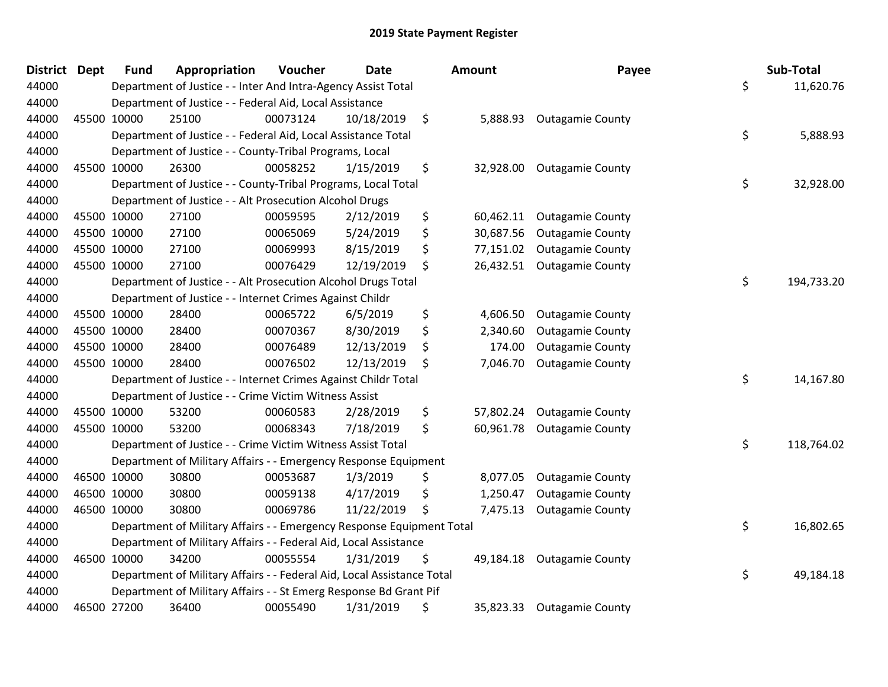| <b>District Dept</b> | <b>Fund</b> | Appropriation                                                          | Voucher  | <b>Date</b> | Amount          | Payee                     | Sub-Total        |
|----------------------|-------------|------------------------------------------------------------------------|----------|-------------|-----------------|---------------------------|------------------|
| 44000                |             | Department of Justice - - Inter And Intra-Agency Assist Total          |          |             |                 |                           | \$<br>11,620.76  |
| 44000                |             | Department of Justice - - Federal Aid, Local Assistance                |          |             |                 |                           |                  |
| 44000                | 45500 10000 | 25100                                                                  | 00073124 | 10/18/2019  | \$              | 5,888.93 Outagamie County |                  |
| 44000                |             | Department of Justice - - Federal Aid, Local Assistance Total          |          |             |                 |                           | \$<br>5,888.93   |
| 44000                |             | Department of Justice - - County-Tribal Programs, Local                |          |             |                 |                           |                  |
| 44000                | 45500 10000 | 26300                                                                  | 00058252 | 1/15/2019   | \$<br>32,928.00 | <b>Outagamie County</b>   |                  |
| 44000                |             | Department of Justice - - County-Tribal Programs, Local Total          |          |             |                 |                           | \$<br>32,928.00  |
| 44000                |             | Department of Justice - - Alt Prosecution Alcohol Drugs                |          |             |                 |                           |                  |
| 44000                | 45500 10000 | 27100                                                                  | 00059595 | 2/12/2019   | \$<br>60,462.11 | <b>Outagamie County</b>   |                  |
| 44000                | 45500 10000 | 27100                                                                  | 00065069 | 5/24/2019   | \$<br>30,687.56 | <b>Outagamie County</b>   |                  |
| 44000                | 45500 10000 | 27100                                                                  | 00069993 | 8/15/2019   | \$<br>77,151.02 | <b>Outagamie County</b>   |                  |
| 44000                | 45500 10000 | 27100                                                                  | 00076429 | 12/19/2019  | \$<br>26,432.51 | <b>Outagamie County</b>   |                  |
| 44000                |             | Department of Justice - - Alt Prosecution Alcohol Drugs Total          |          |             |                 |                           | \$<br>194,733.20 |
| 44000                |             | Department of Justice - - Internet Crimes Against Childr               |          |             |                 |                           |                  |
| 44000                | 45500 10000 | 28400                                                                  | 00065722 | 6/5/2019    | \$<br>4,606.50  | <b>Outagamie County</b>   |                  |
| 44000                | 45500 10000 | 28400                                                                  | 00070367 | 8/30/2019   | \$<br>2,340.60  | <b>Outagamie County</b>   |                  |
| 44000                | 45500 10000 | 28400                                                                  | 00076489 | 12/13/2019  | \$<br>174.00    | <b>Outagamie County</b>   |                  |
| 44000                | 45500 10000 | 28400                                                                  | 00076502 | 12/13/2019  | \$<br>7,046.70  | <b>Outagamie County</b>   |                  |
| 44000                |             | Department of Justice - - Internet Crimes Against Childr Total         |          |             |                 |                           | \$<br>14,167.80  |
| 44000                |             | Department of Justice - - Crime Victim Witness Assist                  |          |             |                 |                           |                  |
| 44000                | 45500 10000 | 53200                                                                  | 00060583 | 2/28/2019   | \$<br>57,802.24 | <b>Outagamie County</b>   |                  |
| 44000                | 45500 10000 | 53200                                                                  | 00068343 | 7/18/2019   | \$<br>60,961.78 | <b>Outagamie County</b>   |                  |
| 44000                |             | Department of Justice - - Crime Victim Witness Assist Total            |          |             |                 |                           | \$<br>118,764.02 |
| 44000                |             | Department of Military Affairs - - Emergency Response Equipment        |          |             |                 |                           |                  |
| 44000                | 46500 10000 | 30800                                                                  | 00053687 | 1/3/2019    | \$<br>8,077.05  | <b>Outagamie County</b>   |                  |
| 44000                | 46500 10000 | 30800                                                                  | 00059138 | 4/17/2019   | \$<br>1,250.47  | <b>Outagamie County</b>   |                  |
| 44000                | 46500 10000 | 30800                                                                  | 00069786 | 11/22/2019  | \$<br>7,475.13  | <b>Outagamie County</b>   |                  |
| 44000                |             | Department of Military Affairs - - Emergency Response Equipment Total  |          |             |                 |                           | \$<br>16,802.65  |
| 44000                |             | Department of Military Affairs - - Federal Aid, Local Assistance       |          |             |                 |                           |                  |
| 44000                | 46500 10000 | 34200                                                                  | 00055554 | 1/31/2019   | \$<br>49,184.18 | <b>Outagamie County</b>   |                  |
| 44000                |             | Department of Military Affairs - - Federal Aid, Local Assistance Total |          |             |                 |                           | \$<br>49,184.18  |
| 44000                |             | Department of Military Affairs - - St Emerg Response Bd Grant Pif      |          |             |                 |                           |                  |
| 44000                | 46500 27200 | 36400                                                                  | 00055490 | 1/31/2019   | \$<br>35,823.33 | <b>Outagamie County</b>   |                  |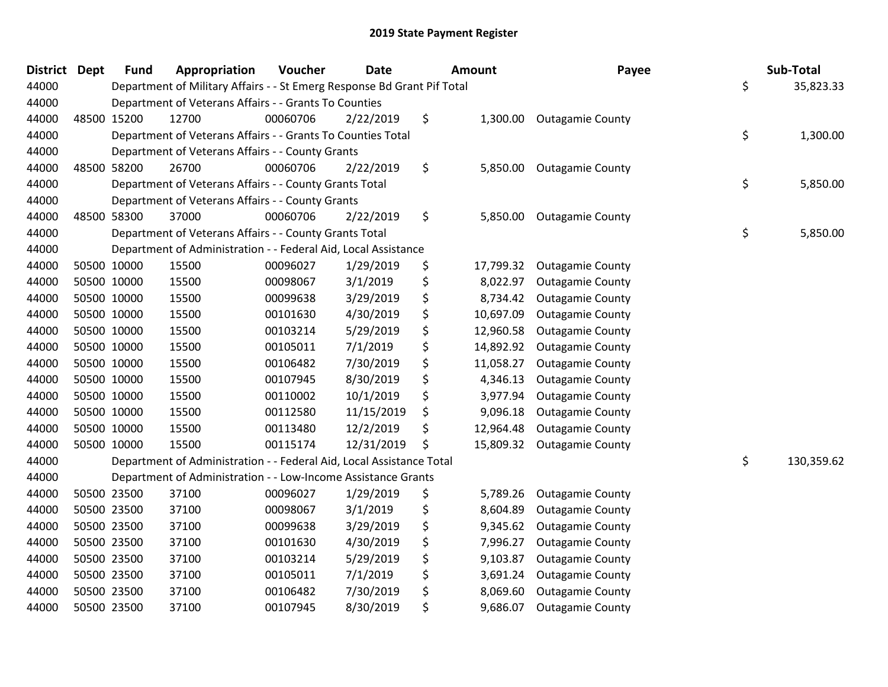| <b>District</b> | <b>Dept</b> | <b>Fund</b> | Appropriation                                                           | Voucher  | <b>Date</b> | <b>Amount</b>   | Payee                     | Sub-Total        |
|-----------------|-------------|-------------|-------------------------------------------------------------------------|----------|-------------|-----------------|---------------------------|------------------|
| 44000           |             |             | Department of Military Affairs - - St Emerg Response Bd Grant Pif Total |          |             |                 |                           | \$<br>35,823.33  |
| 44000           |             |             | Department of Veterans Affairs - - Grants To Counties                   |          |             |                 |                           |                  |
| 44000           | 48500 15200 |             | 12700                                                                   | 00060706 | 2/22/2019   | \$              | 1,300.00 Outagamie County |                  |
| 44000           |             |             | Department of Veterans Affairs - - Grants To Counties Total             |          |             |                 |                           | \$<br>1,300.00   |
| 44000           |             |             | Department of Veterans Affairs - - County Grants                        |          |             |                 |                           |                  |
| 44000           | 48500 58200 |             | 26700                                                                   | 00060706 | 2/22/2019   | \$<br>5,850.00  | <b>Outagamie County</b>   |                  |
| 44000           |             |             | Department of Veterans Affairs - - County Grants Total                  |          |             |                 |                           | \$<br>5,850.00   |
| 44000           |             |             | Department of Veterans Affairs - - County Grants                        |          |             |                 |                           |                  |
| 44000           | 48500 58300 |             | 37000                                                                   | 00060706 | 2/22/2019   | \$<br>5,850.00  | <b>Outagamie County</b>   |                  |
| 44000           |             |             | Department of Veterans Affairs - - County Grants Total                  |          |             |                 |                           | \$<br>5,850.00   |
| 44000           |             |             | Department of Administration - - Federal Aid, Local Assistance          |          |             |                 |                           |                  |
| 44000           | 50500 10000 |             | 15500                                                                   | 00096027 | 1/29/2019   | \$<br>17,799.32 | <b>Outagamie County</b>   |                  |
| 44000           |             | 50500 10000 | 15500                                                                   | 00098067 | 3/1/2019    | \$<br>8,022.97  | <b>Outagamie County</b>   |                  |
| 44000           | 50500 10000 |             | 15500                                                                   | 00099638 | 3/29/2019   | \$<br>8,734.42  | <b>Outagamie County</b>   |                  |
| 44000           | 50500 10000 |             | 15500                                                                   | 00101630 | 4/30/2019   | \$<br>10,697.09 | <b>Outagamie County</b>   |                  |
| 44000           | 50500 10000 |             | 15500                                                                   | 00103214 | 5/29/2019   | \$<br>12,960.58 | <b>Outagamie County</b>   |                  |
| 44000           | 50500 10000 |             | 15500                                                                   | 00105011 | 7/1/2019    | \$<br>14,892.92 | <b>Outagamie County</b>   |                  |
| 44000           |             | 50500 10000 | 15500                                                                   | 00106482 | 7/30/2019   | \$<br>11,058.27 | <b>Outagamie County</b>   |                  |
| 44000           | 50500 10000 |             | 15500                                                                   | 00107945 | 8/30/2019   | \$<br>4,346.13  | <b>Outagamie County</b>   |                  |
| 44000           | 50500 10000 |             | 15500                                                                   | 00110002 | 10/1/2019   | \$<br>3,977.94  | <b>Outagamie County</b>   |                  |
| 44000           |             | 50500 10000 | 15500                                                                   | 00112580 | 11/15/2019  | \$<br>9,096.18  | <b>Outagamie County</b>   |                  |
| 44000           |             | 50500 10000 | 15500                                                                   | 00113480 | 12/2/2019   | \$<br>12,964.48 | <b>Outagamie County</b>   |                  |
| 44000           | 50500 10000 |             | 15500                                                                   | 00115174 | 12/31/2019  | \$<br>15,809.32 | <b>Outagamie County</b>   |                  |
| 44000           |             |             | Department of Administration - - Federal Aid, Local Assistance Total    |          |             |                 |                           | \$<br>130,359.62 |
| 44000           |             |             | Department of Administration - - Low-Income Assistance Grants           |          |             |                 |                           |                  |
| 44000           | 50500 23500 |             | 37100                                                                   | 00096027 | 1/29/2019   | \$<br>5,789.26  | <b>Outagamie County</b>   |                  |
| 44000           |             | 50500 23500 | 37100                                                                   | 00098067 | 3/1/2019    | \$<br>8,604.89  | <b>Outagamie County</b>   |                  |
| 44000           | 50500 23500 |             | 37100                                                                   | 00099638 | 3/29/2019   | \$<br>9,345.62  | <b>Outagamie County</b>   |                  |
| 44000           |             | 50500 23500 | 37100                                                                   | 00101630 | 4/30/2019   | \$<br>7,996.27  | <b>Outagamie County</b>   |                  |
| 44000           | 50500 23500 |             | 37100                                                                   | 00103214 | 5/29/2019   | \$<br>9,103.87  | <b>Outagamie County</b>   |                  |
| 44000           | 50500 23500 |             | 37100                                                                   | 00105011 | 7/1/2019    | \$<br>3,691.24  | <b>Outagamie County</b>   |                  |
| 44000           |             | 50500 23500 | 37100                                                                   | 00106482 | 7/30/2019   | \$<br>8,069.60  | <b>Outagamie County</b>   |                  |
| 44000           | 50500 23500 |             | 37100                                                                   | 00107945 | 8/30/2019   | \$<br>9,686.07  | <b>Outagamie County</b>   |                  |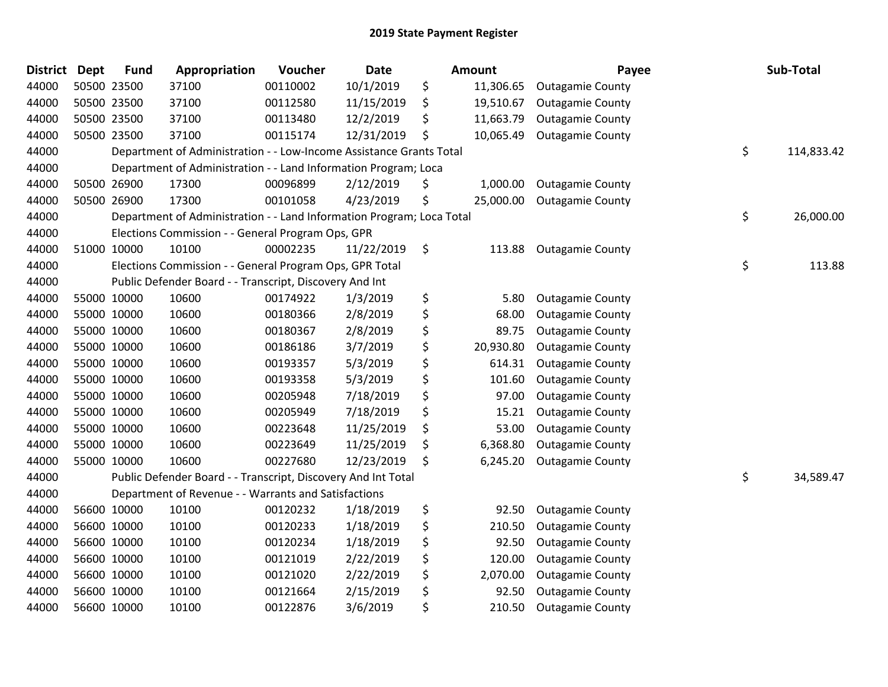| <b>District</b> | <b>Dept</b> | <b>Fund</b> | Appropriation                                                         | Voucher  | <b>Date</b> | <b>Amount</b>   | Payee                   | Sub-Total        |
|-----------------|-------------|-------------|-----------------------------------------------------------------------|----------|-------------|-----------------|-------------------------|------------------|
| 44000           |             | 50500 23500 | 37100                                                                 | 00110002 | 10/1/2019   | \$<br>11,306.65 | <b>Outagamie County</b> |                  |
| 44000           |             | 50500 23500 | 37100                                                                 | 00112580 | 11/15/2019  | \$<br>19,510.67 | <b>Outagamie County</b> |                  |
| 44000           |             | 50500 23500 | 37100                                                                 | 00113480 | 12/2/2019   | \$<br>11,663.79 | <b>Outagamie County</b> |                  |
| 44000           |             | 50500 23500 | 37100                                                                 | 00115174 | 12/31/2019  | \$<br>10,065.49 | <b>Outagamie County</b> |                  |
| 44000           |             |             | Department of Administration - - Low-Income Assistance Grants Total   |          |             |                 |                         | \$<br>114,833.42 |
| 44000           |             |             | Department of Administration - - Land Information Program; Loca       |          |             |                 |                         |                  |
| 44000           |             | 50500 26900 | 17300                                                                 | 00096899 | 2/12/2019   | \$<br>1,000.00  | <b>Outagamie County</b> |                  |
| 44000           |             | 50500 26900 | 17300                                                                 | 00101058 | 4/23/2019   | \$<br>25,000.00 | <b>Outagamie County</b> |                  |
| 44000           |             |             | Department of Administration - - Land Information Program; Loca Total |          |             |                 |                         | \$<br>26,000.00  |
| 44000           |             |             | Elections Commission - - General Program Ops, GPR                     |          |             |                 |                         |                  |
| 44000           |             | 51000 10000 | 10100                                                                 | 00002235 | 11/22/2019  | \$<br>113.88    | <b>Outagamie County</b> |                  |
| 44000           |             |             | Elections Commission - - General Program Ops, GPR Total               |          |             |                 |                         | \$<br>113.88     |
| 44000           |             |             | Public Defender Board - - Transcript, Discovery And Int               |          |             |                 |                         |                  |
| 44000           |             | 55000 10000 | 10600                                                                 | 00174922 | 1/3/2019    | \$<br>5.80      | <b>Outagamie County</b> |                  |
| 44000           |             | 55000 10000 | 10600                                                                 | 00180366 | 2/8/2019    | \$<br>68.00     | <b>Outagamie County</b> |                  |
| 44000           |             | 55000 10000 | 10600                                                                 | 00180367 | 2/8/2019    | \$<br>89.75     | <b>Outagamie County</b> |                  |
| 44000           |             | 55000 10000 | 10600                                                                 | 00186186 | 3/7/2019    | \$<br>20,930.80 | <b>Outagamie County</b> |                  |
| 44000           |             | 55000 10000 | 10600                                                                 | 00193357 | 5/3/2019    | \$<br>614.31    | <b>Outagamie County</b> |                  |
| 44000           |             | 55000 10000 | 10600                                                                 | 00193358 | 5/3/2019    | \$<br>101.60    | <b>Outagamie County</b> |                  |
| 44000           |             | 55000 10000 | 10600                                                                 | 00205948 | 7/18/2019   | \$<br>97.00     | <b>Outagamie County</b> |                  |
| 44000           |             | 55000 10000 | 10600                                                                 | 00205949 | 7/18/2019   | \$<br>15.21     | <b>Outagamie County</b> |                  |
| 44000           |             | 55000 10000 | 10600                                                                 | 00223648 | 11/25/2019  | \$<br>53.00     | <b>Outagamie County</b> |                  |
| 44000           |             | 55000 10000 | 10600                                                                 | 00223649 | 11/25/2019  | \$<br>6,368.80  | <b>Outagamie County</b> |                  |
| 44000           |             | 55000 10000 | 10600                                                                 | 00227680 | 12/23/2019  | \$<br>6,245.20  | <b>Outagamie County</b> |                  |
| 44000           |             |             | Public Defender Board - - Transcript, Discovery And Int Total         |          |             |                 |                         | \$<br>34,589.47  |
| 44000           |             |             | Department of Revenue - - Warrants and Satisfactions                  |          |             |                 |                         |                  |
| 44000           |             | 56600 10000 | 10100                                                                 | 00120232 | 1/18/2019   | \$<br>92.50     | <b>Outagamie County</b> |                  |
| 44000           |             | 56600 10000 | 10100                                                                 | 00120233 | 1/18/2019   | \$<br>210.50    | <b>Outagamie County</b> |                  |
| 44000           |             | 56600 10000 | 10100                                                                 | 00120234 | 1/18/2019   | \$<br>92.50     | <b>Outagamie County</b> |                  |
| 44000           |             | 56600 10000 | 10100                                                                 | 00121019 | 2/22/2019   | \$<br>120.00    | <b>Outagamie County</b> |                  |
| 44000           |             | 56600 10000 | 10100                                                                 | 00121020 | 2/22/2019   | \$<br>2,070.00  | <b>Outagamie County</b> |                  |
| 44000           |             | 56600 10000 | 10100                                                                 | 00121664 | 2/15/2019   | \$<br>92.50     | <b>Outagamie County</b> |                  |
| 44000           |             | 56600 10000 | 10100                                                                 | 00122876 | 3/6/2019    | \$<br>210.50    | <b>Outagamie County</b> |                  |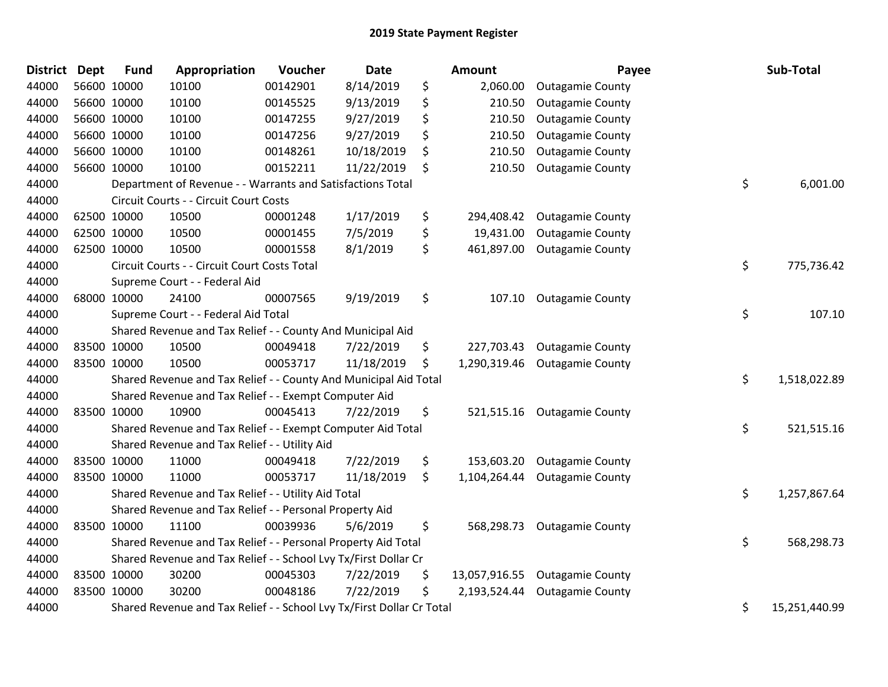| <b>District</b> | <b>Dept</b> | <b>Fund</b> | Appropriation                                                         | Voucher  | <b>Date</b> | Amount              | Payee                   | Sub-Total           |
|-----------------|-------------|-------------|-----------------------------------------------------------------------|----------|-------------|---------------------|-------------------------|---------------------|
| 44000           |             | 56600 10000 | 10100                                                                 | 00142901 | 8/14/2019   | \$<br>2,060.00      | <b>Outagamie County</b> |                     |
| 44000           |             | 56600 10000 | 10100                                                                 | 00145525 | 9/13/2019   | \$<br>210.50        | <b>Outagamie County</b> |                     |
| 44000           |             | 56600 10000 | 10100                                                                 | 00147255 | 9/27/2019   | \$<br>210.50        | <b>Outagamie County</b> |                     |
| 44000           |             | 56600 10000 | 10100                                                                 | 00147256 | 9/27/2019   | \$<br>210.50        | <b>Outagamie County</b> |                     |
| 44000           |             | 56600 10000 | 10100                                                                 | 00148261 | 10/18/2019  | \$<br>210.50        | <b>Outagamie County</b> |                     |
| 44000           |             | 56600 10000 | 10100                                                                 | 00152211 | 11/22/2019  | \$<br>210.50        | <b>Outagamie County</b> |                     |
| 44000           |             |             | Department of Revenue - - Warrants and Satisfactions Total            |          |             |                     |                         | \$<br>6,001.00      |
| 44000           |             |             | Circuit Courts - - Circuit Court Costs                                |          |             |                     |                         |                     |
| 44000           |             | 62500 10000 | 10500                                                                 | 00001248 | 1/17/2019   | \$<br>294,408.42    | <b>Outagamie County</b> |                     |
| 44000           |             | 62500 10000 | 10500                                                                 | 00001455 | 7/5/2019    | \$<br>19,431.00     | <b>Outagamie County</b> |                     |
| 44000           |             | 62500 10000 | 10500                                                                 | 00001558 | 8/1/2019    | \$<br>461,897.00    | <b>Outagamie County</b> |                     |
| 44000           |             |             | Circuit Courts - - Circuit Court Costs Total                          |          |             |                     |                         | \$<br>775,736.42    |
| 44000           |             |             | Supreme Court - - Federal Aid                                         |          |             |                     |                         |                     |
| 44000           |             | 68000 10000 | 24100                                                                 | 00007565 | 9/19/2019   | \$<br>107.10        | <b>Outagamie County</b> |                     |
| 44000           |             |             | Supreme Court - - Federal Aid Total                                   |          |             |                     |                         | \$<br>107.10        |
| 44000           |             |             | Shared Revenue and Tax Relief - - County And Municipal Aid            |          |             |                     |                         |                     |
| 44000           |             | 83500 10000 | 10500                                                                 | 00049418 | 7/22/2019   | \$<br>227,703.43    | <b>Outagamie County</b> |                     |
| 44000           | 83500 10000 |             | 10500                                                                 | 00053717 | 11/18/2019  | \$<br>1,290,319.46  | <b>Outagamie County</b> |                     |
| 44000           |             |             | Shared Revenue and Tax Relief - - County And Municipal Aid Total      |          |             |                     |                         | \$<br>1,518,022.89  |
| 44000           |             |             | Shared Revenue and Tax Relief - - Exempt Computer Aid                 |          |             |                     |                         |                     |
| 44000           |             | 83500 10000 | 10900                                                                 | 00045413 | 7/22/2019   | \$<br>521,515.16    | <b>Outagamie County</b> |                     |
| 44000           |             |             | Shared Revenue and Tax Relief - - Exempt Computer Aid Total           |          |             |                     |                         | \$<br>521,515.16    |
| 44000           |             |             | Shared Revenue and Tax Relief - - Utility Aid                         |          |             |                     |                         |                     |
| 44000           | 83500 10000 |             | 11000                                                                 | 00049418 | 7/22/2019   | \$<br>153,603.20    | <b>Outagamie County</b> |                     |
| 44000           |             | 83500 10000 | 11000                                                                 | 00053717 | 11/18/2019  | \$<br>1,104,264.44  | <b>Outagamie County</b> |                     |
| 44000           |             |             | Shared Revenue and Tax Relief - - Utility Aid Total                   |          |             |                     |                         | \$<br>1,257,867.64  |
| 44000           |             |             | Shared Revenue and Tax Relief - - Personal Property Aid               |          |             |                     |                         |                     |
| 44000           |             | 83500 10000 | 11100                                                                 | 00039936 | 5/6/2019    | \$<br>568,298.73    | <b>Outagamie County</b> |                     |
| 44000           |             |             | Shared Revenue and Tax Relief - - Personal Property Aid Total         |          |             |                     |                         | \$<br>568,298.73    |
| 44000           |             |             | Shared Revenue and Tax Relief - - School Lvy Tx/First Dollar Cr       |          |             |                     |                         |                     |
| 44000           |             | 83500 10000 | 30200                                                                 | 00045303 | 7/22/2019   | \$<br>13,057,916.55 | <b>Outagamie County</b> |                     |
| 44000           |             | 83500 10000 | 30200                                                                 | 00048186 | 7/22/2019   | \$<br>2,193,524.44  | <b>Outagamie County</b> |                     |
| 44000           |             |             | Shared Revenue and Tax Relief - - School Lvy Tx/First Dollar Cr Total |          |             |                     |                         | \$<br>15,251,440.99 |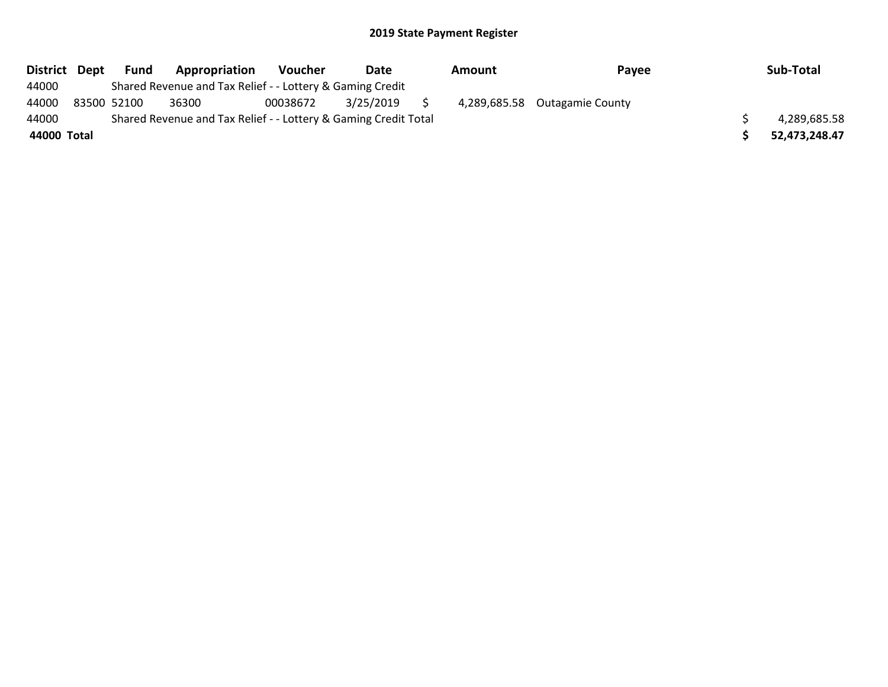| <b>District</b> | Dept | Fund        | Appropriation                                                   | <b>Voucher</b> | Date      | Amount | Payee                         | Sub-Total     |
|-----------------|------|-------------|-----------------------------------------------------------------|----------------|-----------|--------|-------------------------------|---------------|
| 44000           |      |             | Shared Revenue and Tax Relief - - Lottery & Gaming Credit       |                |           |        |                               |               |
| 44000           |      | 83500 52100 | 36300                                                           | 00038672       | 3/25/2019 |        | 4,289,685.58 Outagamie County |               |
| 44000           |      |             | Shared Revenue and Tax Relief - - Lottery & Gaming Credit Total |                |           |        |                               | 4,289,685.58  |
| 44000 Total     |      |             |                                                                 |                |           |        |                               | 52,473,248.47 |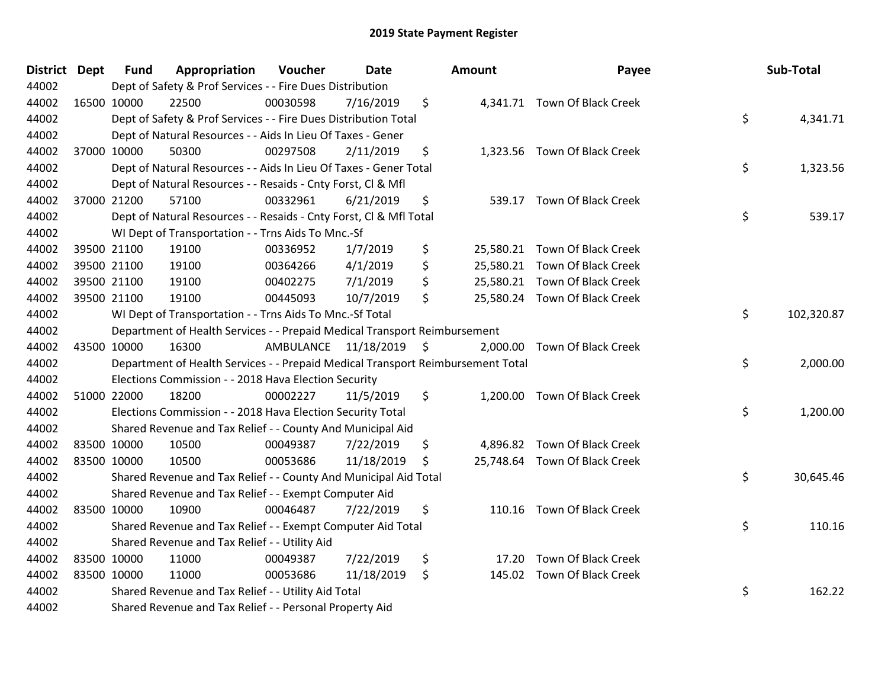| District Dept | <b>Fund</b> | Appropriation                                                                   | Voucher                 | <b>Date</b> |     | Amount | Payee                         | Sub-Total        |
|---------------|-------------|---------------------------------------------------------------------------------|-------------------------|-------------|-----|--------|-------------------------------|------------------|
| 44002         |             | Dept of Safety & Prof Services - - Fire Dues Distribution                       |                         |             |     |        |                               |                  |
| 44002         | 16500 10000 | 22500                                                                           | 00030598                | 7/16/2019   | \$  |        | 4,341.71 Town Of Black Creek  |                  |
| 44002         |             | Dept of Safety & Prof Services - - Fire Dues Distribution Total                 |                         |             |     |        |                               | \$<br>4,341.71   |
| 44002         |             | Dept of Natural Resources - - Aids In Lieu Of Taxes - Gener                     |                         |             |     |        |                               |                  |
| 44002         | 37000 10000 | 50300                                                                           | 00297508                | 2/11/2019   | \$  |        | 1,323.56 Town Of Black Creek  |                  |
| 44002         |             | Dept of Natural Resources - - Aids In Lieu Of Taxes - Gener Total               |                         |             |     |        |                               | \$<br>1,323.56   |
| 44002         |             | Dept of Natural Resources - - Resaids - Cnty Forst, Cl & Mfl                    |                         |             |     |        |                               |                  |
| 44002         | 37000 21200 | 57100                                                                           | 00332961                | 6/21/2019   | \$  |        | 539.17 Town Of Black Creek    |                  |
| 44002         |             | Dept of Natural Resources - - Resaids - Cnty Forst, CI & Mfl Total              |                         |             |     |        |                               | \$<br>539.17     |
| 44002         |             | WI Dept of Transportation - - Trns Aids To Mnc.-Sf                              |                         |             |     |        |                               |                  |
| 44002         | 39500 21100 | 19100                                                                           | 00336952                | 1/7/2019    | \$  |        | 25,580.21 Town Of Black Creek |                  |
| 44002         | 39500 21100 | 19100                                                                           | 00364266                | 4/1/2019    | \$  |        | 25,580.21 Town Of Black Creek |                  |
| 44002         | 39500 21100 | 19100                                                                           | 00402275                | 7/1/2019    | \$. |        | 25,580.21 Town Of Black Creek |                  |
| 44002         | 39500 21100 | 19100                                                                           | 00445093                | 10/7/2019   | \$  |        | 25,580.24 Town Of Black Creek |                  |
| 44002         |             | WI Dept of Transportation - - Trns Aids To Mnc.-Sf Total                        |                         |             |     |        |                               | \$<br>102,320.87 |
| 44002         |             | Department of Health Services - - Prepaid Medical Transport Reimbursement       |                         |             |     |        |                               |                  |
| 44002         | 43500 10000 | 16300                                                                           | AMBULANCE 11/18/2019 \$ |             |     |        | 2,000.00 Town Of Black Creek  |                  |
| 44002         |             | Department of Health Services - - Prepaid Medical Transport Reimbursement Total |                         |             |     |        |                               | \$<br>2,000.00   |
| 44002         |             | Elections Commission - - 2018 Hava Election Security                            |                         |             |     |        |                               |                  |
| 44002         | 51000 22000 | 18200                                                                           | 00002227                | 11/5/2019   | \$  |        | 1,200.00 Town Of Black Creek  |                  |
| 44002         |             | Elections Commission - - 2018 Hava Election Security Total                      |                         |             |     |        |                               | \$<br>1,200.00   |
| 44002         |             | Shared Revenue and Tax Relief - - County And Municipal Aid                      |                         |             |     |        |                               |                  |
| 44002         | 83500 10000 | 10500                                                                           | 00049387                | 7/22/2019   | \$  |        | 4,896.82 Town Of Black Creek  |                  |
| 44002         | 83500 10000 | 10500                                                                           | 00053686                | 11/18/2019  | -\$ |        | 25,748.64 Town Of Black Creek |                  |
| 44002         |             | Shared Revenue and Tax Relief - - County And Municipal Aid Total                |                         |             |     |        |                               | \$<br>30,645.46  |
| 44002         |             | Shared Revenue and Tax Relief - - Exempt Computer Aid                           |                         |             |     |        |                               |                  |
| 44002         | 83500 10000 | 10900                                                                           | 00046487                | 7/22/2019   | \$  |        | 110.16 Town Of Black Creek    |                  |
| 44002         |             | Shared Revenue and Tax Relief - - Exempt Computer Aid Total                     |                         |             |     |        |                               | \$<br>110.16     |
| 44002         |             | Shared Revenue and Tax Relief - - Utility Aid                                   |                         |             |     |        |                               |                  |
| 44002         | 83500 10000 | 11000                                                                           | 00049387                | 7/22/2019   | \$  | 17.20  | <b>Town Of Black Creek</b>    |                  |
| 44002         | 83500 10000 | 11000                                                                           | 00053686                | 11/18/2019  | \$  |        | 145.02 Town Of Black Creek    |                  |
| 44002         |             | Shared Revenue and Tax Relief - - Utility Aid Total                             |                         |             |     |        |                               | \$<br>162.22     |
| 44002         |             | Shared Revenue and Tax Relief - - Personal Property Aid                         |                         |             |     |        |                               |                  |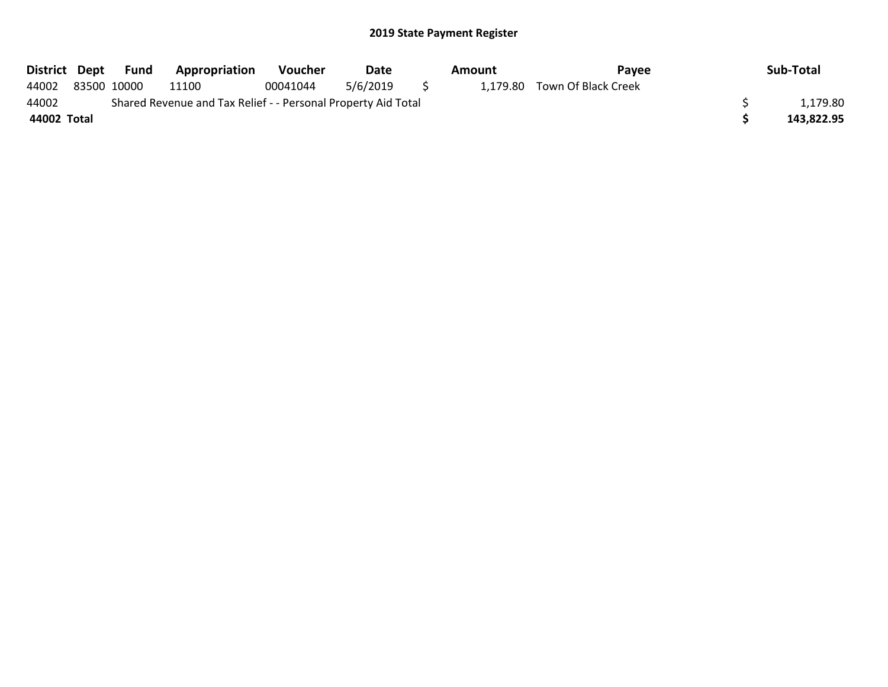| District Dept |             | Fund | <b>Appropriation</b>                                          | Voucher  | Date     |          | Amount | Payee                        | Sub-Total  |
|---------------|-------------|------|---------------------------------------------------------------|----------|----------|----------|--------|------------------------------|------------|
| 44002         | 83500 10000 |      | 11100                                                         | 00041044 | 5/6/2019 | $\sim$ 5 |        | 1,179.80 Town Of Black Creek |            |
| 44002         |             |      | Shared Revenue and Tax Relief - - Personal Property Aid Total |          |          |          |        |                              | 1.179.80   |
| 44002 Total   |             |      |                                                               |          |          |          |        |                              | 143.822.95 |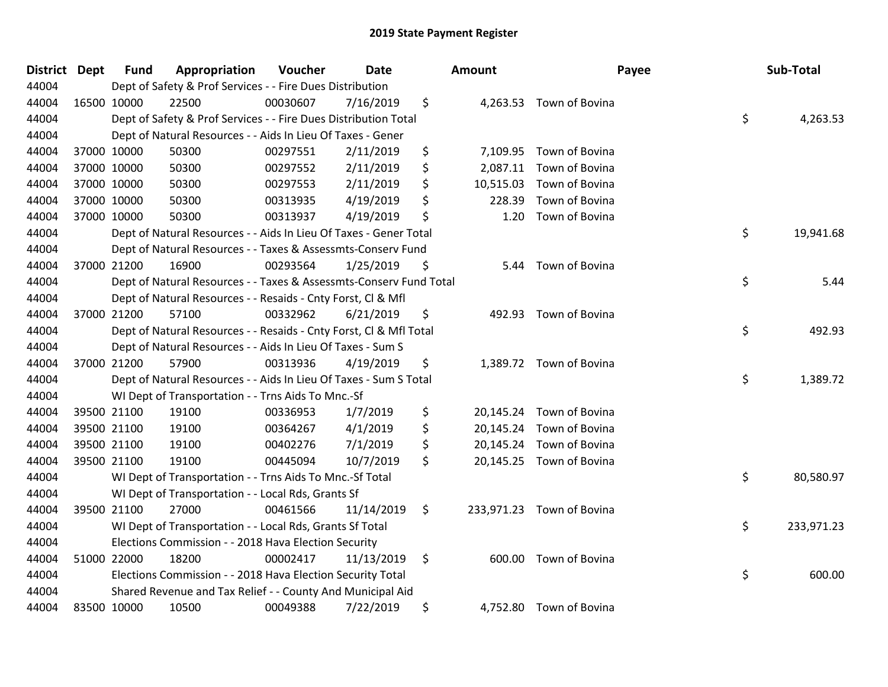| <b>District</b> | <b>Dept</b> | <b>Fund</b> | Appropriation                                                      | Voucher  | <b>Date</b> | Amount          | Payee                     | Sub-Total        |
|-----------------|-------------|-------------|--------------------------------------------------------------------|----------|-------------|-----------------|---------------------------|------------------|
| 44004           |             |             | Dept of Safety & Prof Services - - Fire Dues Distribution          |          |             |                 |                           |                  |
| 44004           |             | 16500 10000 | 22500                                                              | 00030607 | 7/16/2019   | \$              | 4,263.53 Town of Bovina   |                  |
| 44004           |             |             | Dept of Safety & Prof Services - - Fire Dues Distribution Total    |          |             |                 |                           | \$<br>4,263.53   |
| 44004           |             |             | Dept of Natural Resources - - Aids In Lieu Of Taxes - Gener        |          |             |                 |                           |                  |
| 44004           |             | 37000 10000 | 50300                                                              | 00297551 | 2/11/2019   | \$<br>7,109.95  | Town of Bovina            |                  |
| 44004           |             | 37000 10000 | 50300                                                              | 00297552 | 2/11/2019   | \$<br>2,087.11  | Town of Bovina            |                  |
| 44004           |             | 37000 10000 | 50300                                                              | 00297553 | 2/11/2019   | \$<br>10,515.03 | Town of Bovina            |                  |
| 44004           |             | 37000 10000 | 50300                                                              | 00313935 | 4/19/2019   | \$<br>228.39    | Town of Bovina            |                  |
| 44004           |             | 37000 10000 | 50300                                                              | 00313937 | 4/19/2019   | \$<br>1.20      | Town of Bovina            |                  |
| 44004           |             |             | Dept of Natural Resources - - Aids In Lieu Of Taxes - Gener Total  |          |             |                 |                           | \$<br>19,941.68  |
| 44004           |             |             | Dept of Natural Resources - - Taxes & Assessmts-Conserv Fund       |          |             |                 |                           |                  |
| 44004           |             | 37000 21200 | 16900                                                              | 00293564 | 1/25/2019   | \$<br>5.44      | Town of Bovina            |                  |
| 44004           |             |             | Dept of Natural Resources - - Taxes & Assessmts-Conserv Fund Total |          |             |                 |                           | \$<br>5.44       |
| 44004           |             |             | Dept of Natural Resources - - Resaids - Cnty Forst, CI & Mfl       |          |             |                 |                           |                  |
| 44004           |             | 37000 21200 | 57100                                                              | 00332962 | 6/21/2019   | \$<br>492.93    | Town of Bovina            |                  |
| 44004           |             |             | Dept of Natural Resources - - Resaids - Cnty Forst, Cl & Mfl Total |          |             |                 |                           | \$<br>492.93     |
| 44004           |             |             | Dept of Natural Resources - - Aids In Lieu Of Taxes - Sum S        |          |             |                 |                           |                  |
| 44004           |             | 37000 21200 | 57900                                                              | 00313936 | 4/19/2019   | \$              | 1,389.72 Town of Bovina   |                  |
| 44004           |             |             | Dept of Natural Resources - - Aids In Lieu Of Taxes - Sum S Total  |          |             |                 |                           | \$<br>1,389.72   |
| 44004           |             |             | WI Dept of Transportation - - Trns Aids To Mnc.-Sf                 |          |             |                 |                           |                  |
| 44004           |             | 39500 21100 | 19100                                                              | 00336953 | 1/7/2019    | \$              | 20,145.24 Town of Bovina  |                  |
| 44004           |             | 39500 21100 | 19100                                                              | 00364267 | 4/1/2019    | \$              | 20,145.24 Town of Bovina  |                  |
| 44004           |             | 39500 21100 | 19100                                                              | 00402276 | 7/1/2019    | \$              | 20,145.24 Town of Bovina  |                  |
| 44004           |             | 39500 21100 | 19100                                                              | 00445094 | 10/7/2019   | \$              | 20,145.25 Town of Bovina  |                  |
| 44004           |             |             | WI Dept of Transportation - - Trns Aids To Mnc.-Sf Total           |          |             |                 |                           | \$<br>80,580.97  |
| 44004           |             |             | WI Dept of Transportation - - Local Rds, Grants Sf                 |          |             |                 |                           |                  |
| 44004           |             | 39500 21100 | 27000                                                              | 00461566 | 11/14/2019  | \$              | 233,971.23 Town of Bovina |                  |
| 44004           |             |             | WI Dept of Transportation - - Local Rds, Grants Sf Total           |          |             |                 |                           | \$<br>233,971.23 |
| 44004           |             |             | Elections Commission - - 2018 Hava Election Security               |          |             |                 |                           |                  |
| 44004           |             | 51000 22000 | 18200                                                              | 00002417 | 11/13/2019  | \$<br>600.00    | Town of Bovina            |                  |
| 44004           |             |             | Elections Commission - - 2018 Hava Election Security Total         |          |             |                 |                           | \$<br>600.00     |
| 44004           |             |             | Shared Revenue and Tax Relief - - County And Municipal Aid         |          |             |                 |                           |                  |
| 44004           |             | 83500 10000 | 10500                                                              | 00049388 | 7/22/2019   | \$<br>4,752.80  | Town of Bovina            |                  |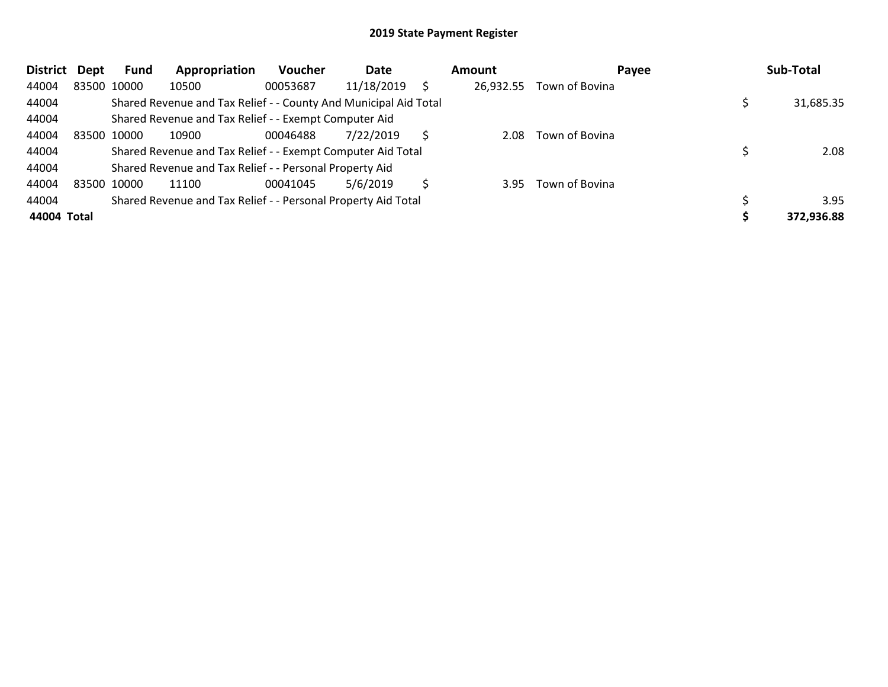| <b>District</b> | Dept | Fund        | Appropriation                                                    | <b>Voucher</b> | Date       |              | Amount    | Payee          | Sub-Total  |
|-----------------|------|-------------|------------------------------------------------------------------|----------------|------------|--------------|-----------|----------------|------------|
| 44004           |      | 83500 10000 | 10500                                                            | 00053687       | 11/18/2019 |              | 26,932.55 | Town of Bovina |            |
| 44004           |      |             | Shared Revenue and Tax Relief - - County And Municipal Aid Total |                |            |              |           |                | 31,685.35  |
| 44004           |      |             | Shared Revenue and Tax Relief - - Exempt Computer Aid            |                |            |              |           |                |            |
| 44004           |      | 83500 10000 | 10900                                                            | 00046488       | 7/22/2019  | <sub>S</sub> | 2.08      | Town of Bovina |            |
| 44004           |      |             | Shared Revenue and Tax Relief - - Exempt Computer Aid Total      |                |            |              |           |                | 2.08       |
| 44004           |      |             | Shared Revenue and Tax Relief - - Personal Property Aid          |                |            |              |           |                |            |
| 44004           |      | 83500 10000 | 11100                                                            | 00041045       | 5/6/2019   |              | 3.95      | Town of Bovina |            |
| 44004           |      |             | Shared Revenue and Tax Relief - - Personal Property Aid Total    |                |            |              |           |                | 3.95       |
| 44004 Total     |      |             |                                                                  |                |            |              |           |                | 372,936.88 |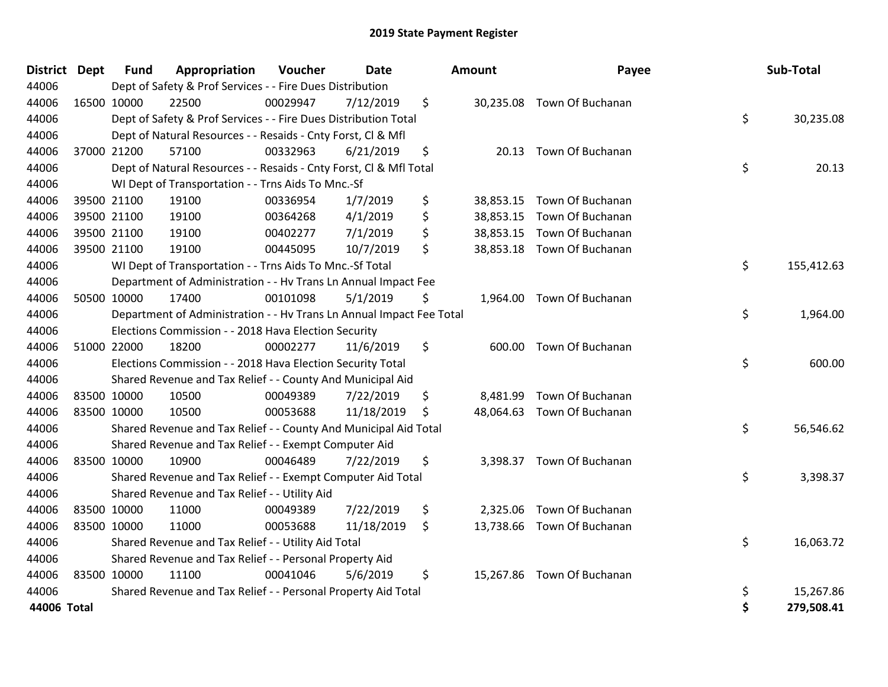| <b>District</b> | <b>Dept</b> | <b>Fund</b> | Appropriation                                                        | Voucher  | Date       | Amount      | Payee                      | Sub-Total        |
|-----------------|-------------|-------------|----------------------------------------------------------------------|----------|------------|-------------|----------------------------|------------------|
| 44006           |             |             | Dept of Safety & Prof Services - - Fire Dues Distribution            |          |            |             |                            |                  |
| 44006           | 16500 10000 |             | 22500                                                                | 00029947 | 7/12/2019  | \$          | 30,235.08 Town Of Buchanan |                  |
| 44006           |             |             | Dept of Safety & Prof Services - - Fire Dues Distribution Total      |          |            |             |                            | \$<br>30,235.08  |
| 44006           |             |             | Dept of Natural Resources - - Resaids - Cnty Forst, Cl & Mfl         |          |            |             |                            |                  |
| 44006           |             | 37000 21200 | 57100                                                                | 00332963 | 6/21/2019  | \$<br>20.13 | Town Of Buchanan           |                  |
| 44006           |             |             | Dept of Natural Resources - - Resaids - Cnty Forst, CI & Mfl Total   |          |            |             |                            | \$<br>20.13      |
| 44006           |             |             | WI Dept of Transportation - - Trns Aids To Mnc.-Sf                   |          |            |             |                            |                  |
| 44006           |             | 39500 21100 | 19100                                                                | 00336954 | 1/7/2019   | \$          | 38,853.15 Town Of Buchanan |                  |
| 44006           |             | 39500 21100 | 19100                                                                | 00364268 | 4/1/2019   | \$          | 38,853.15 Town Of Buchanan |                  |
| 44006           |             | 39500 21100 | 19100                                                                | 00402277 | 7/1/2019   | \$          | 38,853.15 Town Of Buchanan |                  |
| 44006           |             | 39500 21100 | 19100                                                                | 00445095 | 10/7/2019  | \$          | 38,853.18 Town Of Buchanan |                  |
| 44006           |             |             | WI Dept of Transportation - - Trns Aids To Mnc.-Sf Total             |          |            |             |                            | \$<br>155,412.63 |
| 44006           |             |             | Department of Administration - - Hv Trans Ln Annual Impact Fee       |          |            |             |                            |                  |
| 44006           |             | 50500 10000 | 17400                                                                | 00101098 | 5/1/2019   | \$          | 1,964.00 Town Of Buchanan  |                  |
| 44006           |             |             | Department of Administration - - Hv Trans Ln Annual Impact Fee Total |          |            |             |                            | \$<br>1,964.00   |
| 44006           |             |             | Elections Commission - - 2018 Hava Election Security                 |          |            |             |                            |                  |
| 44006           |             | 51000 22000 | 18200                                                                | 00002277 | 11/6/2019  | \$          | 600.00 Town Of Buchanan    |                  |
| 44006           |             |             | Elections Commission - - 2018 Hava Election Security Total           |          |            |             |                            | \$<br>600.00     |
| 44006           |             |             | Shared Revenue and Tax Relief - - County And Municipal Aid           |          |            |             |                            |                  |
| 44006           |             | 83500 10000 | 10500                                                                | 00049389 | 7/22/2019  | \$          | 8,481.99 Town Of Buchanan  |                  |
| 44006           | 83500 10000 |             | 10500                                                                | 00053688 | 11/18/2019 | \$          | 48,064.63 Town Of Buchanan |                  |
| 44006           |             |             | Shared Revenue and Tax Relief - - County And Municipal Aid Total     |          |            |             |                            | \$<br>56,546.62  |
| 44006           |             |             | Shared Revenue and Tax Relief - - Exempt Computer Aid                |          |            |             |                            |                  |
| 44006           |             | 83500 10000 | 10900                                                                | 00046489 | 7/22/2019  | \$          | 3,398.37 Town Of Buchanan  |                  |
| 44006           |             |             | Shared Revenue and Tax Relief - - Exempt Computer Aid Total          |          |            |             |                            | \$<br>3,398.37   |
| 44006           |             |             | Shared Revenue and Tax Relief - - Utility Aid                        |          |            |             |                            |                  |
| 44006           |             | 83500 10000 | 11000                                                                | 00049389 | 7/22/2019  | \$          | 2,325.06 Town Of Buchanan  |                  |
| 44006           | 83500 10000 |             | 11000                                                                | 00053688 | 11/18/2019 | \$          | 13,738.66 Town Of Buchanan |                  |
| 44006           |             |             | Shared Revenue and Tax Relief - - Utility Aid Total                  |          |            |             |                            | \$<br>16,063.72  |
| 44006           |             |             | Shared Revenue and Tax Relief - - Personal Property Aid              |          |            |             |                            |                  |
| 44006           | 83500 10000 |             | 11100                                                                | 00041046 | 5/6/2019   | \$          | 15,267.86 Town Of Buchanan |                  |
| 44006           |             |             | Shared Revenue and Tax Relief - - Personal Property Aid Total        |          |            |             |                            | \$<br>15,267.86  |
| 44006 Total     |             |             |                                                                      |          |            |             |                            | \$<br>279,508.41 |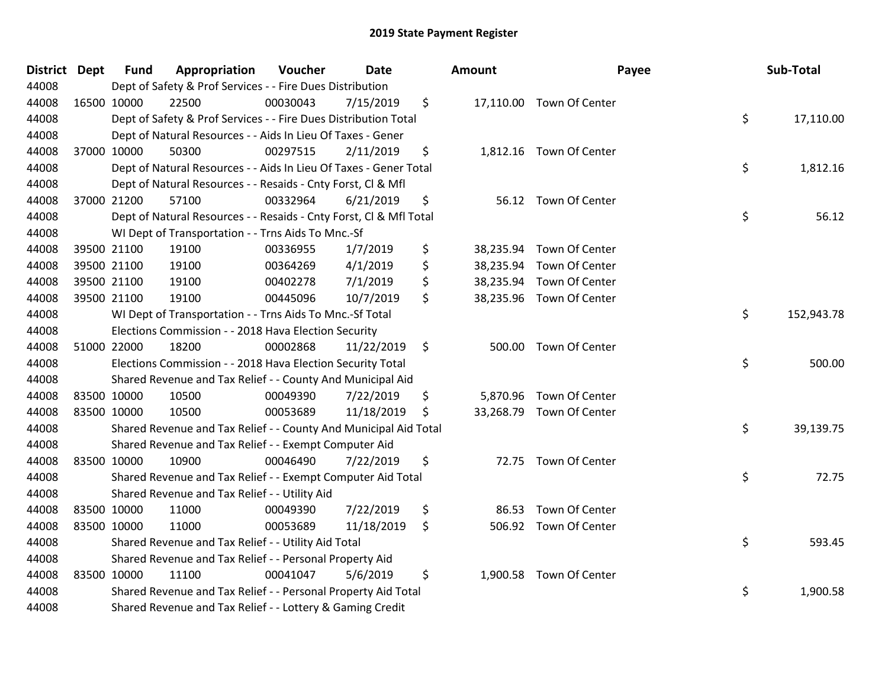| District Dept | <b>Fund</b> | Appropriation                                                      | Voucher  | <b>Date</b> |    | <b>Amount</b> | Payee                    | Sub-Total        |
|---------------|-------------|--------------------------------------------------------------------|----------|-------------|----|---------------|--------------------------|------------------|
| 44008         |             | Dept of Safety & Prof Services - - Fire Dues Distribution          |          |             |    |               |                          |                  |
| 44008         | 16500 10000 | 22500                                                              | 00030043 | 7/15/2019   | \$ |               | 17,110.00 Town Of Center |                  |
| 44008         |             | Dept of Safety & Prof Services - - Fire Dues Distribution Total    |          |             |    |               |                          | \$<br>17,110.00  |
| 44008         |             | Dept of Natural Resources - - Aids In Lieu Of Taxes - Gener        |          |             |    |               |                          |                  |
| 44008         | 37000 10000 | 50300                                                              | 00297515 | 2/11/2019   | \$ |               | 1,812.16 Town Of Center  |                  |
| 44008         |             | Dept of Natural Resources - - Aids In Lieu Of Taxes - Gener Total  |          |             |    |               |                          | \$<br>1,812.16   |
| 44008         |             | Dept of Natural Resources - - Resaids - Cnty Forst, Cl & Mfl       |          |             |    |               |                          |                  |
| 44008         | 37000 21200 | 57100                                                              | 00332964 | 6/21/2019   | \$ |               | 56.12 Town Of Center     |                  |
| 44008         |             | Dept of Natural Resources - - Resaids - Cnty Forst, Cl & Mfl Total |          |             |    |               |                          | \$<br>56.12      |
| 44008         |             | WI Dept of Transportation - - Trns Aids To Mnc.-Sf                 |          |             |    |               |                          |                  |
| 44008         | 39500 21100 | 19100                                                              | 00336955 | 1/7/2019    | \$ |               | 38,235.94 Town Of Center |                  |
| 44008         | 39500 21100 | 19100                                                              | 00364269 | 4/1/2019    | \$ |               | 38,235.94 Town Of Center |                  |
| 44008         | 39500 21100 | 19100                                                              | 00402278 | 7/1/2019    | \$ |               | 38,235.94 Town Of Center |                  |
| 44008         | 39500 21100 | 19100                                                              | 00445096 | 10/7/2019   | \$ |               | 38,235.96 Town Of Center |                  |
| 44008         |             | WI Dept of Transportation - - Trns Aids To Mnc.-Sf Total           |          |             |    |               |                          | \$<br>152,943.78 |
| 44008         |             | Elections Commission - - 2018 Hava Election Security               |          |             |    |               |                          |                  |
| 44008         | 51000 22000 | 18200                                                              | 00002868 | 11/22/2019  | \$ | 500.00        | Town Of Center           |                  |
| 44008         |             | Elections Commission - - 2018 Hava Election Security Total         |          |             |    |               |                          | \$<br>500.00     |
| 44008         |             | Shared Revenue and Tax Relief - - County And Municipal Aid         |          |             |    |               |                          |                  |
| 44008         | 83500 10000 | 10500                                                              | 00049390 | 7/22/2019   | \$ |               | 5,870.96 Town Of Center  |                  |
| 44008         | 83500 10000 | 10500                                                              | 00053689 | 11/18/2019  | S  |               | 33,268.79 Town Of Center |                  |
| 44008         |             | Shared Revenue and Tax Relief - - County And Municipal Aid Total   |          |             |    |               |                          | \$<br>39,139.75  |
| 44008         |             | Shared Revenue and Tax Relief - - Exempt Computer Aid              |          |             |    |               |                          |                  |
| 44008         | 83500 10000 | 10900                                                              | 00046490 | 7/22/2019   | \$ |               | 72.75 Town Of Center     |                  |
| 44008         |             | Shared Revenue and Tax Relief - - Exempt Computer Aid Total        |          |             |    |               |                          | \$<br>72.75      |
| 44008         |             | Shared Revenue and Tax Relief - - Utility Aid                      |          |             |    |               |                          |                  |
| 44008         | 83500 10000 | 11000                                                              | 00049390 | 7/22/2019   | \$ | 86.53         | Town Of Center           |                  |
| 44008         | 83500 10000 | 11000                                                              | 00053689 | 11/18/2019  | \$ |               | 506.92 Town Of Center    |                  |
| 44008         |             | Shared Revenue and Tax Relief - - Utility Aid Total                |          |             |    |               |                          | \$<br>593.45     |
| 44008         |             | Shared Revenue and Tax Relief - - Personal Property Aid            |          |             |    |               |                          |                  |
| 44008         | 83500 10000 | 11100                                                              | 00041047 | 5/6/2019    | \$ |               | 1,900.58 Town Of Center  |                  |
| 44008         |             | Shared Revenue and Tax Relief - - Personal Property Aid Total      |          |             |    |               |                          | \$<br>1,900.58   |
| 44008         |             | Shared Revenue and Tax Relief - - Lottery & Gaming Credit          |          |             |    |               |                          |                  |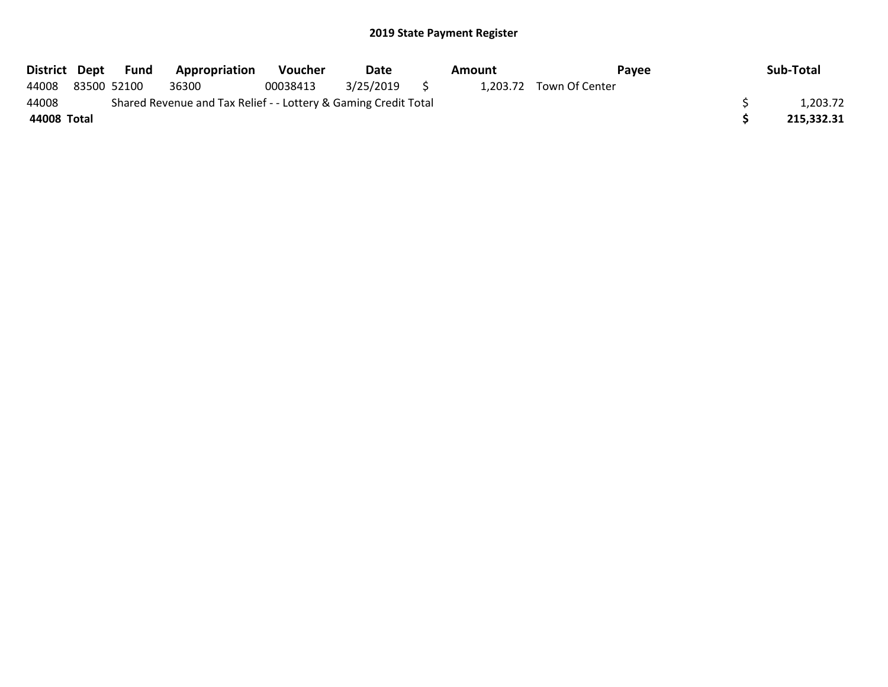|             | District Dept Fund | Appropriation                                                   | Voucher  | Date      |     | Amount | Pavee                   | Sub-Total  |
|-------------|--------------------|-----------------------------------------------------------------|----------|-----------|-----|--------|-------------------------|------------|
| 44008       | 83500 52100        | 36300                                                           | 00038413 | 3/25/2019 | - 5 |        | 1.203.72 Town Of Center |            |
| 44008       |                    | Shared Revenue and Tax Relief - - Lottery & Gaming Credit Total |          |           |     |        |                         | 1,203.72   |
| 44008 Total |                    |                                                                 |          |           |     |        |                         | 215,332.31 |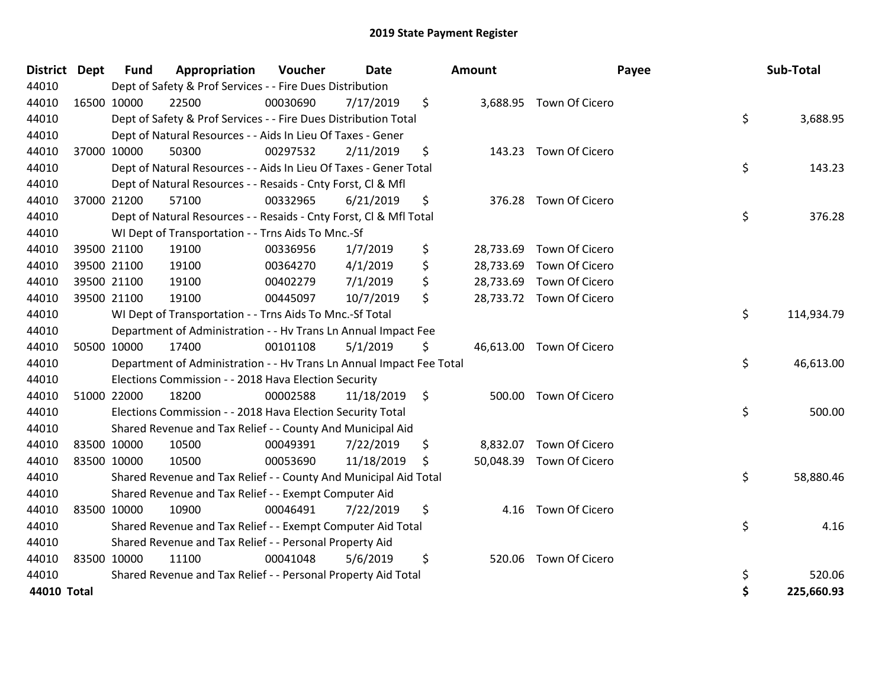| <b>District</b> | <b>Dept</b> | <b>Fund</b> | Appropriation                                                        | <b>Voucher</b> | <b>Date</b> | Amount |           | Payee                    | Sub-Total        |
|-----------------|-------------|-------------|----------------------------------------------------------------------|----------------|-------------|--------|-----------|--------------------------|------------------|
| 44010           |             |             | Dept of Safety & Prof Services - - Fire Dues Distribution            |                |             |        |           |                          |                  |
| 44010           | 16500 10000 |             | 22500                                                                | 00030690       | 7/17/2019   | \$     |           | 3,688.95 Town Of Cicero  |                  |
| 44010           |             |             | Dept of Safety & Prof Services - - Fire Dues Distribution Total      |                |             |        |           |                          | \$<br>3,688.95   |
| 44010           |             |             | Dept of Natural Resources - - Aids In Lieu Of Taxes - Gener          |                |             |        |           |                          |                  |
| 44010           |             | 37000 10000 | 50300                                                                | 00297532       | 2/11/2019   | \$     | 143.23    | Town Of Cicero           |                  |
| 44010           |             |             | Dept of Natural Resources - - Aids In Lieu Of Taxes - Gener Total    |                |             |        |           |                          | \$<br>143.23     |
| 44010           |             |             | Dept of Natural Resources - - Resaids - Cnty Forst, CI & Mfl         |                |             |        |           |                          |                  |
| 44010           |             | 37000 21200 | 57100                                                                | 00332965       | 6/21/2019   | \$     |           | 376.28 Town Of Cicero    |                  |
| 44010           |             |             | Dept of Natural Resources - - Resaids - Cnty Forst, Cl & Mfl Total   |                |             |        |           |                          | \$<br>376.28     |
| 44010           |             |             | WI Dept of Transportation - - Trns Aids To Mnc.-Sf                   |                |             |        |           |                          |                  |
| 44010           |             | 39500 21100 | 19100                                                                | 00336956       | 1/7/2019    | \$     | 28,733.69 | Town Of Cicero           |                  |
| 44010           |             | 39500 21100 | 19100                                                                | 00364270       | 4/1/2019    | \$     | 28,733.69 | Town Of Cicero           |                  |
| 44010           |             | 39500 21100 | 19100                                                                | 00402279       | 7/1/2019    | \$     | 28,733.69 | Town Of Cicero           |                  |
| 44010           | 39500 21100 |             | 19100                                                                | 00445097       | 10/7/2019   | \$     |           | 28,733.72 Town Of Cicero |                  |
| 44010           |             |             | WI Dept of Transportation - - Trns Aids To Mnc.-Sf Total             |                |             |        |           |                          | \$<br>114,934.79 |
| 44010           |             |             | Department of Administration - - Hv Trans Ln Annual Impact Fee       |                |             |        |           |                          |                  |
| 44010           |             | 50500 10000 | 17400                                                                | 00101108       | 5/1/2019    | \$     |           | 46,613.00 Town Of Cicero |                  |
| 44010           |             |             | Department of Administration - - Hv Trans Ln Annual Impact Fee Total |                |             |        |           |                          | \$<br>46,613.00  |
| 44010           |             |             | Elections Commission - - 2018 Hava Election Security                 |                |             |        |           |                          |                  |
| 44010           |             | 51000 22000 | 18200                                                                | 00002588       | 11/18/2019  | \$     | 500.00    | Town Of Cicero           |                  |
| 44010           |             |             | Elections Commission - - 2018 Hava Election Security Total           |                |             |        |           |                          | \$<br>500.00     |
| 44010           |             |             | Shared Revenue and Tax Relief - - County And Municipal Aid           |                |             |        |           |                          |                  |
| 44010           |             | 83500 10000 | 10500                                                                | 00049391       | 7/22/2019   | \$     | 8,832.07  | Town Of Cicero           |                  |
| 44010           | 83500 10000 |             | 10500                                                                | 00053690       | 11/18/2019  | \$     | 50,048.39 | Town Of Cicero           |                  |
| 44010           |             |             | Shared Revenue and Tax Relief - - County And Municipal Aid Total     |                |             |        |           |                          | \$<br>58,880.46  |
| 44010           |             |             | Shared Revenue and Tax Relief - - Exempt Computer Aid                |                |             |        |           |                          |                  |
| 44010           | 83500 10000 |             | 10900                                                                | 00046491       | 7/22/2019   | \$     | 4.16      | Town Of Cicero           |                  |
| 44010           |             |             | Shared Revenue and Tax Relief - - Exempt Computer Aid Total          |                |             |        |           |                          | \$<br>4.16       |
| 44010           |             |             | Shared Revenue and Tax Relief - - Personal Property Aid              |                |             |        |           |                          |                  |
| 44010           | 83500 10000 |             | 11100                                                                | 00041048       | 5/6/2019    | \$     | 520.06    | Town Of Cicero           |                  |
| 44010           |             |             | Shared Revenue and Tax Relief - - Personal Property Aid Total        |                |             |        |           |                          | \$<br>520.06     |
| 44010 Total     |             |             |                                                                      |                |             |        |           |                          | \$<br>225,660.93 |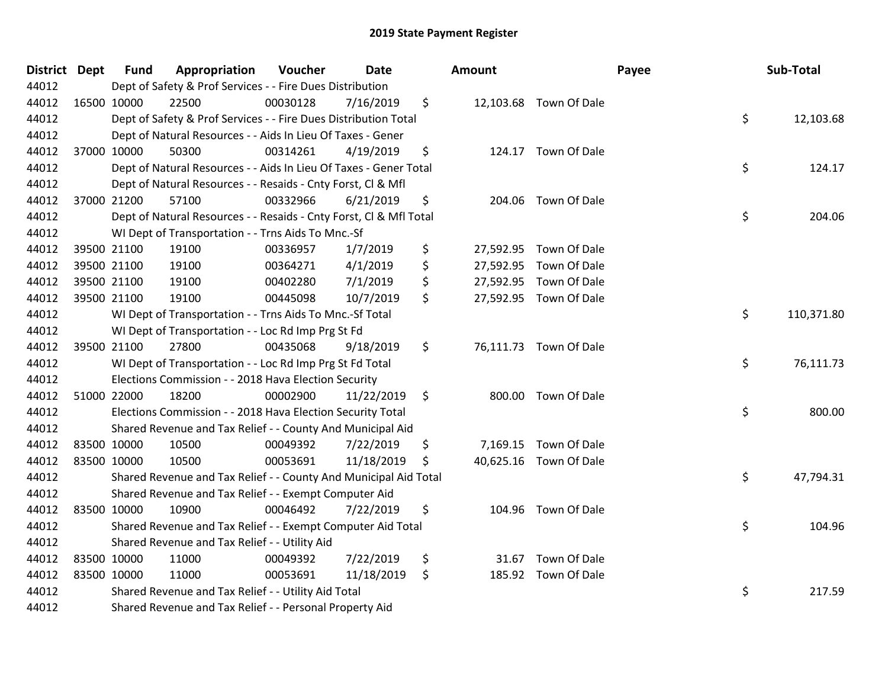| District Dept |             | <b>Fund</b> | Appropriation                                                      | Voucher  | <b>Date</b> | Amount |                        | Payee | Sub-Total  |
|---------------|-------------|-------------|--------------------------------------------------------------------|----------|-------------|--------|------------------------|-------|------------|
| 44012         |             |             | Dept of Safety & Prof Services - - Fire Dues Distribution          |          |             |        |                        |       |            |
| 44012         | 16500 10000 |             | 22500                                                              | 00030128 | 7/16/2019   | \$     | 12,103.68 Town Of Dale |       |            |
| 44012         |             |             | Dept of Safety & Prof Services - - Fire Dues Distribution Total    |          |             |        |                        | \$    | 12,103.68  |
| 44012         |             |             | Dept of Natural Resources - - Aids In Lieu Of Taxes - Gener        |          |             |        |                        |       |            |
| 44012         |             | 37000 10000 | 50300                                                              | 00314261 | 4/19/2019   | \$     | 124.17 Town Of Dale    |       |            |
| 44012         |             |             | Dept of Natural Resources - - Aids In Lieu Of Taxes - Gener Total  |          |             |        |                        | \$    | 124.17     |
| 44012         |             |             | Dept of Natural Resources - - Resaids - Cnty Forst, Cl & Mfl       |          |             |        |                        |       |            |
| 44012         |             | 37000 21200 | 57100                                                              | 00332966 | 6/21/2019   | \$     | 204.06 Town Of Dale    |       |            |
| 44012         |             |             | Dept of Natural Resources - - Resaids - Cnty Forst, Cl & Mfl Total |          |             |        |                        | \$    | 204.06     |
| 44012         |             |             | WI Dept of Transportation - - Trns Aids To Mnc.-Sf                 |          |             |        |                        |       |            |
| 44012         |             | 39500 21100 | 19100                                                              | 00336957 | 1/7/2019    | \$     | 27,592.95 Town Of Dale |       |            |
| 44012         |             | 39500 21100 | 19100                                                              | 00364271 | 4/1/2019    | \$     | 27,592.95 Town Of Dale |       |            |
| 44012         |             | 39500 21100 | 19100                                                              | 00402280 | 7/1/2019    | \$     | 27,592.95 Town Of Dale |       |            |
| 44012         |             | 39500 21100 | 19100                                                              | 00445098 | 10/7/2019   | \$     | 27,592.95 Town Of Dale |       |            |
| 44012         |             |             | WI Dept of Transportation - - Trns Aids To Mnc.-Sf Total           |          |             |        |                        | \$    | 110,371.80 |
| 44012         |             |             | WI Dept of Transportation - - Loc Rd Imp Prg St Fd                 |          |             |        |                        |       |            |
| 44012         |             | 39500 21100 | 27800                                                              | 00435068 | 9/18/2019   | \$     | 76,111.73 Town Of Dale |       |            |
| 44012         |             |             | WI Dept of Transportation - - Loc Rd Imp Prg St Fd Total           |          |             |        |                        | \$    | 76,111.73  |
| 44012         |             |             | Elections Commission - - 2018 Hava Election Security               |          |             |        |                        |       |            |
| 44012         | 51000 22000 |             | 18200                                                              | 00002900 | 11/22/2019  | \$     | 800.00 Town Of Dale    |       |            |
| 44012         |             |             | Elections Commission - - 2018 Hava Election Security Total         |          |             |        |                        | \$    | 800.00     |
| 44012         |             |             | Shared Revenue and Tax Relief - - County And Municipal Aid         |          |             |        |                        |       |            |
| 44012         |             | 83500 10000 | 10500                                                              | 00049392 | 7/22/2019   | \$     | 7,169.15 Town Of Dale  |       |            |
| 44012         |             | 83500 10000 | 10500                                                              | 00053691 | 11/18/2019  | \$     | 40,625.16 Town Of Dale |       |            |
| 44012         |             |             | Shared Revenue and Tax Relief - - County And Municipal Aid Total   |          |             |        |                        | \$    | 47,794.31  |
| 44012         |             |             | Shared Revenue and Tax Relief - - Exempt Computer Aid              |          |             |        |                        |       |            |
| 44012         |             | 83500 10000 | 10900                                                              | 00046492 | 7/22/2019   | \$     | 104.96 Town Of Dale    |       |            |
| 44012         |             |             | Shared Revenue and Tax Relief - - Exempt Computer Aid Total        |          |             |        |                        | \$    | 104.96     |
| 44012         |             |             | Shared Revenue and Tax Relief - - Utility Aid                      |          |             |        |                        |       |            |
| 44012         |             | 83500 10000 | 11000                                                              | 00049392 | 7/22/2019   | \$     | 31.67 Town Of Dale     |       |            |
| 44012         |             | 83500 10000 | 11000                                                              | 00053691 | 11/18/2019  | \$     | 185.92 Town Of Dale    |       |            |
| 44012         |             |             | Shared Revenue and Tax Relief - - Utility Aid Total                |          |             |        |                        | \$    | 217.59     |
| 44012         |             |             | Shared Revenue and Tax Relief - - Personal Property Aid            |          |             |        |                        |       |            |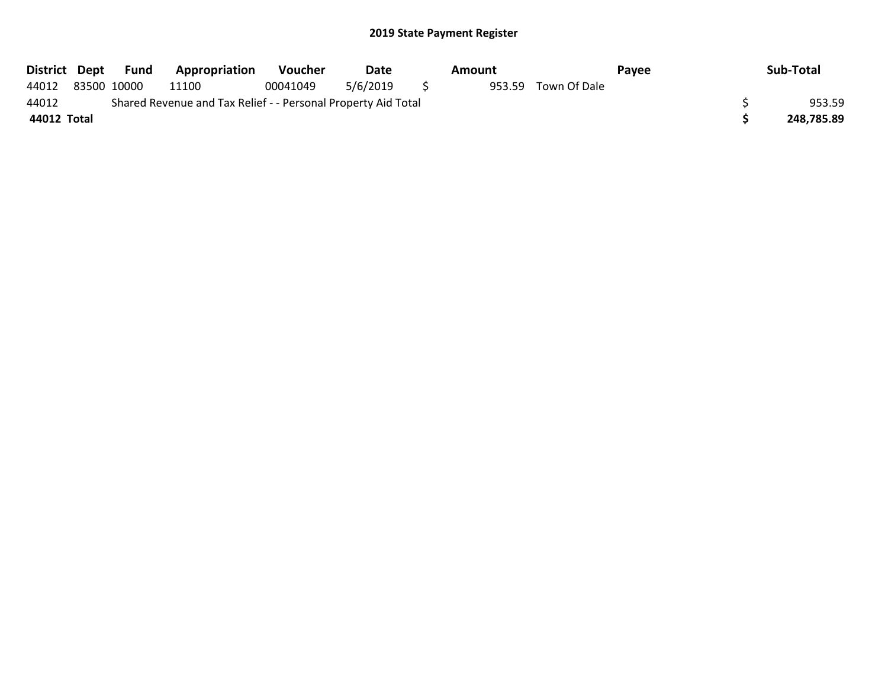| District Dept |             | Fund | <b>Appropriation</b>                                          | <b>Voucher</b> | Date     | Amount |              | Pavee | Sub-Total  |
|---------------|-------------|------|---------------------------------------------------------------|----------------|----------|--------|--------------|-------|------------|
| 44012         | 83500 10000 |      | 11100                                                         | 00041049       | 5/6/2019 | 953.59 | Town Of Dale |       |            |
| 44012         |             |      | Shared Revenue and Tax Relief - - Personal Property Aid Total |                |          |        |              |       | 953.59     |
| 44012 Total   |             |      |                                                               |                |          |        |              |       | 248,785.89 |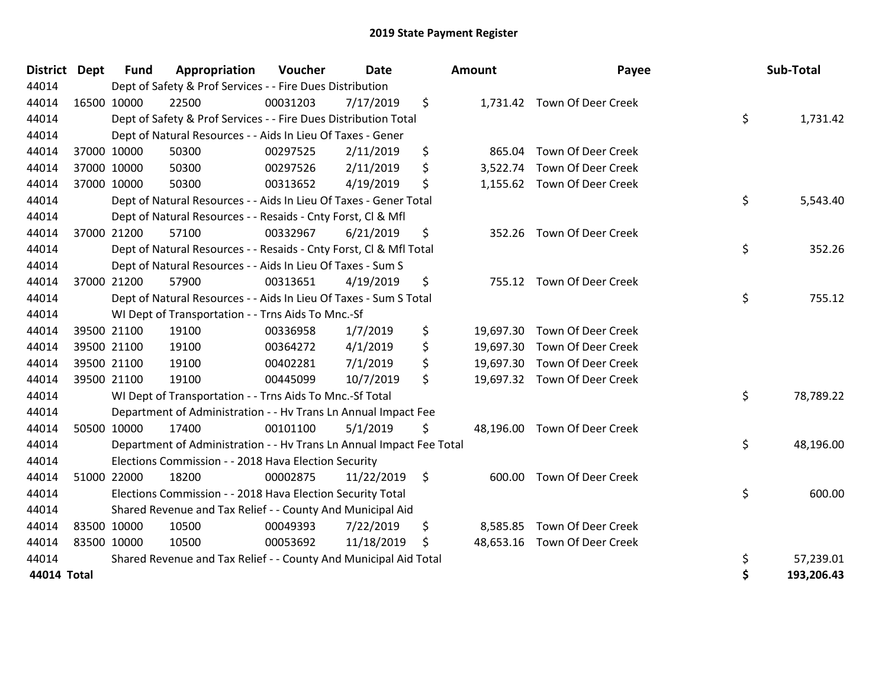| <b>District</b> | <b>Dept</b> | <b>Fund</b> | Appropriation                                                        | Voucher  | <b>Date</b> |                     | Amount   | Payee                        | Sub-Total        |
|-----------------|-------------|-------------|----------------------------------------------------------------------|----------|-------------|---------------------|----------|------------------------------|------------------|
| 44014           |             |             | Dept of Safety & Prof Services - - Fire Dues Distribution            |          |             |                     |          |                              |                  |
| 44014           | 16500 10000 |             | 22500                                                                | 00031203 | 7/17/2019   | \$                  |          | 1,731.42 Town Of Deer Creek  |                  |
| 44014           |             |             | Dept of Safety & Prof Services - - Fire Dues Distribution Total      |          |             |                     |          |                              | \$<br>1,731.42   |
| 44014           |             |             | Dept of Natural Resources - - Aids In Lieu Of Taxes - Gener          |          |             |                     |          |                              |                  |
| 44014           | 37000 10000 |             | 50300                                                                | 00297525 | 2/11/2019   | \$                  | 865.04   | Town Of Deer Creek           |                  |
| 44014           |             | 37000 10000 | 50300                                                                | 00297526 | 2/11/2019   | \$                  |          | 3,522.74 Town Of Deer Creek  |                  |
| 44014           | 37000 10000 |             | 50300                                                                | 00313652 | 4/19/2019   | \$                  |          | 1,155.62 Town Of Deer Creek  |                  |
| 44014           |             |             | Dept of Natural Resources - - Aids In Lieu Of Taxes - Gener Total    |          |             |                     |          |                              | \$<br>5,543.40   |
| 44014           |             |             | Dept of Natural Resources - - Resaids - Cnty Forst, Cl & Mfl         |          |             |                     |          |                              |                  |
| 44014           |             | 37000 21200 | 57100                                                                | 00332967 | 6/21/2019   | \$                  | 352.26   | Town Of Deer Creek           |                  |
| 44014           |             |             | Dept of Natural Resources - - Resaids - Cnty Forst, Cl & Mfl Total   |          |             |                     |          |                              | \$<br>352.26     |
| 44014           |             |             | Dept of Natural Resources - - Aids In Lieu Of Taxes - Sum S          |          |             |                     |          |                              |                  |
| 44014           |             | 37000 21200 | 57900                                                                | 00313651 | 4/19/2019   | \$                  |          | 755.12 Town Of Deer Creek    |                  |
| 44014           |             |             | Dept of Natural Resources - - Aids In Lieu Of Taxes - Sum S Total    |          |             |                     |          |                              | \$<br>755.12     |
| 44014           |             |             | WI Dept of Transportation - - Trns Aids To Mnc.-Sf                   |          |             |                     |          |                              |                  |
| 44014           |             | 39500 21100 | 19100                                                                | 00336958 | 1/7/2019    | \$                  |          | 19,697.30 Town Of Deer Creek |                  |
| 44014           |             | 39500 21100 | 19100                                                                | 00364272 | 4/1/2019    | \$                  |          | 19,697.30 Town Of Deer Creek |                  |
| 44014           |             | 39500 21100 | 19100                                                                | 00402281 | 7/1/2019    | \$                  |          | 19,697.30 Town Of Deer Creek |                  |
| 44014           | 39500 21100 |             | 19100                                                                | 00445099 | 10/7/2019   | \$                  |          | 19,697.32 Town Of Deer Creek |                  |
| 44014           |             |             | WI Dept of Transportation - - Trns Aids To Mnc.-Sf Total             |          |             |                     |          |                              | \$<br>78,789.22  |
| 44014           |             |             | Department of Administration - - Hv Trans Ln Annual Impact Fee       |          |             |                     |          |                              |                  |
| 44014           |             | 50500 10000 | 17400                                                                | 00101100 | 5/1/2019    | \$                  |          | 48,196.00 Town Of Deer Creek |                  |
| 44014           |             |             | Department of Administration - - Hv Trans Ln Annual Impact Fee Total |          |             |                     |          |                              | \$<br>48,196.00  |
| 44014           |             |             | Elections Commission - - 2018 Hava Election Security                 |          |             |                     |          |                              |                  |
| 44014           | 51000 22000 |             | 18200                                                                | 00002875 | 11/22/2019  | $\ddot{\mathsf{S}}$ |          | 600.00 Town Of Deer Creek    |                  |
| 44014           |             |             | Elections Commission - - 2018 Hava Election Security Total           |          |             |                     |          |                              | \$<br>600.00     |
| 44014           |             |             | Shared Revenue and Tax Relief - - County And Municipal Aid           |          |             |                     |          |                              |                  |
| 44014           | 83500 10000 |             | 10500                                                                | 00049393 | 7/22/2019   | \$                  | 8,585.85 | <b>Town Of Deer Creek</b>    |                  |
| 44014           | 83500 10000 |             | 10500                                                                | 00053692 | 11/18/2019  | \$                  |          | 48,653.16 Town Of Deer Creek |                  |
| 44014           |             |             | Shared Revenue and Tax Relief - - County And Municipal Aid Total     |          |             |                     |          |                              | \$<br>57,239.01  |
| 44014 Total     |             |             |                                                                      |          |             |                     |          |                              | \$<br>193,206.43 |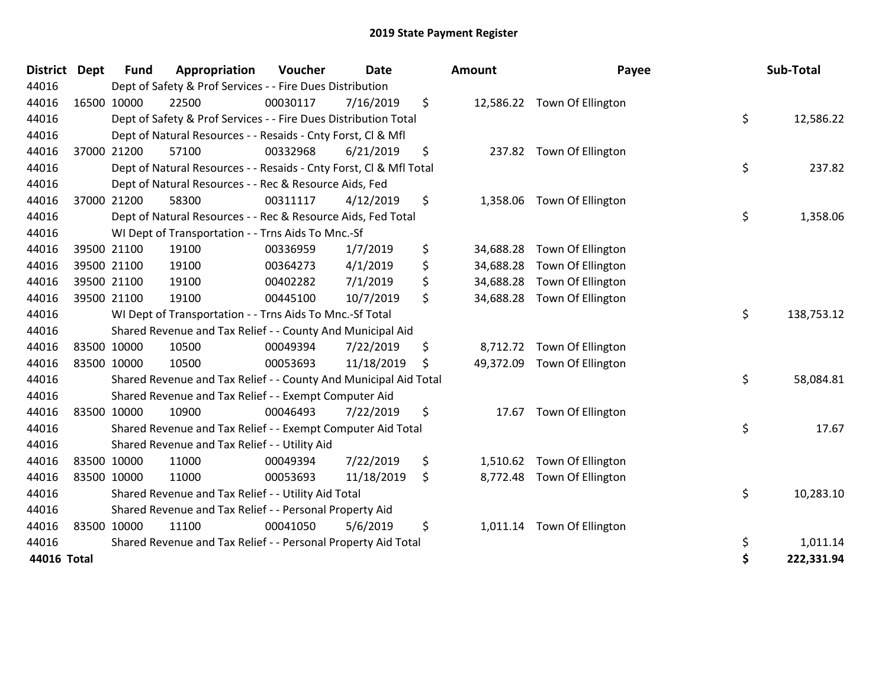| <b>District</b> | <b>Dept</b> | <b>Fund</b> | Appropriation                                                      | Voucher  | <b>Date</b> | Amount          | Payee                       | Sub-Total        |
|-----------------|-------------|-------------|--------------------------------------------------------------------|----------|-------------|-----------------|-----------------------------|------------------|
| 44016           |             |             | Dept of Safety & Prof Services - - Fire Dues Distribution          |          |             |                 |                             |                  |
| 44016           |             | 16500 10000 | 22500                                                              | 00030117 | 7/16/2019   | \$              | 12,586.22 Town Of Ellington |                  |
| 44016           |             |             | Dept of Safety & Prof Services - - Fire Dues Distribution Total    |          |             |                 |                             | \$<br>12,586.22  |
| 44016           |             |             | Dept of Natural Resources - - Resaids - Cnty Forst, CI & Mfl       |          |             |                 |                             |                  |
| 44016           |             | 37000 21200 | 57100                                                              | 00332968 | 6/21/2019   | \$              | 237.82 Town Of Ellington    |                  |
| 44016           |             |             | Dept of Natural Resources - - Resaids - Cnty Forst, Cl & Mfl Total |          |             |                 |                             | \$<br>237.82     |
| 44016           |             |             | Dept of Natural Resources - - Rec & Resource Aids, Fed             |          |             |                 |                             |                  |
| 44016           |             | 37000 21200 | 58300                                                              | 00311117 | 4/12/2019   | \$<br>1,358.06  | Town Of Ellington           |                  |
| 44016           |             |             | Dept of Natural Resources - - Rec & Resource Aids, Fed Total       |          |             |                 |                             | \$<br>1,358.06   |
| 44016           |             |             | WI Dept of Transportation - - Trns Aids To Mnc.-Sf                 |          |             |                 |                             |                  |
| 44016           |             | 39500 21100 | 19100                                                              | 00336959 | 1/7/2019    | \$<br>34,688.28 | Town Of Ellington           |                  |
| 44016           |             | 39500 21100 | 19100                                                              | 00364273 | 4/1/2019    | \$<br>34,688.28 | Town Of Ellington           |                  |
| 44016           |             | 39500 21100 | 19100                                                              | 00402282 | 7/1/2019    | \$<br>34,688.28 | Town Of Ellington           |                  |
| 44016           |             | 39500 21100 | 19100                                                              | 00445100 | 10/7/2019   | \$<br>34,688.28 | Town Of Ellington           |                  |
| 44016           |             |             | WI Dept of Transportation - - Trns Aids To Mnc.-Sf Total           |          |             |                 |                             | \$<br>138,753.12 |
| 44016           |             |             | Shared Revenue and Tax Relief - - County And Municipal Aid         |          |             |                 |                             |                  |
| 44016           |             | 83500 10000 | 10500                                                              | 00049394 | 7/22/2019   | \$<br>8,712.72  | Town Of Ellington           |                  |
| 44016           |             | 83500 10000 | 10500                                                              | 00053693 | 11/18/2019  | \$<br>49,372.09 | Town Of Ellington           |                  |
| 44016           |             |             | Shared Revenue and Tax Relief - - County And Municipal Aid Total   |          |             |                 |                             | \$<br>58,084.81  |
| 44016           |             |             | Shared Revenue and Tax Relief - - Exempt Computer Aid              |          |             |                 |                             |                  |
| 44016           |             | 83500 10000 | 10900                                                              | 00046493 | 7/22/2019   | \$<br>17.67     | Town Of Ellington           |                  |
| 44016           |             |             | Shared Revenue and Tax Relief - - Exempt Computer Aid Total        |          |             |                 |                             | \$<br>17.67      |
| 44016           |             |             | Shared Revenue and Tax Relief - - Utility Aid                      |          |             |                 |                             |                  |
| 44016           |             | 83500 10000 | 11000                                                              | 00049394 | 7/22/2019   | \$              | 1,510.62 Town Of Ellington  |                  |
| 44016           |             | 83500 10000 | 11000                                                              | 00053693 | 11/18/2019  | \$              | 8,772.48 Town Of Ellington  |                  |
| 44016           |             |             | Shared Revenue and Tax Relief - - Utility Aid Total                |          |             |                 |                             | \$<br>10,283.10  |
| 44016           |             |             | Shared Revenue and Tax Relief - - Personal Property Aid            |          |             |                 |                             |                  |
| 44016           |             | 83500 10000 | 11100                                                              | 00041050 | 5/6/2019    | \$              | 1,011.14 Town Of Ellington  |                  |
| 44016           |             |             | Shared Revenue and Tax Relief - - Personal Property Aid Total      |          |             |                 |                             | \$<br>1,011.14   |
| 44016 Total     |             |             |                                                                    |          |             |                 |                             | \$<br>222,331.94 |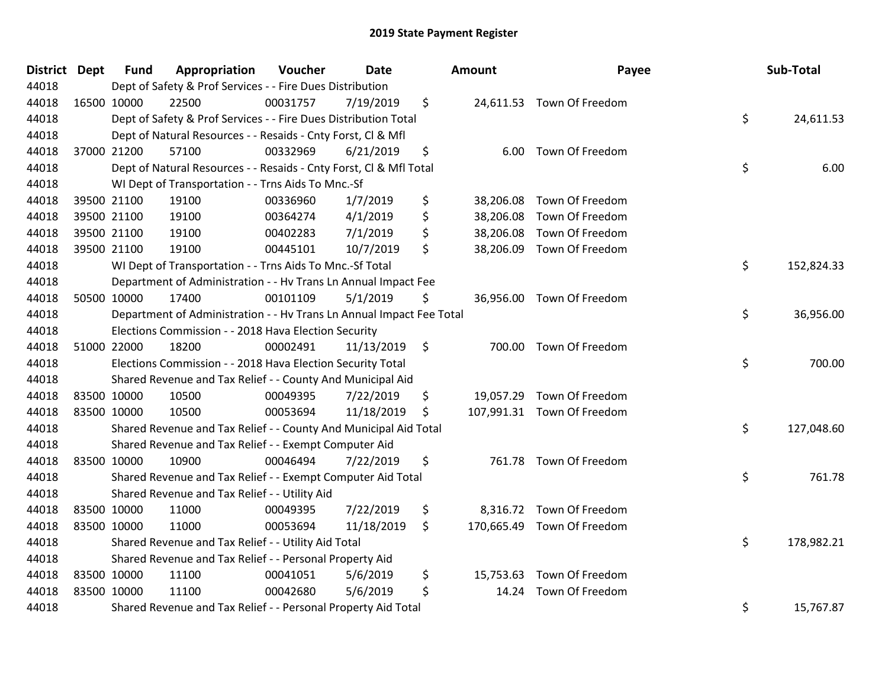| District Dept | <b>Fund</b> | Appropriation                                                        | Voucher  | <b>Date</b> | Amount          | Payee                      | Sub-Total        |
|---------------|-------------|----------------------------------------------------------------------|----------|-------------|-----------------|----------------------------|------------------|
| 44018         |             | Dept of Safety & Prof Services - - Fire Dues Distribution            |          |             |                 |                            |                  |
| 44018         | 16500 10000 | 22500                                                                | 00031757 | 7/19/2019   | \$              | 24,611.53 Town Of Freedom  |                  |
| 44018         |             | Dept of Safety & Prof Services - - Fire Dues Distribution Total      |          |             |                 |                            | \$<br>24,611.53  |
| 44018         |             | Dept of Natural Resources - - Resaids - Cnty Forst, Cl & Mfl         |          |             |                 |                            |                  |
| 44018         | 37000 21200 | 57100                                                                | 00332969 | 6/21/2019   | \$<br>6.00      | Town Of Freedom            |                  |
| 44018         |             | Dept of Natural Resources - - Resaids - Cnty Forst, CI & Mfl Total   |          |             |                 |                            | \$<br>6.00       |
| 44018         |             | WI Dept of Transportation - - Trns Aids To Mnc.-Sf                   |          |             |                 |                            |                  |
| 44018         | 39500 21100 | 19100                                                                | 00336960 | 1/7/2019    | \$<br>38,206.08 | Town Of Freedom            |                  |
| 44018         | 39500 21100 | 19100                                                                | 00364274 | 4/1/2019    | \$              | 38,206.08 Town Of Freedom  |                  |
| 44018         | 39500 21100 | 19100                                                                | 00402283 | 7/1/2019    | \$              | 38,206.08 Town Of Freedom  |                  |
| 44018         | 39500 21100 | 19100                                                                | 00445101 | 10/7/2019   | \$              | 38,206.09 Town Of Freedom  |                  |
| 44018         |             | WI Dept of Transportation - - Trns Aids To Mnc.-Sf Total             |          |             |                 |                            | \$<br>152,824.33 |
| 44018         |             | Department of Administration - - Hv Trans Ln Annual Impact Fee       |          |             |                 |                            |                  |
| 44018         | 50500 10000 | 17400                                                                | 00101109 | 5/1/2019    | \$              | 36,956.00 Town Of Freedom  |                  |
| 44018         |             | Department of Administration - - Hv Trans Ln Annual Impact Fee Total |          |             |                 |                            | \$<br>36,956.00  |
| 44018         |             | Elections Commission - - 2018 Hava Election Security                 |          |             |                 |                            |                  |
| 44018         | 51000 22000 | 18200                                                                | 00002491 | 11/13/2019  | \$<br>700.00    | Town Of Freedom            |                  |
| 44018         |             | Elections Commission - - 2018 Hava Election Security Total           |          |             |                 |                            | \$<br>700.00     |
| 44018         |             | Shared Revenue and Tax Relief - - County And Municipal Aid           |          |             |                 |                            |                  |
| 44018         | 83500 10000 | 10500                                                                | 00049395 | 7/22/2019   | \$              | 19,057.29 Town Of Freedom  |                  |
| 44018         | 83500 10000 | 10500                                                                | 00053694 | 11/18/2019  | \$              | 107,991.31 Town Of Freedom |                  |
| 44018         |             | Shared Revenue and Tax Relief - - County And Municipal Aid Total     |          |             |                 |                            | \$<br>127,048.60 |
| 44018         |             | Shared Revenue and Tax Relief - - Exempt Computer Aid                |          |             |                 |                            |                  |
| 44018         | 83500 10000 | 10900                                                                | 00046494 | 7/22/2019   | \$              | 761.78 Town Of Freedom     |                  |
| 44018         |             | Shared Revenue and Tax Relief - - Exempt Computer Aid Total          |          |             |                 |                            | \$<br>761.78     |
| 44018         |             | Shared Revenue and Tax Relief - - Utility Aid                        |          |             |                 |                            |                  |
| 44018         | 83500 10000 | 11000                                                                | 00049395 | 7/22/2019   | \$              | 8,316.72 Town Of Freedom   |                  |
| 44018         | 83500 10000 | 11000                                                                | 00053694 | 11/18/2019  | \$              | 170,665.49 Town Of Freedom |                  |
| 44018         |             | Shared Revenue and Tax Relief - - Utility Aid Total                  |          |             |                 |                            | \$<br>178,982.21 |
| 44018         |             | Shared Revenue and Tax Relief - - Personal Property Aid              |          |             |                 |                            |                  |
| 44018         | 83500 10000 | 11100                                                                | 00041051 | 5/6/2019    | \$<br>15,753.63 | Town Of Freedom            |                  |
| 44018         | 83500 10000 | 11100                                                                | 00042680 | 5/6/2019    | \$<br>14.24     | Town Of Freedom            |                  |
| 44018         |             | Shared Revenue and Tax Relief - - Personal Property Aid Total        |          |             |                 |                            | \$<br>15,767.87  |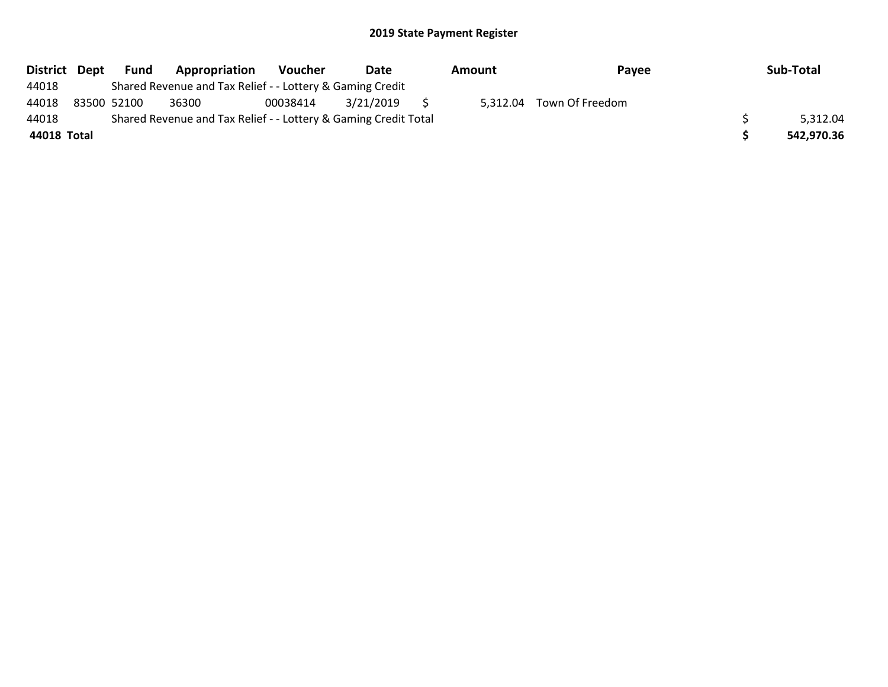| District Dept |             | Fund | Appropriation                                                   | Voucher  | Date      | Amount | Payee                    | Sub-Total  |
|---------------|-------------|------|-----------------------------------------------------------------|----------|-----------|--------|--------------------------|------------|
| 44018         |             |      | Shared Revenue and Tax Relief - - Lottery & Gaming Credit       |          |           |        |                          |            |
| 44018         | 83500 52100 |      | 36300                                                           | 00038414 | 3/21/2019 |        | 5,312.04 Town Of Freedom |            |
| 44018         |             |      | Shared Revenue and Tax Relief - - Lottery & Gaming Credit Total |          |           |        |                          | 5,312.04   |
| 44018 Total   |             |      |                                                                 |          |           |        |                          | 542,970.36 |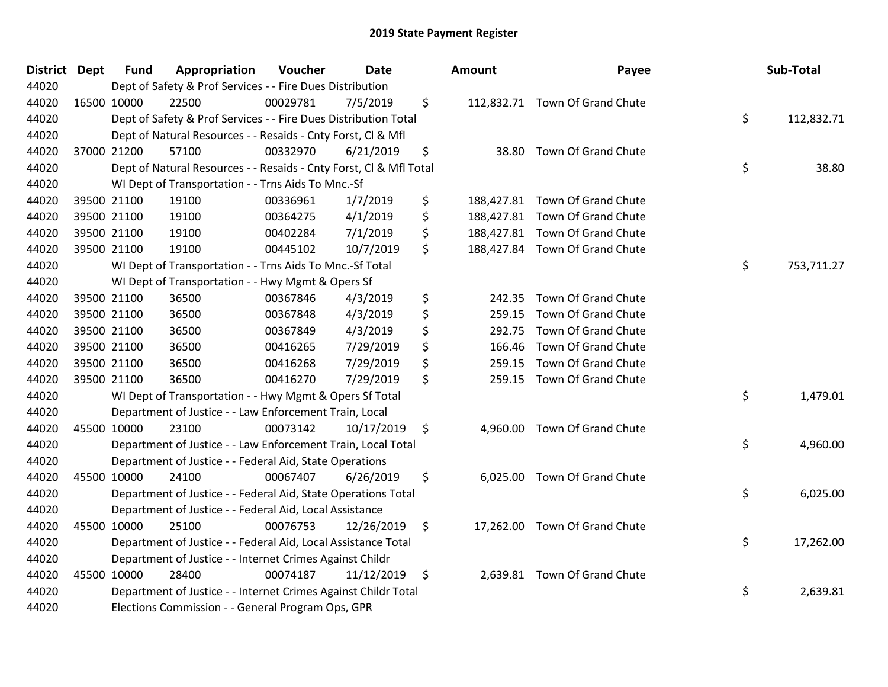| District Dept | <b>Fund</b> | Appropriation                                                      | Voucher  | Date       | Amount         | Payee                          | Sub-Total        |
|---------------|-------------|--------------------------------------------------------------------|----------|------------|----------------|--------------------------------|------------------|
| 44020         |             | Dept of Safety & Prof Services - - Fire Dues Distribution          |          |            |                |                                |                  |
| 44020         | 16500 10000 | 22500                                                              | 00029781 | 7/5/2019   | \$             | 112,832.71 Town Of Grand Chute |                  |
| 44020         |             | Dept of Safety & Prof Services - - Fire Dues Distribution Total    |          |            |                |                                | \$<br>112,832.71 |
| 44020         |             | Dept of Natural Resources - - Resaids - Cnty Forst, Cl & Mfl       |          |            |                |                                |                  |
| 44020         | 37000 21200 | 57100                                                              | 00332970 | 6/21/2019  | \$<br>38.80    | Town Of Grand Chute            |                  |
| 44020         |             | Dept of Natural Resources - - Resaids - Cnty Forst, CI & Mfl Total |          |            |                |                                | \$<br>38.80      |
| 44020         |             | WI Dept of Transportation - - Trns Aids To Mnc.-Sf                 |          |            |                |                                |                  |
| 44020         | 39500 21100 | 19100                                                              | 00336961 | 1/7/2019   | \$             | 188,427.81 Town Of Grand Chute |                  |
| 44020         | 39500 21100 | 19100                                                              | 00364275 | 4/1/2019   | \$             | 188,427.81 Town Of Grand Chute |                  |
| 44020         | 39500 21100 | 19100                                                              | 00402284 | 7/1/2019   | \$             | 188,427.81 Town Of Grand Chute |                  |
| 44020         | 39500 21100 | 19100                                                              | 00445102 | 10/7/2019  | \$             | 188,427.84 Town Of Grand Chute |                  |
| 44020         |             | WI Dept of Transportation - - Trns Aids To Mnc.-Sf Total           |          |            |                |                                | \$<br>753,711.27 |
| 44020         |             | WI Dept of Transportation - - Hwy Mgmt & Opers Sf                  |          |            |                |                                |                  |
| 44020         | 39500 21100 | 36500                                                              | 00367846 | 4/3/2019   | \$<br>242.35   | Town Of Grand Chute            |                  |
| 44020         | 39500 21100 | 36500                                                              | 00367848 | 4/3/2019   | \$<br>259.15   | Town Of Grand Chute            |                  |
| 44020         | 39500 21100 | 36500                                                              | 00367849 | 4/3/2019   | \$<br>292.75   | Town Of Grand Chute            |                  |
| 44020         | 39500 21100 | 36500                                                              | 00416265 | 7/29/2019  | \$<br>166.46   | Town Of Grand Chute            |                  |
| 44020         | 39500 21100 | 36500                                                              | 00416268 | 7/29/2019  | \$<br>259.15   | Town Of Grand Chute            |                  |
| 44020         | 39500 21100 | 36500                                                              | 00416270 | 7/29/2019  | \$<br>259.15   | Town Of Grand Chute            |                  |
| 44020         |             | WI Dept of Transportation - - Hwy Mgmt & Opers Sf Total            |          |            |                |                                | \$<br>1,479.01   |
| 44020         |             | Department of Justice - - Law Enforcement Train, Local             |          |            |                |                                |                  |
| 44020         | 45500 10000 | 23100                                                              | 00073142 | 10/17/2019 | \$             | 4,960.00 Town Of Grand Chute   |                  |
| 44020         |             | Department of Justice - - Law Enforcement Train, Local Total       |          |            |                |                                | \$<br>4,960.00   |
| 44020         |             | Department of Justice - - Federal Aid, State Operations            |          |            |                |                                |                  |
| 44020         | 45500 10000 | 24100                                                              | 00067407 | 6/26/2019  | \$<br>6,025.00 | Town Of Grand Chute            |                  |
| 44020         |             | Department of Justice - - Federal Aid, State Operations Total      |          |            |                |                                | \$<br>6,025.00   |
| 44020         |             | Department of Justice - - Federal Aid, Local Assistance            |          |            |                |                                |                  |
| 44020         | 45500 10000 | 25100                                                              | 00076753 | 12/26/2019 | \$             | 17,262.00 Town Of Grand Chute  |                  |
| 44020         |             | Department of Justice - - Federal Aid, Local Assistance Total      |          |            |                |                                | \$<br>17,262.00  |
| 44020         |             | Department of Justice - - Internet Crimes Against Childr           |          |            |                |                                |                  |
| 44020         | 45500 10000 | 28400                                                              | 00074187 | 11/12/2019 | \$             | 2,639.81 Town Of Grand Chute   |                  |
| 44020         |             | Department of Justice - - Internet Crimes Against Childr Total     |          |            |                |                                | \$<br>2,639.81   |
| 44020         |             | Elections Commission - - General Program Ops, GPR                  |          |            |                |                                |                  |

| unt                                              | Payee                                                                                                           | Sub-Total        |
|--------------------------------------------------|-----------------------------------------------------------------------------------------------------------------|------------------|
|                                                  | 12,832.71 Town Of Grand Chute                                                                                   | \$<br>112,832.71 |
| 38.80                                            | Town Of Grand Chute                                                                                             | \$<br>38.80      |
| 38,427.81<br>38,427.81<br>38,427.81<br>38,427.84 | Town Of Grand Chute<br>Town Of Grand Chute<br>Town Of Grand Chute<br>Town Of Grand Chute                        |                  |
|                                                  |                                                                                                                 | \$<br>753,711.27 |
| 242.35<br>259.15<br>292.75<br>166.46<br>259.15   | Town Of Grand Chute<br>Town Of Grand Chute<br>Town Of Grand Chute<br>Town Of Grand Chute<br>Town Of Grand Chute |                  |
| 259.15                                           | Town Of Grand Chute                                                                                             | \$<br>1,479.01   |
| 4,960.00                                         | Town Of Grand Chute                                                                                             | \$<br>4,960.00   |
|                                                  | 6,025.00 Town Of Grand Chute                                                                                    | \$<br>6,025.00   |
|                                                  | 17,262.00 Town Of Grand Chute                                                                                   | \$<br>17,262.00  |
| 2,639.81                                         | Town Of Grand Chute                                                                                             | \$<br>2,639.81   |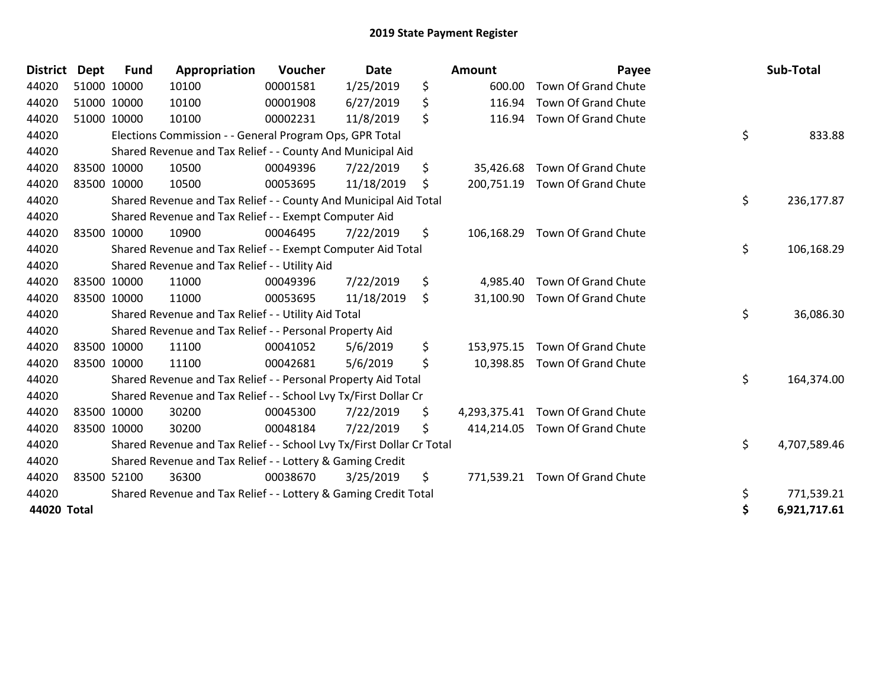| <b>District</b> | <b>Dept</b> | <b>Fund</b> | Appropriation                                                         | Voucher  | <b>Date</b> | Amount           | Payee                            | Sub-Total          |
|-----------------|-------------|-------------|-----------------------------------------------------------------------|----------|-------------|------------------|----------------------------------|--------------------|
| 44020           |             | 51000 10000 | 10100                                                                 | 00001581 | 1/25/2019   | \$<br>600.00     | Town Of Grand Chute              |                    |
| 44020           |             | 51000 10000 | 10100                                                                 | 00001908 | 6/27/2019   | \$<br>116.94     | Town Of Grand Chute              |                    |
| 44020           |             | 51000 10000 | 10100                                                                 | 00002231 | 11/8/2019   | \$<br>116.94     | Town Of Grand Chute              |                    |
| 44020           |             |             | Elections Commission - - General Program Ops, GPR Total               |          |             |                  |                                  | \$<br>833.88       |
| 44020           |             |             | Shared Revenue and Tax Relief - - County And Municipal Aid            |          |             |                  |                                  |                    |
| 44020           |             | 83500 10000 | 10500                                                                 | 00049396 | 7/22/2019   | \$<br>35,426.68  | Town Of Grand Chute              |                    |
| 44020           |             | 83500 10000 | 10500                                                                 | 00053695 | 11/18/2019  | \$<br>200,751.19 | Town Of Grand Chute              |                    |
| 44020           |             |             | Shared Revenue and Tax Relief - - County And Municipal Aid Total      |          |             |                  |                                  | \$<br>236,177.87   |
| 44020           |             |             | Shared Revenue and Tax Relief - - Exempt Computer Aid                 |          |             |                  |                                  |                    |
| 44020           |             | 83500 10000 | 10900                                                                 | 00046495 | 7/22/2019   | \$<br>106,168.29 | Town Of Grand Chute              |                    |
| 44020           |             |             | Shared Revenue and Tax Relief - - Exempt Computer Aid Total           |          |             |                  |                                  | \$<br>106,168.29   |
| 44020           |             |             | Shared Revenue and Tax Relief - - Utility Aid                         |          |             |                  |                                  |                    |
| 44020           |             | 83500 10000 | 11000                                                                 | 00049396 | 7/22/2019   | \$<br>4,985.40   | Town Of Grand Chute              |                    |
| 44020           | 83500 10000 |             | 11000                                                                 | 00053695 | 11/18/2019  | \$               | 31,100.90 Town Of Grand Chute    |                    |
| 44020           |             |             | Shared Revenue and Tax Relief - - Utility Aid Total                   |          |             |                  |                                  | \$<br>36,086.30    |
| 44020           |             |             | Shared Revenue and Tax Relief - - Personal Property Aid               |          |             |                  |                                  |                    |
| 44020           |             | 83500 10000 | 11100                                                                 | 00041052 | 5/6/2019    | \$<br>153,975.15 | Town Of Grand Chute              |                    |
| 44020           |             | 83500 10000 | 11100                                                                 | 00042681 | 5/6/2019    | \$<br>10,398.85  | Town Of Grand Chute              |                    |
| 44020           |             |             | Shared Revenue and Tax Relief - - Personal Property Aid Total         |          |             |                  |                                  | \$<br>164,374.00   |
| 44020           |             |             | Shared Revenue and Tax Relief - - School Lvy Tx/First Dollar Cr       |          |             |                  |                                  |                    |
| 44020           |             | 83500 10000 | 30200                                                                 | 00045300 | 7/22/2019   | \$               | 4,293,375.41 Town Of Grand Chute |                    |
| 44020           |             | 83500 10000 | 30200                                                                 | 00048184 | 7/22/2019   | \$<br>414,214.05 | Town Of Grand Chute              |                    |
| 44020           |             |             | Shared Revenue and Tax Relief - - School Lvy Tx/First Dollar Cr Total |          |             |                  |                                  | \$<br>4,707,589.46 |
| 44020           |             |             | Shared Revenue and Tax Relief - - Lottery & Gaming Credit             |          |             |                  |                                  |                    |
| 44020           |             | 83500 52100 | 36300                                                                 | 00038670 | 3/25/2019   | \$<br>771,539.21 | Town Of Grand Chute              |                    |
| 44020           |             |             | Shared Revenue and Tax Relief - - Lottery & Gaming Credit Total       |          |             |                  |                                  | \$<br>771,539.21   |
| 44020 Total     |             |             |                                                                       |          |             |                  |                                  | \$<br>6,921,717.61 |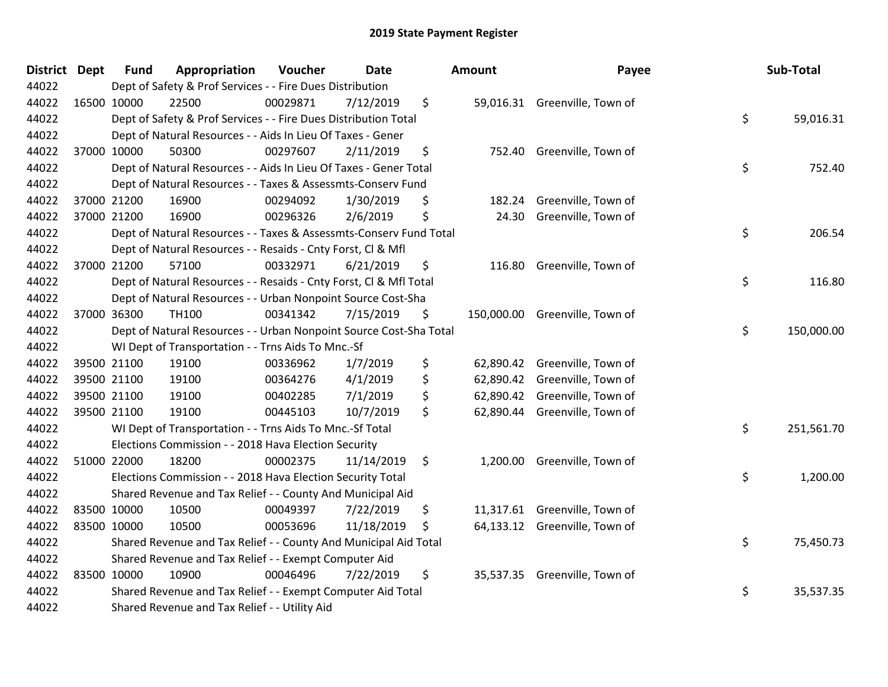| <b>District Dept</b> | <b>Fund</b> | Appropriation                                                      | Voucher  | <b>Date</b> | Amount          | Payee                          | Sub-Total        |
|----------------------|-------------|--------------------------------------------------------------------|----------|-------------|-----------------|--------------------------------|------------------|
| 44022                |             | Dept of Safety & Prof Services - - Fire Dues Distribution          |          |             |                 |                                |                  |
| 44022                | 16500 10000 | 22500                                                              | 00029871 | 7/12/2019   | \$              | 59,016.31 Greenville, Town of  |                  |
| 44022                |             | Dept of Safety & Prof Services - - Fire Dues Distribution Total    |          |             |                 |                                | \$<br>59,016.31  |
| 44022                |             | Dept of Natural Resources - - Aids In Lieu Of Taxes - Gener        |          |             |                 |                                |                  |
| 44022                | 37000 10000 | 50300                                                              | 00297607 | 2/11/2019   | \$<br>752.40    | Greenville, Town of            |                  |
| 44022                |             | Dept of Natural Resources - - Aids In Lieu Of Taxes - Gener Total  |          |             |                 |                                | \$<br>752.40     |
| 44022                |             | Dept of Natural Resources - - Taxes & Assessmts-Conserv Fund       |          |             |                 |                                |                  |
| 44022                | 37000 21200 | 16900                                                              | 00294092 | 1/30/2019   | \$<br>182.24    | Greenville, Town of            |                  |
| 44022                | 37000 21200 | 16900                                                              | 00296326 | 2/6/2019    | \$<br>24.30     | Greenville, Town of            |                  |
| 44022                |             | Dept of Natural Resources - - Taxes & Assessmts-Conserv Fund Total |          |             |                 |                                | \$<br>206.54     |
| 44022                |             | Dept of Natural Resources - - Resaids - Cnty Forst, Cl & Mfl       |          |             |                 |                                |                  |
| 44022                | 37000 21200 | 57100                                                              | 00332971 | 6/21/2019   | \$              | 116.80 Greenville, Town of     |                  |
| 44022                |             | Dept of Natural Resources - - Resaids - Cnty Forst, CI & Mfl Total |          |             |                 |                                | \$<br>116.80     |
| 44022                |             | Dept of Natural Resources - - Urban Nonpoint Source Cost-Sha       |          |             |                 |                                |                  |
| 44022                | 37000 36300 | TH100                                                              | 00341342 | 7/15/2019   | \$              | 150,000.00 Greenville, Town of |                  |
| 44022                |             | Dept of Natural Resources - - Urban Nonpoint Source Cost-Sha Total |          |             |                 |                                | \$<br>150,000.00 |
| 44022                |             | WI Dept of Transportation - - Trns Aids To Mnc.-Sf                 |          |             |                 |                                |                  |
| 44022                | 39500 21100 | 19100                                                              | 00336962 | 1/7/2019    | \$              | 62,890.42 Greenville, Town of  |                  |
| 44022                | 39500 21100 | 19100                                                              | 00364276 | 4/1/2019    | \$<br>62,890.42 | Greenville, Town of            |                  |
| 44022                | 39500 21100 | 19100                                                              | 00402285 | 7/1/2019    | \$              | 62,890.42 Greenville, Town of  |                  |
| 44022                | 39500 21100 | 19100                                                              | 00445103 | 10/7/2019   | \$              | 62,890.44 Greenville, Town of  |                  |
| 44022                |             | WI Dept of Transportation - - Trns Aids To Mnc.-Sf Total           |          |             |                 |                                | \$<br>251,561.70 |
| 44022                |             | Elections Commission - - 2018 Hava Election Security               |          |             |                 |                                |                  |
| 44022                | 51000 22000 | 18200                                                              | 00002375 | 11/14/2019  | \$<br>1,200.00  | Greenville, Town of            |                  |
| 44022                |             | Elections Commission - - 2018 Hava Election Security Total         |          |             |                 |                                | \$<br>1,200.00   |
| 44022                |             | Shared Revenue and Tax Relief - - County And Municipal Aid         |          |             |                 |                                |                  |
| 44022                | 83500 10000 | 10500                                                              | 00049397 | 7/22/2019   | \$              | 11,317.61 Greenville, Town of  |                  |
| 44022                | 83500 10000 | 10500                                                              | 00053696 | 11/18/2019  | \$              | 64,133.12 Greenville, Town of  |                  |
| 44022                |             | Shared Revenue and Tax Relief - - County And Municipal Aid Total   |          |             |                 |                                | \$<br>75,450.73  |
| 44022                |             | Shared Revenue and Tax Relief - - Exempt Computer Aid              |          |             |                 |                                |                  |
| 44022                | 83500 10000 | 10900                                                              | 00046496 | 7/22/2019   | \$              | 35,537.35 Greenville, Town of  |                  |
| 44022                |             | Shared Revenue and Tax Relief - - Exempt Computer Aid Total        |          |             |                 |                                | \$<br>35,537.35  |
| 44022                |             | Shared Revenue and Tax Relief - - Utility Aid                      |          |             |                 |                                |                  |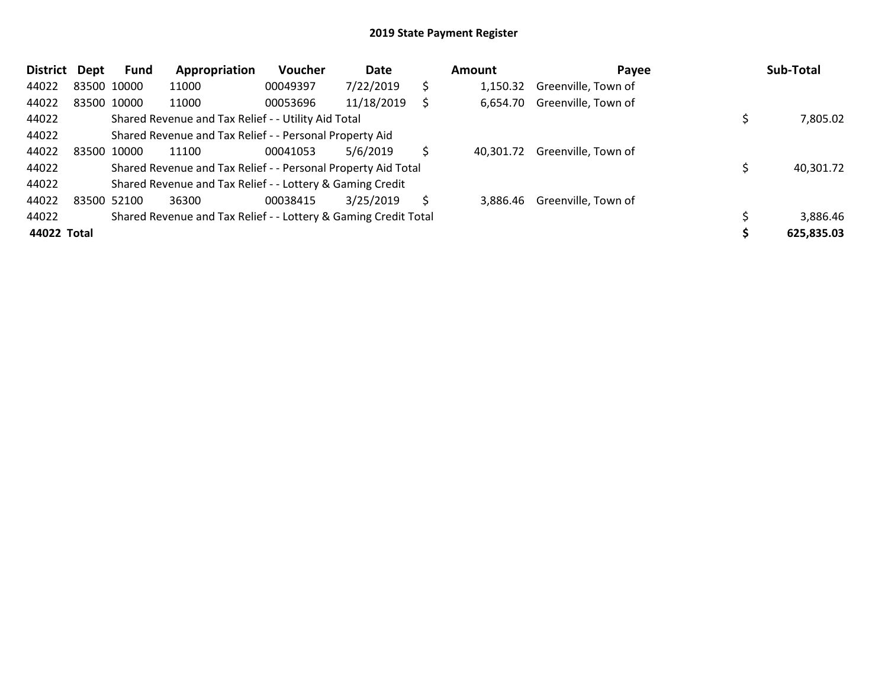| <b>District</b> | Dept | <b>Fund</b> | Appropriation                                                   | <b>Voucher</b> | Date       |    | Amount    | Payee               | Sub-Total  |
|-----------------|------|-------------|-----------------------------------------------------------------|----------------|------------|----|-----------|---------------------|------------|
| 44022           |      | 83500 10000 | 11000                                                           | 00049397       | 7/22/2019  | \$ | 1.150.32  | Greenville, Town of |            |
| 44022           |      | 83500 10000 | 11000                                                           | 00053696       | 11/18/2019 |    | 6,654.70  | Greenville, Town of |            |
| 44022           |      |             | Shared Revenue and Tax Relief - - Utility Aid Total             |                |            |    |           |                     | 7,805.02   |
| 44022           |      |             | Shared Revenue and Tax Relief - - Personal Property Aid         |                |            |    |           |                     |            |
| 44022           |      | 83500 10000 | 11100                                                           | 00041053       | 5/6/2019   |    | 40.301.72 | Greenville, Town of |            |
| 44022           |      |             | Shared Revenue and Tax Relief - - Personal Property Aid Total   |                |            |    |           |                     | 40,301.72  |
| 44022           |      |             | Shared Revenue and Tax Relief - - Lottery & Gaming Credit       |                |            |    |           |                     |            |
| 44022           |      | 83500 52100 | 36300                                                           | 00038415       | 3/25/2019  | S  | 3.886.46  | Greenville, Town of |            |
| 44022           |      |             | Shared Revenue and Tax Relief - - Lottery & Gaming Credit Total |                |            |    |           |                     | 3,886.46   |
| 44022 Total     |      |             |                                                                 |                |            |    |           |                     | 625,835.03 |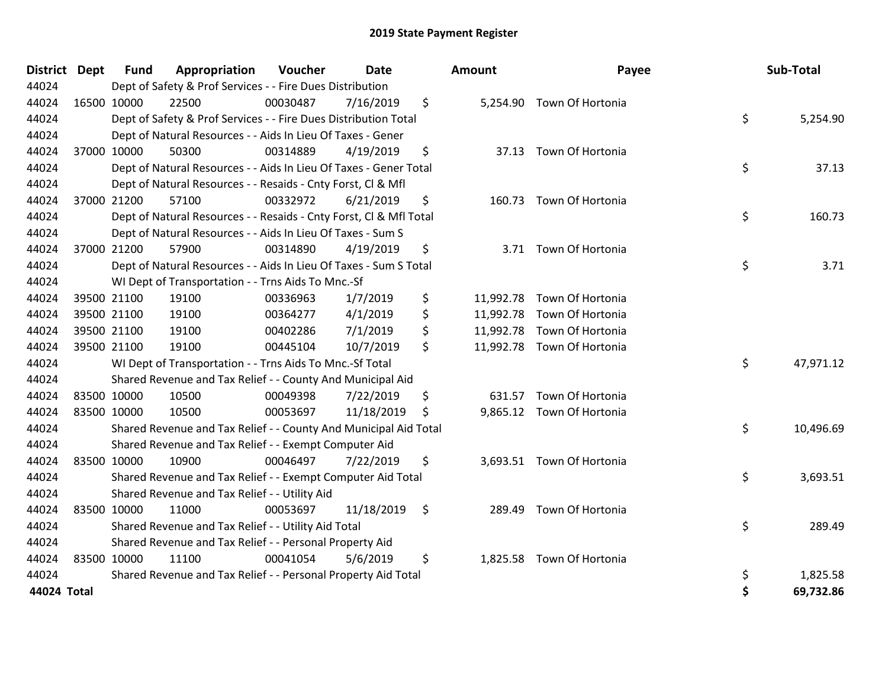| District Dept | <b>Fund</b> | Appropriation                                                      | Voucher  | <b>Date</b> | <b>Amount</b>   | Payee                      | Sub-Total       |
|---------------|-------------|--------------------------------------------------------------------|----------|-------------|-----------------|----------------------------|-----------------|
| 44024         |             | Dept of Safety & Prof Services - - Fire Dues Distribution          |          |             |                 |                            |                 |
| 44024         | 16500 10000 | 22500                                                              | 00030487 | 7/16/2019   | \$              | 5,254.90 Town Of Hortonia  |                 |
| 44024         |             | Dept of Safety & Prof Services - - Fire Dues Distribution Total    |          |             |                 |                            | \$<br>5,254.90  |
| 44024         |             | Dept of Natural Resources - - Aids In Lieu Of Taxes - Gener        |          |             |                 |                            |                 |
| 44024         | 37000 10000 | 50300                                                              | 00314889 | 4/19/2019   | \$              | 37.13 Town Of Hortonia     |                 |
| 44024         |             | Dept of Natural Resources - - Aids In Lieu Of Taxes - Gener Total  |          |             |                 |                            | \$<br>37.13     |
| 44024         |             | Dept of Natural Resources - - Resaids - Cnty Forst, Cl & Mfl       |          |             |                 |                            |                 |
| 44024         | 37000 21200 | 57100                                                              | 00332972 | 6/21/2019   | \$              | 160.73 Town Of Hortonia    |                 |
| 44024         |             | Dept of Natural Resources - - Resaids - Cnty Forst, Cl & Mfl Total |          |             |                 |                            | \$<br>160.73    |
| 44024         |             | Dept of Natural Resources - - Aids In Lieu Of Taxes - Sum S        |          |             |                 |                            |                 |
| 44024         | 37000 21200 | 57900                                                              | 00314890 | 4/19/2019   | \$<br>3.71      | Town Of Hortonia           |                 |
| 44024         |             | Dept of Natural Resources - - Aids In Lieu Of Taxes - Sum S Total  |          |             |                 |                            | \$<br>3.71      |
| 44024         |             | WI Dept of Transportation - - Trns Aids To Mnc.-Sf                 |          |             |                 |                            |                 |
| 44024         | 39500 21100 | 19100                                                              | 00336963 | 1/7/2019    | \$              | 11,992.78 Town Of Hortonia |                 |
| 44024         | 39500 21100 | 19100                                                              | 00364277 | 4/1/2019    | \$<br>11,992.78 | Town Of Hortonia           |                 |
| 44024         | 39500 21100 | 19100                                                              | 00402286 | 7/1/2019    | \$              | 11,992.78 Town Of Hortonia |                 |
| 44024         | 39500 21100 | 19100                                                              | 00445104 | 10/7/2019   | \$              | 11,992.78 Town Of Hortonia |                 |
| 44024         |             | WI Dept of Transportation - - Trns Aids To Mnc.-Sf Total           |          |             |                 |                            | \$<br>47,971.12 |
| 44024         |             | Shared Revenue and Tax Relief - - County And Municipal Aid         |          |             |                 |                            |                 |
| 44024         | 83500 10000 | 10500                                                              | 00049398 | 7/22/2019   | \$<br>631.57    | Town Of Hortonia           |                 |
| 44024         | 83500 10000 | 10500                                                              | 00053697 | 11/18/2019  | \$              | 9,865.12 Town Of Hortonia  |                 |
| 44024         |             | Shared Revenue and Tax Relief - - County And Municipal Aid Total   |          |             |                 |                            | \$<br>10,496.69 |
| 44024         |             | Shared Revenue and Tax Relief - - Exempt Computer Aid              |          |             |                 |                            |                 |
| 44024         | 83500 10000 | 10900                                                              | 00046497 | 7/22/2019   | \$              | 3,693.51 Town Of Hortonia  |                 |
| 44024         |             | Shared Revenue and Tax Relief - - Exempt Computer Aid Total        |          |             |                 |                            | \$<br>3,693.51  |
| 44024         |             | Shared Revenue and Tax Relief - - Utility Aid                      |          |             |                 |                            |                 |
| 44024         | 83500 10000 | 11000                                                              | 00053697 | 11/18/2019  | \$<br>289.49    | Town Of Hortonia           |                 |
| 44024         |             | Shared Revenue and Tax Relief - - Utility Aid Total                |          |             |                 |                            | \$<br>289.49    |
| 44024         |             | Shared Revenue and Tax Relief - - Personal Property Aid            |          |             |                 |                            |                 |
| 44024         | 83500 10000 | 11100                                                              | 00041054 | 5/6/2019    | \$<br>1,825.58  | <b>Town Of Hortonia</b>    |                 |
| 44024         |             | Shared Revenue and Tax Relief - - Personal Property Aid Total      |          |             |                 |                            | \$<br>1,825.58  |
| 44024 Total   |             |                                                                    |          |             |                 |                            | \$<br>69,732.86 |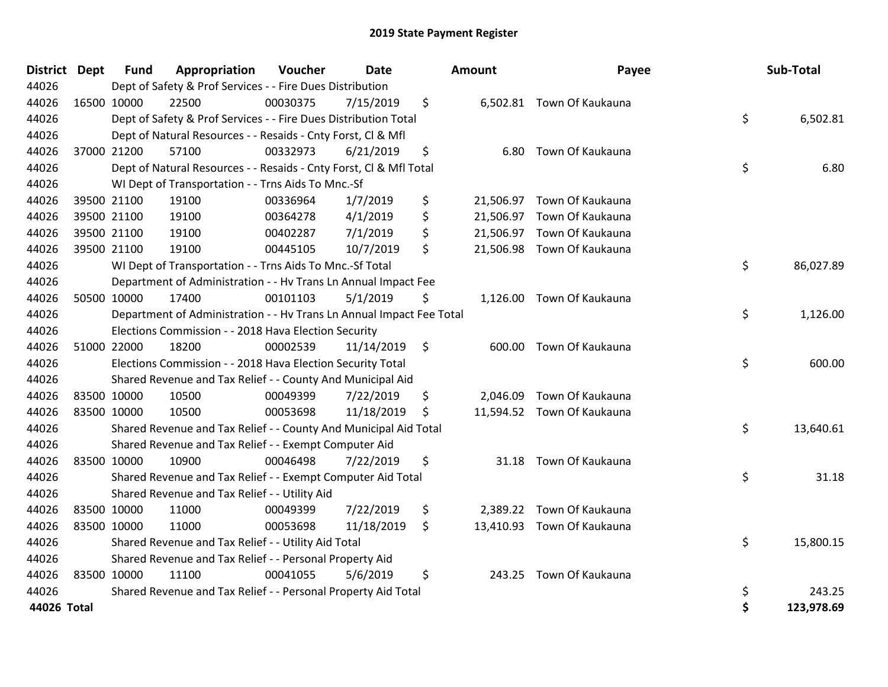| District    | <b>Dept</b> | <b>Fund</b> | Appropriation                                                        | Voucher  | <b>Date</b> | Amount       | Payee                      | Sub-Total        |
|-------------|-------------|-------------|----------------------------------------------------------------------|----------|-------------|--------------|----------------------------|------------------|
| 44026       |             |             | Dept of Safety & Prof Services - - Fire Dues Distribution            |          |             |              |                            |                  |
| 44026       | 16500 10000 |             | 22500                                                                | 00030375 | 7/15/2019   | \$           | 6,502.81 Town Of Kaukauna  |                  |
| 44026       |             |             | Dept of Safety & Prof Services - - Fire Dues Distribution Total      |          |             |              |                            | \$<br>6,502.81   |
| 44026       |             |             | Dept of Natural Resources - - Resaids - Cnty Forst, Cl & Mfl         |          |             |              |                            |                  |
| 44026       |             | 37000 21200 | 57100                                                                | 00332973 | 6/21/2019   | \$<br>6.80   | Town Of Kaukauna           |                  |
| 44026       |             |             | Dept of Natural Resources - - Resaids - Cnty Forst, Cl & Mfl Total   |          |             |              |                            | \$<br>6.80       |
| 44026       |             |             | WI Dept of Transportation - - Trns Aids To Mnc.-Sf                   |          |             |              |                            |                  |
| 44026       |             | 39500 21100 | 19100                                                                | 00336964 | 1/7/2019    | \$           | 21,506.97 Town Of Kaukauna |                  |
| 44026       |             | 39500 21100 | 19100                                                                | 00364278 | 4/1/2019    | \$           | 21,506.97 Town Of Kaukauna |                  |
| 44026       |             | 39500 21100 | 19100                                                                | 00402287 | 7/1/2019    | \$           | 21,506.97 Town Of Kaukauna |                  |
| 44026       |             | 39500 21100 | 19100                                                                | 00445105 | 10/7/2019   | \$           | 21,506.98 Town Of Kaukauna |                  |
| 44026       |             |             | WI Dept of Transportation - - Trns Aids To Mnc.-Sf Total             |          |             |              |                            | \$<br>86,027.89  |
| 44026       |             |             | Department of Administration - - Hv Trans Ln Annual Impact Fee       |          |             |              |                            |                  |
| 44026       |             | 50500 10000 | 17400                                                                | 00101103 | 5/1/2019    | \$           | 1,126.00 Town Of Kaukauna  |                  |
| 44026       |             |             | Department of Administration - - Hv Trans Ln Annual Impact Fee Total |          |             |              |                            | \$<br>1,126.00   |
| 44026       |             |             | Elections Commission - - 2018 Hava Election Security                 |          |             |              |                            |                  |
| 44026       |             | 51000 22000 | 18200                                                                | 00002539 | 11/14/2019  | \$<br>600.00 | Town Of Kaukauna           |                  |
| 44026       |             |             | Elections Commission - - 2018 Hava Election Security Total           |          |             |              |                            | \$<br>600.00     |
| 44026       |             |             | Shared Revenue and Tax Relief - - County And Municipal Aid           |          |             |              |                            |                  |
| 44026       | 83500 10000 |             | 10500                                                                | 00049399 | 7/22/2019   | \$           | 2,046.09 Town Of Kaukauna  |                  |
| 44026       | 83500 10000 |             | 10500                                                                | 00053698 | 11/18/2019  | \$           | 11,594.52 Town Of Kaukauna |                  |
| 44026       |             |             | Shared Revenue and Tax Relief - - County And Municipal Aid Total     |          |             |              |                            | \$<br>13,640.61  |
| 44026       |             |             | Shared Revenue and Tax Relief - - Exempt Computer Aid                |          |             |              |                            |                  |
| 44026       | 83500 10000 |             | 10900                                                                | 00046498 | 7/22/2019   | \$           | 31.18 Town Of Kaukauna     |                  |
| 44026       |             |             | Shared Revenue and Tax Relief - - Exempt Computer Aid Total          |          |             |              |                            | \$<br>31.18      |
| 44026       |             |             | Shared Revenue and Tax Relief - - Utility Aid                        |          |             |              |                            |                  |
| 44026       | 83500 10000 |             | 11000                                                                | 00049399 | 7/22/2019   | \$           | 2,389.22 Town Of Kaukauna  |                  |
| 44026       | 83500 10000 |             | 11000                                                                | 00053698 | 11/18/2019  | \$           | 13,410.93 Town Of Kaukauna |                  |
| 44026       |             |             | Shared Revenue and Tax Relief - - Utility Aid Total                  |          |             |              |                            | \$<br>15,800.15  |
| 44026       |             |             | Shared Revenue and Tax Relief - - Personal Property Aid              |          |             |              |                            |                  |
| 44026       | 83500 10000 |             | 11100                                                                | 00041055 | 5/6/2019    | \$           | 243.25 Town Of Kaukauna    |                  |
| 44026       |             |             | Shared Revenue and Tax Relief - - Personal Property Aid Total        |          |             |              |                            | \$<br>243.25     |
| 44026 Total |             |             |                                                                      |          |             |              |                            | \$<br>123,978.69 |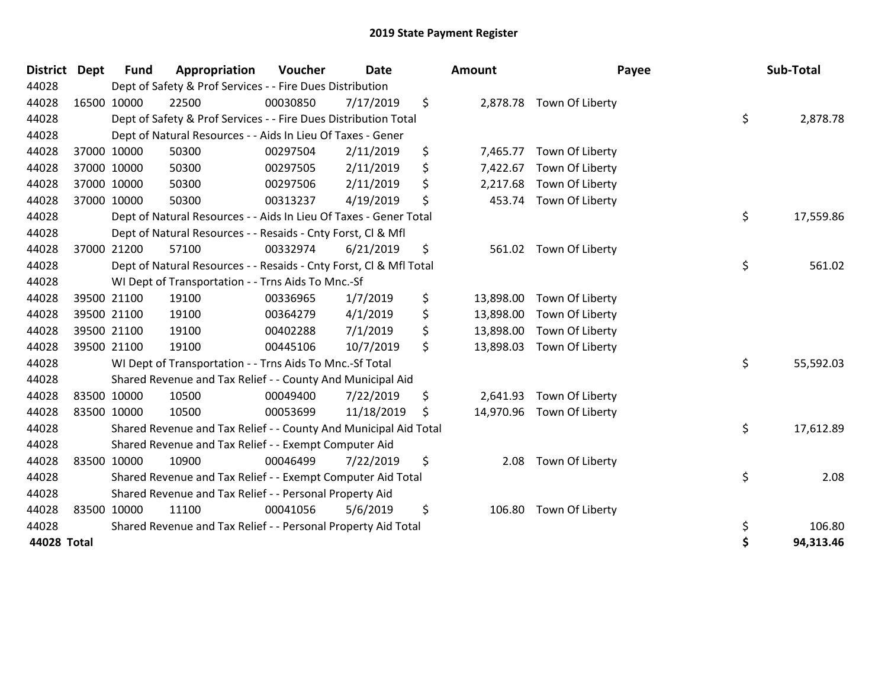| <b>District</b> | Dept        | <b>Fund</b> | Appropriation                                                      | Voucher  | <b>Date</b> | Amount          |                           | Payee | Sub-Total |
|-----------------|-------------|-------------|--------------------------------------------------------------------|----------|-------------|-----------------|---------------------------|-------|-----------|
| 44028           |             |             | Dept of Safety & Prof Services - - Fire Dues Distribution          |          |             |                 |                           |       |           |
| 44028           | 16500 10000 |             | 22500                                                              | 00030850 | 7/17/2019   | \$              | 2,878.78 Town Of Liberty  |       |           |
| 44028           |             |             | Dept of Safety & Prof Services - - Fire Dues Distribution Total    |          |             |                 |                           | \$    | 2,878.78  |
| 44028           |             |             | Dept of Natural Resources - - Aids In Lieu Of Taxes - Gener        |          |             |                 |                           |       |           |
| 44028           |             | 37000 10000 | 50300                                                              | 00297504 | 2/11/2019   | \$<br>7,465.77  | Town Of Liberty           |       |           |
| 44028           | 37000 10000 |             | 50300                                                              | 00297505 | 2/11/2019   | \$<br>7,422.67  | Town Of Liberty           |       |           |
| 44028           | 37000 10000 |             | 50300                                                              | 00297506 | 2/11/2019   | \$<br>2,217.68  | Town Of Liberty           |       |           |
| 44028           | 37000 10000 |             | 50300                                                              | 00313237 | 4/19/2019   | \$<br>453.74    | Town Of Liberty           |       |           |
| 44028           |             |             | Dept of Natural Resources - - Aids In Lieu Of Taxes - Gener Total  |          |             |                 |                           | \$    | 17,559.86 |
| 44028           |             |             | Dept of Natural Resources - - Resaids - Cnty Forst, CI & Mfl       |          |             |                 |                           |       |           |
| 44028           |             | 37000 21200 | 57100                                                              | 00332974 | 6/21/2019   | \$              | 561.02 Town Of Liberty    |       |           |
| 44028           |             |             | Dept of Natural Resources - - Resaids - Cnty Forst, Cl & Mfl Total |          |             |                 |                           | \$    | 561.02    |
| 44028           |             |             | WI Dept of Transportation - - Trns Aids To Mnc.-Sf                 |          |             |                 |                           |       |           |
| 44028           | 39500 21100 |             | 19100                                                              | 00336965 | 1/7/2019    | \$<br>13,898.00 | Town Of Liberty           |       |           |
| 44028           |             | 39500 21100 | 19100                                                              | 00364279 | 4/1/2019    | \$<br>13,898.00 | Town Of Liberty           |       |           |
| 44028           | 39500 21100 |             | 19100                                                              | 00402288 | 7/1/2019    | \$<br>13,898.00 | Town Of Liberty           |       |           |
| 44028           | 39500 21100 |             | 19100                                                              | 00445106 | 10/7/2019   | \$<br>13,898.03 | Town Of Liberty           |       |           |
| 44028           |             |             | WI Dept of Transportation - - Trns Aids To Mnc.-Sf Total           |          |             |                 |                           | \$    | 55,592.03 |
| 44028           |             |             | Shared Revenue and Tax Relief - - County And Municipal Aid         |          |             |                 |                           |       |           |
| 44028           | 83500 10000 |             | 10500                                                              | 00049400 | 7/22/2019   | \$<br>2,641.93  | Town Of Liberty           |       |           |
| 44028           | 83500 10000 |             | 10500                                                              | 00053699 | 11/18/2019  | \$              | 14,970.96 Town Of Liberty |       |           |
| 44028           |             |             | Shared Revenue and Tax Relief - - County And Municipal Aid Total   |          |             |                 |                           | \$    | 17,612.89 |
| 44028           |             |             | Shared Revenue and Tax Relief - - Exempt Computer Aid              |          |             |                 |                           |       |           |
| 44028           | 83500 10000 |             | 10900                                                              | 00046499 | 7/22/2019   | \$<br>2.08      | Town Of Liberty           |       |           |
| 44028           |             |             | Shared Revenue and Tax Relief - - Exempt Computer Aid Total        |          |             |                 |                           | \$    | 2.08      |
| 44028           |             |             | Shared Revenue and Tax Relief - - Personal Property Aid            |          |             |                 |                           |       |           |
| 44028           | 83500 10000 |             | 11100                                                              | 00041056 | 5/6/2019    | \$<br>106.80    | Town Of Liberty           |       |           |
| 44028           |             |             | Shared Revenue and Tax Relief - - Personal Property Aid Total      |          |             |                 |                           | \$    | 106.80    |
| 44028 Total     |             |             |                                                                    |          |             |                 |                           |       | 94,313.46 |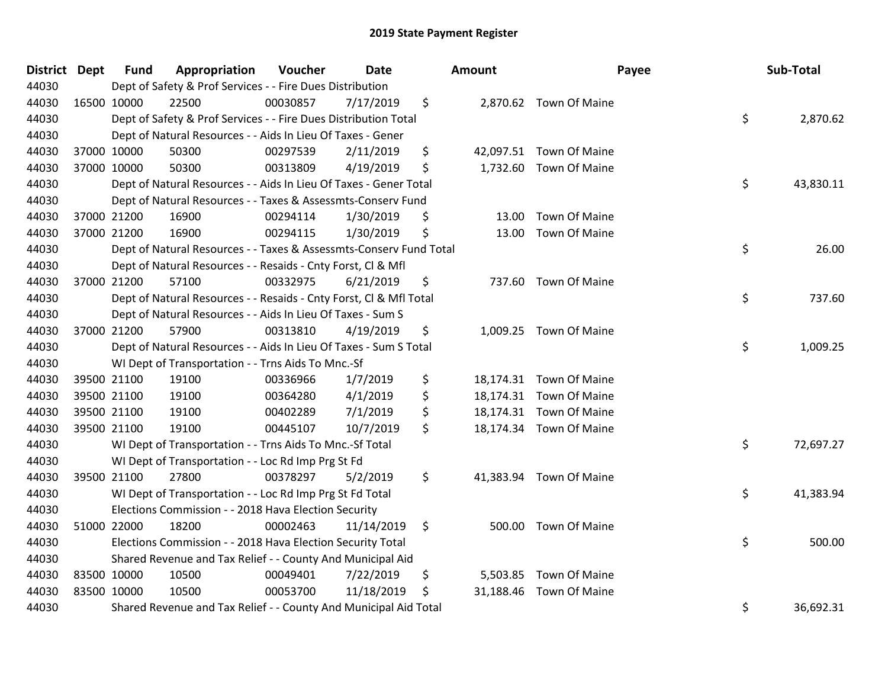| District Dept | <b>Fund</b> | Appropriation                                                      | Voucher  | Date       | <b>Amount</b>   | Payee                   | Sub-Total       |
|---------------|-------------|--------------------------------------------------------------------|----------|------------|-----------------|-------------------------|-----------------|
| 44030         |             | Dept of Safety & Prof Services - - Fire Dues Distribution          |          |            |                 |                         |                 |
| 44030         | 16500 10000 | 22500                                                              | 00030857 | 7/17/2019  | \$              | 2,870.62 Town Of Maine  |                 |
| 44030         |             | Dept of Safety & Prof Services - - Fire Dues Distribution Total    |          |            |                 |                         | \$<br>2,870.62  |
| 44030         |             | Dept of Natural Resources - - Aids In Lieu Of Taxes - Gener        |          |            |                 |                         |                 |
| 44030         | 37000 10000 | 50300                                                              | 00297539 | 2/11/2019  | \$              | 42,097.51 Town Of Maine |                 |
| 44030         | 37000 10000 | 50300                                                              | 00313809 | 4/19/2019  | \$              | 1,732.60 Town Of Maine  |                 |
| 44030         |             | Dept of Natural Resources - - Aids In Lieu Of Taxes - Gener Total  |          |            |                 |                         | \$<br>43,830.11 |
| 44030         |             | Dept of Natural Resources - - Taxes & Assessmts-Conserv Fund       |          |            |                 |                         |                 |
| 44030         | 37000 21200 | 16900                                                              | 00294114 | 1/30/2019  | \$<br>13.00     | <b>Town Of Maine</b>    |                 |
| 44030         | 37000 21200 | 16900                                                              | 00294115 | 1/30/2019  | \$              | 13.00 Town Of Maine     |                 |
| 44030         |             | Dept of Natural Resources - - Taxes & Assessmts-Conserv Fund Total |          |            |                 |                         | \$<br>26.00     |
| 44030         |             | Dept of Natural Resources - - Resaids - Cnty Forst, Cl & Mfl       |          |            |                 |                         |                 |
| 44030         | 37000 21200 | 57100                                                              | 00332975 | 6/21/2019  | \$              | 737.60 Town Of Maine    |                 |
| 44030         |             | Dept of Natural Resources - - Resaids - Cnty Forst, CI & Mfl Total |          |            |                 |                         | \$<br>737.60    |
| 44030         |             | Dept of Natural Resources - - Aids In Lieu Of Taxes - Sum S        |          |            |                 |                         |                 |
| 44030         | 37000 21200 | 57900                                                              | 00313810 | 4/19/2019  | \$<br>1,009.25  | Town Of Maine           |                 |
| 44030         |             | Dept of Natural Resources - - Aids In Lieu Of Taxes - Sum S Total  |          |            |                 |                         | \$<br>1,009.25  |
| 44030         |             | WI Dept of Transportation - - Trns Aids To Mnc.-Sf                 |          |            |                 |                         |                 |
| 44030         | 39500 21100 | 19100                                                              | 00336966 | 1/7/2019   | \$              | 18,174.31 Town Of Maine |                 |
| 44030         | 39500 21100 | 19100                                                              | 00364280 | 4/1/2019   | \$              | 18,174.31 Town Of Maine |                 |
| 44030         | 39500 21100 | 19100                                                              | 00402289 | 7/1/2019   | \$              | 18,174.31 Town Of Maine |                 |
| 44030         | 39500 21100 | 19100                                                              | 00445107 | 10/7/2019  | \$              | 18,174.34 Town Of Maine |                 |
| 44030         |             | WI Dept of Transportation - - Trns Aids To Mnc.-Sf Total           |          |            |                 |                         | \$<br>72,697.27 |
| 44030         |             | WI Dept of Transportation - - Loc Rd Imp Prg St Fd                 |          |            |                 |                         |                 |
| 44030         | 39500 21100 | 27800                                                              | 00378297 | 5/2/2019   | \$              | 41,383.94 Town Of Maine |                 |
| 44030         |             | WI Dept of Transportation - - Loc Rd Imp Prg St Fd Total           |          |            |                 |                         | \$<br>41,383.94 |
| 44030         |             | Elections Commission - - 2018 Hava Election Security               |          |            |                 |                         |                 |
| 44030         | 51000 22000 | 18200                                                              | 00002463 | 11/14/2019 | \$              | 500.00 Town Of Maine    |                 |
| 44030         |             | Elections Commission - - 2018 Hava Election Security Total         |          |            |                 |                         | \$<br>500.00    |
| 44030         |             | Shared Revenue and Tax Relief - - County And Municipal Aid         |          |            |                 |                         |                 |
| 44030         | 83500 10000 | 10500                                                              | 00049401 | 7/22/2019  | \$<br>5,503.85  | Town Of Maine           |                 |
| 44030         | 83500 10000 | 10500                                                              | 00053700 | 11/18/2019 | \$<br>31,188.46 | <b>Town Of Maine</b>    |                 |
| 44030         |             | Shared Revenue and Tax Relief - - County And Municipal Aid Total   |          |            |                 |                         | \$<br>36,692.31 |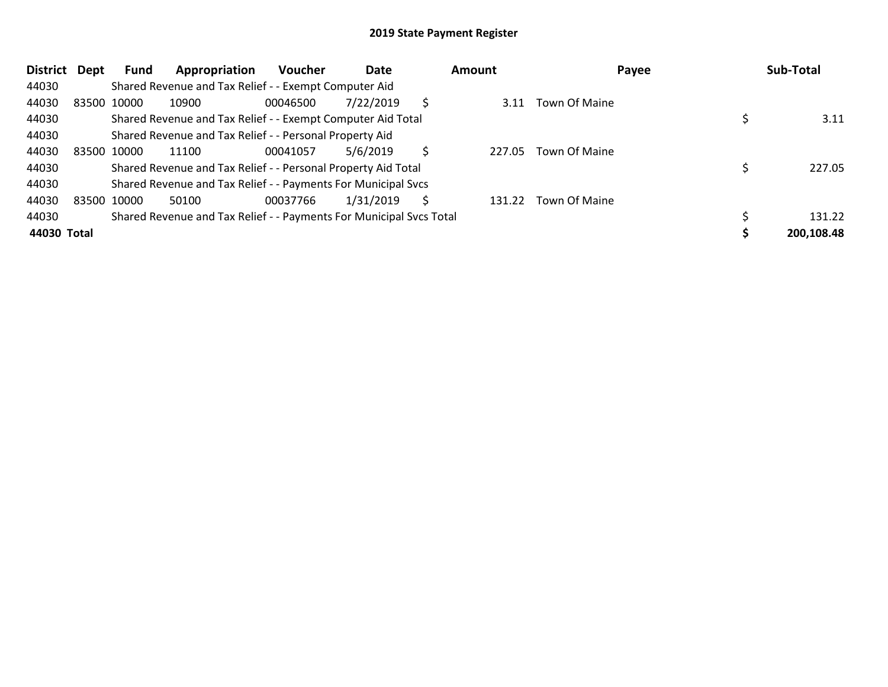| <b>District</b> | Dept | Fund        | Appropriation                                                       | <b>Voucher</b> | Date      |   | Amount | Payee                | Sub-Total  |
|-----------------|------|-------------|---------------------------------------------------------------------|----------------|-----------|---|--------|----------------------|------------|
| 44030           |      |             | Shared Revenue and Tax Relief - - Exempt Computer Aid               |                |           |   |        |                      |            |
| 44030           |      | 83500 10000 | 10900                                                               | 00046500       | 7/22/2019 | Ŝ | 3.11   | <b>Town Of Maine</b> |            |
| 44030           |      |             | Shared Revenue and Tax Relief - - Exempt Computer Aid Total         |                |           |   |        |                      | 3.11       |
| 44030           |      |             | Shared Revenue and Tax Relief - - Personal Property Aid             |                |           |   |        |                      |            |
| 44030           |      | 83500 10000 | 11100                                                               | 00041057       | 5/6/2019  | Ś | 227.05 | <b>Town Of Maine</b> |            |
| 44030           |      |             | Shared Revenue and Tax Relief - - Personal Property Aid Total       |                |           |   |        |                      | 227.05     |
| 44030           |      |             | Shared Revenue and Tax Relief - - Payments For Municipal Svcs       |                |           |   |        |                      |            |
| 44030           |      | 83500 10000 | 50100                                                               | 00037766       | 1/31/2019 | S | 131.22 | Town Of Maine        |            |
| 44030           |      |             | Shared Revenue and Tax Relief - - Payments For Municipal Svcs Total |                |           |   |        |                      | 131.22     |
| 44030 Total     |      |             |                                                                     |                |           |   |        |                      | 200,108.48 |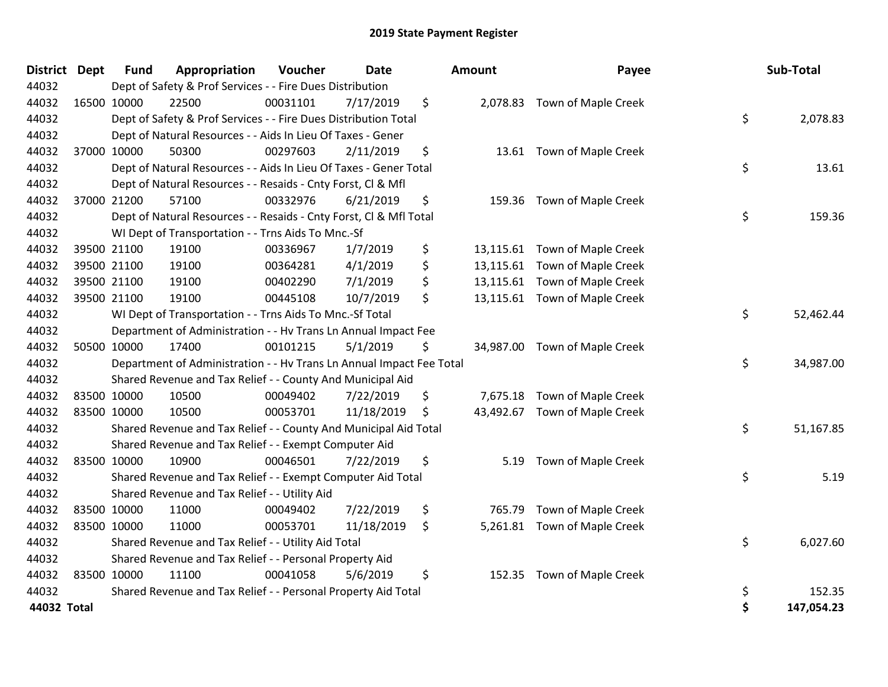| <b>District</b> | <b>Dept</b> | <b>Fund</b> | Appropriation                                                        | Voucher  | <b>Date</b> | <b>Amount</b> | Payee                         | Sub-Total        |
|-----------------|-------------|-------------|----------------------------------------------------------------------|----------|-------------|---------------|-------------------------------|------------------|
| 44032           |             |             | Dept of Safety & Prof Services - - Fire Dues Distribution            |          |             |               |                               |                  |
| 44032           |             | 16500 10000 | 22500                                                                | 00031101 | 7/17/2019   | \$            | 2,078.83 Town of Maple Creek  |                  |
| 44032           |             |             | Dept of Safety & Prof Services - - Fire Dues Distribution Total      |          |             |               |                               | \$<br>2,078.83   |
| 44032           |             |             | Dept of Natural Resources - - Aids In Lieu Of Taxes - Gener          |          |             |               |                               |                  |
| 44032           |             | 37000 10000 | 50300                                                                | 00297603 | 2/11/2019   | \$            | 13.61 Town of Maple Creek     |                  |
| 44032           |             |             | Dept of Natural Resources - - Aids In Lieu Of Taxes - Gener Total    |          |             |               |                               | \$<br>13.61      |
| 44032           |             |             | Dept of Natural Resources - - Resaids - Cnty Forst, Cl & Mfl         |          |             |               |                               |                  |
| 44032           |             | 37000 21200 | 57100                                                                | 00332976 | 6/21/2019   | \$            | 159.36 Town of Maple Creek    |                  |
| 44032           |             |             | Dept of Natural Resources - - Resaids - Cnty Forst, Cl & Mfl Total   |          |             |               |                               | \$<br>159.36     |
| 44032           |             |             | WI Dept of Transportation - - Trns Aids To Mnc.-Sf                   |          |             |               |                               |                  |
| 44032           |             | 39500 21100 | 19100                                                                | 00336967 | 1/7/2019    | \$            | 13,115.61 Town of Maple Creek |                  |
| 44032           |             | 39500 21100 | 19100                                                                | 00364281 | 4/1/2019    | \$            | 13,115.61 Town of Maple Creek |                  |
| 44032           |             | 39500 21100 | 19100                                                                | 00402290 | 7/1/2019    | \$            | 13,115.61 Town of Maple Creek |                  |
| 44032           |             | 39500 21100 | 19100                                                                | 00445108 | 10/7/2019   | \$            | 13,115.61 Town of Maple Creek |                  |
| 44032           |             |             | WI Dept of Transportation - - Trns Aids To Mnc.-Sf Total             |          |             |               |                               | \$<br>52,462.44  |
| 44032           |             |             | Department of Administration - - Hv Trans Ln Annual Impact Fee       |          |             |               |                               |                  |
| 44032           |             | 50500 10000 | 17400                                                                | 00101215 | 5/1/2019    | \$            | 34,987.00 Town of Maple Creek |                  |
| 44032           |             |             | Department of Administration - - Hv Trans Ln Annual Impact Fee Total |          |             |               |                               | \$<br>34,987.00  |
| 44032           |             |             | Shared Revenue and Tax Relief - - County And Municipal Aid           |          |             |               |                               |                  |
| 44032           |             | 83500 10000 | 10500                                                                | 00049402 | 7/22/2019   | \$            | 7,675.18 Town of Maple Creek  |                  |
| 44032           |             | 83500 10000 | 10500                                                                | 00053701 | 11/18/2019  | \$            | 43,492.67 Town of Maple Creek |                  |
| 44032           |             |             | Shared Revenue and Tax Relief - - County And Municipal Aid Total     |          |             |               |                               | \$<br>51,167.85  |
| 44032           |             |             | Shared Revenue and Tax Relief - - Exempt Computer Aid                |          |             |               |                               |                  |
| 44032           |             | 83500 10000 | 10900                                                                | 00046501 | 7/22/2019   | \$<br>5.19    | Town of Maple Creek           |                  |
| 44032           |             |             | Shared Revenue and Tax Relief - - Exempt Computer Aid Total          |          |             |               |                               | \$<br>5.19       |
| 44032           |             |             | Shared Revenue and Tax Relief - - Utility Aid                        |          |             |               |                               |                  |
| 44032           |             | 83500 10000 | 11000                                                                | 00049402 | 7/22/2019   | \$<br>765.79  | Town of Maple Creek           |                  |
| 44032           |             | 83500 10000 | 11000                                                                | 00053701 | 11/18/2019  | \$            | 5,261.81 Town of Maple Creek  |                  |
| 44032           |             |             | Shared Revenue and Tax Relief - - Utility Aid Total                  |          |             |               |                               | \$<br>6,027.60   |
| 44032           |             |             | Shared Revenue and Tax Relief - - Personal Property Aid              |          |             |               |                               |                  |
| 44032           |             | 83500 10000 | 11100                                                                | 00041058 | 5/6/2019    | \$<br>152.35  | Town of Maple Creek           |                  |
| 44032           |             |             | Shared Revenue and Tax Relief - - Personal Property Aid Total        |          |             |               |                               | \$<br>152.35     |
| 44032 Total     |             |             |                                                                      |          |             |               |                               | \$<br>147,054.23 |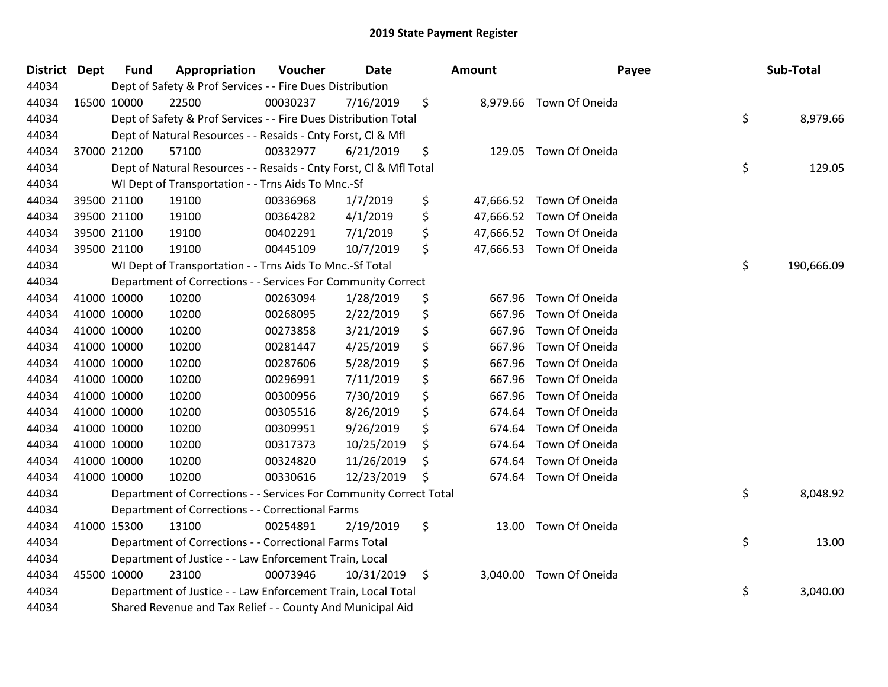| <b>District</b> | Dept | <b>Fund</b> | Appropriation                                                      | Voucher  | <b>Date</b> | <b>Amount</b> | Payee                    | Sub-Total        |
|-----------------|------|-------------|--------------------------------------------------------------------|----------|-------------|---------------|--------------------------|------------------|
| 44034           |      |             | Dept of Safety & Prof Services - - Fire Dues Distribution          |          |             |               |                          |                  |
| 44034           |      | 16500 10000 | 22500                                                              | 00030237 | 7/16/2019   | \$            | 8,979.66 Town Of Oneida  |                  |
| 44034           |      |             | Dept of Safety & Prof Services - - Fire Dues Distribution Total    |          |             |               |                          | \$<br>8,979.66   |
| 44034           |      |             | Dept of Natural Resources - - Resaids - Cnty Forst, CI & Mfl       |          |             |               |                          |                  |
| 44034           |      | 37000 21200 | 57100                                                              | 00332977 | 6/21/2019   | \$            | 129.05 Town Of Oneida    |                  |
| 44034           |      |             | Dept of Natural Resources - - Resaids - Cnty Forst, Cl & Mfl Total |          |             |               |                          | \$<br>129.05     |
| 44034           |      |             | WI Dept of Transportation - - Trns Aids To Mnc.-Sf                 |          |             |               |                          |                  |
| 44034           |      | 39500 21100 | 19100                                                              | 00336968 | 1/7/2019    | \$            | 47,666.52 Town Of Oneida |                  |
| 44034           |      | 39500 21100 | 19100                                                              | 00364282 | 4/1/2019    | \$            | 47,666.52 Town Of Oneida |                  |
| 44034           |      | 39500 21100 | 19100                                                              | 00402291 | 7/1/2019    | \$            | 47,666.52 Town Of Oneida |                  |
| 44034           |      | 39500 21100 | 19100                                                              | 00445109 | 10/7/2019   | \$            | 47,666.53 Town Of Oneida |                  |
| 44034           |      |             | WI Dept of Transportation - - Trns Aids To Mnc.-Sf Total           |          |             |               |                          | \$<br>190,666.09 |
| 44034           |      |             | Department of Corrections - - Services For Community Correct       |          |             |               |                          |                  |
| 44034           |      | 41000 10000 | 10200                                                              | 00263094 | 1/28/2019   | \$<br>667.96  | Town Of Oneida           |                  |
| 44034           |      | 41000 10000 | 10200                                                              | 00268095 | 2/22/2019   | \$<br>667.96  | Town Of Oneida           |                  |
| 44034           |      | 41000 10000 | 10200                                                              | 00273858 | 3/21/2019   | \$<br>667.96  | Town Of Oneida           |                  |
| 44034           |      | 41000 10000 | 10200                                                              | 00281447 | 4/25/2019   | \$<br>667.96  | Town Of Oneida           |                  |
| 44034           |      | 41000 10000 | 10200                                                              | 00287606 | 5/28/2019   | \$<br>667.96  | Town Of Oneida           |                  |
| 44034           |      | 41000 10000 | 10200                                                              | 00296991 | 7/11/2019   | \$<br>667.96  | Town Of Oneida           |                  |
| 44034           |      | 41000 10000 | 10200                                                              | 00300956 | 7/30/2019   | \$<br>667.96  | Town Of Oneida           |                  |
| 44034           |      | 41000 10000 | 10200                                                              | 00305516 | 8/26/2019   | \$<br>674.64  | Town Of Oneida           |                  |
| 44034           |      | 41000 10000 | 10200                                                              | 00309951 | 9/26/2019   | \$<br>674.64  | Town Of Oneida           |                  |
| 44034           |      | 41000 10000 | 10200                                                              | 00317373 | 10/25/2019  | \$<br>674.64  | Town Of Oneida           |                  |
| 44034           |      | 41000 10000 | 10200                                                              | 00324820 | 11/26/2019  | \$<br>674.64  | Town Of Oneida           |                  |
| 44034           |      | 41000 10000 | 10200                                                              | 00330616 | 12/23/2019  | \$<br>674.64  | Town Of Oneida           |                  |
| 44034           |      |             | Department of Corrections - - Services For Community Correct Total |          |             |               |                          | \$<br>8,048.92   |
| 44034           |      |             | Department of Corrections - - Correctional Farms                   |          |             |               |                          |                  |
| 44034           |      | 41000 15300 | 13100                                                              | 00254891 | 2/19/2019   | \$            | 13.00 Town Of Oneida     |                  |
| 44034           |      |             | Department of Corrections - - Correctional Farms Total             |          |             |               |                          | \$<br>13.00      |
| 44034           |      |             | Department of Justice - - Law Enforcement Train, Local             |          |             |               |                          |                  |
| 44034           |      | 45500 10000 | 23100                                                              | 00073946 | 10/31/2019  | \$            | 3,040.00 Town Of Oneida  |                  |
| 44034           |      |             | Department of Justice - - Law Enforcement Train, Local Total       |          |             |               |                          | \$<br>3,040.00   |
| 44034           |      |             | Shared Revenue and Tax Relief - - County And Municipal Aid         |          |             |               |                          |                  |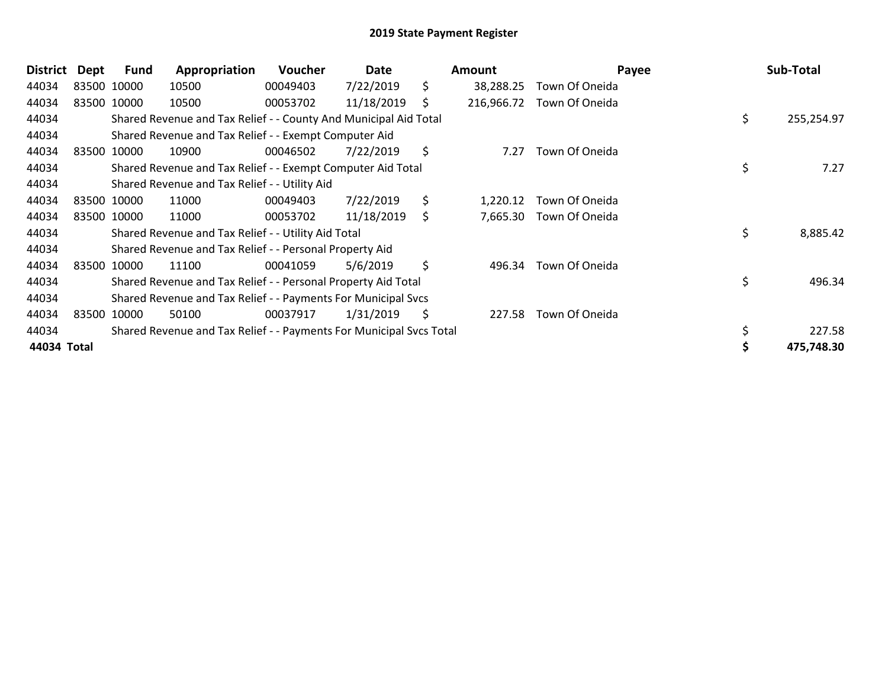| <b>District</b> | Dept        | Fund        | Appropriation                                                       | Voucher  | Date       |    | Amount     | Payee          | Sub-Total        |
|-----------------|-------------|-------------|---------------------------------------------------------------------|----------|------------|----|------------|----------------|------------------|
| 44034           | 83500 10000 |             | 10500                                                               | 00049403 | 7/22/2019  | \$ | 38,288.25  | Town Of Oneida |                  |
| 44034           |             | 83500 10000 | 10500                                                               | 00053702 | 11/18/2019 | S  | 216,966.72 | Town Of Oneida |                  |
| 44034           |             |             | Shared Revenue and Tax Relief - - County And Municipal Aid Total    |          |            |    |            |                | \$<br>255,254.97 |
| 44034           |             |             | Shared Revenue and Tax Relief - - Exempt Computer Aid               |          |            |    |            |                |                  |
| 44034           |             | 83500 10000 | 10900                                                               | 00046502 | 7/22/2019  | \$ | 7.27       | Town Of Oneida |                  |
| 44034           |             |             | Shared Revenue and Tax Relief - - Exempt Computer Aid Total         |          |            |    |            |                | \$<br>7.27       |
| 44034           |             |             | Shared Revenue and Tax Relief - - Utility Aid                       |          |            |    |            |                |                  |
| 44034           | 83500 10000 |             | 11000                                                               | 00049403 | 7/22/2019  | \$ | 1,220.12   | Town Of Oneida |                  |
| 44034           |             | 83500 10000 | 11000                                                               | 00053702 | 11/18/2019 | \$ | 7,665.30   | Town Of Oneida |                  |
| 44034           |             |             | Shared Revenue and Tax Relief - - Utility Aid Total                 |          |            |    |            |                | \$<br>8,885.42   |
| 44034           |             |             | Shared Revenue and Tax Relief - - Personal Property Aid             |          |            |    |            |                |                  |
| 44034           |             | 83500 10000 | 11100                                                               | 00041059 | 5/6/2019   | \$ | 496.34     | Town Of Oneida |                  |
| 44034           |             |             | Shared Revenue and Tax Relief - - Personal Property Aid Total       |          |            |    |            |                | \$<br>496.34     |
| 44034           |             |             | Shared Revenue and Tax Relief - - Payments For Municipal Svcs       |          |            |    |            |                |                  |
| 44034           | 83500 10000 |             | 50100                                                               | 00037917 | 1/31/2019  | S  | 227.58     | Town Of Oneida |                  |
| 44034           |             |             | Shared Revenue and Tax Relief - - Payments For Municipal Svcs Total |          |            |    |            |                | 227.58           |
| 44034 Total     |             |             |                                                                     |          |            |    |            |                | 475,748.30       |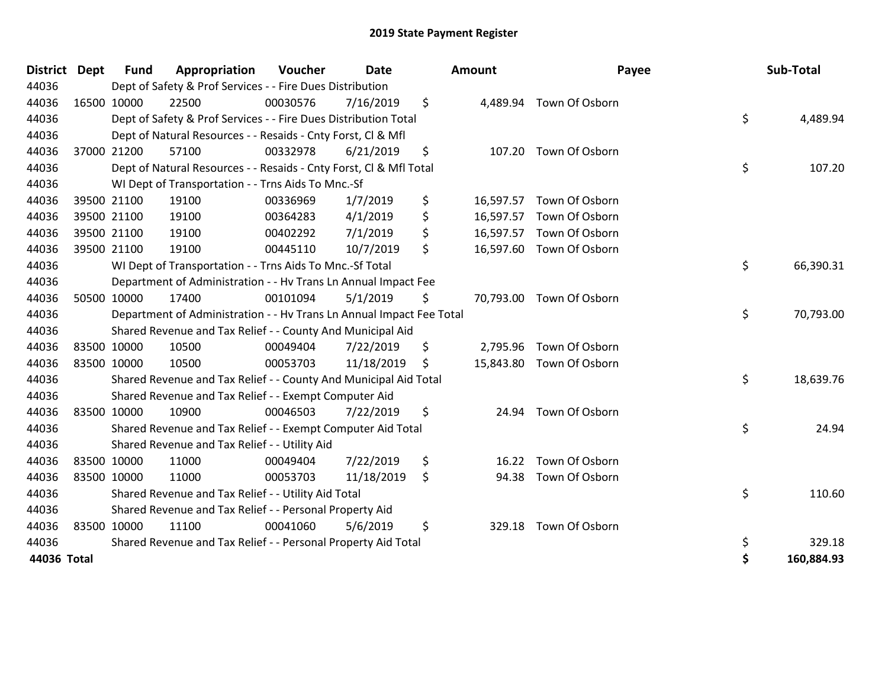| <b>District</b> | Dept        | <b>Fund</b> | Appropriation                                                        | <b>Voucher</b> | <b>Date</b> |     | <b>Amount</b> | Payee                    | Sub-Total        |
|-----------------|-------------|-------------|----------------------------------------------------------------------|----------------|-------------|-----|---------------|--------------------------|------------------|
| 44036           |             |             | Dept of Safety & Prof Services - - Fire Dues Distribution            |                |             |     |               |                          |                  |
| 44036           | 16500 10000 |             | 22500                                                                | 00030576       | 7/16/2019   | \$  |               | 4,489.94 Town Of Osborn  |                  |
| 44036           |             |             | Dept of Safety & Prof Services - - Fire Dues Distribution Total      |                |             |     |               |                          | \$<br>4,489.94   |
| 44036           |             |             | Dept of Natural Resources - - Resaids - Cnty Forst, CI & Mfl         |                |             |     |               |                          |                  |
| 44036           |             | 37000 21200 | 57100                                                                | 00332978       | 6/21/2019   | \$  |               | 107.20 Town Of Osborn    |                  |
| 44036           |             |             | Dept of Natural Resources - - Resaids - Cnty Forst, CI & Mfl Total   |                |             |     |               |                          | \$<br>107.20     |
| 44036           |             |             | WI Dept of Transportation - - Trns Aids To Mnc.-Sf                   |                |             |     |               |                          |                  |
| 44036           |             | 39500 21100 | 19100                                                                | 00336969       | 1/7/2019    | \$  | 16,597.57     | Town Of Osborn           |                  |
| 44036           |             | 39500 21100 | 19100                                                                | 00364283       | 4/1/2019    | \$  |               | 16,597.57 Town Of Osborn |                  |
| 44036           |             | 39500 21100 | 19100                                                                | 00402292       | 7/1/2019    | \$  |               | 16,597.57 Town Of Osborn |                  |
| 44036           |             | 39500 21100 | 19100                                                                | 00445110       | 10/7/2019   | \$  |               | 16,597.60 Town Of Osborn |                  |
| 44036           |             |             | WI Dept of Transportation - - Trns Aids To Mnc.-Sf Total             |                |             |     |               |                          | \$<br>66,390.31  |
| 44036           |             |             | Department of Administration - - Hv Trans Ln Annual Impact Fee       |                |             |     |               |                          |                  |
| 44036           |             | 50500 10000 | 17400                                                                | 00101094       | 5/1/2019    | \$  |               | 70,793.00 Town Of Osborn |                  |
| 44036           |             |             | Department of Administration - - Hv Trans Ln Annual Impact Fee Total |                |             |     |               |                          | \$<br>70,793.00  |
| 44036           |             |             | Shared Revenue and Tax Relief - - County And Municipal Aid           |                |             |     |               |                          |                  |
| 44036           | 83500 10000 |             | 10500                                                                | 00049404       | 7/22/2019   | \$  | 2,795.96      | Town Of Osborn           |                  |
| 44036           |             | 83500 10000 | 10500                                                                | 00053703       | 11/18/2019  | \$. |               | 15,843.80 Town Of Osborn |                  |
| 44036           |             |             | Shared Revenue and Tax Relief - - County And Municipal Aid Total     |                |             |     |               |                          | \$<br>18,639.76  |
| 44036           |             |             | Shared Revenue and Tax Relief - - Exempt Computer Aid                |                |             |     |               |                          |                  |
| 44036           | 83500 10000 |             | 10900                                                                | 00046503       | 7/22/2019   | \$  |               | 24.94 Town Of Osborn     |                  |
| 44036           |             |             | Shared Revenue and Tax Relief - - Exempt Computer Aid Total          |                |             |     |               |                          | \$<br>24.94      |
| 44036           |             |             | Shared Revenue and Tax Relief - - Utility Aid                        |                |             |     |               |                          |                  |
| 44036           | 83500 10000 |             | 11000                                                                | 00049404       | 7/22/2019   | \$  | 16.22         | Town Of Osborn           |                  |
| 44036           | 83500 10000 |             | 11000                                                                | 00053703       | 11/18/2019  | \$  | 94.38         | Town Of Osborn           |                  |
| 44036           |             |             | Shared Revenue and Tax Relief - - Utility Aid Total                  |                |             |     |               |                          | \$<br>110.60     |
| 44036           |             |             | Shared Revenue and Tax Relief - - Personal Property Aid              |                |             |     |               |                          |                  |
| 44036           |             | 83500 10000 | 11100                                                                | 00041060       | 5/6/2019    | \$  | 329.18        | Town Of Osborn           |                  |
| 44036           |             |             | Shared Revenue and Tax Relief - - Personal Property Aid Total        |                |             |     |               |                          | \$<br>329.18     |
| 44036 Total     |             |             |                                                                      |                |             |     |               |                          | \$<br>160,884.93 |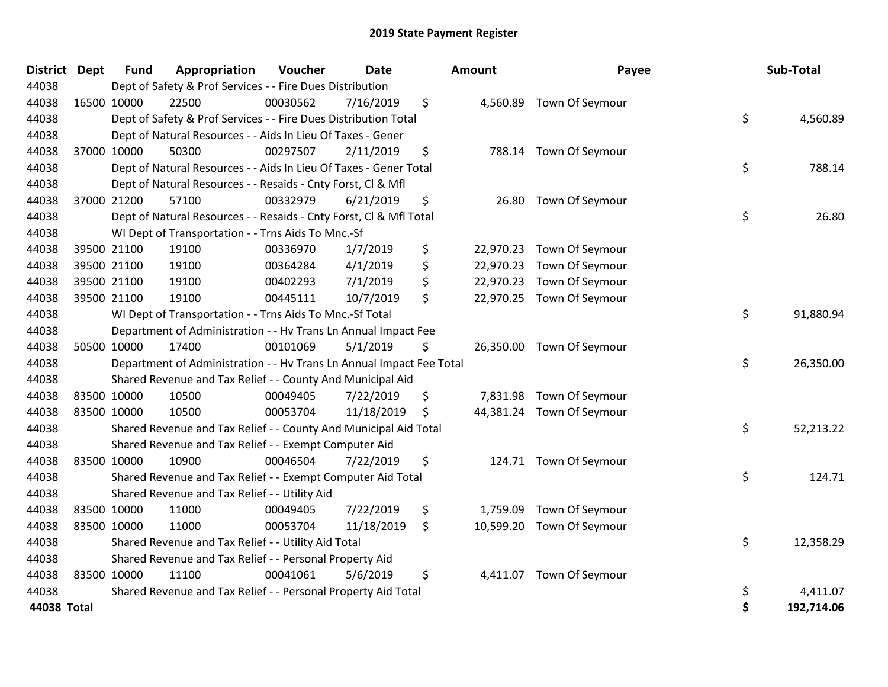| District Dept | <b>Fund</b> | Appropriation                                                        | Voucher  | <b>Date</b> | <b>Amount</b>  | Payee                     | Sub-Total        |
|---------------|-------------|----------------------------------------------------------------------|----------|-------------|----------------|---------------------------|------------------|
| 44038         |             | Dept of Safety & Prof Services - - Fire Dues Distribution            |          |             |                |                           |                  |
| 44038         | 16500 10000 | 22500                                                                | 00030562 | 7/16/2019   | \$             | 4,560.89 Town Of Seymour  |                  |
| 44038         |             | Dept of Safety & Prof Services - - Fire Dues Distribution Total      |          |             |                |                           | \$<br>4,560.89   |
| 44038         |             | Dept of Natural Resources - - Aids In Lieu Of Taxes - Gener          |          |             |                |                           |                  |
| 44038         | 37000 10000 | 50300                                                                | 00297507 | 2/11/2019   | \$             | 788.14 Town Of Seymour    |                  |
| 44038         |             | Dept of Natural Resources - - Aids In Lieu Of Taxes - Gener Total    |          |             |                |                           | \$<br>788.14     |
| 44038         |             | Dept of Natural Resources - - Resaids - Cnty Forst, Cl & Mfl         |          |             |                |                           |                  |
| 44038         | 37000 21200 | 57100                                                                | 00332979 | 6/21/2019   | \$             | 26.80 Town Of Seymour     |                  |
| 44038         |             | Dept of Natural Resources - - Resaids - Cnty Forst, CI & Mfl Total   |          |             |                |                           | \$<br>26.80      |
| 44038         |             | WI Dept of Transportation - - Trns Aids To Mnc.-Sf                   |          |             |                |                           |                  |
| 44038         | 39500 21100 | 19100                                                                | 00336970 | 1/7/2019    | \$             | 22,970.23 Town Of Seymour |                  |
| 44038         | 39500 21100 | 19100                                                                | 00364284 | 4/1/2019    | \$             | 22,970.23 Town Of Seymour |                  |
| 44038         | 39500 21100 | 19100                                                                | 00402293 | 7/1/2019    | \$             | 22,970.23 Town Of Seymour |                  |
| 44038         | 39500 21100 | 19100                                                                | 00445111 | 10/7/2019   | \$             | 22,970.25 Town Of Seymour |                  |
| 44038         |             | WI Dept of Transportation - - Trns Aids To Mnc.-Sf Total             |          |             |                |                           | \$<br>91,880.94  |
| 44038         |             | Department of Administration - - Hv Trans Ln Annual Impact Fee       |          |             |                |                           |                  |
| 44038         | 50500 10000 | 17400                                                                | 00101069 | 5/1/2019    | \$             | 26,350.00 Town Of Seymour |                  |
| 44038         |             | Department of Administration - - Hv Trans Ln Annual Impact Fee Total |          |             |                |                           | \$<br>26,350.00  |
| 44038         |             | Shared Revenue and Tax Relief - - County And Municipal Aid           |          |             |                |                           |                  |
| 44038         | 83500 10000 | 10500                                                                | 00049405 | 7/22/2019   | \$<br>7,831.98 | Town Of Seymour           |                  |
| 44038         | 83500 10000 | 10500                                                                | 00053704 | 11/18/2019  | \$             | 44,381.24 Town Of Seymour |                  |
| 44038         |             | Shared Revenue and Tax Relief - - County And Municipal Aid Total     |          |             |                |                           | \$<br>52,213.22  |
| 44038         |             | Shared Revenue and Tax Relief - - Exempt Computer Aid                |          |             |                |                           |                  |
| 44038         | 83500 10000 | 10900                                                                | 00046504 | 7/22/2019   | \$             | 124.71 Town Of Seymour    |                  |
| 44038         |             | Shared Revenue and Tax Relief - - Exempt Computer Aid Total          |          |             |                |                           | \$<br>124.71     |
| 44038         |             | Shared Revenue and Tax Relief - - Utility Aid                        |          |             |                |                           |                  |
| 44038         | 83500 10000 | 11000                                                                | 00049405 | 7/22/2019   | \$<br>1,759.09 | Town Of Seymour           |                  |
| 44038         | 83500 10000 | 11000                                                                | 00053704 | 11/18/2019  | \$             | 10,599.20 Town Of Seymour |                  |
| 44038         |             | Shared Revenue and Tax Relief - - Utility Aid Total                  |          |             |                |                           | \$<br>12,358.29  |
| 44038         |             | Shared Revenue and Tax Relief - - Personal Property Aid              |          |             |                |                           |                  |
| 44038         | 83500 10000 | 11100                                                                | 00041061 | 5/6/2019    | \$             | 4,411.07 Town Of Seymour  |                  |
| 44038         |             | Shared Revenue and Tax Relief - - Personal Property Aid Total        |          |             |                |                           | \$<br>4,411.07   |
| 44038 Total   |             |                                                                      |          |             |                |                           | \$<br>192,714.06 |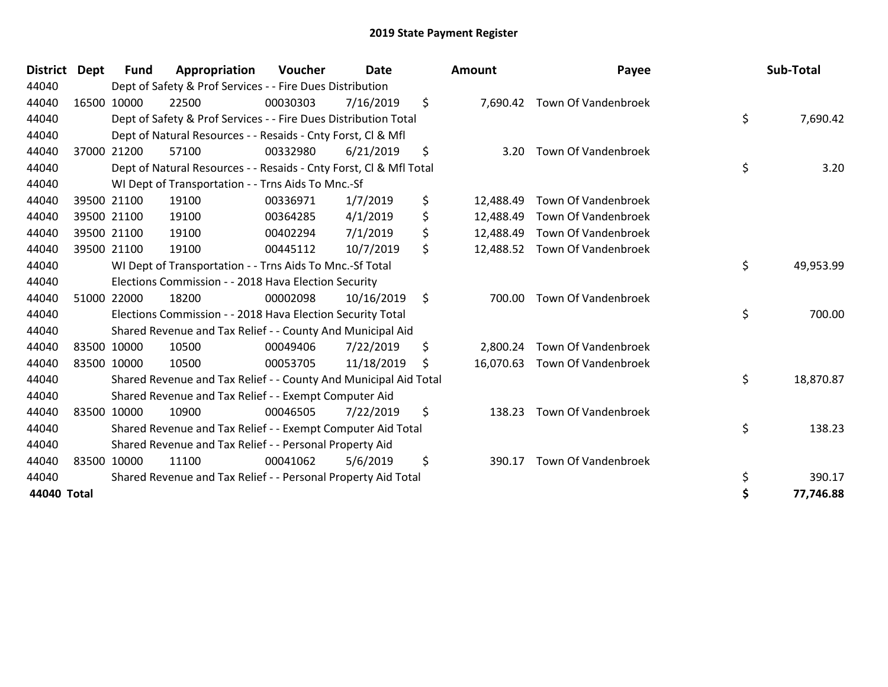| <b>District</b> | <b>Dept</b> | Fund        | Appropriation                                                      | Voucher  | <b>Date</b> | <b>Amount</b>   | Payee                      | Sub-Total       |
|-----------------|-------------|-------------|--------------------------------------------------------------------|----------|-------------|-----------------|----------------------------|-----------------|
| 44040           |             |             | Dept of Safety & Prof Services - - Fire Dues Distribution          |          |             |                 |                            |                 |
| 44040           |             | 16500 10000 | 22500                                                              | 00030303 | 7/16/2019   | \$<br>7,690.42  | Town Of Vandenbroek        |                 |
| 44040           |             |             | Dept of Safety & Prof Services - - Fire Dues Distribution Total    |          |             |                 |                            | \$<br>7,690.42  |
| 44040           |             |             | Dept of Natural Resources - - Resaids - Cnty Forst, CI & Mfl       |          |             |                 |                            |                 |
| 44040           |             | 37000 21200 | 57100                                                              | 00332980 | 6/21/2019   | \$<br>3.20      | Town Of Vandenbroek        |                 |
| 44040           |             |             | Dept of Natural Resources - - Resaids - Cnty Forst, Cl & Mfl Total |          |             |                 |                            | \$<br>3.20      |
| 44040           |             |             | WI Dept of Transportation - - Trns Aids To Mnc.-Sf                 |          |             |                 |                            |                 |
| 44040           |             | 39500 21100 | 19100                                                              | 00336971 | 1/7/2019    | \$<br>12,488.49 | Town Of Vandenbroek        |                 |
| 44040           |             | 39500 21100 | 19100                                                              | 00364285 | 4/1/2019    | \$<br>12,488.49 | Town Of Vandenbroek        |                 |
| 44040           |             | 39500 21100 | 19100                                                              | 00402294 | 7/1/2019    | \$<br>12,488.49 | Town Of Vandenbroek        |                 |
| 44040           |             | 39500 21100 | 19100                                                              | 00445112 | 10/7/2019   | \$<br>12,488.52 | Town Of Vandenbroek        |                 |
| 44040           |             |             | WI Dept of Transportation - - Trns Aids To Mnc.-Sf Total           |          |             |                 |                            | \$<br>49,953.99 |
| 44040           |             |             | Elections Commission - - 2018 Hava Election Security               |          |             |                 |                            |                 |
| 44040           | 51000       | 22000       | 18200                                                              | 00002098 | 10/16/2019  | \$<br>700.00    | Town Of Vandenbroek        |                 |
| 44040           |             |             | Elections Commission - - 2018 Hava Election Security Total         |          |             |                 |                            | \$<br>700.00    |
| 44040           |             |             | Shared Revenue and Tax Relief - - County And Municipal Aid         |          |             |                 |                            |                 |
| 44040           |             | 83500 10000 | 10500                                                              | 00049406 | 7/22/2019   | \$<br>2,800.24  | Town Of Vandenbroek        |                 |
| 44040           |             | 83500 10000 | 10500                                                              | 00053705 | 11/18/2019  | \$<br>16,070.63 | Town Of Vandenbroek        |                 |
| 44040           |             |             | Shared Revenue and Tax Relief - - County And Municipal Aid Total   |          |             |                 |                            | \$<br>18,870.87 |
| 44040           |             |             | Shared Revenue and Tax Relief - - Exempt Computer Aid              |          |             |                 |                            |                 |
| 44040           |             | 83500 10000 | 10900                                                              | 00046505 | 7/22/2019   | \$<br>138.23    | <b>Town Of Vandenbroek</b> |                 |
| 44040           |             |             | Shared Revenue and Tax Relief - - Exempt Computer Aid Total        |          |             |                 |                            | \$<br>138.23    |
| 44040           |             |             | Shared Revenue and Tax Relief - - Personal Property Aid            |          |             |                 |                            |                 |
| 44040           |             | 83500 10000 | 11100                                                              | 00041062 | 5/6/2019    | \$<br>390.17    | Town Of Vandenbroek        |                 |
| 44040           |             |             | Shared Revenue and Tax Relief - - Personal Property Aid Total      |          |             |                 |                            | \$<br>390.17    |
| 44040 Total     |             |             |                                                                    |          |             |                 |                            | 77,746.88       |

| District    | Dept | Fund        | Appropriation                                                      | Voucher  | <b>Date</b> | <b>Amount</b>   | Payee                         | Sub-Total       |
|-------------|------|-------------|--------------------------------------------------------------------|----------|-------------|-----------------|-------------------------------|-----------------|
| 44040       |      |             | Dept of Safety & Prof Services - - Fire Dues Distribution          |          |             |                 |                               |                 |
| 44040       |      | 16500 10000 | 22500                                                              | 00030303 | 7/16/2019   | \$              | 7,690.42 Town Of Vandenbroek  |                 |
| 44040       |      |             | Dept of Safety & Prof Services - - Fire Dues Distribution Total    |          |             |                 |                               | \$<br>7,690.42  |
| 44040       |      |             | Dept of Natural Resources - - Resaids - Cnty Forst, CI & Mfl       |          |             |                 |                               |                 |
| 44040       |      | 37000 21200 | 57100                                                              | 00332980 | 6/21/2019   | \$<br>3.20      | Town Of Vandenbroek           |                 |
| 44040       |      |             | Dept of Natural Resources - - Resaids - Cnty Forst, Cl & Mfl Total |          |             |                 |                               | \$<br>3.20      |
| 44040       |      |             | WI Dept of Transportation - - Trns Aids To Mnc.-Sf                 |          |             |                 |                               |                 |
| 44040       |      | 39500 21100 | 19100                                                              | 00336971 | 1/7/2019    | \$<br>12,488.49 | Town Of Vandenbroek           |                 |
| 44040       |      | 39500 21100 | 19100                                                              | 00364285 | 4/1/2019    | \$<br>12,488.49 | Town Of Vandenbroek           |                 |
| 44040       |      | 39500 21100 | 19100                                                              | 00402294 | 7/1/2019    | \$<br>12,488.49 | Town Of Vandenbroek           |                 |
| 44040       |      | 39500 21100 | 19100                                                              | 00445112 | 10/7/2019   | \$              | 12,488.52 Town Of Vandenbroek |                 |
| 44040       |      |             | WI Dept of Transportation - - Trns Aids To Mnc.-Sf Total           |          |             |                 |                               | \$<br>49,953.99 |
| 44040       |      |             | Elections Commission - - 2018 Hava Election Security               |          |             |                 |                               |                 |
| 44040       |      | 51000 22000 | 18200                                                              | 00002098 | 10/16/2019  | \$<br>700.00    | Town Of Vandenbroek           |                 |
| 44040       |      |             | Elections Commission - - 2018 Hava Election Security Total         |          |             |                 |                               | \$<br>700.00    |
| 44040       |      |             | Shared Revenue and Tax Relief - - County And Municipal Aid         |          |             |                 |                               |                 |
| 44040       |      | 83500 10000 | 10500                                                              | 00049406 | 7/22/2019   | \$<br>2,800.24  | Town Of Vandenbroek           |                 |
| 44040       |      | 83500 10000 | 10500                                                              | 00053705 | 11/18/2019  | \$              | 16,070.63 Town Of Vandenbroek |                 |
| 44040       |      |             | Shared Revenue and Tax Relief - - County And Municipal Aid Total   |          |             |                 |                               | \$<br>18,870.87 |
| 44040       |      |             | Shared Revenue and Tax Relief - - Exempt Computer Aid              |          |             |                 |                               |                 |
| 44040       |      | 83500 10000 | 10900                                                              | 00046505 | 7/22/2019   | \$<br>138.23    | Town Of Vandenbroek           |                 |
| 44040       |      |             | Shared Revenue and Tax Relief - - Exempt Computer Aid Total        |          |             |                 |                               | \$<br>138.23    |
| 44040       |      |             | Shared Revenue and Tax Relief - - Personal Property Aid            |          |             |                 |                               |                 |
| 44040       |      | 83500 10000 | 11100                                                              | 00041062 | 5/6/2019    | \$<br>390.17    | Town Of Vandenbroek           |                 |
| 44040       |      |             | Shared Revenue and Tax Relief - - Personal Property Aid Total      |          |             |                 |                               | \$<br>390.17    |
| 44040 Total |      |             |                                                                    |          |             |                 |                               | \$<br>77,746.88 |
|             |      |             |                                                                    |          |             |                 |                               |                 |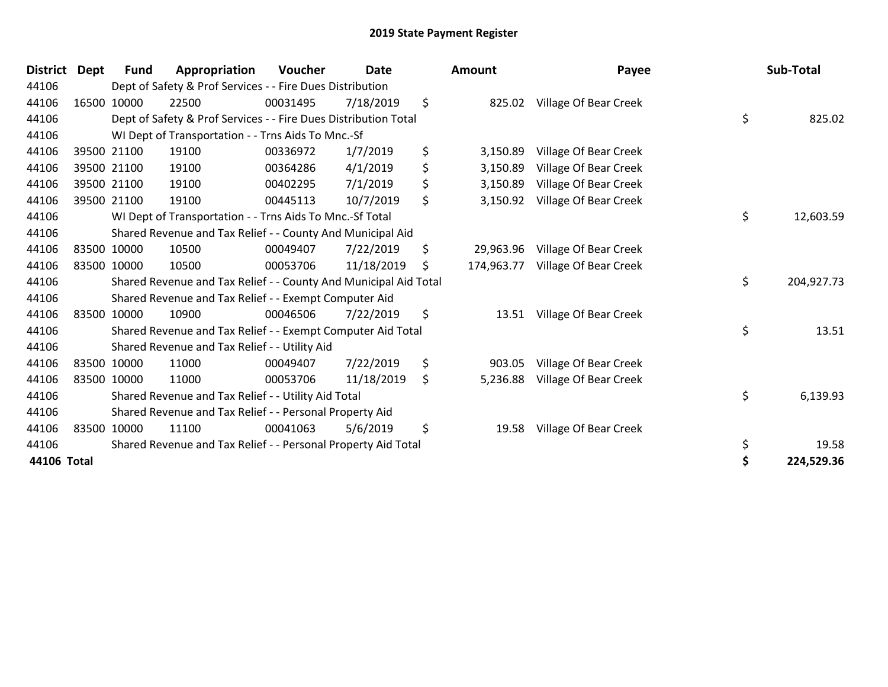| <b>District</b> | <b>Dept</b> | <b>Fund</b> | Appropriation                                                    | Voucher  | <b>Date</b> | <b>Amount</b>   | Payee                            | Sub-Total        |
|-----------------|-------------|-------------|------------------------------------------------------------------|----------|-------------|-----------------|----------------------------------|------------------|
| 44106           |             |             | Dept of Safety & Prof Services - - Fire Dues Distribution        |          |             |                 |                                  |                  |
| 44106           |             | 16500 10000 | 22500                                                            | 00031495 | 7/18/2019   | \$              | 825.02 Village Of Bear Creek     |                  |
| 44106           |             |             | Dept of Safety & Prof Services - - Fire Dues Distribution Total  |          |             |                 |                                  | \$<br>825.02     |
| 44106           |             |             | WI Dept of Transportation - - Trns Aids To Mnc.-Sf               |          |             |                 |                                  |                  |
| 44106           |             | 39500 21100 | 19100                                                            | 00336972 | 1/7/2019    | \$<br>3,150.89  | Village Of Bear Creek            |                  |
| 44106           |             | 39500 21100 | 19100                                                            | 00364286 | 4/1/2019    | \$<br>3,150.89  | Village Of Bear Creek            |                  |
| 44106           |             | 39500 21100 | 19100                                                            | 00402295 | 7/1/2019    | \$<br>3,150.89  | Village Of Bear Creek            |                  |
| 44106           |             | 39500 21100 | 19100                                                            | 00445113 | 10/7/2019   | \$<br>3,150.92  | Village Of Bear Creek            |                  |
| 44106           |             |             | WI Dept of Transportation - - Trns Aids To Mnc.-Sf Total         |          |             |                 |                                  | \$<br>12,603.59  |
| 44106           |             |             | Shared Revenue and Tax Relief - - County And Municipal Aid       |          |             |                 |                                  |                  |
| 44106           |             | 83500 10000 | 10500                                                            | 00049407 | 7/22/2019   | \$<br>29,963.96 | Village Of Bear Creek            |                  |
| 44106           |             | 83500 10000 | 10500                                                            | 00053706 | 11/18/2019  | \$              | 174,963.77 Village Of Bear Creek |                  |
| 44106           |             |             | Shared Revenue and Tax Relief - - County And Municipal Aid Total |          |             |                 |                                  | \$<br>204,927.73 |
| 44106           |             |             | Shared Revenue and Tax Relief - - Exempt Computer Aid            |          |             |                 |                                  |                  |
| 44106           |             | 83500 10000 | 10900                                                            | 00046506 | 7/22/2019   | \$              | 13.51 Village Of Bear Creek      |                  |
| 44106           |             |             | Shared Revenue and Tax Relief - - Exempt Computer Aid Total      |          |             |                 |                                  | \$<br>13.51      |
| 44106           |             |             | Shared Revenue and Tax Relief - - Utility Aid                    |          |             |                 |                                  |                  |
| 44106           |             | 83500 10000 | 11000                                                            | 00049407 | 7/22/2019   | \$<br>903.05    | Village Of Bear Creek            |                  |
| 44106           |             | 83500 10000 | 11000                                                            | 00053706 | 11/18/2019  | \$<br>5,236.88  | Village Of Bear Creek            |                  |
| 44106           |             |             | Shared Revenue and Tax Relief - - Utility Aid Total              |          |             |                 |                                  | \$<br>6,139.93   |
| 44106           |             |             | Shared Revenue and Tax Relief - - Personal Property Aid          |          |             |                 |                                  |                  |
| 44106           |             | 83500 10000 | 11100                                                            | 00041063 | 5/6/2019    | \$<br>19.58     | Village Of Bear Creek            |                  |
| 44106           |             |             | Shared Revenue and Tax Relief - - Personal Property Aid Total    |          |             |                 |                                  | \$<br>19.58      |
| 44106 Total     |             |             |                                                                  |          |             |                 |                                  | 224,529.36       |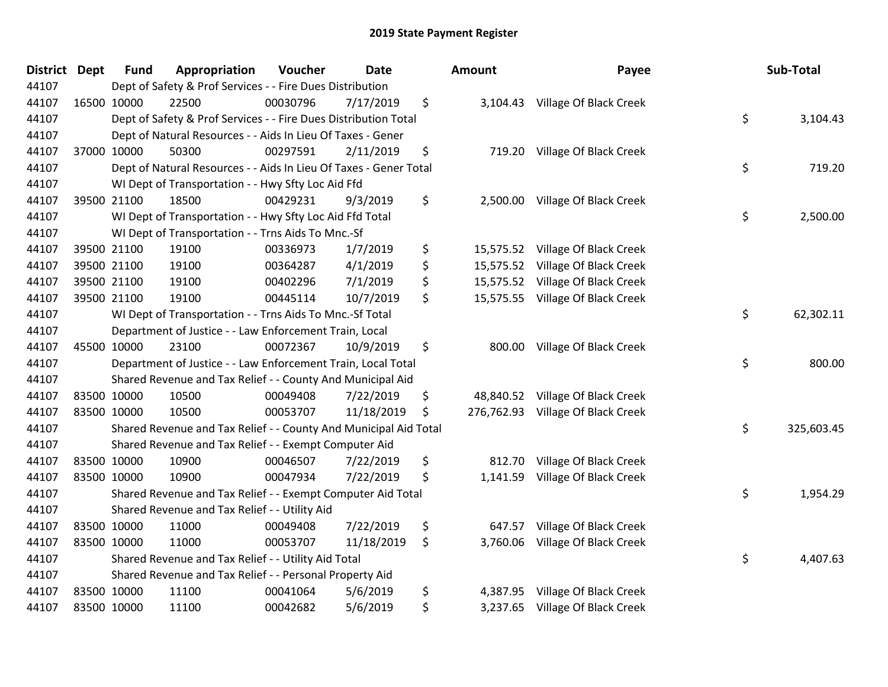| District Dept | <b>Fund</b> | Appropriation                                                     | Voucher  | <b>Date</b> | Amount           | Payee                            | Sub-Total        |
|---------------|-------------|-------------------------------------------------------------------|----------|-------------|------------------|----------------------------------|------------------|
| 44107         |             | Dept of Safety & Prof Services - - Fire Dues Distribution         |          |             |                  |                                  |                  |
| 44107         | 16500 10000 | 22500                                                             | 00030796 | 7/17/2019   | \$               | 3,104.43 Village Of Black Creek  |                  |
| 44107         |             | Dept of Safety & Prof Services - - Fire Dues Distribution Total   |          |             |                  |                                  | \$<br>3,104.43   |
| 44107         |             | Dept of Natural Resources - - Aids In Lieu Of Taxes - Gener       |          |             |                  |                                  |                  |
| 44107         | 37000 10000 | 50300                                                             | 00297591 | 2/11/2019   | \$<br>719.20     | Village Of Black Creek           |                  |
| 44107         |             | Dept of Natural Resources - - Aids In Lieu Of Taxes - Gener Total |          |             |                  |                                  | \$<br>719.20     |
| 44107         |             | WI Dept of Transportation - - Hwy Sfty Loc Aid Ffd                |          |             |                  |                                  |                  |
| 44107         | 39500 21100 | 18500                                                             | 00429231 | 9/3/2019    | \$<br>2,500.00   | Village Of Black Creek           |                  |
| 44107         |             | WI Dept of Transportation - - Hwy Sfty Loc Aid Ffd Total          |          |             |                  |                                  | \$<br>2,500.00   |
| 44107         |             | WI Dept of Transportation - - Trns Aids To Mnc.-Sf                |          |             |                  |                                  |                  |
| 44107         | 39500 21100 | 19100                                                             | 00336973 | 1/7/2019    | \$<br>15,575.52  | Village Of Black Creek           |                  |
| 44107         | 39500 21100 | 19100                                                             | 00364287 | 4/1/2019    | \$<br>15,575.52  | Village Of Black Creek           |                  |
| 44107         | 39500 21100 | 19100                                                             | 00402296 | 7/1/2019    | \$<br>15,575.52  | Village Of Black Creek           |                  |
| 44107         | 39500 21100 | 19100                                                             | 00445114 | 10/7/2019   | \$               | 15,575.55 Village Of Black Creek |                  |
| 44107         |             | WI Dept of Transportation - - Trns Aids To Mnc.-Sf Total          |          |             |                  |                                  | \$<br>62,302.11  |
| 44107         |             | Department of Justice - - Law Enforcement Train, Local            |          |             |                  |                                  |                  |
| 44107         | 45500 10000 | 23100                                                             | 00072367 | 10/9/2019   | \$<br>800.00     | Village Of Black Creek           |                  |
| 44107         |             | Department of Justice - - Law Enforcement Train, Local Total      |          |             |                  |                                  | \$<br>800.00     |
| 44107         |             | Shared Revenue and Tax Relief - - County And Municipal Aid        |          |             |                  |                                  |                  |
| 44107         | 83500 10000 | 10500                                                             | 00049408 | 7/22/2019   | \$<br>48,840.52  | Village Of Black Creek           |                  |
| 44107         | 83500 10000 | 10500                                                             | 00053707 | 11/18/2019  | \$<br>276,762.93 | Village Of Black Creek           |                  |
| 44107         |             | Shared Revenue and Tax Relief - - County And Municipal Aid Total  |          |             |                  |                                  | \$<br>325,603.45 |
| 44107         |             | Shared Revenue and Tax Relief - - Exempt Computer Aid             |          |             |                  |                                  |                  |
| 44107         | 83500 10000 | 10900                                                             | 00046507 | 7/22/2019   | \$<br>812.70     | Village Of Black Creek           |                  |
| 44107         | 83500 10000 | 10900                                                             | 00047934 | 7/22/2019   | \$<br>1,141.59   | Village Of Black Creek           |                  |
| 44107         |             | Shared Revenue and Tax Relief - - Exempt Computer Aid Total       |          |             |                  |                                  | \$<br>1,954.29   |
| 44107         |             | Shared Revenue and Tax Relief - - Utility Aid                     |          |             |                  |                                  |                  |
| 44107         | 83500 10000 | 11000                                                             | 00049408 | 7/22/2019   | \$<br>647.57     | Village Of Black Creek           |                  |
| 44107         | 83500 10000 | 11000                                                             | 00053707 | 11/18/2019  | \$<br>3,760.06   | Village Of Black Creek           |                  |
| 44107         |             | Shared Revenue and Tax Relief - - Utility Aid Total               |          |             |                  |                                  | \$<br>4,407.63   |
| 44107         |             | Shared Revenue and Tax Relief - - Personal Property Aid           |          |             |                  |                                  |                  |
| 44107         | 83500 10000 | 11100                                                             | 00041064 | 5/6/2019    | \$<br>4,387.95   | Village Of Black Creek           |                  |
| 44107         | 83500 10000 | 11100                                                             | 00042682 | 5/6/2019    | \$<br>3,237.65   | Village Of Black Creek           |                  |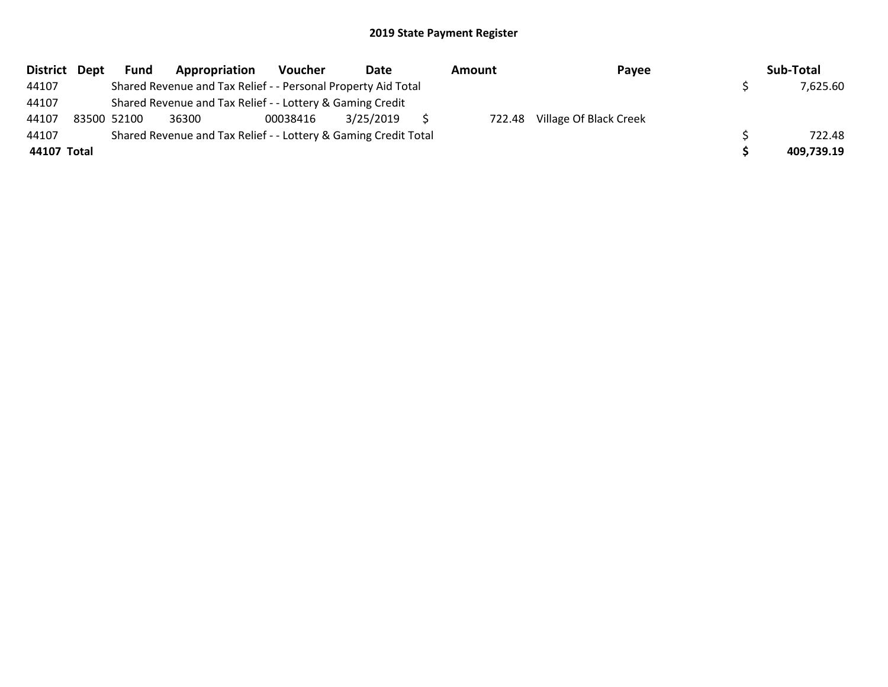| District Dept | <b>Fund</b> | Appropriation                                                   | Voucher  | Date      | Amount | Payee                         | Sub-Total  |
|---------------|-------------|-----------------------------------------------------------------|----------|-----------|--------|-------------------------------|------------|
| 44107         |             | Shared Revenue and Tax Relief - - Personal Property Aid Total   |          |           |        |                               | 7,625.60   |
| 44107         |             | Shared Revenue and Tax Relief - - Lottery & Gaming Credit       |          |           |        |                               |            |
| 44107         | 83500 52100 | 36300                                                           | 00038416 | 3/25/2019 |        | 722.48 Village Of Black Creek |            |
| 44107         |             | Shared Revenue and Tax Relief - - Lottery & Gaming Credit Total |          |           |        |                               | 722.48     |
| 44107 Total   |             |                                                                 |          |           |        |                               | 409,739.19 |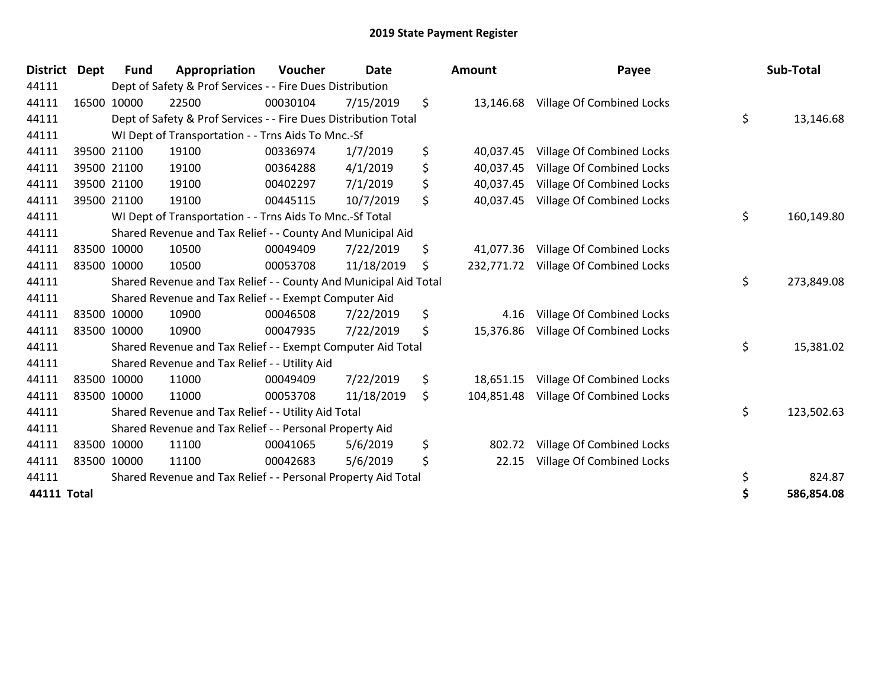| <b>District</b> | Dept | Fund        | Appropriation                                                    | <b>Voucher</b> | Date       | <b>Amount</b>    | Payee                            | Sub-Total        |
|-----------------|------|-------------|------------------------------------------------------------------|----------------|------------|------------------|----------------------------------|------------------|
| 44111           |      |             | Dept of Safety & Prof Services - - Fire Dues Distribution        |                |            |                  |                                  |                  |
| 44111           |      | 16500 10000 | 22500                                                            | 00030104       | 7/15/2019  | \$<br>13,146.68  | Village Of Combined Locks        |                  |
| 44111           |      |             | Dept of Safety & Prof Services - - Fire Dues Distribution Total  |                |            |                  |                                  | \$<br>13,146.68  |
| 44111           |      |             | WI Dept of Transportation - - Trns Aids To Mnc.-Sf               |                |            |                  |                                  |                  |
| 44111           |      | 39500 21100 | 19100                                                            | 00336974       | 1/7/2019   | \$<br>40,037.45  | Village Of Combined Locks        |                  |
| 44111           |      | 39500 21100 | 19100                                                            | 00364288       | 4/1/2019   | \$<br>40,037.45  | Village Of Combined Locks        |                  |
| 44111           |      | 39500 21100 | 19100                                                            | 00402297       | 7/1/2019   | \$<br>40,037.45  | Village Of Combined Locks        |                  |
| 44111           |      | 39500 21100 | 19100                                                            | 00445115       | 10/7/2019  | \$<br>40,037.45  | Village Of Combined Locks        |                  |
| 44111           |      |             | WI Dept of Transportation - - Trns Aids To Mnc.-Sf Total         |                |            |                  |                                  | \$<br>160,149.80 |
| 44111           |      |             | Shared Revenue and Tax Relief - - County And Municipal Aid       |                |            |                  |                                  |                  |
| 44111           |      | 83500 10000 | 10500                                                            | 00049409       | 7/22/2019  | \$<br>41,077.36  | Village Of Combined Locks        |                  |
| 44111           |      | 83500 10000 | 10500                                                            | 00053708       | 11/18/2019 | \$<br>232,771.72 | Village Of Combined Locks        |                  |
| 44111           |      |             | Shared Revenue and Tax Relief - - County And Municipal Aid Total |                |            |                  |                                  | \$<br>273,849.08 |
| 44111           |      |             | Shared Revenue and Tax Relief - - Exempt Computer Aid            |                |            |                  |                                  |                  |
| 44111           |      | 83500 10000 | 10900                                                            | 00046508       | 7/22/2019  | \$<br>4.16       | Village Of Combined Locks        |                  |
| 44111           |      | 83500 10000 | 10900                                                            | 00047935       | 7/22/2019  | \$<br>15,376.86  | Village Of Combined Locks        |                  |
| 44111           |      |             | Shared Revenue and Tax Relief - - Exempt Computer Aid Total      |                |            |                  |                                  | \$<br>15,381.02  |
| 44111           |      |             | Shared Revenue and Tax Relief - - Utility Aid                    |                |            |                  |                                  |                  |
| 44111           |      | 83500 10000 | 11000                                                            | 00049409       | 7/22/2019  | \$<br>18,651.15  | Village Of Combined Locks        |                  |
| 44111           |      | 83500 10000 | 11000                                                            | 00053708       | 11/18/2019 | \$<br>104,851.48 | <b>Village Of Combined Locks</b> |                  |
| 44111           |      |             | Shared Revenue and Tax Relief - - Utility Aid Total              |                |            |                  |                                  | \$<br>123,502.63 |
| 44111           |      |             | Shared Revenue and Tax Relief - - Personal Property Aid          |                |            |                  |                                  |                  |
| 44111           |      | 83500 10000 | 11100                                                            | 00041065       | 5/6/2019   | \$<br>802.72     | Village Of Combined Locks        |                  |
| 44111           |      | 83500 10000 | 11100                                                            | 00042683       | 5/6/2019   | \$<br>22.15      | Village Of Combined Locks        |                  |
| 44111           |      |             | Shared Revenue and Tax Relief - - Personal Property Aid Total    |                |            |                  |                                  | \$<br>824.87     |
| 44111 Total     |      |             |                                                                  |                |            |                  |                                  | \$<br>586,854.08 |

| District           | <b>Dept</b> | <b>Fund</b> | Appropriation                                                    | Voucher  | Date       | <b>Amount</b>    | Payee                            | Sub-Total        |
|--------------------|-------------|-------------|------------------------------------------------------------------|----------|------------|------------------|----------------------------------|------------------|
| 44111              |             |             | Dept of Safety & Prof Services - - Fire Dues Distribution        |          |            |                  |                                  |                  |
| 44111              |             | 16500 10000 | 22500                                                            | 00030104 | 7/15/2019  | \$<br>13,146.68  | Village Of Combined Locks        |                  |
| 44111              |             |             | Dept of Safety & Prof Services - - Fire Dues Distribution Total  |          |            |                  |                                  | \$<br>13,146.68  |
| 44111              |             |             | WI Dept of Transportation - - Trns Aids To Mnc.-Sf               |          |            |                  |                                  |                  |
| 44111              |             | 39500 21100 | 19100                                                            | 00336974 | 1/7/2019   | \$<br>40,037.45  | Village Of Combined Locks        |                  |
| 44111              |             | 39500 21100 | 19100                                                            | 00364288 | 4/1/2019   | \$<br>40,037.45  | Village Of Combined Locks        |                  |
| 44111              |             | 39500 21100 | 19100                                                            | 00402297 | 7/1/2019   | \$<br>40,037.45  | Village Of Combined Locks        |                  |
| 44111              |             | 39500 21100 | 19100                                                            | 00445115 | 10/7/2019  | \$<br>40,037.45  | <b>Village Of Combined Locks</b> |                  |
| 44111              |             |             | WI Dept of Transportation - - Trns Aids To Mnc.-Sf Total         |          |            |                  |                                  | \$<br>160,149.80 |
| 44111              |             |             | Shared Revenue and Tax Relief - - County And Municipal Aid       |          |            |                  |                                  |                  |
| 44111              |             | 83500 10000 | 10500                                                            | 00049409 | 7/22/2019  | \$<br>41,077.36  | <b>Village Of Combined Locks</b> |                  |
| 44111              |             | 83500 10000 | 10500                                                            | 00053708 | 11/18/2019 | \$<br>232,771.72 | Village Of Combined Locks        |                  |
| 44111              |             |             | Shared Revenue and Tax Relief - - County And Municipal Aid Total |          |            |                  |                                  | \$<br>273,849.08 |
| 44111              |             |             | Shared Revenue and Tax Relief - - Exempt Computer Aid            |          |            |                  |                                  |                  |
| 44111              |             | 83500 10000 | 10900                                                            | 00046508 | 7/22/2019  | \$<br>4.16       | Village Of Combined Locks        |                  |
| 44111              |             | 83500 10000 | 10900                                                            | 00047935 | 7/22/2019  | \$<br>15,376.86  | <b>Village Of Combined Locks</b> |                  |
| 44111              |             |             | Shared Revenue and Tax Relief - - Exempt Computer Aid Total      |          |            |                  |                                  | \$<br>15,381.02  |
| 44111              |             |             | Shared Revenue and Tax Relief - - Utility Aid                    |          |            |                  |                                  |                  |
| 44111              |             | 83500 10000 | 11000                                                            | 00049409 | 7/22/2019  | \$<br>18,651.15  | Village Of Combined Locks        |                  |
| 44111              |             | 83500 10000 | 11000                                                            | 00053708 | 11/18/2019 | \$<br>104,851.48 | <b>Village Of Combined Locks</b> |                  |
| 44111              |             |             | Shared Revenue and Tax Relief - - Utility Aid Total              |          |            |                  |                                  | \$<br>123,502.63 |
| 44111              |             |             | Shared Revenue and Tax Relief - - Personal Property Aid          |          |            |                  |                                  |                  |
| 44111              |             | 83500 10000 | 11100                                                            | 00041065 | 5/6/2019   | \$<br>802.72     | Village Of Combined Locks        |                  |
| 44111              |             | 83500 10000 | 11100                                                            | 00042683 | 5/6/2019   | \$<br>22.15      | Village Of Combined Locks        |                  |
| 44111              |             |             | Shared Revenue and Tax Relief - - Personal Property Aid Total    |          |            |                  |                                  | \$<br>824.87     |
| <b>44111 Total</b> |             |             |                                                                  |          |            |                  |                                  | \$<br>586,854.08 |
|                    |             |             |                                                                  |          |            |                  |                                  |                  |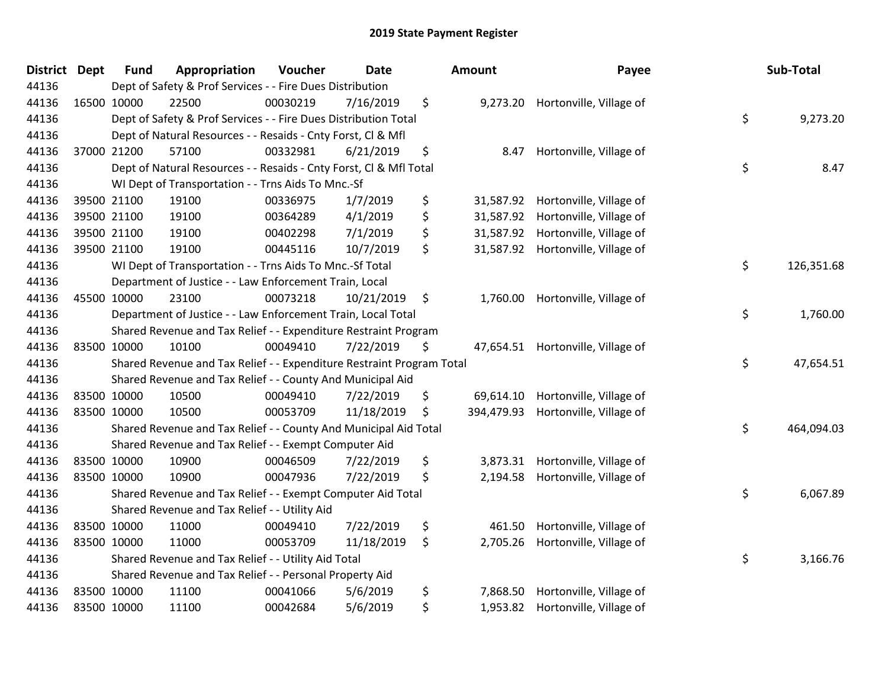| <b>District</b> | <b>Dept</b> | <b>Fund</b> | Appropriation                                                         | Voucher  | <b>Date</b> | Amount           | Payee                            | Sub-Total        |
|-----------------|-------------|-------------|-----------------------------------------------------------------------|----------|-------------|------------------|----------------------------------|------------------|
| 44136           |             |             | Dept of Safety & Prof Services - - Fire Dues Distribution             |          |             |                  |                                  |                  |
| 44136           |             | 16500 10000 | 22500                                                                 | 00030219 | 7/16/2019   | \$               | 9,273.20 Hortonville, Village of |                  |
| 44136           |             |             | Dept of Safety & Prof Services - - Fire Dues Distribution Total       |          |             |                  |                                  | \$<br>9,273.20   |
| 44136           |             |             | Dept of Natural Resources - - Resaids - Cnty Forst, Cl & Mfl          |          |             |                  |                                  |                  |
| 44136           |             | 37000 21200 | 57100                                                                 | 00332981 | 6/21/2019   | \$<br>8.47       | Hortonville, Village of          |                  |
| 44136           |             |             | Dept of Natural Resources - - Resaids - Cnty Forst, Cl & Mfl Total    |          |             |                  |                                  | \$<br>8.47       |
| 44136           |             |             | WI Dept of Transportation - - Trns Aids To Mnc.-Sf                    |          |             |                  |                                  |                  |
| 44136           |             | 39500 21100 | 19100                                                                 | 00336975 | 1/7/2019    | \$<br>31,587.92  | Hortonville, Village of          |                  |
| 44136           |             | 39500 21100 | 19100                                                                 | 00364289 | 4/1/2019    | \$<br>31,587.92  | Hortonville, Village of          |                  |
| 44136           |             | 39500 21100 | 19100                                                                 | 00402298 | 7/1/2019    | \$<br>31,587.92  | Hortonville, Village of          |                  |
| 44136           |             | 39500 21100 | 19100                                                                 | 00445116 | 10/7/2019   | \$<br>31,587.92  | Hortonville, Village of          |                  |
| 44136           |             |             | WI Dept of Transportation - - Trns Aids To Mnc.-Sf Total              |          |             |                  |                                  | \$<br>126,351.68 |
| 44136           |             |             | Department of Justice - - Law Enforcement Train, Local                |          |             |                  |                                  |                  |
| 44136           |             | 45500 10000 | 23100                                                                 | 00073218 | 10/21/2019  | \$<br>1,760.00   | Hortonville, Village of          |                  |
| 44136           |             |             | Department of Justice - - Law Enforcement Train, Local Total          |          |             |                  |                                  | \$<br>1,760.00   |
| 44136           |             |             | Shared Revenue and Tax Relief - - Expenditure Restraint Program       |          |             |                  |                                  |                  |
| 44136           |             | 83500 10000 | 10100                                                                 | 00049410 | 7/22/2019   | \$<br>47,654.51  | Hortonville, Village of          |                  |
| 44136           |             |             | Shared Revenue and Tax Relief - - Expenditure Restraint Program Total |          |             |                  |                                  | \$<br>47,654.51  |
| 44136           |             |             | Shared Revenue and Tax Relief - - County And Municipal Aid            |          |             |                  |                                  |                  |
| 44136           |             | 83500 10000 | 10500                                                                 | 00049410 | 7/22/2019   | \$<br>69,614.10  | Hortonville, Village of          |                  |
| 44136           |             | 83500 10000 | 10500                                                                 | 00053709 | 11/18/2019  | \$<br>394,479.93 | Hortonville, Village of          |                  |
| 44136           |             |             | Shared Revenue and Tax Relief - - County And Municipal Aid Total      |          |             |                  |                                  | \$<br>464,094.03 |
| 44136           |             |             | Shared Revenue and Tax Relief - - Exempt Computer Aid                 |          |             |                  |                                  |                  |
| 44136           |             | 83500 10000 | 10900                                                                 | 00046509 | 7/22/2019   | \$               | 3,873.31 Hortonville, Village of |                  |
| 44136           |             | 83500 10000 | 10900                                                                 | 00047936 | 7/22/2019   | \$<br>2,194.58   | Hortonville, Village of          |                  |
| 44136           |             |             | Shared Revenue and Tax Relief - - Exempt Computer Aid Total           |          |             |                  |                                  | \$<br>6,067.89   |
| 44136           |             |             | Shared Revenue and Tax Relief - - Utility Aid                         |          |             |                  |                                  |                  |
| 44136           |             | 83500 10000 | 11000                                                                 | 00049410 | 7/22/2019   | \$<br>461.50     | Hortonville, Village of          |                  |
| 44136           |             | 83500 10000 | 11000                                                                 | 00053709 | 11/18/2019  | \$<br>2,705.26   | Hortonville, Village of          |                  |
| 44136           |             |             | Shared Revenue and Tax Relief - - Utility Aid Total                   |          |             |                  |                                  | \$<br>3,166.76   |
| 44136           |             |             | Shared Revenue and Tax Relief - - Personal Property Aid               |          |             |                  |                                  |                  |
| 44136           |             | 83500 10000 | 11100                                                                 | 00041066 | 5/6/2019    | \$<br>7,868.50   | Hortonville, Village of          |                  |
| 44136           |             | 83500 10000 | 11100                                                                 | 00042684 | 5/6/2019    | \$               | 1,953.82 Hortonville, Village of |                  |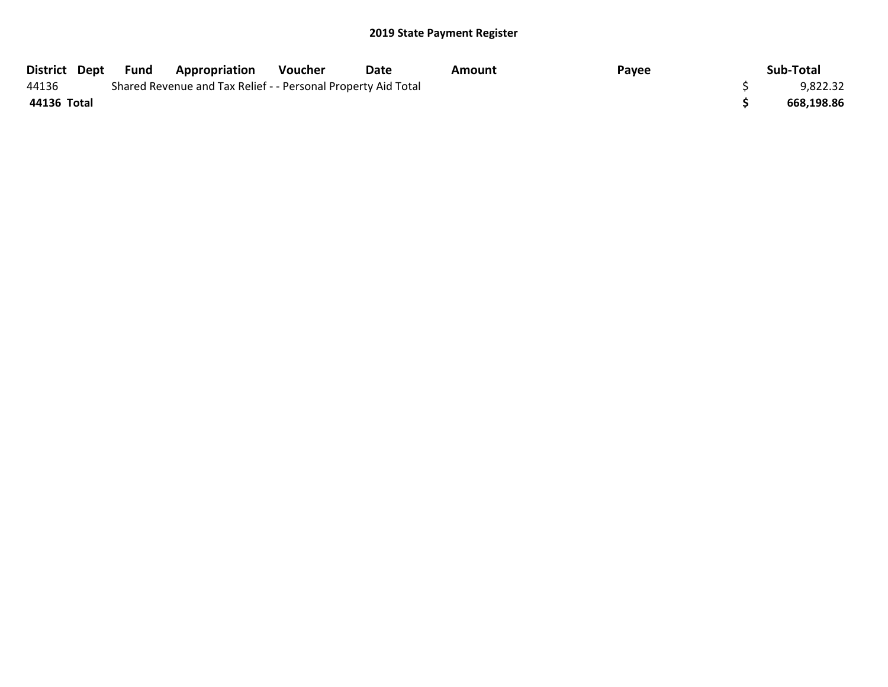|             | District Dept Fund | <b>Appropriation</b>                                          | Voucher | Date | Amount | Payee | Sub-Total  |
|-------------|--------------------|---------------------------------------------------------------|---------|------|--------|-------|------------|
| 44136       |                    | Shared Revenue and Tax Relief - - Personal Property Aid Total |         |      |        |       | 9,822.32   |
| 44136 Total |                    |                                                               |         |      |        |       | 668,198.86 |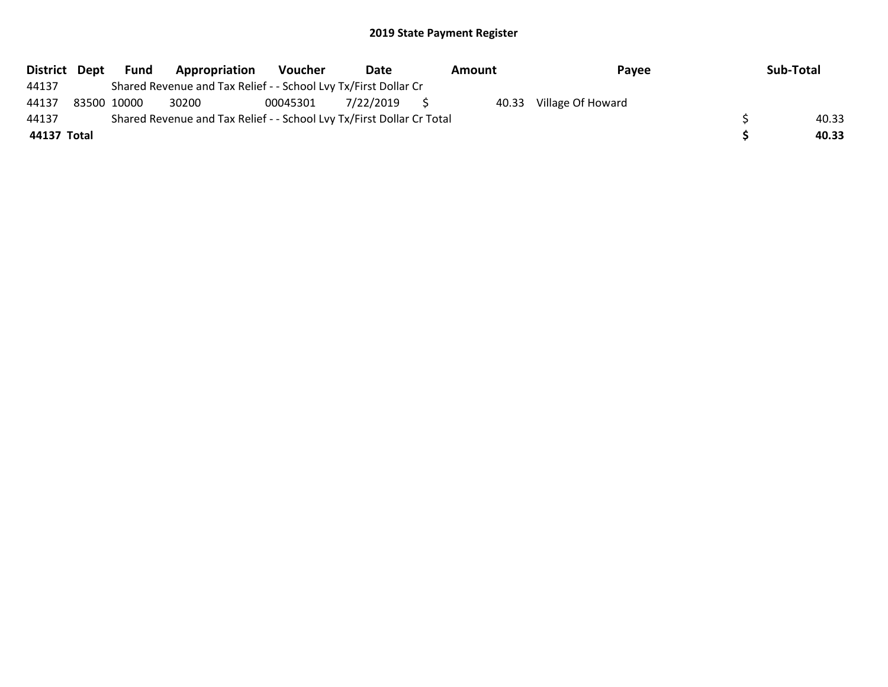|             | District Dept Fund | Appropriation                                                         | Voucher  | Date         | Amount | Pavee             | Sub-Total |
|-------------|--------------------|-----------------------------------------------------------------------|----------|--------------|--------|-------------------|-----------|
| 44137       |                    | Shared Revenue and Tax Relief - - School Lvy Tx/First Dollar Cr       |          |              |        |                   |           |
| 44137       | 83500 10000        | 30200                                                                 | 00045301 | 7/22/2019 \$ | 40.33  | Village Of Howard |           |
| 44137       |                    | Shared Revenue and Tax Relief - - School Lvy Tx/First Dollar Cr Total |          |              |        |                   | 40.33     |
| 44137 Total |                    |                                                                       |          |              |        |                   | 40.33     |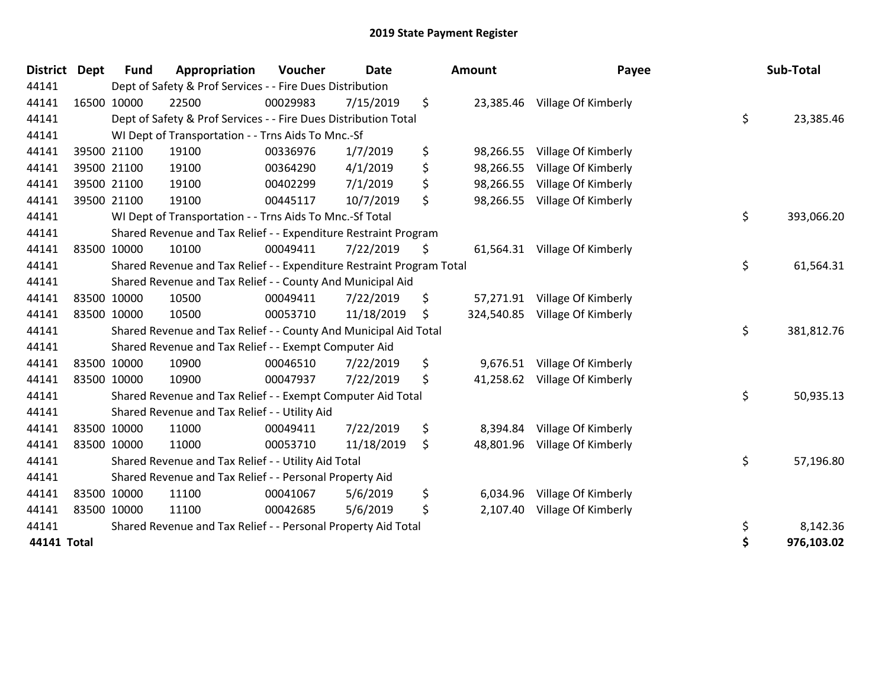| <b>District</b> | <b>Dept</b> | <b>Fund</b> | Appropriation                                                         | Voucher  | <b>Date</b> | Amount           | Payee               | Sub-Total        |
|-----------------|-------------|-------------|-----------------------------------------------------------------------|----------|-------------|------------------|---------------------|------------------|
| 44141           |             |             | Dept of Safety & Prof Services - - Fire Dues Distribution             |          |             |                  |                     |                  |
| 44141           |             | 16500 10000 | 22500                                                                 | 00029983 | 7/15/2019   | \$<br>23,385.46  | Village Of Kimberly |                  |
| 44141           |             |             | Dept of Safety & Prof Services - - Fire Dues Distribution Total       |          |             |                  |                     | \$<br>23,385.46  |
| 44141           |             |             | WI Dept of Transportation - - Trns Aids To Mnc.-Sf                    |          |             |                  |                     |                  |
| 44141           |             | 39500 21100 | 19100                                                                 | 00336976 | 1/7/2019    | \$<br>98,266.55  | Village Of Kimberly |                  |
| 44141           |             | 39500 21100 | 19100                                                                 | 00364290 | 4/1/2019    | \$<br>98,266.55  | Village Of Kimberly |                  |
| 44141           |             | 39500 21100 | 19100                                                                 | 00402299 | 7/1/2019    | \$<br>98,266.55  | Village Of Kimberly |                  |
| 44141           |             | 39500 21100 | 19100                                                                 | 00445117 | 10/7/2019   | \$<br>98,266.55  | Village Of Kimberly |                  |
| 44141           |             |             | WI Dept of Transportation - - Trns Aids To Mnc.-Sf Total              |          |             |                  |                     | \$<br>393,066.20 |
| 44141           |             |             | Shared Revenue and Tax Relief - - Expenditure Restraint Program       |          |             |                  |                     |                  |
| 44141           |             | 83500 10000 | 10100                                                                 | 00049411 | 7/22/2019   | \$<br>61,564.31  | Village Of Kimberly |                  |
| 44141           |             |             | Shared Revenue and Tax Relief - - Expenditure Restraint Program Total |          |             |                  |                     | \$<br>61,564.31  |
| 44141           |             |             | Shared Revenue and Tax Relief - - County And Municipal Aid            |          |             |                  |                     |                  |
| 44141           |             | 83500 10000 | 10500                                                                 | 00049411 | 7/22/2019   | \$<br>57,271.91  | Village Of Kimberly |                  |
| 44141           |             | 83500 10000 | 10500                                                                 | 00053710 | 11/18/2019  | \$<br>324,540.85 | Village Of Kimberly |                  |
| 44141           |             |             | Shared Revenue and Tax Relief - - County And Municipal Aid Total      |          |             |                  |                     | \$<br>381,812.76 |
| 44141           |             |             | Shared Revenue and Tax Relief - - Exempt Computer Aid                 |          |             |                  |                     |                  |
| 44141           |             | 83500 10000 | 10900                                                                 | 00046510 | 7/22/2019   | \$<br>9,676.51   | Village Of Kimberly |                  |
| 44141           |             | 83500 10000 | 10900                                                                 | 00047937 | 7/22/2019   | \$<br>41,258.62  | Village Of Kimberly |                  |
| 44141           |             |             | Shared Revenue and Tax Relief - - Exempt Computer Aid Total           |          |             |                  |                     | \$<br>50,935.13  |
| 44141           |             |             | Shared Revenue and Tax Relief - - Utility Aid                         |          |             |                  |                     |                  |
| 44141           |             | 83500 10000 | 11000                                                                 | 00049411 | 7/22/2019   | \$<br>8,394.84   | Village Of Kimberly |                  |
| 44141           |             | 83500 10000 | 11000                                                                 | 00053710 | 11/18/2019  | \$<br>48,801.96  | Village Of Kimberly |                  |
| 44141           |             |             | Shared Revenue and Tax Relief - - Utility Aid Total                   |          |             |                  |                     | \$<br>57,196.80  |
| 44141           |             |             | Shared Revenue and Tax Relief - - Personal Property Aid               |          |             |                  |                     |                  |
| 44141           |             | 83500 10000 | 11100                                                                 | 00041067 | 5/6/2019    | \$<br>6,034.96   | Village Of Kimberly |                  |
| 44141           |             | 83500 10000 | 11100                                                                 | 00042685 | 5/6/2019    | \$<br>2,107.40   | Village Of Kimberly |                  |
| 44141           |             |             | Shared Revenue and Tax Relief - - Personal Property Aid Total         |          |             |                  |                     | \$<br>8,142.36   |
| 44141 Total     |             |             |                                                                       |          |             |                  |                     | \$<br>976,103.02 |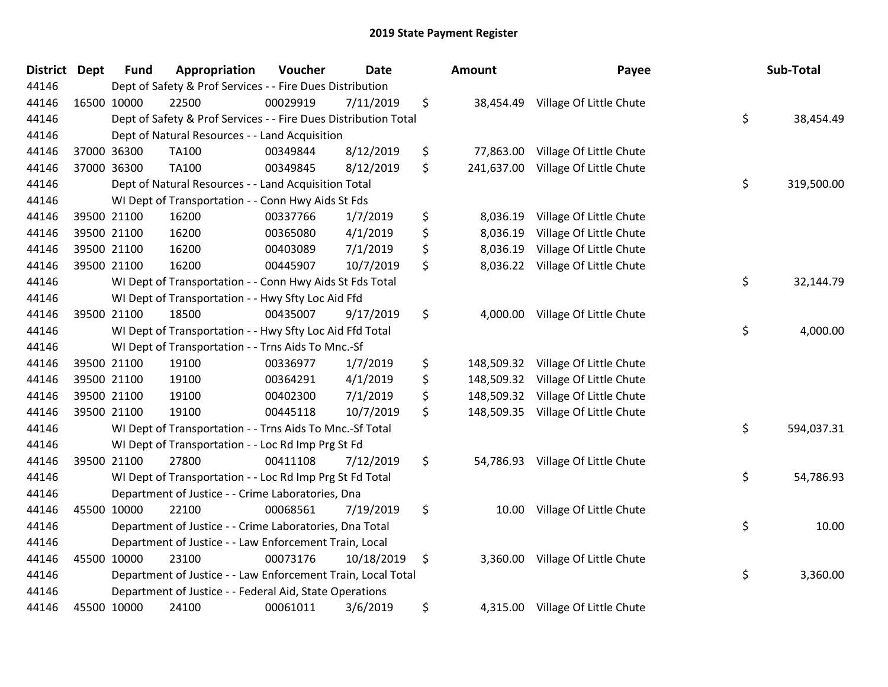| <b>District</b> | <b>Dept</b> | <b>Fund</b> | Appropriation                                                   | Voucher  | <b>Date</b> | Amount           | Payee                              | Sub-Total        |
|-----------------|-------------|-------------|-----------------------------------------------------------------|----------|-------------|------------------|------------------------------------|------------------|
| 44146           |             |             | Dept of Safety & Prof Services - - Fire Dues Distribution       |          |             |                  |                                    |                  |
| 44146           |             | 16500 10000 | 22500                                                           | 00029919 | 7/11/2019   | \$<br>38,454.49  | Village Of Little Chute            |                  |
| 44146           |             |             | Dept of Safety & Prof Services - - Fire Dues Distribution Total |          |             |                  |                                    | \$<br>38,454.49  |
| 44146           |             |             | Dept of Natural Resources - - Land Acquisition                  |          |             |                  |                                    |                  |
| 44146           |             | 37000 36300 | <b>TA100</b>                                                    | 00349844 | 8/12/2019   | \$<br>77,863.00  | Village Of Little Chute            |                  |
| 44146           |             | 37000 36300 | <b>TA100</b>                                                    | 00349845 | 8/12/2019   | \$<br>241,637.00 | Village Of Little Chute            |                  |
| 44146           |             |             | Dept of Natural Resources - - Land Acquisition Total            |          |             |                  |                                    | \$<br>319,500.00 |
| 44146           |             |             | WI Dept of Transportation - - Conn Hwy Aids St Fds              |          |             |                  |                                    |                  |
| 44146           |             | 39500 21100 | 16200                                                           | 00337766 | 1/7/2019    | \$<br>8,036.19   | Village Of Little Chute            |                  |
| 44146           |             | 39500 21100 | 16200                                                           | 00365080 | 4/1/2019    | \$<br>8,036.19   | Village Of Little Chute            |                  |
| 44146           |             | 39500 21100 | 16200                                                           | 00403089 | 7/1/2019    | \$<br>8,036.19   | Village Of Little Chute            |                  |
| 44146           |             | 39500 21100 | 16200                                                           | 00445907 | 10/7/2019   | \$<br>8,036.22   | Village Of Little Chute            |                  |
| 44146           |             |             | WI Dept of Transportation - - Conn Hwy Aids St Fds Total        |          |             |                  |                                    | \$<br>32,144.79  |
| 44146           |             |             | WI Dept of Transportation - - Hwy Sfty Loc Aid Ffd              |          |             |                  |                                    |                  |
| 44146           |             | 39500 21100 | 18500                                                           | 00435007 | 9/17/2019   | \$<br>4,000.00   | Village Of Little Chute            |                  |
| 44146           |             |             | WI Dept of Transportation - - Hwy Sfty Loc Aid Ffd Total        |          |             |                  |                                    | \$<br>4,000.00   |
| 44146           |             |             | WI Dept of Transportation - - Trns Aids To Mnc.-Sf              |          |             |                  |                                    |                  |
| 44146           |             | 39500 21100 | 19100                                                           | 00336977 | 1/7/2019    | \$<br>148,509.32 | Village Of Little Chute            |                  |
| 44146           |             | 39500 21100 | 19100                                                           | 00364291 | 4/1/2019    | \$               | 148,509.32 Village Of Little Chute |                  |
| 44146           |             | 39500 21100 | 19100                                                           | 00402300 | 7/1/2019    | \$<br>148,509.32 | Village Of Little Chute            |                  |
| 44146           |             | 39500 21100 | 19100                                                           | 00445118 | 10/7/2019   | \$<br>148,509.35 | Village Of Little Chute            |                  |
| 44146           |             |             | WI Dept of Transportation - - Trns Aids To Mnc.-Sf Total        |          |             |                  |                                    | \$<br>594,037.31 |
| 44146           |             |             | WI Dept of Transportation - - Loc Rd Imp Prg St Fd              |          |             |                  |                                    |                  |
| 44146           |             | 39500 21100 | 27800                                                           | 00411108 | 7/12/2019   | \$               | 54,786.93 Village Of Little Chute  |                  |
| 44146           |             |             | WI Dept of Transportation - - Loc Rd Imp Prg St Fd Total        |          |             |                  |                                    | \$<br>54,786.93  |
| 44146           |             |             | Department of Justice - - Crime Laboratories, Dna               |          |             |                  |                                    |                  |
| 44146           |             | 45500 10000 | 22100                                                           | 00068561 | 7/19/2019   | \$<br>10.00      | Village Of Little Chute            |                  |
| 44146           |             |             | Department of Justice - - Crime Laboratories, Dna Total         |          |             |                  |                                    | \$<br>10.00      |
| 44146           |             |             | Department of Justice - - Law Enforcement Train, Local          |          |             |                  |                                    |                  |
| 44146           | 45500 10000 |             | 23100                                                           | 00073176 | 10/18/2019  | \$<br>3,360.00   | Village Of Little Chute            |                  |
| 44146           |             |             | Department of Justice - - Law Enforcement Train, Local Total    |          |             |                  |                                    | \$<br>3,360.00   |
| 44146           |             |             | Department of Justice - - Federal Aid, State Operations         |          |             |                  |                                    |                  |
| 44146           | 45500 10000 |             | 24100                                                           | 00061011 | 3/6/2019    | \$<br>4,315.00   | Village Of Little Chute            |                  |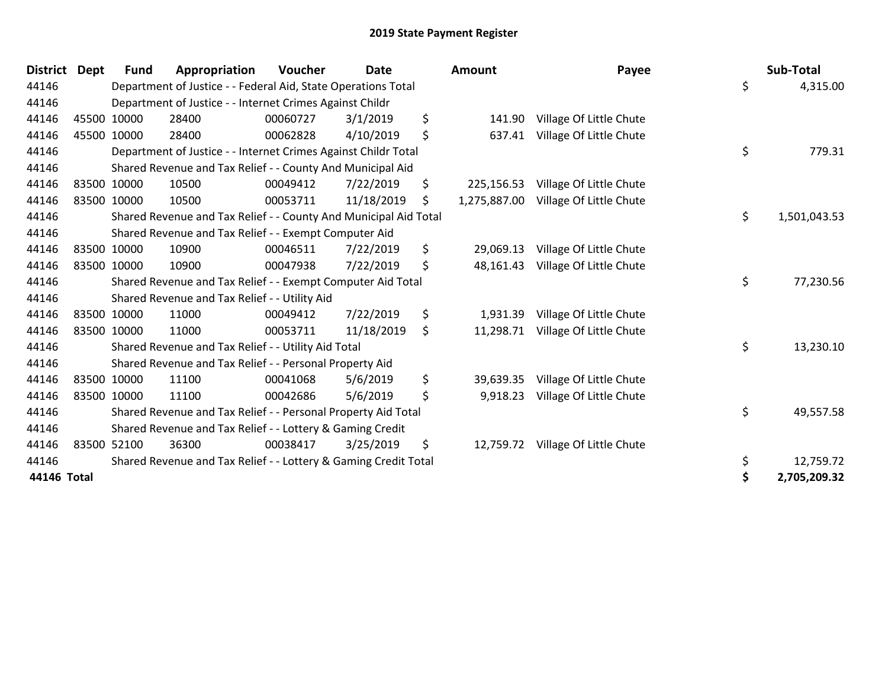| <b>District</b> | <b>Dept</b> | <b>Fund</b> | Appropriation                                                    | Voucher  | <b>Date</b> | <b>Amount</b> |              | Payee                             | Sub-Total          |  |
|-----------------|-------------|-------------|------------------------------------------------------------------|----------|-------------|---------------|--------------|-----------------------------------|--------------------|--|
| 44146           |             |             | Department of Justice - - Federal Aid, State Operations Total    |          |             |               |              |                                   | \$<br>4,315.00     |  |
| 44146           |             |             | Department of Justice - - Internet Crimes Against Childr         |          |             |               |              |                                   |                    |  |
| 44146           |             | 45500 10000 | 28400                                                            | 00060727 | 3/1/2019    | \$            | 141.90       | Village Of Little Chute           |                    |  |
| 44146           |             | 45500 10000 | 28400                                                            | 00062828 | 4/10/2019   | \$            | 637.41       | Village Of Little Chute           |                    |  |
| 44146           |             |             | Department of Justice - - Internet Crimes Against Childr Total   |          |             |               |              |                                   | \$<br>779.31       |  |
| 44146           |             |             | Shared Revenue and Tax Relief - - County And Municipal Aid       |          |             |               |              |                                   |                    |  |
| 44146           |             | 83500 10000 | 10500                                                            | 00049412 | 7/22/2019   | \$            | 225,156.53   | Village Of Little Chute           |                    |  |
| 44146           |             | 83500 10000 | 10500                                                            | 00053711 | 11/18/2019  | \$            | 1,275,887.00 | Village Of Little Chute           |                    |  |
| 44146           |             |             | Shared Revenue and Tax Relief - - County And Municipal Aid Total |          |             |               |              |                                   | \$<br>1,501,043.53 |  |
| 44146           |             |             | Shared Revenue and Tax Relief - - Exempt Computer Aid            |          |             |               |              |                                   |                    |  |
| 44146           |             | 83500 10000 | 10900                                                            | 00046511 | 7/22/2019   | \$            | 29,069.13    | Village Of Little Chute           |                    |  |
| 44146           |             | 83500 10000 | 10900                                                            | 00047938 | 7/22/2019   | \$            | 48,161.43    | Village Of Little Chute           |                    |  |
| 44146           |             |             | Shared Revenue and Tax Relief - - Exempt Computer Aid Total      |          |             |               |              |                                   | \$<br>77,230.56    |  |
| 44146           |             |             | Shared Revenue and Tax Relief - - Utility Aid                    |          |             |               |              |                                   |                    |  |
| 44146           |             | 83500 10000 | 11000                                                            | 00049412 | 7/22/2019   | \$            | 1,931.39     | Village Of Little Chute           |                    |  |
| 44146           |             | 83500 10000 | 11000                                                            | 00053711 | 11/18/2019  | \$            | 11,298.71    | Village Of Little Chute           |                    |  |
| 44146           |             |             | Shared Revenue and Tax Relief - - Utility Aid Total              |          |             |               |              |                                   | \$<br>13,230.10    |  |
| 44146           |             |             | Shared Revenue and Tax Relief - - Personal Property Aid          |          |             |               |              |                                   |                    |  |
| 44146           |             | 83500 10000 | 11100                                                            | 00041068 | 5/6/2019    | \$            | 39,639.35    | Village Of Little Chute           |                    |  |
| 44146           | 83500 10000 |             | 11100                                                            | 00042686 | 5/6/2019    | \$            | 9,918.23     | Village Of Little Chute           |                    |  |
| 44146           |             |             | Shared Revenue and Tax Relief - - Personal Property Aid Total    |          |             |               |              |                                   | \$<br>49,557.58    |  |
| 44146           |             |             | Shared Revenue and Tax Relief - - Lottery & Gaming Credit        |          |             |               |              |                                   |                    |  |
| 44146           |             | 83500 52100 | 36300                                                            | 00038417 | 3/25/2019   | \$            |              | 12,759.72 Village Of Little Chute |                    |  |
| 44146           |             |             | Shared Revenue and Tax Relief - - Lottery & Gaming Credit Total  |          |             |               |              |                                   | \$<br>12,759.72    |  |
| 44146 Total     |             |             |                                                                  |          |             |               |              |                                   | \$<br>2,705,209.32 |  |

| Sup-Total    | \$<br>rayee                        | ιοunτ       |
|--------------|------------------------------------|-------------|
| 4,315.00     |                                    |             |
|              | 141.90 Village Of Little Chute     |             |
|              | Village Of Little Chute            | 637.41      |
| 779.31       | \$                                 |             |
|              | 225,156.53 Village Of Little Chute |             |
|              | Village Of Little Chute            | ,275,887.00 |
| 1,501,043.53 | \$                                 |             |
|              | 29,069.13 Village Of Little Chute  |             |
|              | 48,161.43 Village Of Little Chute  |             |
| 77,230.56    | \$                                 |             |
|              | 1,931.39 Village Of Little Chute   |             |
|              | 11,298.71 Village Of Little Chute  |             |
| 13,230.10    | \$                                 |             |
|              | 39,639.35 Village Of Little Chute  |             |
|              | 9,918.23 Village Of Little Chute   |             |
| 49,557.58    | \$                                 |             |
|              | 12,759.72 Village Of Little Chute  |             |
| 12,759.72    | \$                                 |             |
| 2,705,209.32 | \$                                 |             |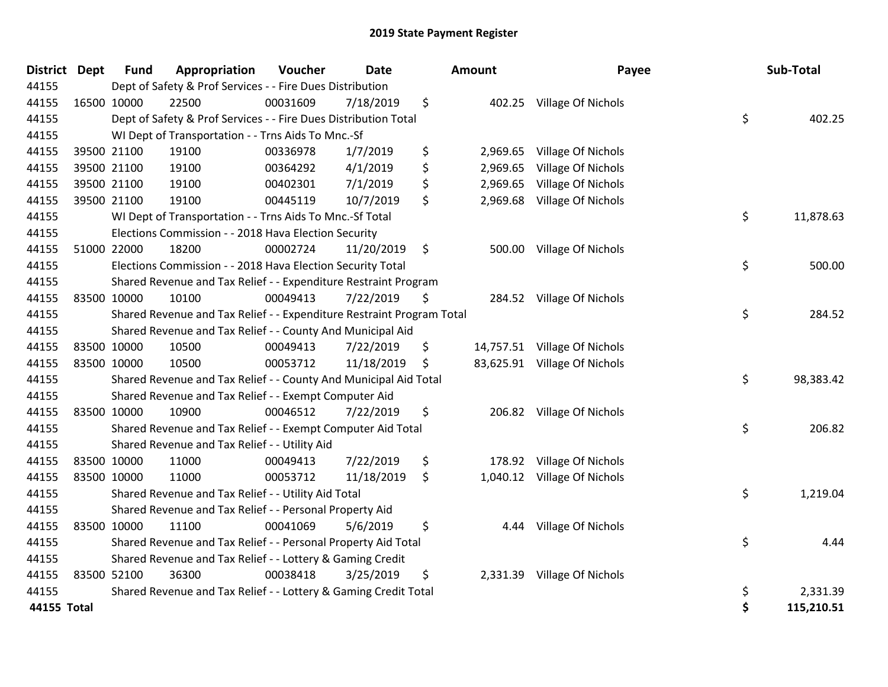| District Dept | <b>Fund</b> | Appropriation                                                         | Voucher  | <b>Date</b> | Amount         | Payee                        | Sub-Total        |
|---------------|-------------|-----------------------------------------------------------------------|----------|-------------|----------------|------------------------------|------------------|
| 44155         |             | Dept of Safety & Prof Services - - Fire Dues Distribution             |          |             |                |                              |                  |
| 44155         | 16500 10000 | 22500                                                                 | 00031609 | 7/18/2019   | \$             | 402.25 Village Of Nichols    |                  |
| 44155         |             | Dept of Safety & Prof Services - - Fire Dues Distribution Total       |          |             |                |                              | \$<br>402.25     |
| 44155         |             | WI Dept of Transportation - - Trns Aids To Mnc.-Sf                    |          |             |                |                              |                  |
| 44155         | 39500 21100 | 19100                                                                 | 00336978 | 1/7/2019    | \$<br>2,969.65 | Village Of Nichols           |                  |
| 44155         | 39500 21100 | 19100                                                                 | 00364292 | 4/1/2019    | \$<br>2,969.65 | Village Of Nichols           |                  |
| 44155         | 39500 21100 | 19100                                                                 | 00402301 | 7/1/2019    | \$<br>2,969.65 | Village Of Nichols           |                  |
| 44155         | 39500 21100 | 19100                                                                 | 00445119 | 10/7/2019   | \$<br>2,969.68 | Village Of Nichols           |                  |
| 44155         |             | WI Dept of Transportation - - Trns Aids To Mnc.-Sf Total              |          |             |                |                              | \$<br>11,878.63  |
| 44155         |             | Elections Commission - - 2018 Hava Election Security                  |          |             |                |                              |                  |
| 44155         | 51000 22000 | 18200                                                                 | 00002724 | 11/20/2019  | \$             | 500.00 Village Of Nichols    |                  |
| 44155         |             | Elections Commission - - 2018 Hava Election Security Total            |          |             |                |                              | \$<br>500.00     |
| 44155         |             | Shared Revenue and Tax Relief - - Expenditure Restraint Program       |          |             |                |                              |                  |
| 44155         | 83500 10000 | 10100                                                                 | 00049413 | 7/22/2019   | \$             | 284.52 Village Of Nichols    |                  |
| 44155         |             | Shared Revenue and Tax Relief - - Expenditure Restraint Program Total |          |             |                |                              | \$<br>284.52     |
| 44155         |             | Shared Revenue and Tax Relief - - County And Municipal Aid            |          |             |                |                              |                  |
| 44155         | 83500 10000 | 10500                                                                 | 00049413 | 7/22/2019   | \$             | 14,757.51 Village Of Nichols |                  |
| 44155         | 83500 10000 | 10500                                                                 | 00053712 | 11/18/2019  | \$             | 83,625.91 Village Of Nichols |                  |
| 44155         |             | Shared Revenue and Tax Relief - - County And Municipal Aid Total      |          |             |                |                              | \$<br>98,383.42  |
| 44155         |             | Shared Revenue and Tax Relief - - Exempt Computer Aid                 |          |             |                |                              |                  |
| 44155         | 83500 10000 | 10900                                                                 | 00046512 | 7/22/2019   | \$             | 206.82 Village Of Nichols    |                  |
| 44155         |             | Shared Revenue and Tax Relief - - Exempt Computer Aid Total           |          |             |                |                              | \$<br>206.82     |
| 44155         |             | Shared Revenue and Tax Relief - - Utility Aid                         |          |             |                |                              |                  |
| 44155         | 83500 10000 | 11000                                                                 | 00049413 | 7/22/2019   | \$<br>178.92   | Village Of Nichols           |                  |
| 44155         | 83500 10000 | 11000                                                                 | 00053712 | 11/18/2019  | \$             | 1,040.12 Village Of Nichols  |                  |
| 44155         |             | Shared Revenue and Tax Relief - - Utility Aid Total                   |          |             |                |                              | \$<br>1,219.04   |
| 44155         |             | Shared Revenue and Tax Relief - - Personal Property Aid               |          |             |                |                              |                  |
| 44155         | 83500 10000 | 11100                                                                 | 00041069 | 5/6/2019    | \$             | 4.44 Village Of Nichols      |                  |
| 44155         |             | Shared Revenue and Tax Relief - - Personal Property Aid Total         |          |             |                |                              | \$<br>4.44       |
| 44155         |             | Shared Revenue and Tax Relief - - Lottery & Gaming Credit             |          |             |                |                              |                  |
| 44155         | 83500 52100 | 36300                                                                 | 00038418 | 3/25/2019   | \$             | 2,331.39 Village Of Nichols  |                  |
| 44155         |             | Shared Revenue and Tax Relief - - Lottery & Gaming Credit Total       |          |             |                |                              | \$<br>2,331.39   |
| 44155 Total   |             |                                                                       |          |             |                |                              | \$<br>115,210.51 |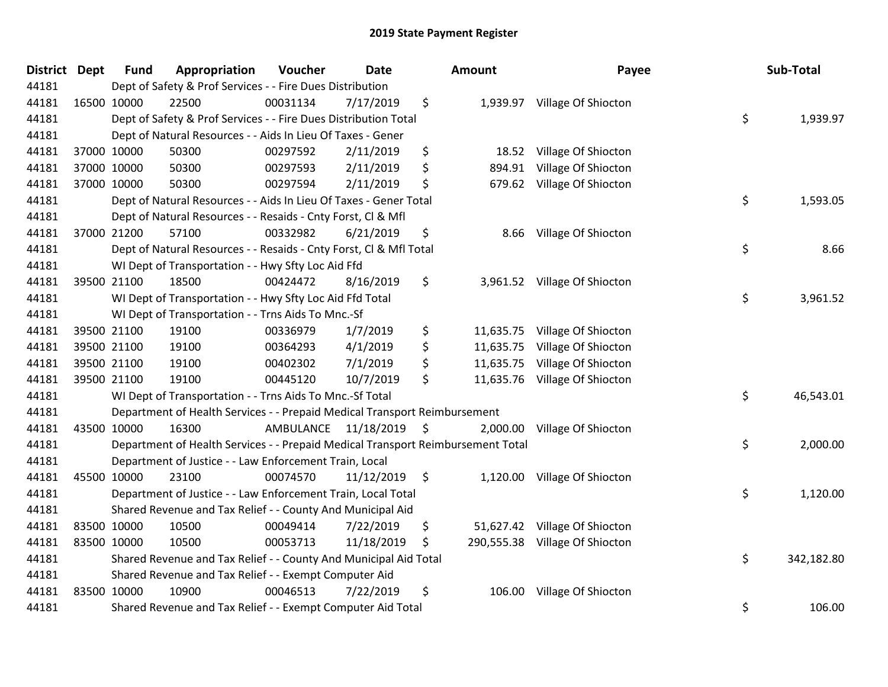| District Dept | <b>Fund</b> | Appropriation                                                                   | Voucher              | Date       |    | Amount    | Payee                          | Sub-Total        |
|---------------|-------------|---------------------------------------------------------------------------------|----------------------|------------|----|-----------|--------------------------------|------------------|
| 44181         |             | Dept of Safety & Prof Services - - Fire Dues Distribution                       |                      |            |    |           |                                |                  |
| 44181         | 16500 10000 | 22500                                                                           | 00031134             | 7/17/2019  | \$ |           | 1,939.97 Village Of Shiocton   |                  |
| 44181         |             | Dept of Safety & Prof Services - - Fire Dues Distribution Total                 |                      |            |    |           |                                | \$<br>1,939.97   |
| 44181         |             | Dept of Natural Resources - - Aids In Lieu Of Taxes - Gener                     |                      |            |    |           |                                |                  |
| 44181         | 37000 10000 | 50300                                                                           | 00297592             | 2/11/2019  | \$ | 18.52     | Village Of Shiocton            |                  |
| 44181         | 37000 10000 | 50300                                                                           | 00297593             | 2/11/2019  | \$ | 894.91    | Village Of Shiocton            |                  |
| 44181         | 37000 10000 | 50300                                                                           | 00297594             | 2/11/2019  | \$ | 679.62    | Village Of Shiocton            |                  |
| 44181         |             | Dept of Natural Resources - - Aids In Lieu Of Taxes - Gener Total               |                      |            |    |           |                                | \$<br>1,593.05   |
| 44181         |             | Dept of Natural Resources - - Resaids - Cnty Forst, Cl & Mfl                    |                      |            |    |           |                                |                  |
| 44181         | 37000 21200 | 57100                                                                           | 00332982             | 6/21/2019  | \$ | 8.66      | Village Of Shiocton            |                  |
| 44181         |             | Dept of Natural Resources - - Resaids - Cnty Forst, CI & Mfl Total              |                      |            |    |           |                                | \$<br>8.66       |
| 44181         |             | WI Dept of Transportation - - Hwy Sfty Loc Aid Ffd                              |                      |            |    |           |                                |                  |
| 44181         | 39500 21100 | 18500                                                                           | 00424472             | 8/16/2019  | \$ |           | 3,961.52 Village Of Shiocton   |                  |
| 44181         |             | WI Dept of Transportation - - Hwy Sfty Loc Aid Ffd Total                        |                      |            |    |           |                                | \$<br>3,961.52   |
| 44181         |             | WI Dept of Transportation - - Trns Aids To Mnc.-Sf                              |                      |            |    |           |                                |                  |
| 44181         | 39500 21100 | 19100                                                                           | 00336979             | 1/7/2019   | \$ | 11,635.75 | Village Of Shiocton            |                  |
| 44181         | 39500 21100 | 19100                                                                           | 00364293             | 4/1/2019   | \$ | 11,635.75 | Village Of Shiocton            |                  |
| 44181         | 39500 21100 | 19100                                                                           | 00402302             | 7/1/2019   | \$ | 11,635.75 | Village Of Shiocton            |                  |
| 44181         | 39500 21100 | 19100                                                                           | 00445120             | 10/7/2019  | \$ |           | 11,635.76 Village Of Shiocton  |                  |
| 44181         |             | WI Dept of Transportation - - Trns Aids To Mnc.-Sf Total                        |                      |            |    |           |                                | \$<br>46,543.01  |
| 44181         |             | Department of Health Services - - Prepaid Medical Transport Reimbursement       |                      |            |    |           |                                |                  |
| 44181         | 43500 10000 | 16300                                                                           | AMBULANCE 11/18/2019 |            | \$ | 2,000.00  | Village Of Shiocton            |                  |
| 44181         |             | Department of Health Services - - Prepaid Medical Transport Reimbursement Total |                      |            |    |           |                                | \$<br>2,000.00   |
| 44181         |             | Department of Justice - - Law Enforcement Train, Local                          |                      |            |    |           |                                |                  |
| 44181         | 45500 10000 | 23100                                                                           | 00074570             | 11/12/2019 | \$ | 1,120.00  | Village Of Shiocton            |                  |
| 44181         |             | Department of Justice - - Law Enforcement Train, Local Total                    |                      |            |    |           |                                | \$<br>1,120.00   |
| 44181         |             | Shared Revenue and Tax Relief - - County And Municipal Aid                      |                      |            |    |           |                                |                  |
| 44181         | 83500 10000 | 10500                                                                           | 00049414             | 7/22/2019  | \$ |           | 51,627.42 Village Of Shiocton  |                  |
| 44181         | 83500 10000 | 10500                                                                           | 00053713             | 11/18/2019 | S. |           | 290,555.38 Village Of Shiocton |                  |
| 44181         |             | Shared Revenue and Tax Relief - - County And Municipal Aid Total                |                      |            |    |           |                                | \$<br>342,182.80 |
| 44181         |             | Shared Revenue and Tax Relief - - Exempt Computer Aid                           |                      |            |    |           |                                |                  |
| 44181         | 83500 10000 | 10900                                                                           | 00046513             | 7/22/2019  | \$ | 106.00    | Village Of Shiocton            |                  |
| 44181         |             | Shared Revenue and Tax Relief - - Exempt Computer Aid Total                     |                      |            |    |           |                                | \$<br>106.00     |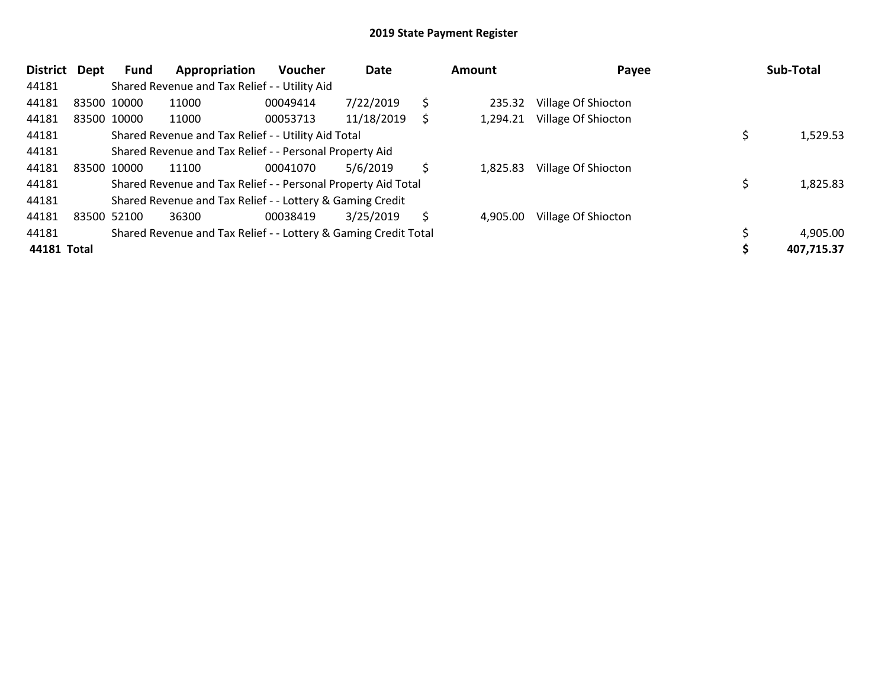| District Dept | <b>Fund</b> | Appropriation                                                   | <b>Voucher</b> | Date       |    | Amount   | Payee               | Sub-Total  |
|---------------|-------------|-----------------------------------------------------------------|----------------|------------|----|----------|---------------------|------------|
| 44181         |             | Shared Revenue and Tax Relief - - Utility Aid                   |                |            |    |          |                     |            |
| 44181         | 83500 10000 | 11000                                                           | 00049414       | 7/22/2019  | \$ | 235.32   | Village Of Shiocton |            |
| 44181         | 83500 10000 | 11000                                                           | 00053713       | 11/18/2019 | S  | 1,294.21 | Village Of Shiocton |            |
| 44181         |             | Shared Revenue and Tax Relief - - Utility Aid Total             |                |            |    |          |                     | 1,529.53   |
| 44181         |             | Shared Revenue and Tax Relief - - Personal Property Aid         |                |            |    |          |                     |            |
| 44181         | 83500 10000 | 11100                                                           | 00041070       | 5/6/2019   | S  | 1.825.83 | Village Of Shiocton |            |
| 44181         |             | Shared Revenue and Tax Relief - - Personal Property Aid Total   |                |            |    |          |                     | 1,825.83   |
| 44181         |             | Shared Revenue and Tax Relief - - Lottery & Gaming Credit       |                |            |    |          |                     |            |
| 44181         | 83500 52100 | 36300                                                           | 00038419       | 3/25/2019  | S  | 4,905.00 | Village Of Shiocton |            |
| 44181         |             | Shared Revenue and Tax Relief - - Lottery & Gaming Credit Total |                |            |    |          |                     | 4,905.00   |
| 44181 Total   |             |                                                                 |                |            |    |          |                     | 407,715.37 |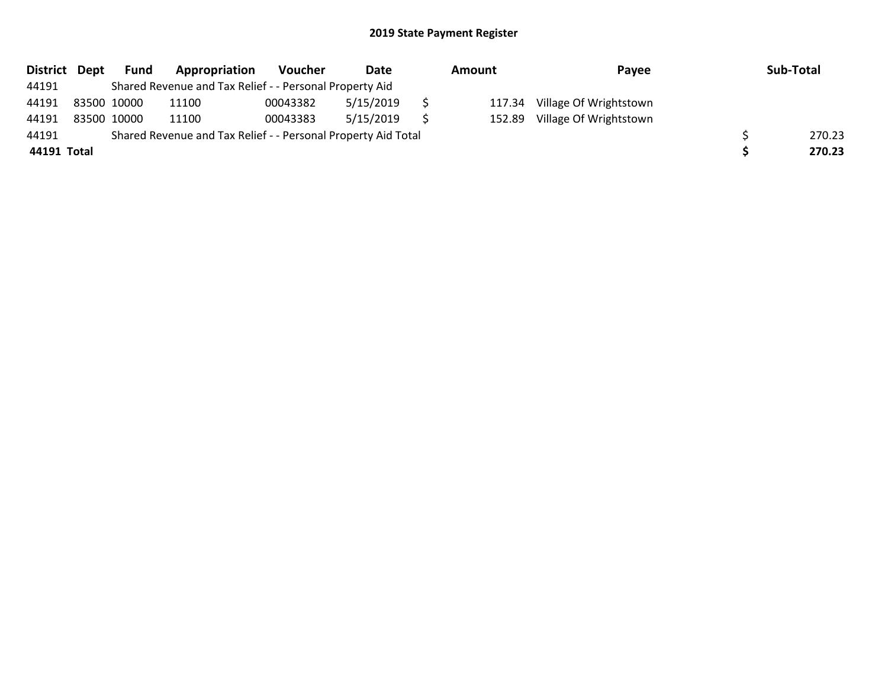|             | District Dept | Fund        | Appropriation                                                 | <b>Voucher</b> | Date      | Amount |        | Pavee                  | Sub-Total |
|-------------|---------------|-------------|---------------------------------------------------------------|----------------|-----------|--------|--------|------------------------|-----------|
| 44191       |               |             | Shared Revenue and Tax Relief - - Personal Property Aid       |                |           |        |        |                        |           |
| 44191       | 83500 10000   |             | 11100                                                         | 00043382       | 5/15/2019 |        | 117.34 | Village Of Wrightstown |           |
| 44191       |               | 83500 10000 | 11100                                                         | 00043383       | 5/15/2019 |        | 152.89 | Village Of Wrightstown |           |
| 44191       |               |             | Shared Revenue and Tax Relief - - Personal Property Aid Total |                |           |        |        |                        | 270.23    |
| 44191 Total |               |             |                                                               |                |           |        |        |                        | 270.23    |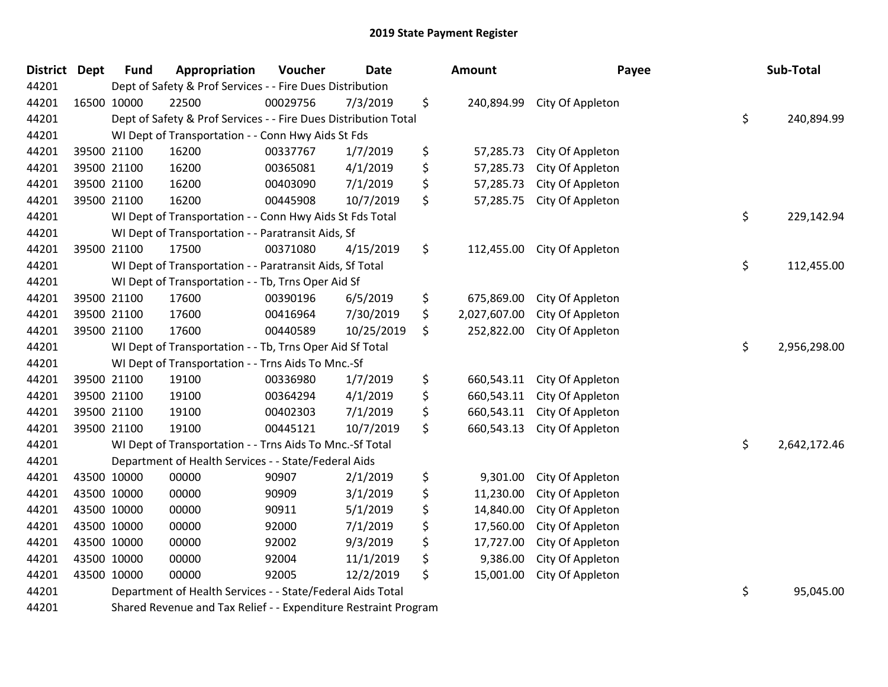| District Dept | <b>Fund</b> | Appropriation                                                   | Voucher  | Date       | <b>Amount</b>      | Payee            | Sub-Total          |
|---------------|-------------|-----------------------------------------------------------------|----------|------------|--------------------|------------------|--------------------|
| 44201         |             | Dept of Safety & Prof Services - - Fire Dues Distribution       |          |            |                    |                  |                    |
| 44201         | 16500 10000 | 22500                                                           | 00029756 | 7/3/2019   | \$<br>240,894.99   | City Of Appleton |                    |
| 44201         |             | Dept of Safety & Prof Services - - Fire Dues Distribution Total |          |            |                    |                  | \$<br>240,894.99   |
| 44201         |             | WI Dept of Transportation - - Conn Hwy Aids St Fds              |          |            |                    |                  |                    |
| 44201         | 39500 21100 | 16200                                                           | 00337767 | 1/7/2019   | \$<br>57,285.73    | City Of Appleton |                    |
| 44201         | 39500 21100 | 16200                                                           | 00365081 | 4/1/2019   | \$<br>57,285.73    | City Of Appleton |                    |
| 44201         | 39500 21100 | 16200                                                           | 00403090 | 7/1/2019   | \$<br>57,285.73    | City Of Appleton |                    |
| 44201         | 39500 21100 | 16200                                                           | 00445908 | 10/7/2019  | \$<br>57,285.75    | City Of Appleton |                    |
| 44201         |             | WI Dept of Transportation - - Conn Hwy Aids St Fds Total        |          |            |                    |                  | \$<br>229,142.94   |
| 44201         |             | WI Dept of Transportation - - Paratransit Aids, Sf              |          |            |                    |                  |                    |
| 44201         | 39500 21100 | 17500                                                           | 00371080 | 4/15/2019  | \$<br>112,455.00   | City Of Appleton |                    |
| 44201         |             | WI Dept of Transportation - - Paratransit Aids, Sf Total        |          |            |                    |                  | \$<br>112,455.00   |
| 44201         |             | WI Dept of Transportation - - Tb, Trns Oper Aid Sf              |          |            |                    |                  |                    |
| 44201         | 39500 21100 | 17600                                                           | 00390196 | 6/5/2019   | \$<br>675,869.00   | City Of Appleton |                    |
| 44201         | 39500 21100 | 17600                                                           | 00416964 | 7/30/2019  | \$<br>2,027,607.00 | City Of Appleton |                    |
| 44201         | 39500 21100 | 17600                                                           | 00440589 | 10/25/2019 | \$<br>252,822.00   | City Of Appleton |                    |
| 44201         |             | WI Dept of Transportation - - Tb, Trns Oper Aid Sf Total        |          |            |                    |                  | \$<br>2,956,298.00 |
| 44201         |             | WI Dept of Transportation - - Trns Aids To Mnc.-Sf              |          |            |                    |                  |                    |
| 44201         | 39500 21100 | 19100                                                           | 00336980 | 1/7/2019   | \$<br>660,543.11   | City Of Appleton |                    |
| 44201         | 39500 21100 | 19100                                                           | 00364294 | 4/1/2019   | \$<br>660,543.11   | City Of Appleton |                    |
| 44201         | 39500 21100 | 19100                                                           | 00402303 | 7/1/2019   | \$<br>660,543.11   | City Of Appleton |                    |
| 44201         | 39500 21100 | 19100                                                           | 00445121 | 10/7/2019  | \$<br>660,543.13   | City Of Appleton |                    |
| 44201         |             | WI Dept of Transportation - - Trns Aids To Mnc.-Sf Total        |          |            |                    |                  | \$<br>2,642,172.46 |
| 44201         |             | Department of Health Services - - State/Federal Aids            |          |            |                    |                  |                    |
| 44201         | 43500 10000 | 00000                                                           | 90907    | 2/1/2019   | \$<br>9,301.00     | City Of Appleton |                    |
| 44201         | 43500 10000 | 00000                                                           | 90909    | 3/1/2019   | \$<br>11,230.00    | City Of Appleton |                    |
| 44201         | 43500 10000 | 00000                                                           | 90911    | 5/1/2019   | \$<br>14,840.00    | City Of Appleton |                    |
| 44201         | 43500 10000 | 00000                                                           | 92000    | 7/1/2019   | \$<br>17,560.00    | City Of Appleton |                    |
| 44201         | 43500 10000 | 00000                                                           | 92002    | 9/3/2019   | \$<br>17,727.00    | City Of Appleton |                    |
| 44201         | 43500 10000 | 00000                                                           | 92004    | 11/1/2019  | \$<br>9,386.00     | City Of Appleton |                    |
| 44201         | 43500 10000 | 00000                                                           | 92005    | 12/2/2019  | \$<br>15,001.00    | City Of Appleton |                    |
| 44201         |             | Department of Health Services - - State/Federal Aids Total      |          |            |                    |                  | \$<br>95,045.00    |
| 44201         |             | Shared Revenue and Tax Relief - - Expenditure Restraint Program |          |            |                    |                  |                    |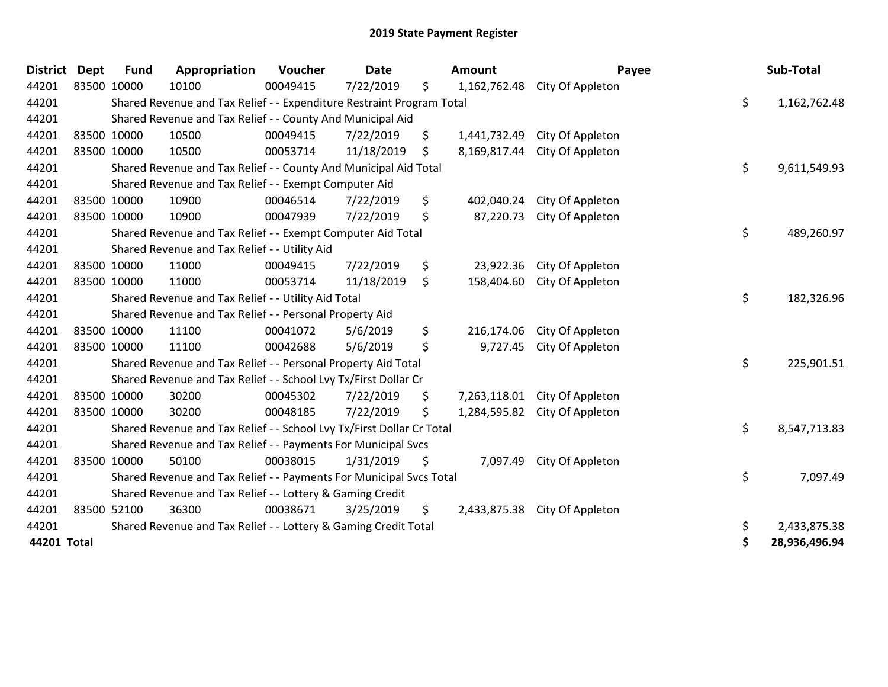| <b>District</b> | <b>Dept</b> | <b>Fund</b> | Appropriation                                                         | Voucher  | <b>Date</b> |    | <b>Amount</b> | Payee                         | Sub-Total           |
|-----------------|-------------|-------------|-----------------------------------------------------------------------|----------|-------------|----|---------------|-------------------------------|---------------------|
| 44201           | 83500 10000 |             | 10100                                                                 | 00049415 | 7/22/2019   | \$ |               | 1,162,762.48 City Of Appleton |                     |
| 44201           |             |             | Shared Revenue and Tax Relief - - Expenditure Restraint Program Total |          |             |    |               |                               | \$<br>1,162,762.48  |
| 44201           |             |             | Shared Revenue and Tax Relief - - County And Municipal Aid            |          |             |    |               |                               |                     |
| 44201           | 83500 10000 |             | 10500                                                                 | 00049415 | 7/22/2019   | \$ | 1,441,732.49  | City Of Appleton              |                     |
| 44201           | 83500 10000 |             | 10500                                                                 | 00053714 | 11/18/2019  | S  | 8,169,817.44  | City Of Appleton              |                     |
| 44201           |             |             | Shared Revenue and Tax Relief - - County And Municipal Aid Total      |          |             |    |               |                               | \$<br>9,611,549.93  |
| 44201           |             |             | Shared Revenue and Tax Relief - - Exempt Computer Aid                 |          |             |    |               |                               |                     |
| 44201           | 83500 10000 |             | 10900                                                                 | 00046514 | 7/22/2019   | \$ | 402,040.24    | City Of Appleton              |                     |
| 44201           | 83500 10000 |             | 10900                                                                 | 00047939 | 7/22/2019   | \$ | 87,220.73     | City Of Appleton              |                     |
| 44201           |             |             | Shared Revenue and Tax Relief - - Exempt Computer Aid Total           |          |             |    |               |                               | \$<br>489,260.97    |
| 44201           |             |             | Shared Revenue and Tax Relief - - Utility Aid                         |          |             |    |               |                               |                     |
| 44201           | 83500 10000 |             | 11000                                                                 | 00049415 | 7/22/2019   | \$ | 23,922.36     | City Of Appleton              |                     |
| 44201           | 83500 10000 |             | 11000                                                                 | 00053714 | 11/18/2019  | \$ | 158,404.60    | City Of Appleton              |                     |
| 44201           |             |             | Shared Revenue and Tax Relief - - Utility Aid Total                   |          |             |    |               |                               | \$<br>182,326.96    |
| 44201           |             |             | Shared Revenue and Tax Relief - - Personal Property Aid               |          |             |    |               |                               |                     |
| 44201           | 83500 10000 |             | 11100                                                                 | 00041072 | 5/6/2019    | \$ | 216,174.06    | City Of Appleton              |                     |
| 44201           | 83500 10000 |             | 11100                                                                 | 00042688 | 5/6/2019    | \$ | 9,727.45      | City Of Appleton              |                     |
| 44201           |             |             | Shared Revenue and Tax Relief - - Personal Property Aid Total         |          |             |    |               |                               | \$<br>225,901.51    |
| 44201           |             |             | Shared Revenue and Tax Relief - - School Lvy Tx/First Dollar Cr       |          |             |    |               |                               |                     |
| 44201           | 83500 10000 |             | 30200                                                                 | 00045302 | 7/22/2019   | \$ | 7,263,118.01  | City Of Appleton              |                     |
| 44201           | 83500 10000 |             | 30200                                                                 | 00048185 | 7/22/2019   | \$ | 1,284,595.82  | City Of Appleton              |                     |
| 44201           |             |             | Shared Revenue and Tax Relief - - School Lvy Tx/First Dollar Cr Total |          |             |    |               |                               | \$<br>8,547,713.83  |
| 44201           |             |             | Shared Revenue and Tax Relief - - Payments For Municipal Svcs         |          |             |    |               |                               |                     |
| 44201           | 83500 10000 |             | 50100                                                                 | 00038015 | 1/31/2019   | \$ | 7,097.49      | City Of Appleton              |                     |
| 44201           |             |             | Shared Revenue and Tax Relief - - Payments For Municipal Svcs Total   |          |             |    |               |                               | \$<br>7,097.49      |
| 44201           |             |             | Shared Revenue and Tax Relief - - Lottery & Gaming Credit             |          |             |    |               |                               |                     |
| 44201           | 83500 52100 |             | 36300                                                                 | 00038671 | 3/25/2019   | \$ | 2,433,875.38  | City Of Appleton              |                     |
| 44201           |             |             | Shared Revenue and Tax Relief - - Lottery & Gaming Credit Total       |          |             |    |               |                               | \$<br>2,433,875.38  |
| 44201 Total     |             |             |                                                                       |          |             |    |               |                               | \$<br>28,936,496.94 |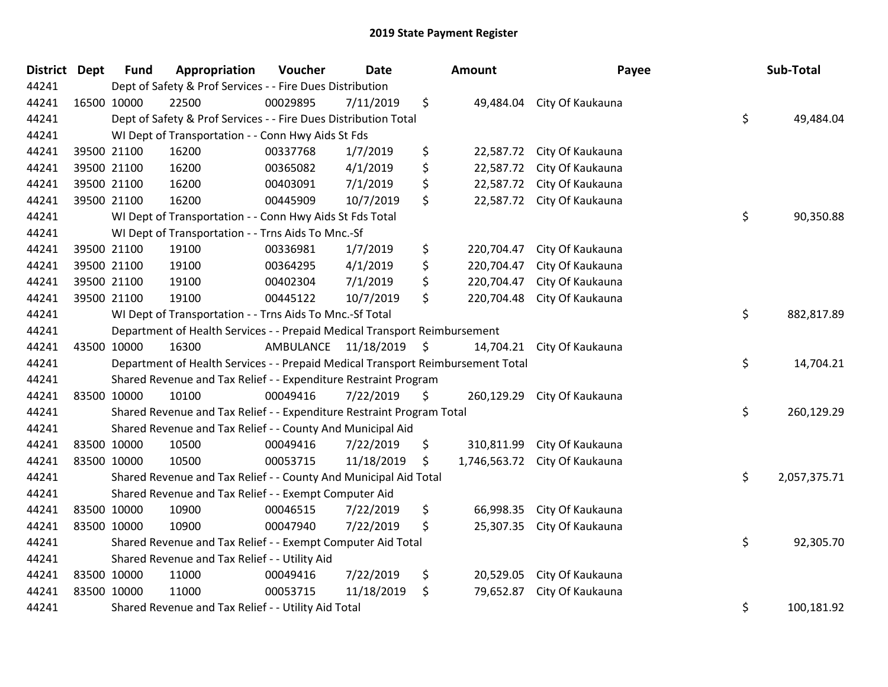| <b>District</b> | <b>Dept</b> | <b>Fund</b> | Appropriation                                                                   | Voucher   | <b>Date</b> | <b>Amount</b>      | Payee            | Sub-Total          |
|-----------------|-------------|-------------|---------------------------------------------------------------------------------|-----------|-------------|--------------------|------------------|--------------------|
| 44241           |             |             | Dept of Safety & Prof Services - - Fire Dues Distribution                       |           |             |                    |                  |                    |
| 44241           |             | 16500 10000 | 22500                                                                           | 00029895  | 7/11/2019   | \$<br>49,484.04    | City Of Kaukauna |                    |
| 44241           |             |             | Dept of Safety & Prof Services - - Fire Dues Distribution Total                 |           |             |                    |                  | \$<br>49,484.04    |
| 44241           |             |             | WI Dept of Transportation - - Conn Hwy Aids St Fds                              |           |             |                    |                  |                    |
| 44241           |             | 39500 21100 | 16200                                                                           | 00337768  | 1/7/2019    | \$<br>22,587.72    | City Of Kaukauna |                    |
| 44241           |             | 39500 21100 | 16200                                                                           | 00365082  | 4/1/2019    | \$<br>22,587.72    | City Of Kaukauna |                    |
| 44241           |             | 39500 21100 | 16200                                                                           | 00403091  | 7/1/2019    | \$<br>22,587.72    | City Of Kaukauna |                    |
| 44241           |             | 39500 21100 | 16200                                                                           | 00445909  | 10/7/2019   | \$<br>22,587.72    | City Of Kaukauna |                    |
| 44241           |             |             | WI Dept of Transportation - - Conn Hwy Aids St Fds Total                        |           |             |                    |                  | \$<br>90,350.88    |
| 44241           |             |             | WI Dept of Transportation - - Trns Aids To Mnc.-Sf                              |           |             |                    |                  |                    |
| 44241           |             | 39500 21100 | 19100                                                                           | 00336981  | 1/7/2019    | \$<br>220,704.47   | City Of Kaukauna |                    |
| 44241           |             | 39500 21100 | 19100                                                                           | 00364295  | 4/1/2019    | \$<br>220,704.47   | City Of Kaukauna |                    |
| 44241           |             | 39500 21100 | 19100                                                                           | 00402304  | 7/1/2019    | \$<br>220,704.47   | City Of Kaukauna |                    |
| 44241           |             | 39500 21100 | 19100                                                                           | 00445122  | 10/7/2019   | \$<br>220,704.48   | City Of Kaukauna |                    |
| 44241           |             |             | WI Dept of Transportation - - Trns Aids To Mnc.-Sf Total                        |           |             |                    |                  | \$<br>882,817.89   |
| 44241           |             |             | Department of Health Services - - Prepaid Medical Transport Reimbursement       |           |             |                    |                  |                    |
| 44241           |             | 43500 10000 | 16300                                                                           | AMBULANCE | 11/18/2019  | \$<br>14,704.21    | City Of Kaukauna |                    |
| 44241           |             |             | Department of Health Services - - Prepaid Medical Transport Reimbursement Total |           |             |                    |                  | \$<br>14,704.21    |
| 44241           |             |             | Shared Revenue and Tax Relief - - Expenditure Restraint Program                 |           |             |                    |                  |                    |
| 44241           |             | 83500 10000 | 10100                                                                           | 00049416  | 7/22/2019   | \$<br>260,129.29   | City Of Kaukauna |                    |
| 44241           |             |             | Shared Revenue and Tax Relief - - Expenditure Restraint Program Total           |           |             |                    |                  | \$<br>260,129.29   |
| 44241           |             |             | Shared Revenue and Tax Relief - - County And Municipal Aid                      |           |             |                    |                  |                    |
| 44241           |             | 83500 10000 | 10500                                                                           | 00049416  | 7/22/2019   | \$<br>310,811.99   | City Of Kaukauna |                    |
| 44241           |             | 83500 10000 | 10500                                                                           | 00053715  | 11/18/2019  | \$<br>1,746,563.72 | City Of Kaukauna |                    |
| 44241           |             |             | Shared Revenue and Tax Relief - - County And Municipal Aid Total                |           |             |                    |                  | \$<br>2,057,375.71 |
| 44241           |             |             | Shared Revenue and Tax Relief - - Exempt Computer Aid                           |           |             |                    |                  |                    |
| 44241           |             | 83500 10000 | 10900                                                                           | 00046515  | 7/22/2019   | \$<br>66,998.35    | City Of Kaukauna |                    |
| 44241           | 83500 10000 |             | 10900                                                                           | 00047940  | 7/22/2019   | \$<br>25,307.35    | City Of Kaukauna |                    |
| 44241           |             |             | Shared Revenue and Tax Relief - - Exempt Computer Aid Total                     |           |             |                    |                  | \$<br>92,305.70    |
| 44241           |             |             | Shared Revenue and Tax Relief - - Utility Aid                                   |           |             |                    |                  |                    |
| 44241           |             | 83500 10000 | 11000                                                                           | 00049416  | 7/22/2019   | \$<br>20,529.05    | City Of Kaukauna |                    |
| 44241           |             | 83500 10000 | 11000                                                                           | 00053715  | 11/18/2019  | \$<br>79,652.87    | City Of Kaukauna |                    |
| 44241           |             |             | Shared Revenue and Tax Relief - - Utility Aid Total                             |           |             |                    |                  | \$<br>100,181.92   |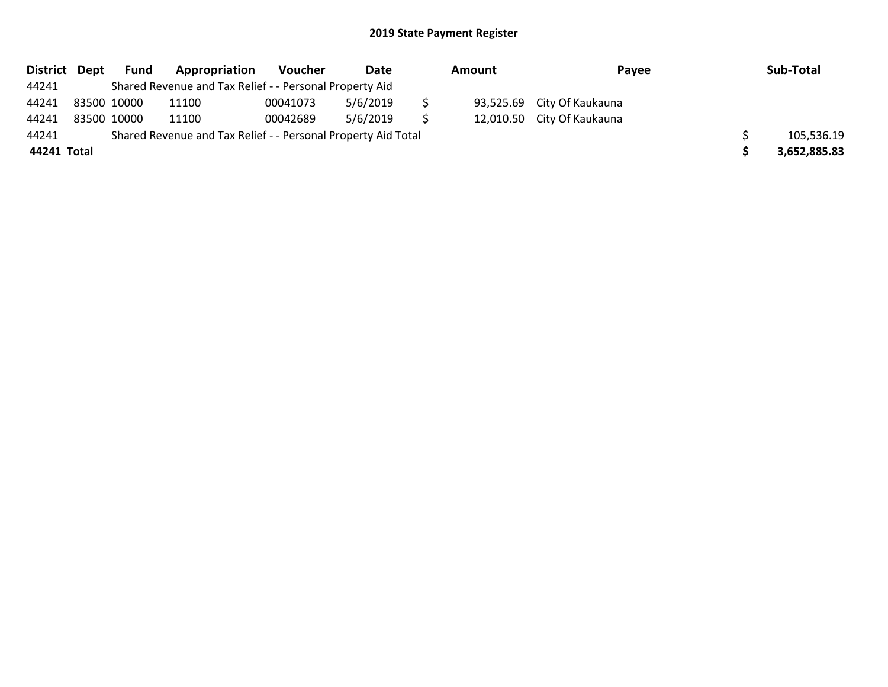| District Dept |             | Fund | Appropriation                                                 | Voucher  | Date     | Amount |  | Payee                      | Sub-Total    |
|---------------|-------------|------|---------------------------------------------------------------|----------|----------|--------|--|----------------------------|--------------|
| 44241         |             |      | Shared Revenue and Tax Relief - - Personal Property Aid       |          |          |        |  |                            |              |
| 44241         | 83500 10000 |      | 11100                                                         | 00041073 | 5/6/2019 |        |  | 93,525.69 City Of Kaukauna |              |
| 44241         | 83500 10000 |      | 11100                                                         | 00042689 | 5/6/2019 | -S     |  | 12,010.50 City Of Kaukauna |              |
| 44241         |             |      | Shared Revenue and Tax Relief - - Personal Property Aid Total |          |          |        |  |                            | 105,536.19   |
| 44241 Total   |             |      |                                                               |          |          |        |  |                            | 3,652,885.83 |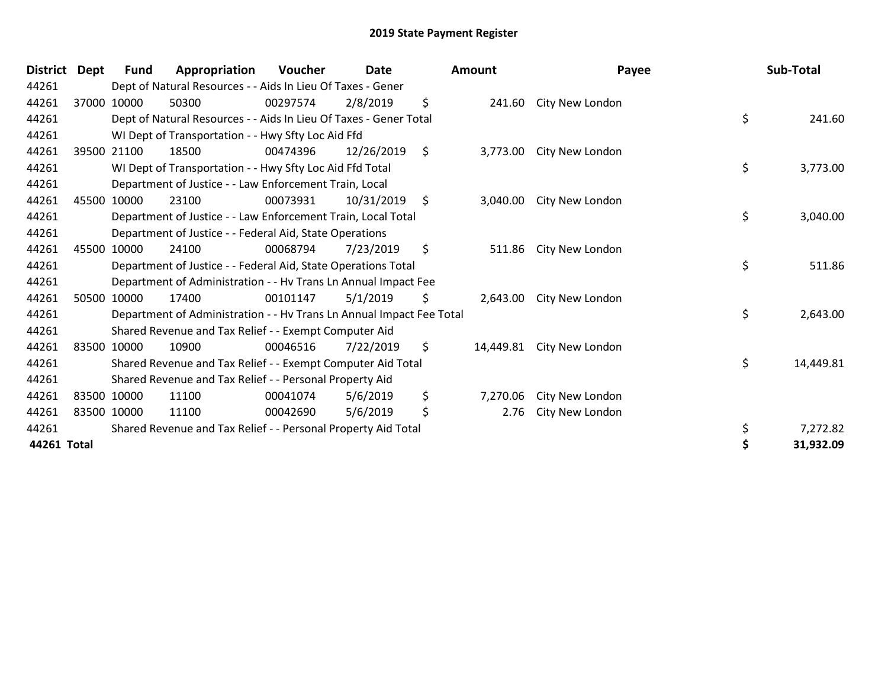| <b>District</b> | Dept        | Fund        | Appropriation                                                        | Voucher  | Date       |         | <b>Amount</b> | Payee           | Sub-Total       |
|-----------------|-------------|-------------|----------------------------------------------------------------------|----------|------------|---------|---------------|-----------------|-----------------|
| 44261           |             |             | Dept of Natural Resources - - Aids In Lieu Of Taxes - Gener          |          |            |         |               |                 |                 |
| 44261           |             | 37000 10000 | 50300                                                                | 00297574 | 2/8/2019   | \$      | 241.60        | City New London |                 |
| 44261           |             |             | Dept of Natural Resources - - Aids In Lieu Of Taxes - Gener Total    |          |            |         |               |                 | \$<br>241.60    |
| 44261           |             |             | WI Dept of Transportation - - Hwy Sfty Loc Aid Ffd                   |          |            |         |               |                 |                 |
| 44261           |             | 39500 21100 | 18500                                                                | 00474396 | 12/26/2019 | $\zeta$ | 3,773.00      | City New London |                 |
| 44261           |             |             | WI Dept of Transportation - - Hwy Sfty Loc Aid Ffd Total             |          |            |         |               |                 | \$<br>3,773.00  |
| 44261           |             |             | Department of Justice - - Law Enforcement Train, Local               |          |            |         |               |                 |                 |
| 44261           |             | 45500 10000 | 23100                                                                | 00073931 | 10/31/2019 | \$      | 3,040.00      | City New London |                 |
| 44261           |             |             | Department of Justice - - Law Enforcement Train, Local Total         |          |            |         |               |                 | \$<br>3,040.00  |
| 44261           |             |             | Department of Justice - - Federal Aid, State Operations              |          |            |         |               |                 |                 |
| 44261           |             | 45500 10000 | 24100                                                                | 00068794 | 7/23/2019  | \$      | 511.86        | City New London |                 |
| 44261           |             |             | Department of Justice - - Federal Aid, State Operations Total        |          |            |         |               |                 | \$<br>511.86    |
| 44261           |             |             | Department of Administration - - Hv Trans Ln Annual Impact Fee       |          |            |         |               |                 |                 |
| 44261           |             | 50500 10000 | 17400                                                                | 00101147 | 5/1/2019   | \$      | 2,643.00      | City New London |                 |
| 44261           |             |             | Department of Administration - - Hv Trans Ln Annual Impact Fee Total |          |            |         |               |                 | \$<br>2,643.00  |
| 44261           |             |             | Shared Revenue and Tax Relief - - Exempt Computer Aid                |          |            |         |               |                 |                 |
| 44261           |             | 83500 10000 | 10900                                                                | 00046516 | 7/22/2019  | \$      | 14,449.81     | City New London |                 |
| 44261           |             |             | Shared Revenue and Tax Relief - - Exempt Computer Aid Total          |          |            |         |               |                 | \$<br>14,449.81 |
| 44261           |             |             | Shared Revenue and Tax Relief - - Personal Property Aid              |          |            |         |               |                 |                 |
| 44261           |             | 83500 10000 | 11100                                                                | 00041074 | 5/6/2019   | \$      | 7,270.06      | City New London |                 |
| 44261           | 83500 10000 |             | 11100                                                                | 00042690 | 5/6/2019   | \$      | 2.76          | City New London |                 |
| 44261           |             |             | Shared Revenue and Tax Relief - - Personal Property Aid Total        |          |            |         |               |                 | \$<br>7,272.82  |
| 44261 Total     |             |             |                                                                      |          |            |         |               |                 | \$<br>31,932.09 |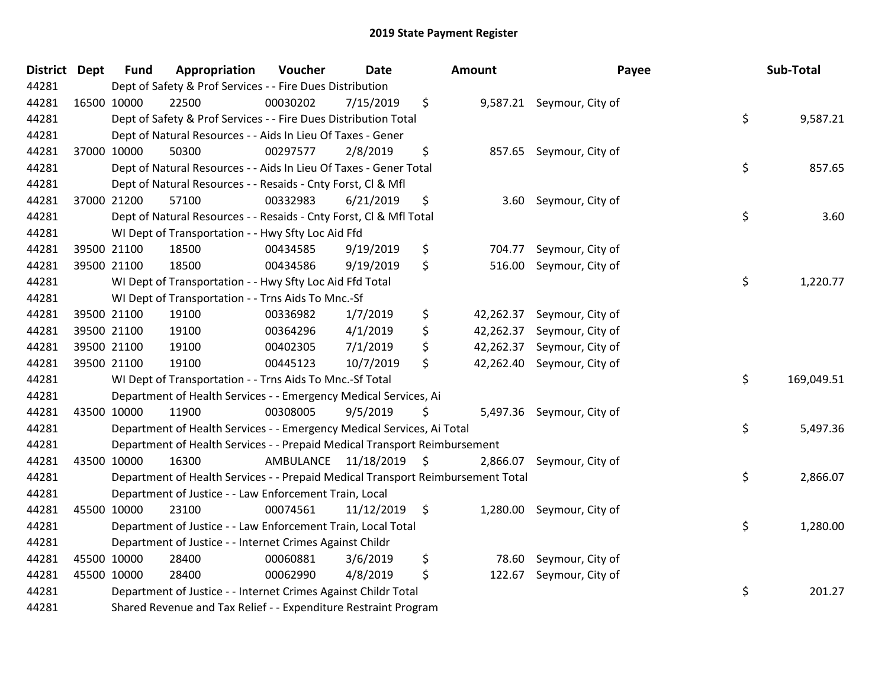| District Dept | <b>Fund</b> | Appropriation                                                                   | Voucher   | <b>Date</b>   |                     | <b>Amount</b> | Payee                      | Sub-Total        |
|---------------|-------------|---------------------------------------------------------------------------------|-----------|---------------|---------------------|---------------|----------------------------|------------------|
| 44281         |             | Dept of Safety & Prof Services - - Fire Dues Distribution                       |           |               |                     |               |                            |                  |
| 44281         | 16500 10000 | 22500                                                                           | 00030202  | 7/15/2019     | \$                  |               | 9,587.21 Seymour, City of  |                  |
| 44281         |             | Dept of Safety & Prof Services - - Fire Dues Distribution Total                 |           |               |                     |               |                            | \$<br>9,587.21   |
| 44281         |             | Dept of Natural Resources - - Aids In Lieu Of Taxes - Gener                     |           |               |                     |               |                            |                  |
| 44281         | 37000 10000 | 50300                                                                           | 00297577  | 2/8/2019      | \$                  | 857.65        | Seymour, City of           |                  |
| 44281         |             | Dept of Natural Resources - - Aids In Lieu Of Taxes - Gener Total               |           |               |                     |               |                            | \$<br>857.65     |
| 44281         |             | Dept of Natural Resources - - Resaids - Cnty Forst, Cl & Mfl                    |           |               |                     |               |                            |                  |
| 44281         | 37000 21200 | 57100                                                                           | 00332983  | 6/21/2019     | \$                  | 3.60          | Seymour, City of           |                  |
| 44281         |             | Dept of Natural Resources - - Resaids - Cnty Forst, CI & Mfl Total              |           |               |                     |               |                            | \$<br>3.60       |
| 44281         |             | WI Dept of Transportation - - Hwy Sfty Loc Aid Ffd                              |           |               |                     |               |                            |                  |
| 44281         | 39500 21100 | 18500                                                                           | 00434585  | 9/19/2019     | \$                  | 704.77        | Seymour, City of           |                  |
| 44281         | 39500 21100 | 18500                                                                           | 00434586  | 9/19/2019     | \$                  | 516.00        | Seymour, City of           |                  |
| 44281         |             | WI Dept of Transportation - - Hwy Sfty Loc Aid Ffd Total                        |           |               |                     |               |                            | \$<br>1,220.77   |
| 44281         |             | WI Dept of Transportation - - Trns Aids To Mnc.-Sf                              |           |               |                     |               |                            |                  |
| 44281         | 39500 21100 | 19100                                                                           | 00336982  | 1/7/2019      | \$                  | 42,262.37     | Seymour, City of           |                  |
| 44281         | 39500 21100 | 19100                                                                           | 00364296  | 4/1/2019      | \$                  | 42,262.37     | Seymour, City of           |                  |
| 44281         | 39500 21100 | 19100                                                                           | 00402305  | 7/1/2019      | \$                  |               | 42,262.37 Seymour, City of |                  |
| 44281         | 39500 21100 | 19100                                                                           | 00445123  | 10/7/2019     | \$                  |               | 42,262.40 Seymour, City of |                  |
| 44281         |             | WI Dept of Transportation - - Trns Aids To Mnc.-Sf Total                        |           |               |                     |               |                            | \$<br>169,049.51 |
| 44281         |             | Department of Health Services - - Emergency Medical Services, Ai                |           |               |                     |               |                            |                  |
| 44281         | 43500 10000 | 11900                                                                           | 00308005  | 9/5/2019      | \$                  |               | 5,497.36 Seymour, City of  |                  |
| 44281         |             | Department of Health Services - - Emergency Medical Services, Ai Total          |           |               |                     |               |                            | \$<br>5,497.36   |
| 44281         |             | Department of Health Services - - Prepaid Medical Transport Reimbursement       |           |               |                     |               |                            |                  |
| 44281         | 43500 10000 | 16300                                                                           | AMBULANCE | 11/18/2019 \$ |                     | 2,866.07      | Seymour, City of           |                  |
| 44281         |             | Department of Health Services - - Prepaid Medical Transport Reimbursement Total |           |               |                     |               |                            | \$<br>2,866.07   |
| 44281         |             | Department of Justice - - Law Enforcement Train, Local                          |           |               |                     |               |                            |                  |
| 44281         | 45500 10000 | 23100                                                                           | 00074561  | 11/12/2019    | $\ddot{\mathsf{S}}$ |               | 1,280.00 Seymour, City of  |                  |
| 44281         |             | Department of Justice - - Law Enforcement Train, Local Total                    |           |               |                     |               |                            | \$<br>1,280.00   |
| 44281         |             | Department of Justice - - Internet Crimes Against Childr                        |           |               |                     |               |                            |                  |
| 44281         | 45500 10000 | 28400                                                                           | 00060881  | 3/6/2019      | \$                  | 78.60         | Seymour, City of           |                  |
| 44281         | 45500 10000 | 28400                                                                           | 00062990  | 4/8/2019      | \$                  | 122.67        | Seymour, City of           |                  |
| 44281         |             | Department of Justice - - Internet Crimes Against Childr Total                  |           |               |                     |               |                            | \$<br>201.27     |
| 44281         |             | Shared Revenue and Tax Relief - - Expenditure Restraint Program                 |           |               |                     |               |                            |                  |